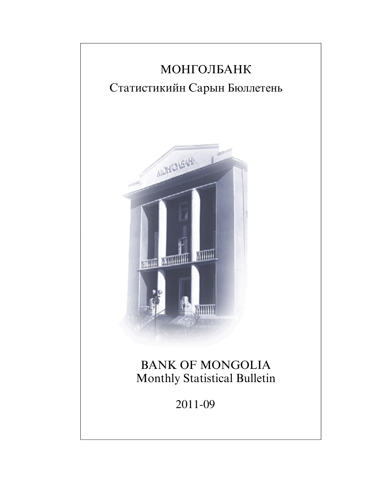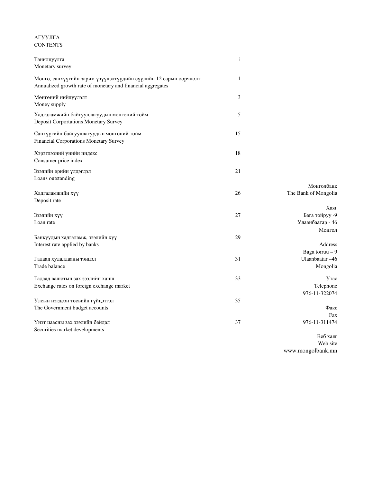## АГУУЛГА **CONTENTS**

| Танилцуулга                                                                                                                     | $\mathbf{i}$ |                                                      |
|---------------------------------------------------------------------------------------------------------------------------------|--------------|------------------------------------------------------|
| Monetary survey                                                                                                                 |              |                                                      |
| Мөнгө, санхүүгийн зарим үзүүлэлтүүдийн сүүлийн 12 сарын өөрчлөлт<br>Annualized growth rate of monetary and financial aggregates | 1            |                                                      |
| Мөнгөний нийлүүлэлт<br>Money supply                                                                                             | 3            |                                                      |
| Хадгаламжийн байгууллагуудын мөнгөний тойм<br>Deposit Corportations Monetary Survey                                             | 5            |                                                      |
| Санхүүгийн байгууллагуудын мөнгөний тойм<br>Financial Corporations Monetary Survey                                              | 15           |                                                      |
| Хэрэглээний үнийн индекс<br>Consumer price index                                                                                | 18           |                                                      |
| Зээлийн өрийн үлдэгдэл<br>Loans outstanding                                                                                     | 21           |                                                      |
| Хадгаламжийн хүү<br>Deposit rate                                                                                                | 26           | Монголбанк<br>The Bank of Mongolia                   |
| Зээлийн хүү<br>Loan rate                                                                                                        | 27           | Хаяг<br>Бага тойруу -9<br>Улаанбаатар - 46<br>Монгол |
| Банкуудын хадгаламж, зээлийн хүү<br>Interest rate applied by banks                                                              | 29           | Address<br>Baga toiruu - 9                           |
| Гадаад худалдааны тэнцэл<br>Trade balance                                                                                       | 31           | Ulaanbaatar -46<br>Mongolia                          |
| Гадаад валютын зах зээлийн ханш<br>Exchange rates on foreign exchange market                                                    | 33           | <b>Утас</b><br>Telephone<br>976-11-322074            |
| Улсын нэгдсэн төсвийн гүйцэтгэл<br>The Government budget accounts                                                               | 35           | Факс<br>Fax                                          |
| Үнэт цаасны зах зээлийн байдал<br>Securities market developments                                                                | 37           | 976-11-311474<br>Ren vagr                            |

Веб хаяг Web site www.mongolbank.mn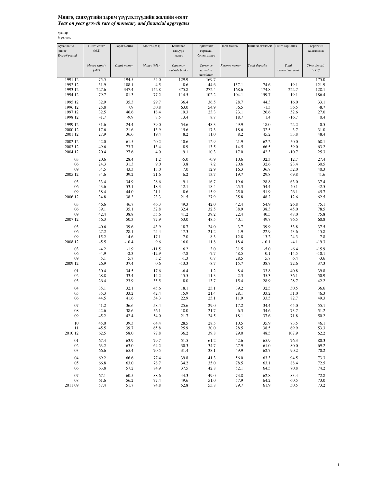## Мөнгө**,** санхүүгийн зарим үзүүлэлтүүдийн жилийн өсөлт *Year on year growth rate of monetary and financial aggregates*

хувиар *in percent*

| Хугацааны     | Нийт мөнгө   | Бараг мөнгө | Мөнгө (М1) | Банкнаас      | Гүйлгээнд   | Нөөц мөнгө    | Нийт хадгаламж | Нийт харилцах   | Төгрөгийн                               |
|---------------|--------------|-------------|------------|---------------|-------------|---------------|----------------|-----------------|-----------------------------------------|
|               |              |             |            |               |             |               |                |                 |                                         |
| эцэст         | (M2)         |             |            | гадуурх       | гаргасан    |               |                |                 | хадгаламж                               |
| End-of-period |              |             |            | мөнгө         | бэлэн мөнгө |               |                |                 |                                         |
|               |              |             |            |               |             |               |                |                 |                                         |
|               | Money supply | Quasi money | Money (M1) | Currency      | Currency    | Reserve money | Total deposits | Total           | Time deposit                            |
|               | (M2)         |             |            | outside banks | issued in   |               |                | current account | $\operatorname{in}$ $\operatorname{DC}$ |
|               |              |             |            |               | circulation |               |                |                 |                                         |
|               |              |             |            |               |             |               |                |                 |                                         |
| 1991 12       | 75.5         | 194.5       | 54.0       | 129.9         | 169.7       |               |                |                 | 175.0                                   |
| 1992 12       | 31.9         | 108.1       | 4.5        | 8.6           | 44.6        | 157.1         | 74.6           | 19.1            | 121.9                                   |
| 1993 12       | 227.6        | 347.4       | 142.8      | 375.8         | 272.4       | 168.6         | 174.8          | 222.7           | 128.1                                   |
| 1994 12       | 79.7         | 81.3        | 77.2       | 114.5         | 102.2       | 104.1         | 159.7          | 19.1            | 186.4                                   |
|               |              |             |            |               |             |               |                |                 |                                         |
| 1995 12       | 32.9         | 35.3        | 29.7       | 36.4          | 36.5        | 28.7          | 44.3           | 16.0            | 33.1                                    |
| 1996 12       | 25.8         | 7.9         | 50.8       | 63.0          | 54.9        | 36.5          | $-1.3$         | 36.5            | $-8.7$                                  |
|               |              |             |            |               |             |               |                |                 |                                         |
| 1997 12       | 32.5         | 46.6        | 18.4       | 19.3          | 23.3        | 23.1          | 26.6           | 52.6            | 27.0                                    |
| 1998 12       | $-1.7$       | $-9.9$      | 8.5        | 13.4          | 8.7         | 18.7          | 1.4            | $-16.7$         | 0.4                                     |
|               |              |             |            |               |             |               |                |                 |                                         |
| 1999 12       | 31.6         | 24.4        | 39.0       | 54.6          | 48.3        | 49.9          | 18.0           | 22.2            | 0.5                                     |
| 2000 12       | 17.6         | 21.6        | 13.9       | 15.6          | 17.3        | 18.6          | 32.5           | 3.7             | 31.0                                    |
| 2001 12       | 27.9         | 36.6        | 19.4       | 8.2           | 11.0        | 8.2           | 45.2           | 33.8            | 48.4                                    |
|               |              |             |            |               |             |               |                |                 |                                         |
| 2002 12       | 42.0         | 61.5        | 20.2       | 10.6          | 12.9        | 21.9          | 62.2           | 50.0            | 68.1                                    |
| 2003 12       | 49.6         | 73.7        | 13.4       | 8.9           | 13.5        | 14.5          | 66.5           | 59.0            | 63.2                                    |
| 2004 12       | 20.4         | 27.6        | 4.0        | 9.1           | 10.3        | 17.0          | 42.3           | $-10.7$         | 25.3                                    |
|               |              |             |            |               |             |               |                |                 |                                         |
| 03            | 20.6         | 28.4        | 1.2        | $-5.0$        | $-0.9$      | 10.6          | 32.3           | 12.7            | 27.4                                    |
| 06            | 24.3         | 31.3        | 9.0        | 3.8           | 7.2         | 20.6          | 32.6           | 23.4            | 30.5                                    |
|               |              |             |            |               |             |               |                |                 |                                         |
| 09            | 34.5         | 43.3        | 13.0       | 7.0           | 12.9        | 16.3          | 36.8           | 52.0            | 40.3                                    |
| 2005 12       | 34.6         | 39.2        | 21.6       | 6.2           | 13.7        | 19.7          | 29.8           | 69.8            | 41.6                                    |
|               |              |             |            |               |             |               |                |                 |                                         |
| 03            | 33.4         | 34.9        | 28.6       | 9.1           | 16.7        | 19.6          | 28.8           | 63.0            | 37.4                                    |
| 06            | 43.6         | 53.1        | 18.3       | 12.1          | 18.4        | 25.3          | 54.4           | 40.1            | 42.5                                    |
| 09            | 38.4         | 44.0        | 21.1       | 8.6           | 15.9        | 25.0          | 51.9           | 26.1            | 45.7                                    |
| 2006 12       | 34.8         | 38.3        | 23.3       | 21.5          | 27.9        | 35.8          | 48.2           | 12.6            | 62.5                                    |
|               |              |             |            |               |             |               |                |                 |                                         |
| 03            | 46.6         | 46.7        | 46.3       | 49.3          | 42.0        | 42.4          | 54.9           | 26.8            | 75.1                                    |
| 06            | 39.1         |             |            |               | 32.5        |               | 38.3           | 45.0            | 78.5                                    |
|               |              | 35.1        | 52.8       | 32.4          |             | 38.9          |                |                 |                                         |
| 09            | 42.4         | 38.8        | 55.6       | 41.2          | 39.2        | 22.4          | 40.5           | 48.0            | 75.8                                    |
| 2007 12       | 56.3         | 50.3        | 77.9       | 53.0          | 48.5        | 40.1          | 49.7           | 76.5            | 60.8                                    |
|               |              |             |            |               |             |               |                |                 |                                         |
| 03            | 40.6         | 39.6        | 43.9       | 18.7          | 24.0        | 3.7           | 39.9           | 53.8            | 37.5                                    |
| 06            | 27.2         | 28.1        | 24.4       | 17.3          | 21.2        | $-1.9$        | 22.9           | 43.6            | 15.8                                    |
| 09            | 15.2         | 14.6        | 17.1       | 7.0           | 8.3         | 12.8          | 13.2           | 24.3            | 7.8                                     |
| 2008 12       | $-5.5$       | $-10.4$     | 9.6        | 16.0          | 11.8        | 18.4          | $-10.1$        | $-4.1$          | $-19.3$                                 |
|               |              |             |            |               |             |               |                |                 |                                         |
| 03            | $-4.2$       | $-1.9$      | $-11.5$    | 6.2           | 3.0         | 31.5          | $-5.0$         | $-6.4$          | $-15.9$                                 |
| 06            | $-4.9$       | $-2.3$      | $-12.9$    | $-7.8$        | $-7.7$      | 48.5          | 0.1            | $-14.5$         | $-10.1$                                 |
| 09            | 5.1          | 5.7         | 3.2        | $-1.3$        | 0.7         | 28.5          | 5.7            | 6.4             | $-3.6$                                  |
|               |              |             |            |               |             |               |                |                 |                                         |
| 2009 12       | 26.9         | 37.4        | 0.6        | $-13.3$       | $-8.7$      | 15.7          | 38.7           | 22.6            | 37.3                                    |
| 01            | 30.4         | 34.5        | 17.6       | $-6.4$        | 1.2         | 8.4           | 33.8           | 40.8            | 39.8                                    |
|               |              |             |            |               |             |               |                |                 |                                         |
| 02            | 28.8         | 33.4        | 14.2       | $-15.5$       | $-11.3$     | 2.3           | 35.3           | 36.1            | 50.9                                    |
| 03            | 26.4         | 23.9        | 35.5       | 8.0           | 13.7        | 15.4          | 28.9           | 28.7            | 42.2                                    |
|               |              |             |            |               |             |               |                |                 |                                         |
| 04            | 35.1         | 32.1        | 45.6       | 18.1          | 25.1        | 39.2          | 32.5           | 50.5            | 36.6                                    |
| 05            | 35.3         | 33.2        | 42.4       | 15.9          | 21.4        | 28.1          | 33.2           | 51.0            | 46.3                                    |
| 06            | 44.5         | 41.6        | 54.3       | 22.9          | 25.1        | 11.9          | 33.5           | 82.7            | 49.3                                    |
|               |              |             |            |               |             |               |                |                 |                                         |
| 07            | 41.2         | 36.6        | 58.4       | 25.6          | 29.0        | 17.2          | 34.4           | 65.0            | 55.1                                    |
| 08            | 42.6         | 38.6        | 56.1       | 18.0          | 21.7        | 6.3           | 34.6           | 73.7            | 51.2                                    |
| 09            | 45.2         | 42.4        | 54.0       | 21.7          | 24.5        | 18.1          | 37.6           | 71.8            | 50.2                                    |
|               |              |             |            |               |             |               |                |                 |                                         |
| 10            | 45.0         | 39.3        | 64.4       | 28.5          | 28.5        | 10.5          | 35.9           | 73.5            | 46.1                                    |
| 11            | 45.5         | 39.7        | 65.8       | 25.9          | 30.0        | 28.5          | 38.5           | 69.9            | 53.3                                    |
|               |              |             |            |               |             |               |                |                 |                                         |
| 2010 12       | 62.5         | 58.0        | 77.8       | 36.2          | 39.8        | 29.0          | 48.5           | 107.9           | 62.2                                    |
| $01\,$        | 67.4         | 63.9        | 79.7       | 51.5          | 61.2        | 42.6          | 65.9           | 76.3            | 80.3                                    |
|               |              |             |            |               |             |               |                |                 |                                         |
| 02            | 63.2         | 63.0        | 64.2       | 30.3          | 34.7        | 27.9          | 61.0           | 80.0            | 69.2                                    |
| 03            | 66.6         | 65.4        | 70.5       | 31.4          | 38.1        | 49.9          | 62.7           | 90.2            | 70.2                                    |
|               |              |             |            |               |             |               |                |                 |                                         |
| 04            | 69.2         | 66.6        | 77.4       | 39.8          | 41.3        | 56.0          | 63.3           | 94.5            | 73.3                                    |
| 05            | 66.8         | 63.0        | 78.7       | 34.2          | 35.0        | 78.5          | 63.1           | 88.4            | 72.5                                    |
| 06            | 63.8         | 57.2        | 84.9       | 37.5          | 42.8        | 52.1          | 64.5           | 70.8            | 74.2                                    |
|               |              |             |            |               |             |               |                |                 |                                         |
| 07            | 67.1         | 60.5        | 88.6       | 44.3          | 49.0        | 73.8          | 62.8           | 83.4            | 72.8                                    |
| ${\bf 08}$    | 61.6         | 56.2        | 77.4       | 49.6          | 51.0        | 57.9          | 64.2           | 60.5            | 73.0                                    |
| 2011 09       | 57.4         | 51.7        | 74.8       | 52.8          | 55.8        | 79.7          | 61.9           | 50.5            | 73.2                                    |
|               |              |             |            |               |             |               |                |                 |                                         |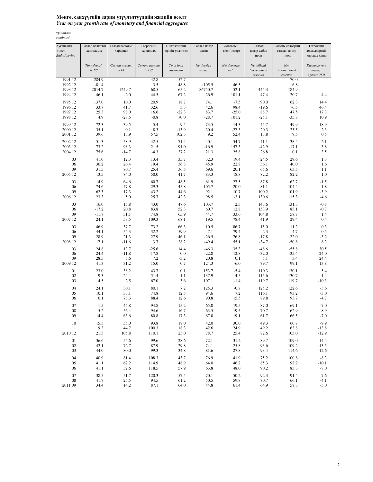## Мөнгө**,** санхүүгийн зарим үзүүлэлтүүдийн жилийн өсөлт *Year on year growth rate of monetary and financial aggregates*

| Хугацааны<br>эцэст | Гадаад валютын<br>хадгаламж | Гадаад валютын<br>харилцах | Төгрөгийн<br>харилцах                                      | Нийт зээлийн<br>өрийн үлдэгдэл | Гадаад цэвэр<br>актив | Дотоодын<br>зээл (цэвэр) | Гадаад<br>цэвэр албан                            | Банкны салбарын<br>гадаад цэвэр    | Төгрөгийн<br>ам.доллартай |
|--------------------|-----------------------------|----------------------------|------------------------------------------------------------|--------------------------------|-----------------------|--------------------------|--------------------------------------------------|------------------------------------|---------------------------|
| End-of-period      |                             |                            |                                                            |                                |                       |                          | нөөц                                             | нөөц                               | харьцах ханш              |
|                    | Time deposit<br>$in$ $FC$   | Current account<br>in FC   | Current account<br>$\operatorname{in}$ $\operatorname{DC}$ | Total loan<br>outstanding      | Net foreign<br>assets | Net domestic<br>credit   | Net official<br><b>International</b><br>reserves | $Net$<br>internatiomal<br>reserves | Excahnge rate<br>togrog   |
| 1991 12            | 284.9                       |                            | 42.8                                                       | 52.7                           |                       |                          |                                                  | $-70.0$                            | against USD               |
| 1992 12            | $-81.4$                     |                            | 3.5                                                        | 48.8                           | $-105.5$              | 46.5                     |                                                  | 6.8                                |                           |
| 1993 12            | 2014.7                      | 1249.7                     | 68.5                                                       | 65.2                           | 86750.7               | 52.1                     | 445.3                                            | 184.9                              |                           |
| 1994 12            | 46.1                        | $-2.0$                     | 44.5                                                       | 67.2                           | 26.9                  | 101.1                    | 47.4                                             | 20.7                               | 4.4                       |
| 1995 12            | 137.0                       | 10.0                       | 20.9                                                       | 18.7                           | 74.1                  | $-7.5$                   | 90.0                                             | 62.3                               | 14.4                      |
| 1996 12            | 33.7                        | 41.7                       | 32.6                                                       | 3.3                            | 42.6                  | 98.4                     | $-19.6$                                          | $-6.5$                             | 46.4                      |
| 1997 12            | 25.3                        | 98.0                       | 16.6                                                       | $-22.3$                        | 83.7                  | $-25.0$                  | 88.7                                             | 47.5                               | 17.3                      |
| 1998 12            | 4.9                         | $-28.5$                    | $-0.8$                                                     | 70.0                           | -28.7                 | 101.2                    | $-25.1$                                          | $-35.8$                            | 10.9                      |
| 1999 12            | 72.3                        | 39.5                       | 5.4                                                        | $-9.5$                         | 73.5                  | $-14.3$                  | 45.7                                             | 49.9                               | 18.9                      |
| 2000 12<br>2001 12 | 35.1<br>39.6                | 0.1<br>13.9                | 8.3<br>57.5                                                | $-13.9$                        | 20.4<br>9.2           | $-27.3$<br>52.4          | 20.3<br>13.8                                     | 23.5<br>9.5                        | 2.3<br>0.5                |
|                    |                             |                            |                                                            | 102.3                          |                       |                          |                                                  |                                    |                           |
| 2002 12            | 51.3                        | 58.9                       | 42.5                                                       | 71.4                           | 40.1                  | 54.7                     | 41.1                                             | 38.4                               | 2.1                       |
| 2003 12<br>2004 12 | 73.2<br>75.6                | 98.3<br>$-14.7$            | 21.5<br>$-4.3$                                             | 91.0<br>37.2                   | $-16.9$<br>21.3       | 157.3<br>25.8            | $-42.9$<br>26.8                                  | $-17.1$<br>0.1                     | 3.8<br>3.5                |
|                    |                             |                            |                                                            |                                |                       |                          |                                                  |                                    |                           |
| 03                 | 41.0                        | 12.3                       | 13.4                                                       | 35.7                           | 32.3                  | 19.4                     | 24.5                                             | 29.6                               | 1.3                       |
| 06<br>09           | 36.2<br>31.5                | 26.4<br>70.7               | 19.4<br>25.4                                               | 36.8<br>36.5                   | 45.9<br>69.6          | 22.8<br>20.1             | 36.1<br>65.6                                     | 40.0<br>63.5                       | 1.6<br>1.1                |
| 2005 12            | 13.5                        | 84.0                       | 50.0                                                       | 41.7                           | 83.3                  | 18.8                     | 82.2                                             | 82.2                               | 1.0                       |
|                    |                             |                            |                                                            |                                |                       |                          |                                                  |                                    |                           |
| 03<br>06           | 14.9<br>74.6                | 64.6<br>47.8               | 60.7<br>29.3                                               | 48.5<br>45.8                   | 61.9<br>105.7         | 27.5<br>20.0             | 87.8<br>81.1                                     | 62.7<br>104.4                      | $-1.5$<br>$-1.8$          |
| 09                 | 62.3                        | 17.3                       | 43.2                                                       | 44.6                           | 92.1                  | 10.7                     | 100.2                                            | 101.9                              | $-3.9$                    |
| 2006 12            | 23.3                        | 5.0                        | 25.7                                                       | 42.3                           | 98.5                  | $-3.1$                   | 130.6                                            | 115.3                              | $-4.6$                    |
| 03                 | 16.0                        | 15.8                       | 43.0                                                       | 47.6                           | 103.7                 | 2.5                      | 143.6                                            | 131.3                              | $-0.8$                    |
| 06                 | $-17.2$                     | 20.8                       | 83.8                                                       | 52.3                           | 60.7                  | 12.8                     | 153.9                                            | 83.1                               | $-0.7$                    |
| 09                 | $-11.7$                     | 31.1                       | 74.8                                                       | 65.9                           | 44.7                  | 33.6                     | 104.8                                            | 58.7                               | 1.4                       |
| 2007 12            | 24.1                        | 53.5                       | 109.3                                                      | 68.1                           | 19.5                  | 78.4                     | 41.9                                             | 29.4                               | 0.4                       |
| 03                 | 46.9                        | 37.7                       | 73.2                                                       | 66.3                           | 10.5                  | 86.7                     | 15.0                                             | 11.2                               | 0.3                       |
| 06                 | 44.1                        | 54.3                       | 32.2                                                       | 59.9                           | $-7.1$                | 79.4                     | $-2.3$                                           | $-4.7$                             | $-0.5$                    |
| 09                 | 28.9                        | 21.3                       | 27.9                                                       | 46.1                           | $-26.5$               | 76.8                     | $-17.8$                                          | $-22.0$                            | $-3.2$                    |
| 2008 12            | 17.1                        | $-11.6$                    | 3.7                                                        | 28.2                           | $-49.4$               | 55.1                     | $-34.7$                                          | $-50.8$                            | 8.3                       |
| 03                 | 24.8                        | 13.7                       | $-25.6$                                                    | 14.4                           | $-46.3$               | 35.3                     | $-48.6$                                          | $-55.8$                            | 30.5                      |
| 06                 | 24.4                        | $-11.8$                    | $-17.8$                                                    | 0.0                            | $-22.8$               | 12.8                     | $-32.0$                                          | $-35.4$                            | 24.0                      |
| 09                 | 28.5                        | 5.6                        | 7.2                                                        | $-3.2$                         | 20.8                  | 0.1                      | 5.1                                              | 3.4                                | 24.4                      |
| 2009 12            | 41.3                        | 31.2                       | 15.0                                                       | 0.7                            | 124.3                 | $-6.0$                   | 79.7                                             | 99.1                               | 13.8                      |
| 01                 | 23.0                        | 38.2                       | 43.7                                                       | 0.1                            | 153.7                 | $-5.4$                   | 110.3                                            | 130.1                              | 5.4                       |
| 02<br>03           | 9.3<br>4.5                  | 24.4<br>2.5                | 51.4<br>67.0                                               | 1.1<br>3.6                     | 137.9<br>107.1        | $-4.5$<br>$-1.4$         | 115.6<br>119.7                                   | 130.7<br>119.7                     | $-1.4$<br>$-10.3$         |
|                    |                             |                            |                                                            |                                |                       |                          |                                                  |                                    |                           |
| 04                 | 24.1                        | 30.1                       | 80.1                                                       | 7.2                            | 125.3                 | $-0.7$                   | 125.2                                            | 122.6                              | $-3.6$                    |
| 05<br>06           | 10.1<br>6.1                 | 33.1<br>78.3               | 74.8<br>88.4                                               | 12.5<br>12.6                   | 94.6<br>90.8          | 7.2<br>15.5              | 116.1<br>89.8                                    | 93.2<br>93.7                       | $-3.0$<br>$-4.7$          |
|                    |                             |                            |                                                            |                                |                       |                          |                                                  |                                    |                           |
| 07                 | 1.5                         | 45.8                       | 94.8                                                       | 15.2                           | 65.0                  | 19.5                     | 87.0                                             | 69.1                               | $-7.0$                    |
| 08                 | 5.2                         | 56.4                       | 94.6                                                       | 16.7                           | 63.5                  | 19.5                     | 70.7<br>61.7                                     | 62.9<br>66.5                       | $-8.9$<br>$-7.0$          |
| 09                 | 14.4                        | 63.6                       | 80.8                                                       | 17.3                           | 67.8                  | 19.1                     |                                                  |                                    |                           |
| 10                 | 15.3                        | 55.0                       | 93.8                                                       | 18.0                           | 42.0                  | 30.0                     | 49.3<br>49.2                                     | 60.7                               | $-9.9$                    |
| 11<br>2010 12      | 9.3<br>21.3                 | 44.7<br>105.8              | 100.3<br>110.1                                             | 18.3<br>23.0                   | 42.6<br>78.7          | 24.9<br>25.4             | 82.6                                             | 63.8<br>105.0                      | $-13.8$<br>$-12.9$        |
|                    |                             |                            |                                                            |                                |                       |                          |                                                  |                                    |                           |
| 01                 | 36.6                        | 54.6                       | 99.6                                                       | 28.6                           | 72.1                  | 31.2                     | 89.7                                             | 109.0                              | $-14.4$                   |
| 02<br>03           | 42.1<br>44.0                | 72.7<br>80.0               | 87.9<br>99.3                                               | 29.8<br>34.8                   | 74.1<br>81.6          | 25.8<br>27.8             | 93.6<br>93.4                                     | 109.2<br>114.6                     | $-13.5$<br>$-12.6$        |
|                    |                             |                            |                                                            |                                |                       |                          |                                                  |                                    |                           |
| 04<br>05           | 40.9<br>41.1                | 81.4<br>62.2               | 108.3                                                      | 43.7<br>48.9                   | 76.9<br>64.0          | 41.9<br>46.2             | 75.2<br>85.3                                     | 100.8<br>92.2                      | $-8.3$                    |
| 06                 | 41.1                        | 32.6                       | 114.9<br>118.5                                             | 57.9                           | 63.8                  | 48.0                     | 90.2                                             | 85.3                               | $-10.1$<br>$-8.0$         |
|                    |                             |                            |                                                            |                                |                       |                          |                                                  |                                    |                           |
| 07<br>${\bf 08}$   | 38.5<br>41.7                | 51.7<br>25.5               | 120.3<br>94.5                                              | 57.5<br>61.2                   | 70.1<br>50.5          | 50.2<br>59.8             | 92.3<br>70.7                                     | 91.4<br>66.1                       | $-7.6$<br>$-4.1$          |
| 2011 09            | 34.4                        | 14.2                       | 87.1                                                       | 64.0                           | 44.8                  | 61.4                     | 64.9                                             | 58.3                               | $-3.0$                    |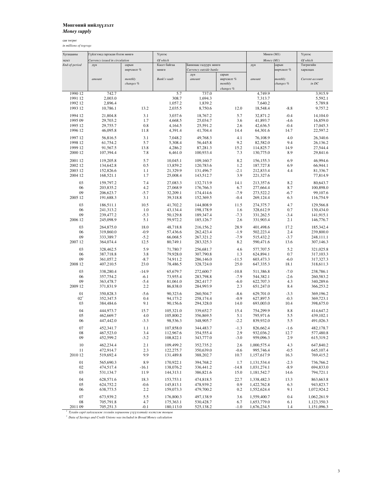## Мөнгөний нийлүүлэлт

*Money supply*

сая төгрөг *in millions of togrogs*

| Хугацааны             | Гүйлгээнд гаргасан бэлэн мөнгө |               | Үүнээс               |                        |                       | Мөнгө $(M1)$           |                  | Үүнээс                 |
|-----------------------|--------------------------------|---------------|----------------------|------------------------|-----------------------|------------------------|------------------|------------------------|
| эцэст                 | Currency issued in circulation |               | Of which             |                        |                       | Money (M1)             |                  | Of which               |
| End-of-period         | дүн                            | сарын         | Касст байгаа         | Банкнаас гадуурх мөнгө |                       | дүн                    | сарын            | Төгрөгийн              |
|                       |                                | өөрчлөлт %    | мөнгө                | Currency outside banks |                       |                        | өөрчлөлт %       | харилцах               |
|                       |                                | monthly       | Bank's vault         | дүн<br>amount          | сарын                 | amount                 | monthly          | Current account        |
|                       | amount                         | changes %     |                      |                        | өөрчлөлт %<br>monthly |                        | changes %        | in DC                  |
|                       |                                |               |                      |                        | changes %             |                        |                  |                        |
| 1990 12               | 742.7                          |               | 5.7                  | 737.0                  |                       | 4,749.9                |                  | 3,915.9                |
| 1991 12               | 2,003.0                        |               | 308.7                | 1,694.3                |                       | 7,313.7                |                  | 5,592.1                |
| 1992 12               | 2,896.4                        |               | 1,057.2              | 1,839.2                |                       | 7,640.2                |                  | 5,789.8                |
| 1993 12               | 10,786.1                       | 13.2          | 2,035.5              | 8,750.6                | 12.0                  | 18,548.4               | $-8.8$           | 9,757.2                |
| 1994 12               | 21,804.8                       | 3.1           | 3,037.6              | 18,767.2               | 5.7                   | 32,871.2               | $-0.4$           | 14,104.0               |
| 1995 09               | 29,703.2                       | 1.7           | 4,668.5              | 25,034.7               | 3.6                   | 41,893.7               | $-4.6$           | 16,859.0               |
| 1995 12               | 29,755.7                       | 0.8           | 4,164.5              | 25,591.2               | 2.6                   | 42,636.5               | $-0.4$           | 17,045.3               |
| 1996 12               | 46,095.8                       | 11.8          | 4,391.4              | 41,704.4               | 14.4                  | 64,301.6               | 14.7             | 22,597.2               |
|                       |                                |               |                      |                        |                       |                        |                  |                        |
| 1997 12               | 56,816.5                       | 3.1           | 7,048.2              | 49,768.3               | 4.1                   | 76,108.9               | 4.0              | 26,340.6               |
| 1998 12               | 61,754.2                       | 5.7           | 5,308.4              | 56,445.8               | 9.2                   | 82,582.0               | 9.4              | 26,136.2               |
| 1999 12<br>2000 12    | 91,567.5                       | 13.8<br>7.8   | 4,286.2<br>6,461.0   | 87,281.3<br>100,933.4  | 15.2<br>7.3           | 114,825.7<br>130,775.0 | 14.9<br>8.9      | 27,544.4<br>29,841.6   |
|                       | 107,394.4                      |               |                      |                        |                       |                        |                  |                        |
| 2001 12               | 119,205.8                      | 5.7           | 10,045.1             | 109,160.7              | 8.2                   | 156,155.3              | 6.9              | 46,994.6               |
| 2002 12               | 134,642.8                      | 0.5           | 13,859.2             | 120,783.6              | 1.2                   | 187,727.8              | 6.9              | 66,944.1               |
| 2003 12               | 152,826.6                      | 1.1           | 21,329.9             | 131,496.7              | $-2.1$                | 212,833.4              | 4.4              | 81,336.7               |
| 2004 12               | 168,521.1                      | 1.7           | 25,008.4             | 143,512.7              | 3.9                   | 221,327.6              |                  | 77,814.9               |
| 03                    | 159,797.2                      | 7.4           | 27,083.3             | 132,713.9              | 14.1                  | 213,357.6              | 8.2              | 80,643.7               |
| 06                    | 203,835.2                      | 4.2           | 27,068.9             | 176,766.3              | 6.7                   | 277,664.4              | 8.7              | 100,898.0              |
| 09                    | 206,623.7                      | $-5.7$        | 32,209.1             | 174,414.6              | $-7.9$                | 273,522.2              | $-6.7$           | 99,107.6               |
| 2005 12               | 191,688.3                      | 3.1           | 39,318.8             | 152,369.5              | $-0.4$                | 269,124.4              | 6.3              | 116,754.9              |
|                       |                                |               |                      |                        |                       |                        |                  |                        |
| 03                    | 186,511.1                      | 10.5          | 41,702.2             | 144,808.9              | 11.5                  | 274,375.7              | 4.7              | 129,566.8              |
| 06                    | 241,313.2<br>239,477.2         | 1.0           | 43,134.4             | 198,178.9              | 1.6                   | 328,612.9<br>331,262.5 | 0.7              | 130,434.0              |
| 09<br>2006 12         | 245,098.9                      | $-5.3$<br>5.1 | 50,129.8             | 189,347.4              | $-7.3$<br>2.6         | 331,903.4              | $-3.4$<br>2.1    | 141,915.1<br>146,776.7 |
|                       |                                |               | 59,972.2             | 185, 126.7             |                       |                        |                  |                        |
| 03                    | 264,875.0                      | 18.0          | 48,718.8             | 216,156.2              | 28.9                  | 401,498.6              | 17.2             | 185,342.4              |
| 06                    | 319,860.0                      | $-0.9$        | 57,436.6             | 262,423.4              | $-1.9$                | 502,223.4              | 2.4              | 239,800.0              |
| 09                    | 333,389.7                      | $-5.2$        | 66,068.5             | 267,321.2              | $-7.9$                | 515,432.2              | $-3.7$           | 248,111.1              |
| 2007 12               | 364,074.4                      | 12.5          | 80,749.1             | 283,325.3              | 8.2                   | 590,471.6              | 13.6             | 307,146.3              |
| 03                    | 328,462.5                      | 5.9           | 71,780.7             | 256,681.7              | 4.6                   | 577,707.5              | 5.2              | 321,025.8              |
| 06                    | 387,718.8                      | 3.8           | 79,928.0             | 307,790.8              | 1.3                   | 624,894.1              | 0.7              | 317,103.3              |
| 09                    | 361,057.2                      | $-8.7$        | 74,911.2             | 286,146.0              | $-11.5$               | 603,473.3              | $-6.0$           | 317,327.3              |
| 2008 12               | 407,210.5                      | 23.0          | 78,486.5             | 328,724.0              | 25.0                  | 647,335.3              | 18.1             | 318,611.3              |
| 03                    | 338,280.4                      | $-14.9$       | 65,679.7             | 272,600.7              | $-10.8$               | 511,386.8              | $-7.0$           | 238,786.1              |
| 06                    | 357,754.2                      | $-6.1$        | 73,955.4             | 283,798.8              | $-7.9$                | 544,382.1              | $-2.6$           | 260,583.2              |
| 09                    | 363,478.7                      | $-5.4$        | 81,061.0             | 282,417.7              | $-6.0$                | 622,707.3              | 4.3              | 340,289.6              |
| 2009 12               | 371,831.9                      | 2.2           | 86,838.0             | 284,993.9              | 2.3                   | 651,247.0              | 8.4              | 366,253.2              |
|                       |                                |               |                      |                        |                       |                        |                  |                        |
| 01<br>02 <sup>1</sup> | 350,828.3<br>352,347.5         | $-5.6$<br>0.4 | 90,323.6<br>94,173.2 | 260,504.7<br>258,174.4 | $-8.6$<br>$-0.9$      | 629,701.0<br>627,897.5 | $-3.3$<br>$-0.3$ | 369,196.2<br>369,723.1 |
| 03                    | 384,484.6                      | 9.1           | 90,156.6             | 294,328.0              | 14.0                  | 693,003.0              | 10.4             | 398,675.0              |
|                       |                                |               |                      |                        |                       |                        |                  |                        |
| 04                    | 444,973.7                      | 15.7          | 105,321.0            | 339,652.7              | 15.4                  | 754,299.9              | 8.8              | 414,647.2              |
| 05                    | 462,669.7                      | 4.0           | 105,800.2            | 356,869.5              | 5.1                   | 795,971.6              | 5.5              | 439,102.1              |
| 06                    | 447,442.0                      | $-3.3$        | 98,536.3             | 348,905.7              | $-2.2$                | 839,932.0              | 5.5              | 491,026.3              |
| 07                    | 452,341.7                      | 1.1           | 107,858.0            | 344,483.7              | $-1.3$                | 826,662.4              | $-1.6$           | 482,178.7              |
| 08                    | 467,523.0                      | 3.4           | 112,967.6            | 354,555.4              | 2.9                   | 932,036.2              | 12.7             | 577,480.8              |
| 09                    | 452,599.2                      | $-3.2$        | 108,822.1            | 343,777.0              | $-3.0$                | 959,096.3              | 2.9              | 615,319.2              |
| 10                    | 462,234.4                      | 2.1           | 109,499.2            | 352,735.2              | 2.6                   | 1,000,575.4            | 4.3              | 647,840.2              |
| 11                    | 472,914.7                      | 2.3           | 122,275.7            | 350,639.0              | $-0.6$                | 995,746.4              | $-0.5$           | 645,107.4              |
| 2010 12               | 519,692.4                      | 9.9           | 131,489.8            | 388,202.7              | 10.7                  | 1,157,617.9            | 16.3             | 769,415.2              |
|                       |                                |               |                      |                        |                       |                        |                  |                        |
| 01                    | 565,690.3                      | 8.9           | 170,922.1            | 394,768.2              | 1.7                   | 1,131,534.4            | $-2.3$           | 736,766.2              |
| 02                    | 474,517.4                      | $-16.1$       | 138,076.2            | 336,441.2              | $-14.8$               | 1,031,274.1            | $-8.9$           | 694,833.0              |
| 03                    | 531,134.7                      | 11.9          | 144,313.1            | 386,821.6              | 15.0                  | 1,181,542.7            | 14.6             | 794,721.1              |
| 04                    | 628,571.6                      | 18.3          | 153,753.1            | 474,818.5              | 22.7                  | 1,338,482.3            | 13.3             | 863,663.8              |
| 05                    | 624,752.2                      | $-0.6$        | 145,813.1            | 478,939.2              | 0.9                   | 1,422,762.8            | 6.3              | 943,823.7              |
| 06                    | 638,773.5                      | 2.2           | 159,073.3            | 479,700.2              | 0.2                   | 1,552,624.4            | 9.1              | 1,072,924.2            |
| 07                    | 673,939.2                      | 5.5           | 176,800.3            | 497,138.9              | 3.6                   | 1,559,400.7            | 0.4              | 1,062,261.9            |
| ${\bf 08}$            | 705,791.8                      | 4.7           | 175,363.1            | 530,428.7              | 6.7                   | 1,653,779.0            | 6.1              | 1,123,350.3            |
| 201109                | 705,251.3                      | $-0.1$        | 180,113.0            | 525,138.2              | $-1.0$                | 1,676,234.5            | 1.4              | 1,151,096.3            |
|                       |                                |               |                      |                        |                       |                        |                  |                        |

<sup>1</sup> Тухайн сард хадгаламж зээлийн хоршооны үзүүлэлтийг нэгтгэж тооцов<br><sup>1</sup> Data of Savings and Credit Unions was included in Broad Money calculation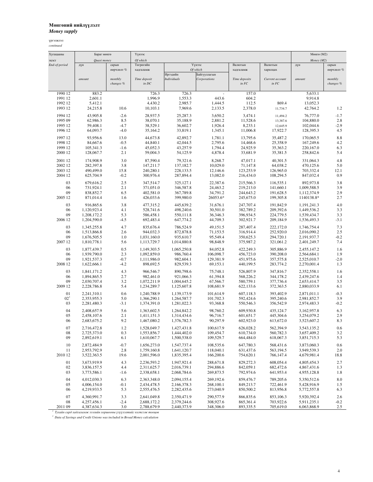## Мөнгөний нийлүүлэлт

*Money supply*

| Of which<br>Money (M2)<br>Quasi money<br>эцэст<br>Төгрөгийн<br>Үүнээс<br>Валютын<br>Валютын<br>End-of-period<br>сарын<br>сарын<br>дүн<br>дүн<br>хадгаламж<br>Of which<br>хадгаламж<br>харилцах<br>өөрчлөлт %<br>өөрчлөлт %<br>Байгууллагын<br>Иргэдийн<br><b>Individuals</b><br>Time deposit<br>Corporations<br>Time deposits<br>Current account<br>monthly<br>amount<br>monthly<br>amount<br>$in$ $FC$<br>in FC<br>changes %<br>in DC<br>changes %<br>1990 12<br>883.2<br>726.3<br>726.3<br>157.0<br>5,633.1<br>÷,<br>1,996.9<br>1991 12<br>2,601.1<br>1,553.3<br>443.6<br>604.2<br>9,914.8<br>1992 12<br>5,412.1<br>4,430.2<br>2,985.7<br>1,444.5<br>112.5<br>869.4<br>13,052.3<br>24,215.8<br>10.6<br>7,969.6<br>2,378.0<br>1993 12<br>10,103.1<br>2,133.5<br>42,764.2<br>1.2<br>11,734.7<br>1994 12<br>43,905.8<br>$-2.6$<br>28,937.5<br>25,287.3<br>3,650.2<br>76,777.0<br>$-1.7$<br>3,474.1<br>11,494.2<br>1995 09<br>62,986.3<br>8.5<br>38,070.1<br>35,188.9<br>2,881.2<br>11,528.6<br>104,880.0<br>2.8<br>13,387.6<br>1995 12<br>59,408.1<br>$-4.7$<br>38,529.1<br>36,602.7<br>1,926.4<br>8,233.1<br>102,044.6<br>$-2.9$<br>12,645.9<br>$-4.0$<br>33,819.1<br>4.5<br>1996 12<br>64,093.7<br>35,164.2<br>1,345.1<br>11,006.8<br>17,922.7<br>128,395.3<br>8.8<br>13.0<br>44,673.8<br>42,892.7<br>1,781.1<br>13,795.6<br>35,487.2<br>1997 12<br>93,956.6<br>170,065.5<br>1998 12<br>84,667.6<br>$-0.5$<br>44,840.1<br>42,044.5<br>2,795.6<br>14,468.6<br>25,358.9<br>167,249.6<br>4.2<br>1999 12<br>105,341.3<br>45,052.3<br>43,257.9<br>1,794.4<br>24,925.9<br>35,363.2<br>220,167.0<br>6.3<br>$-1.6$<br>2000 12<br>2.1<br>59,004.3<br>54,125.9<br>4,878.4<br>33,681.9<br>35,381.5<br>5.4<br>128,067.7<br>258,842.6<br>4.8<br>2001 12<br>3.0<br>87,590.4<br>8,268.7<br>47,017.1<br>40,301.5<br>174,908.9<br>79,321.6<br>331,064.3<br>5.0<br>2002 12<br>282,397.8<br>3.8<br>147,211.7<br>137,182.7<br>10,029.0<br>71,147.8<br>64,038.2<br>470,125.6<br>703,332.4<br>2003 12<br>490,499.0<br>15.8<br>240,280.1<br>228,133.5<br>12,146.6<br>123,253.9<br>126,965.0<br>12.1<br>0.9<br>2004 12<br>$-0.2$<br>300,976.4<br>287,894.4<br>13,082.0<br>216,434.0<br>108,294.5<br>847,032.4<br>625,704.9<br>3.8<br>03<br>679,616.2<br>2.5<br>347,514.7<br>325,127.1<br>22,387.6<br>215,566.3<br>116,535.1<br>892,973.8<br>3.9<br>06<br>731,924.1<br>2.1<br>371,051.0<br>346,587.8<br>24,463.2<br>219,213.0<br>141,660.1<br>1,009,588.5<br>09<br>838,852.7<br>6.5<br>402,581.0<br>367,789.8<br>34,791.2<br>191,628.5<br>2.9<br>244,643.2<br>1,112,374.9<br>2.7<br>2005 12<br>426,033.6<br>399,980.0<br>26053.6*<br>245,675.0<br>199,305.8<br>871,014.4<br>1.6<br>1140138.8*<br>4.0<br>03<br>916,865.6<br>3.8<br>477,315.2<br>445,639.2<br>31,676.1<br>247,707.4<br>191,842.9<br>1,191,241.3<br>4.1<br>528,741.6<br>498,240.6<br>30,501.0<br>382,789.2<br>209,392.6<br>3.3<br>06<br>1,120,923.4<br>1,449,536.2<br>09<br>5.3<br>550,111.8<br>36,346.3<br>396,934.5<br>224,779.5<br>3.3<br>1,208,172.2<br>586,458.1<br>1,539,434.7<br>$-4.5$<br>647,774.2<br>$-3.1$<br>2006 12<br>1,204,590.0<br>692,483.4<br>44,709.3<br>302,921.7<br>209,184.9<br>1,536,493.3<br>7.3<br>03<br>4.7<br>786,524.9<br>287,407.4<br>1,345,255.8<br>835,676.4<br>49,151.5<br>222,172.0<br>1,746,754.4<br>2.5<br>2.6<br>944,032.3<br>872,878.8<br>71,153.5<br>316,914.4<br>252,920.0<br>06<br>1,513,866.8<br>2,016,090.2<br>$-0.2$<br>09<br>1,676,505.5<br>1.0<br>935,610.7<br>95,549.4<br>350,625.3<br>294,720.1<br>1,031,160.0<br>2,191,937.7<br>5.6<br>375,987.2<br>7.4<br>2007 12<br>1,810,778.1<br>1,113,729.7<br>1,014,880.8<br>98,848.9<br>321,061.2<br>2,401,249.7<br>1.6<br>03<br>0.5<br>84,052.8<br>422,249.3<br>305,886.9<br>1,877,439.7<br>1,149,303.5<br>1,065,250.8<br>2,455,147.2<br>06<br>2.3<br>986,760.4<br>106,098.7<br>456,723.0<br>390,208.0<br>1.9<br>1,939,790.0<br>1,092,859.0<br>2,564,684.1<br>$-0.7$<br>982,604.1<br>129,381.9<br>451,975.6<br>357,575.8<br>$-2.0$<br>09<br>1,921,537.3<br>1,111,986.0<br>2,525,010.7<br>2008 12<br>$-4.2$<br>898,692.5<br>829,539.3<br>69,153.1<br>440,199.5<br>283,774.2<br>1.3<br>1,622,666.1<br>2,270,001.4<br>4.3<br>03<br>966,546.7<br>890,798.6<br>75,748.1<br>526,807.9<br>347,816.7<br>2,352,558.1<br>1.6<br>1,841,171.2<br>2.7<br>982,461.0<br>61,394.8<br>568,226.2<br>1.4<br>06<br>1,894,865.5<br>921,066.3<br>344,178.2<br>2,439,247.6<br>3.2<br>1,072,211.9<br>67,566.7<br>580,759.1<br>377,736.4<br>3.5<br>09<br>2,030,707.4<br>1,004,645.2<br>2,653,414.7<br>2009 12<br>5.4<br>1,234,289.7<br>108,681.9<br>622,133.6<br>372,363.5<br>6.1<br>2,228,786.8<br>1,125,607.8<br>2,880,033.9<br>0.6<br>$-0.3$<br>607,118.3<br>393,402.9<br>01<br>2.241.310.1<br>1.240.788.9<br>1.139.173.9<br>101.614.9<br>2,871,011.1<br>5.0<br>3.9<br>02 <sup>1</sup><br>2,353,955.3<br>1,366,290.1<br>1,264,587.7<br>101,702.3<br>592,424.6<br>395,240.6<br>2,981,852.7<br>03<br>$-3.1$<br>93,368.8<br>550,546.3<br>356,542.9<br>$-0.2$<br>2,281,480.3<br>1,374,391.0<br>1,281,022.3<br>2,974,483.3<br>04<br>5.6<br>98,760.2<br>609,930.8<br>6.3<br>2,408,657.9<br>1,363,602.5<br>1,264,842.2<br>435,124.7<br>3,162,957.8<br>2.9<br>2.1<br>96,716.7<br>05<br>2,458,107.6<br>1,411,151.3<br>1,314,434.6<br>601,651.7<br>445,304.6<br>3,254,079.2<br>06<br>9.2<br>90,297.9<br>602,923.0<br>8.3<br>2,683,675.2<br>1,467,080.2<br>1,376,782.3<br>613,672.0<br>3,523,607.2<br>07<br>1.2<br>1,427,431.8<br>100,617.9<br>626,028.2<br>562,394.9<br>0.6<br>2,716,472.8<br>1,528,049.7<br>3,543,135.2<br>08<br>0.3<br>109,454.7<br>610,734.0<br>560,782.3<br>3.2<br>2,725,373.0<br>1,553,856.7<br>1,444,402.0<br>3,657,409.2<br>09<br>109,529.7<br>618,067.3<br>5.3<br>2,892,619.1<br>6.1<br>1,610,067.7<br>1,500,538.0<br>664,484.0<br>3,851,715.3<br>2,872,484.9<br>$-0.7$<br>1,656,273.0<br>1,547,737.4<br>108,535.6<br>647,780.3<br>568,431.6<br>3,873,060.3<br>0.6<br>10<br>118,040.1<br>2.0<br>11<br>2,953,792.9<br>2.8<br>1,759,160.8<br>1,641,120.7<br>631,437.6<br>563,194.5<br>3,949,539.3<br>2010 12<br>3,522,363.5<br>19.6<br>2,001,596.0<br>1,835,395.4<br>166,200.6<br>754,620.1<br>766,147.4<br>4,679,981.4<br>18.8<br>01<br>3,673,919.9<br>4.3<br>829,272.3<br>608,054.4<br>2.7<br>2,236,593.2<br>1,947,921.4<br>288,671.8<br>4,805,454.3<br>02<br>4.4<br>2,311,625.7<br>294,886.6<br>842,059.1<br>682,472.6<br>3,836,157.5<br>2,016,739.1<br>4,867,431.6<br>1.3<br>269,873.5<br>792,974.6<br>641,953.4<br>03<br>3,773,586.1<br>$-1.6$<br>2,338,658.1<br>2,068,784.6<br>4,955,128.8<br>1.8<br>04<br>4,012,030.3<br>2,363,348.0<br>2,094,155.4<br>269,192.6<br>859,476.7<br>789,205.6<br>5,350,512.6<br>8.0<br>6.3<br>268,100.1<br>849,213.7<br>722,461.9<br>5,428,916.9<br>1.5<br>05<br>4,006,154.0<br>$-0.1$<br>2,434,478.5<br>2,166,378.3<br>06<br>4,219,933.5<br>5.3<br>273,040.9<br>850,500.2<br>813,956.8<br>6.3<br>2,555,476.5<br>2,282,435.6<br>5,772,557.8<br>07<br>290,577.9<br>866,835.6<br>853,106.3<br>2.6<br>4,360,991.7<br>3.3<br>2,641,049.8<br>2,350,471.9<br>5,920,392.4<br>$-2.4$<br>308,927.6<br>865,361.4<br>703,922.6<br>$-0.2$<br>08<br>4,257,456.1<br>2,688,172.2<br>2,379,244.6<br>5,911,235.1<br>3.0<br>2011 09<br>4,387,634.3<br>2,788,679.9<br>2,440,373.9<br>348,306.0<br>893,335.5<br>705,619.0<br>6,063,868.9<br>$2.5\,$<br>Тухайн сард хадгаламж зээлийн хоршооны үзүүлэлтийг нэгтгэж тооцов<br><sup>1</sup> Data of Savings and Credit Unions was included in Broad Money calculation | Хугацааны | Бараг мөнгө | Үүнээс |  |  | Мөнгө (М2) |  |
|-------------------------------------------------------------------------------------------------------------------------------------------------------------------------------------------------------------------------------------------------------------------------------------------------------------------------------------------------------------------------------------------------------------------------------------------------------------------------------------------------------------------------------------------------------------------------------------------------------------------------------------------------------------------------------------------------------------------------------------------------------------------------------------------------------------------------------------------------------------------------------------------------------------------------------------------------------------------------------------------------------------------------------------------------------------------------------------------------------------------------------------------------------------------------------------------------------------------------------------------------------------------------------------------------------------------------------------------------------------------------------------------------------------------------------------------------------------------------------------------------------------------------------------------------------------------------------------------------------------------------------------------------------------------------------------------------------------------------------------------------------------------------------------------------------------------------------------------------------------------------------------------------------------------------------------------------------------------------------------------------------------------------------------------------------------------------------------------------------------------------------------------------------------------------------------------------------------------------------------------------------------------------------------------------------------------------------------------------------------------------------------------------------------------------------------------------------------------------------------------------------------------------------------------------------------------------------------------------------------------------------------------------------------------------------------------------------------------------------------------------------------------------------------------------------------------------------------------------------------------------------------------------------------------------------------------------------------------------------------------------------------------------------------------------------------------------------------------------------------------------------------------------------------------------------------------------------------------------------------------------------------------------------------------------------------------------------------------------------------------------------------------------------------------------------------------------------------------------------------------------------------------------------------------------------------------------------------------------------------------------------------------------------------------------------------------------------------------------------------------------------------------------------------------------------------------------------------------------------------------------------------------------------------------------------------------------------------------------------------------------------------------------------------------------------------------------------------------------------------------------------------------------------------------------------------------------------------------------------------------------------------------------------------------------------------------------------------------------------------------------------------------------------------------------------------------------------------------------------------------------------------------------------------------------------------------------------------------------------------------------------------------------------------------------------------------------------------------------------------------------------------------------------------------------------------------------------------------------------------------------------------------------------------------------------------------------------------------------------------------------------------------------------------------------------------------------------------------------------------------------------------------------------------------------------------------------------------------------------------------------------------------------------------------------------------------------------------------------------------------------------------------------------------------------------------------------------------------------------------------------------------------------------------------------------------------------------------------------------------------------------------------------------------------------------------------------------------------------------------------------------------------------------------------------------------------------------------------------------------------------------------------------------------------------------------------------------------------------------------------------------------------------------------------------------------------------------------------------------------------------------------------------------------------------------------------------------------------------------------------------------------------------------------------------------------------------------------------------------------------------------------------------------------------------------------------------------------------------------------------------------------------------------------------------------------------------------------------------------------------------------------------------------------------------------------------------------------------------------------------------------------------------------------------------------------------------------------------------------------------------------------------------------------------------------------------------------------------------------------------------------------------------------------------------------------------------------------------------------------------------------------------------------------------------------------------------------------------------------------------------------------------------------------------------------------------------------------------------------------------------------------------------------------------------------------------------------|-----------|-------------|--------|--|--|------------|--|
|                                                                                                                                                                                                                                                                                                                                                                                                                                                                                                                                                                                                                                                                                                                                                                                                                                                                                                                                                                                                                                                                                                                                                                                                                                                                                                                                                                                                                                                                                                                                                                                                                                                                                                                                                                                                                                                                                                                                                                                                                                                                                                                                                                                                                                                                                                                                                                                                                                                                                                                                                                                                                                                                                                                                                                                                                                                                                                                                                                                                                                                                                                                                                                                                                                                                                                                                                                                                                                                                                                                                                                                                                                                                                                                                                                                                                                                                                                                                                                                                                                                                                                                                                                                                                                                                                                                                                                                                                                                                                                                                                                                                                                                                                                                                                                                                                                                                                                                                                                                                                                                                                                                                                                                                                                                                                                                                                                                                                                                                                                                                                                                                                                                                                                                                                                                                                                                                                                                                                                                                                                                                                                                                                                                                                                                                                                                                                                                                                                                                                                                                                                                                                                                                                                                                                                                                                                                                                                                                                                                                                                                                                                                                                                                                                                                                                                                                                                                                                                                       |           |             |        |  |  |            |  |
|                                                                                                                                                                                                                                                                                                                                                                                                                                                                                                                                                                                                                                                                                                                                                                                                                                                                                                                                                                                                                                                                                                                                                                                                                                                                                                                                                                                                                                                                                                                                                                                                                                                                                                                                                                                                                                                                                                                                                                                                                                                                                                                                                                                                                                                                                                                                                                                                                                                                                                                                                                                                                                                                                                                                                                                                                                                                                                                                                                                                                                                                                                                                                                                                                                                                                                                                                                                                                                                                                                                                                                                                                                                                                                                                                                                                                                                                                                                                                                                                                                                                                                                                                                                                                                                                                                                                                                                                                                                                                                                                                                                                                                                                                                                                                                                                                                                                                                                                                                                                                                                                                                                                                                                                                                                                                                                                                                                                                                                                                                                                                                                                                                                                                                                                                                                                                                                                                                                                                                                                                                                                                                                                                                                                                                                                                                                                                                                                                                                                                                                                                                                                                                                                                                                                                                                                                                                                                                                                                                                                                                                                                                                                                                                                                                                                                                                                                                                                                                                       |           |             |        |  |  |            |  |
|                                                                                                                                                                                                                                                                                                                                                                                                                                                                                                                                                                                                                                                                                                                                                                                                                                                                                                                                                                                                                                                                                                                                                                                                                                                                                                                                                                                                                                                                                                                                                                                                                                                                                                                                                                                                                                                                                                                                                                                                                                                                                                                                                                                                                                                                                                                                                                                                                                                                                                                                                                                                                                                                                                                                                                                                                                                                                                                                                                                                                                                                                                                                                                                                                                                                                                                                                                                                                                                                                                                                                                                                                                                                                                                                                                                                                                                                                                                                                                                                                                                                                                                                                                                                                                                                                                                                                                                                                                                                                                                                                                                                                                                                                                                                                                                                                                                                                                                                                                                                                                                                                                                                                                                                                                                                                                                                                                                                                                                                                                                                                                                                                                                                                                                                                                                                                                                                                                                                                                                                                                                                                                                                                                                                                                                                                                                                                                                                                                                                                                                                                                                                                                                                                                                                                                                                                                                                                                                                                                                                                                                                                                                                                                                                                                                                                                                                                                                                                                                       |           |             |        |  |  |            |  |
|                                                                                                                                                                                                                                                                                                                                                                                                                                                                                                                                                                                                                                                                                                                                                                                                                                                                                                                                                                                                                                                                                                                                                                                                                                                                                                                                                                                                                                                                                                                                                                                                                                                                                                                                                                                                                                                                                                                                                                                                                                                                                                                                                                                                                                                                                                                                                                                                                                                                                                                                                                                                                                                                                                                                                                                                                                                                                                                                                                                                                                                                                                                                                                                                                                                                                                                                                                                                                                                                                                                                                                                                                                                                                                                                                                                                                                                                                                                                                                                                                                                                                                                                                                                                                                                                                                                                                                                                                                                                                                                                                                                                                                                                                                                                                                                                                                                                                                                                                                                                                                                                                                                                                                                                                                                                                                                                                                                                                                                                                                                                                                                                                                                                                                                                                                                                                                                                                                                                                                                                                                                                                                                                                                                                                                                                                                                                                                                                                                                                                                                                                                                                                                                                                                                                                                                                                                                                                                                                                                                                                                                                                                                                                                                                                                                                                                                                                                                                                                                       |           |             |        |  |  |            |  |
|                                                                                                                                                                                                                                                                                                                                                                                                                                                                                                                                                                                                                                                                                                                                                                                                                                                                                                                                                                                                                                                                                                                                                                                                                                                                                                                                                                                                                                                                                                                                                                                                                                                                                                                                                                                                                                                                                                                                                                                                                                                                                                                                                                                                                                                                                                                                                                                                                                                                                                                                                                                                                                                                                                                                                                                                                                                                                                                                                                                                                                                                                                                                                                                                                                                                                                                                                                                                                                                                                                                                                                                                                                                                                                                                                                                                                                                                                                                                                                                                                                                                                                                                                                                                                                                                                                                                                                                                                                                                                                                                                                                                                                                                                                                                                                                                                                                                                                                                                                                                                                                                                                                                                                                                                                                                                                                                                                                                                                                                                                                                                                                                                                                                                                                                                                                                                                                                                                                                                                                                                                                                                                                                                                                                                                                                                                                                                                                                                                                                                                                                                                                                                                                                                                                                                                                                                                                                                                                                                                                                                                                                                                                                                                                                                                                                                                                                                                                                                                                       |           |             |        |  |  |            |  |
|                                                                                                                                                                                                                                                                                                                                                                                                                                                                                                                                                                                                                                                                                                                                                                                                                                                                                                                                                                                                                                                                                                                                                                                                                                                                                                                                                                                                                                                                                                                                                                                                                                                                                                                                                                                                                                                                                                                                                                                                                                                                                                                                                                                                                                                                                                                                                                                                                                                                                                                                                                                                                                                                                                                                                                                                                                                                                                                                                                                                                                                                                                                                                                                                                                                                                                                                                                                                                                                                                                                                                                                                                                                                                                                                                                                                                                                                                                                                                                                                                                                                                                                                                                                                                                                                                                                                                                                                                                                                                                                                                                                                                                                                                                                                                                                                                                                                                                                                                                                                                                                                                                                                                                                                                                                                                                                                                                                                                                                                                                                                                                                                                                                                                                                                                                                                                                                                                                                                                                                                                                                                                                                                                                                                                                                                                                                                                                                                                                                                                                                                                                                                                                                                                                                                                                                                                                                                                                                                                                                                                                                                                                                                                                                                                                                                                                                                                                                                                                                       |           |             |        |  |  |            |  |
|                                                                                                                                                                                                                                                                                                                                                                                                                                                                                                                                                                                                                                                                                                                                                                                                                                                                                                                                                                                                                                                                                                                                                                                                                                                                                                                                                                                                                                                                                                                                                                                                                                                                                                                                                                                                                                                                                                                                                                                                                                                                                                                                                                                                                                                                                                                                                                                                                                                                                                                                                                                                                                                                                                                                                                                                                                                                                                                                                                                                                                                                                                                                                                                                                                                                                                                                                                                                                                                                                                                                                                                                                                                                                                                                                                                                                                                                                                                                                                                                                                                                                                                                                                                                                                                                                                                                                                                                                                                                                                                                                                                                                                                                                                                                                                                                                                                                                                                                                                                                                                                                                                                                                                                                                                                                                                                                                                                                                                                                                                                                                                                                                                                                                                                                                                                                                                                                                                                                                                                                                                                                                                                                                                                                                                                                                                                                                                                                                                                                                                                                                                                                                                                                                                                                                                                                                                                                                                                                                                                                                                                                                                                                                                                                                                                                                                                                                                                                                                                       |           |             |        |  |  |            |  |
|                                                                                                                                                                                                                                                                                                                                                                                                                                                                                                                                                                                                                                                                                                                                                                                                                                                                                                                                                                                                                                                                                                                                                                                                                                                                                                                                                                                                                                                                                                                                                                                                                                                                                                                                                                                                                                                                                                                                                                                                                                                                                                                                                                                                                                                                                                                                                                                                                                                                                                                                                                                                                                                                                                                                                                                                                                                                                                                                                                                                                                                                                                                                                                                                                                                                                                                                                                                                                                                                                                                                                                                                                                                                                                                                                                                                                                                                                                                                                                                                                                                                                                                                                                                                                                                                                                                                                                                                                                                                                                                                                                                                                                                                                                                                                                                                                                                                                                                                                                                                                                                                                                                                                                                                                                                                                                                                                                                                                                                                                                                                                                                                                                                                                                                                                                                                                                                                                                                                                                                                                                                                                                                                                                                                                                                                                                                                                                                                                                                                                                                                                                                                                                                                                                                                                                                                                                                                                                                                                                                                                                                                                                                                                                                                                                                                                                                                                                                                                                                       |           |             |        |  |  |            |  |
|                                                                                                                                                                                                                                                                                                                                                                                                                                                                                                                                                                                                                                                                                                                                                                                                                                                                                                                                                                                                                                                                                                                                                                                                                                                                                                                                                                                                                                                                                                                                                                                                                                                                                                                                                                                                                                                                                                                                                                                                                                                                                                                                                                                                                                                                                                                                                                                                                                                                                                                                                                                                                                                                                                                                                                                                                                                                                                                                                                                                                                                                                                                                                                                                                                                                                                                                                                                                                                                                                                                                                                                                                                                                                                                                                                                                                                                                                                                                                                                                                                                                                                                                                                                                                                                                                                                                                                                                                                                                                                                                                                                                                                                                                                                                                                                                                                                                                                                                                                                                                                                                                                                                                                                                                                                                                                                                                                                                                                                                                                                                                                                                                                                                                                                                                                                                                                                                                                                                                                                                                                                                                                                                                                                                                                                                                                                                                                                                                                                                                                                                                                                                                                                                                                                                                                                                                                                                                                                                                                                                                                                                                                                                                                                                                                                                                                                                                                                                                                                       |           |             |        |  |  |            |  |
|                                                                                                                                                                                                                                                                                                                                                                                                                                                                                                                                                                                                                                                                                                                                                                                                                                                                                                                                                                                                                                                                                                                                                                                                                                                                                                                                                                                                                                                                                                                                                                                                                                                                                                                                                                                                                                                                                                                                                                                                                                                                                                                                                                                                                                                                                                                                                                                                                                                                                                                                                                                                                                                                                                                                                                                                                                                                                                                                                                                                                                                                                                                                                                                                                                                                                                                                                                                                                                                                                                                                                                                                                                                                                                                                                                                                                                                                                                                                                                                                                                                                                                                                                                                                                                                                                                                                                                                                                                                                                                                                                                                                                                                                                                                                                                                                                                                                                                                                                                                                                                                                                                                                                                                                                                                                                                                                                                                                                                                                                                                                                                                                                                                                                                                                                                                                                                                                                                                                                                                                                                                                                                                                                                                                                                                                                                                                                                                                                                                                                                                                                                                                                                                                                                                                                                                                                                                                                                                                                                                                                                                                                                                                                                                                                                                                                                                                                                                                                                                       |           |             |        |  |  |            |  |
|                                                                                                                                                                                                                                                                                                                                                                                                                                                                                                                                                                                                                                                                                                                                                                                                                                                                                                                                                                                                                                                                                                                                                                                                                                                                                                                                                                                                                                                                                                                                                                                                                                                                                                                                                                                                                                                                                                                                                                                                                                                                                                                                                                                                                                                                                                                                                                                                                                                                                                                                                                                                                                                                                                                                                                                                                                                                                                                                                                                                                                                                                                                                                                                                                                                                                                                                                                                                                                                                                                                                                                                                                                                                                                                                                                                                                                                                                                                                                                                                                                                                                                                                                                                                                                                                                                                                                                                                                                                                                                                                                                                                                                                                                                                                                                                                                                                                                                                                                                                                                                                                                                                                                                                                                                                                                                                                                                                                                                                                                                                                                                                                                                                                                                                                                                                                                                                                                                                                                                                                                                                                                                                                                                                                                                                                                                                                                                                                                                                                                                                                                                                                                                                                                                                                                                                                                                                                                                                                                                                                                                                                                                                                                                                                                                                                                                                                                                                                                                                       |           |             |        |  |  |            |  |
|                                                                                                                                                                                                                                                                                                                                                                                                                                                                                                                                                                                                                                                                                                                                                                                                                                                                                                                                                                                                                                                                                                                                                                                                                                                                                                                                                                                                                                                                                                                                                                                                                                                                                                                                                                                                                                                                                                                                                                                                                                                                                                                                                                                                                                                                                                                                                                                                                                                                                                                                                                                                                                                                                                                                                                                                                                                                                                                                                                                                                                                                                                                                                                                                                                                                                                                                                                                                                                                                                                                                                                                                                                                                                                                                                                                                                                                                                                                                                                                                                                                                                                                                                                                                                                                                                                                                                                                                                                                                                                                                                                                                                                                                                                                                                                                                                                                                                                                                                                                                                                                                                                                                                                                                                                                                                                                                                                                                                                                                                                                                                                                                                                                                                                                                                                                                                                                                                                                                                                                                                                                                                                                                                                                                                                                                                                                                                                                                                                                                                                                                                                                                                                                                                                                                                                                                                                                                                                                                                                                                                                                                                                                                                                                                                                                                                                                                                                                                                                                       |           |             |        |  |  |            |  |
|                                                                                                                                                                                                                                                                                                                                                                                                                                                                                                                                                                                                                                                                                                                                                                                                                                                                                                                                                                                                                                                                                                                                                                                                                                                                                                                                                                                                                                                                                                                                                                                                                                                                                                                                                                                                                                                                                                                                                                                                                                                                                                                                                                                                                                                                                                                                                                                                                                                                                                                                                                                                                                                                                                                                                                                                                                                                                                                                                                                                                                                                                                                                                                                                                                                                                                                                                                                                                                                                                                                                                                                                                                                                                                                                                                                                                                                                                                                                                                                                                                                                                                                                                                                                                                                                                                                                                                                                                                                                                                                                                                                                                                                                                                                                                                                                                                                                                                                                                                                                                                                                                                                                                                                                                                                                                                                                                                                                                                                                                                                                                                                                                                                                                                                                                                                                                                                                                                                                                                                                                                                                                                                                                                                                                                                                                                                                                                                                                                                                                                                                                                                                                                                                                                                                                                                                                                                                                                                                                                                                                                                                                                                                                                                                                                                                                                                                                                                                                                                       |           |             |        |  |  |            |  |
|                                                                                                                                                                                                                                                                                                                                                                                                                                                                                                                                                                                                                                                                                                                                                                                                                                                                                                                                                                                                                                                                                                                                                                                                                                                                                                                                                                                                                                                                                                                                                                                                                                                                                                                                                                                                                                                                                                                                                                                                                                                                                                                                                                                                                                                                                                                                                                                                                                                                                                                                                                                                                                                                                                                                                                                                                                                                                                                                                                                                                                                                                                                                                                                                                                                                                                                                                                                                                                                                                                                                                                                                                                                                                                                                                                                                                                                                                                                                                                                                                                                                                                                                                                                                                                                                                                                                                                                                                                                                                                                                                                                                                                                                                                                                                                                                                                                                                                                                                                                                                                                                                                                                                                                                                                                                                                                                                                                                                                                                                                                                                                                                                                                                                                                                                                                                                                                                                                                                                                                                                                                                                                                                                                                                                                                                                                                                                                                                                                                                                                                                                                                                                                                                                                                                                                                                                                                                                                                                                                                                                                                                                                                                                                                                                                                                                                                                                                                                                                                       |           |             |        |  |  |            |  |
|                                                                                                                                                                                                                                                                                                                                                                                                                                                                                                                                                                                                                                                                                                                                                                                                                                                                                                                                                                                                                                                                                                                                                                                                                                                                                                                                                                                                                                                                                                                                                                                                                                                                                                                                                                                                                                                                                                                                                                                                                                                                                                                                                                                                                                                                                                                                                                                                                                                                                                                                                                                                                                                                                                                                                                                                                                                                                                                                                                                                                                                                                                                                                                                                                                                                                                                                                                                                                                                                                                                                                                                                                                                                                                                                                                                                                                                                                                                                                                                                                                                                                                                                                                                                                                                                                                                                                                                                                                                                                                                                                                                                                                                                                                                                                                                                                                                                                                                                                                                                                                                                                                                                                                                                                                                                                                                                                                                                                                                                                                                                                                                                                                                                                                                                                                                                                                                                                                                                                                                                                                                                                                                                                                                                                                                                                                                                                                                                                                                                                                                                                                                                                                                                                                                                                                                                                                                                                                                                                                                                                                                                                                                                                                                                                                                                                                                                                                                                                                                       |           |             |        |  |  |            |  |
|                                                                                                                                                                                                                                                                                                                                                                                                                                                                                                                                                                                                                                                                                                                                                                                                                                                                                                                                                                                                                                                                                                                                                                                                                                                                                                                                                                                                                                                                                                                                                                                                                                                                                                                                                                                                                                                                                                                                                                                                                                                                                                                                                                                                                                                                                                                                                                                                                                                                                                                                                                                                                                                                                                                                                                                                                                                                                                                                                                                                                                                                                                                                                                                                                                                                                                                                                                                                                                                                                                                                                                                                                                                                                                                                                                                                                                                                                                                                                                                                                                                                                                                                                                                                                                                                                                                                                                                                                                                                                                                                                                                                                                                                                                                                                                                                                                                                                                                                                                                                                                                                                                                                                                                                                                                                                                                                                                                                                                                                                                                                                                                                                                                                                                                                                                                                                                                                                                                                                                                                                                                                                                                                                                                                                                                                                                                                                                                                                                                                                                                                                                                                                                                                                                                                                                                                                                                                                                                                                                                                                                                                                                                                                                                                                                                                                                                                                                                                                                                       |           |             |        |  |  |            |  |
|                                                                                                                                                                                                                                                                                                                                                                                                                                                                                                                                                                                                                                                                                                                                                                                                                                                                                                                                                                                                                                                                                                                                                                                                                                                                                                                                                                                                                                                                                                                                                                                                                                                                                                                                                                                                                                                                                                                                                                                                                                                                                                                                                                                                                                                                                                                                                                                                                                                                                                                                                                                                                                                                                                                                                                                                                                                                                                                                                                                                                                                                                                                                                                                                                                                                                                                                                                                                                                                                                                                                                                                                                                                                                                                                                                                                                                                                                                                                                                                                                                                                                                                                                                                                                                                                                                                                                                                                                                                                                                                                                                                                                                                                                                                                                                                                                                                                                                                                                                                                                                                                                                                                                                                                                                                                                                                                                                                                                                                                                                                                                                                                                                                                                                                                                                                                                                                                                                                                                                                                                                                                                                                                                                                                                                                                                                                                                                                                                                                                                                                                                                                                                                                                                                                                                                                                                                                                                                                                                                                                                                                                                                                                                                                                                                                                                                                                                                                                                                                       |           |             |        |  |  |            |  |
|                                                                                                                                                                                                                                                                                                                                                                                                                                                                                                                                                                                                                                                                                                                                                                                                                                                                                                                                                                                                                                                                                                                                                                                                                                                                                                                                                                                                                                                                                                                                                                                                                                                                                                                                                                                                                                                                                                                                                                                                                                                                                                                                                                                                                                                                                                                                                                                                                                                                                                                                                                                                                                                                                                                                                                                                                                                                                                                                                                                                                                                                                                                                                                                                                                                                                                                                                                                                                                                                                                                                                                                                                                                                                                                                                                                                                                                                                                                                                                                                                                                                                                                                                                                                                                                                                                                                                                                                                                                                                                                                                                                                                                                                                                                                                                                                                                                                                                                                                                                                                                                                                                                                                                                                                                                                                                                                                                                                                                                                                                                                                                                                                                                                                                                                                                                                                                                                                                                                                                                                                                                                                                                                                                                                                                                                                                                                                                                                                                                                                                                                                                                                                                                                                                                                                                                                                                                                                                                                                                                                                                                                                                                                                                                                                                                                                                                                                                                                                                                       |           |             |        |  |  |            |  |
|                                                                                                                                                                                                                                                                                                                                                                                                                                                                                                                                                                                                                                                                                                                                                                                                                                                                                                                                                                                                                                                                                                                                                                                                                                                                                                                                                                                                                                                                                                                                                                                                                                                                                                                                                                                                                                                                                                                                                                                                                                                                                                                                                                                                                                                                                                                                                                                                                                                                                                                                                                                                                                                                                                                                                                                                                                                                                                                                                                                                                                                                                                                                                                                                                                                                                                                                                                                                                                                                                                                                                                                                                                                                                                                                                                                                                                                                                                                                                                                                                                                                                                                                                                                                                                                                                                                                                                                                                                                                                                                                                                                                                                                                                                                                                                                                                                                                                                                                                                                                                                                                                                                                                                                                                                                                                                                                                                                                                                                                                                                                                                                                                                                                                                                                                                                                                                                                                                                                                                                                                                                                                                                                                                                                                                                                                                                                                                                                                                                                                                                                                                                                                                                                                                                                                                                                                                                                                                                                                                                                                                                                                                                                                                                                                                                                                                                                                                                                                                                       |           |             |        |  |  |            |  |
|                                                                                                                                                                                                                                                                                                                                                                                                                                                                                                                                                                                                                                                                                                                                                                                                                                                                                                                                                                                                                                                                                                                                                                                                                                                                                                                                                                                                                                                                                                                                                                                                                                                                                                                                                                                                                                                                                                                                                                                                                                                                                                                                                                                                                                                                                                                                                                                                                                                                                                                                                                                                                                                                                                                                                                                                                                                                                                                                                                                                                                                                                                                                                                                                                                                                                                                                                                                                                                                                                                                                                                                                                                                                                                                                                                                                                                                                                                                                                                                                                                                                                                                                                                                                                                                                                                                                                                                                                                                                                                                                                                                                                                                                                                                                                                                                                                                                                                                                                                                                                                                                                                                                                                                                                                                                                                                                                                                                                                                                                                                                                                                                                                                                                                                                                                                                                                                                                                                                                                                                                                                                                                                                                                                                                                                                                                                                                                                                                                                                                                                                                                                                                                                                                                                                                                                                                                                                                                                                                                                                                                                                                                                                                                                                                                                                                                                                                                                                                                                       |           |             |        |  |  |            |  |
|                                                                                                                                                                                                                                                                                                                                                                                                                                                                                                                                                                                                                                                                                                                                                                                                                                                                                                                                                                                                                                                                                                                                                                                                                                                                                                                                                                                                                                                                                                                                                                                                                                                                                                                                                                                                                                                                                                                                                                                                                                                                                                                                                                                                                                                                                                                                                                                                                                                                                                                                                                                                                                                                                                                                                                                                                                                                                                                                                                                                                                                                                                                                                                                                                                                                                                                                                                                                                                                                                                                                                                                                                                                                                                                                                                                                                                                                                                                                                                                                                                                                                                                                                                                                                                                                                                                                                                                                                                                                                                                                                                                                                                                                                                                                                                                                                                                                                                                                                                                                                                                                                                                                                                                                                                                                                                                                                                                                                                                                                                                                                                                                                                                                                                                                                                                                                                                                                                                                                                                                                                                                                                                                                                                                                                                                                                                                                                                                                                                                                                                                                                                                                                                                                                                                                                                                                                                                                                                                                                                                                                                                                                                                                                                                                                                                                                                                                                                                                                                       |           |             |        |  |  |            |  |
|                                                                                                                                                                                                                                                                                                                                                                                                                                                                                                                                                                                                                                                                                                                                                                                                                                                                                                                                                                                                                                                                                                                                                                                                                                                                                                                                                                                                                                                                                                                                                                                                                                                                                                                                                                                                                                                                                                                                                                                                                                                                                                                                                                                                                                                                                                                                                                                                                                                                                                                                                                                                                                                                                                                                                                                                                                                                                                                                                                                                                                                                                                                                                                                                                                                                                                                                                                                                                                                                                                                                                                                                                                                                                                                                                                                                                                                                                                                                                                                                                                                                                                                                                                                                                                                                                                                                                                                                                                                                                                                                                                                                                                                                                                                                                                                                                                                                                                                                                                                                                                                                                                                                                                                                                                                                                                                                                                                                                                                                                                                                                                                                                                                                                                                                                                                                                                                                                                                                                                                                                                                                                                                                                                                                                                                                                                                                                                                                                                                                                                                                                                                                                                                                                                                                                                                                                                                                                                                                                                                                                                                                                                                                                                                                                                                                                                                                                                                                                                                       |           |             |        |  |  |            |  |
|                                                                                                                                                                                                                                                                                                                                                                                                                                                                                                                                                                                                                                                                                                                                                                                                                                                                                                                                                                                                                                                                                                                                                                                                                                                                                                                                                                                                                                                                                                                                                                                                                                                                                                                                                                                                                                                                                                                                                                                                                                                                                                                                                                                                                                                                                                                                                                                                                                                                                                                                                                                                                                                                                                                                                                                                                                                                                                                                                                                                                                                                                                                                                                                                                                                                                                                                                                                                                                                                                                                                                                                                                                                                                                                                                                                                                                                                                                                                                                                                                                                                                                                                                                                                                                                                                                                                                                                                                                                                                                                                                                                                                                                                                                                                                                                                                                                                                                                                                                                                                                                                                                                                                                                                                                                                                                                                                                                                                                                                                                                                                                                                                                                                                                                                                                                                                                                                                                                                                                                                                                                                                                                                                                                                                                                                                                                                                                                                                                                                                                                                                                                                                                                                                                                                                                                                                                                                                                                                                                                                                                                                                                                                                                                                                                                                                                                                                                                                                                                       |           |             |        |  |  |            |  |
|                                                                                                                                                                                                                                                                                                                                                                                                                                                                                                                                                                                                                                                                                                                                                                                                                                                                                                                                                                                                                                                                                                                                                                                                                                                                                                                                                                                                                                                                                                                                                                                                                                                                                                                                                                                                                                                                                                                                                                                                                                                                                                                                                                                                                                                                                                                                                                                                                                                                                                                                                                                                                                                                                                                                                                                                                                                                                                                                                                                                                                                                                                                                                                                                                                                                                                                                                                                                                                                                                                                                                                                                                                                                                                                                                                                                                                                                                                                                                                                                                                                                                                                                                                                                                                                                                                                                                                                                                                                                                                                                                                                                                                                                                                                                                                                                                                                                                                                                                                                                                                                                                                                                                                                                                                                                                                                                                                                                                                                                                                                                                                                                                                                                                                                                                                                                                                                                                                                                                                                                                                                                                                                                                                                                                                                                                                                                                                                                                                                                                                                                                                                                                                                                                                                                                                                                                                                                                                                                                                                                                                                                                                                                                                                                                                                                                                                                                                                                                                                       |           |             |        |  |  |            |  |
|                                                                                                                                                                                                                                                                                                                                                                                                                                                                                                                                                                                                                                                                                                                                                                                                                                                                                                                                                                                                                                                                                                                                                                                                                                                                                                                                                                                                                                                                                                                                                                                                                                                                                                                                                                                                                                                                                                                                                                                                                                                                                                                                                                                                                                                                                                                                                                                                                                                                                                                                                                                                                                                                                                                                                                                                                                                                                                                                                                                                                                                                                                                                                                                                                                                                                                                                                                                                                                                                                                                                                                                                                                                                                                                                                                                                                                                                                                                                                                                                                                                                                                                                                                                                                                                                                                                                                                                                                                                                                                                                                                                                                                                                                                                                                                                                                                                                                                                                                                                                                                                                                                                                                                                                                                                                                                                                                                                                                                                                                                                                                                                                                                                                                                                                                                                                                                                                                                                                                                                                                                                                                                                                                                                                                                                                                                                                                                                                                                                                                                                                                                                                                                                                                                                                                                                                                                                                                                                                                                                                                                                                                                                                                                                                                                                                                                                                                                                                                                                       |           |             |        |  |  |            |  |
|                                                                                                                                                                                                                                                                                                                                                                                                                                                                                                                                                                                                                                                                                                                                                                                                                                                                                                                                                                                                                                                                                                                                                                                                                                                                                                                                                                                                                                                                                                                                                                                                                                                                                                                                                                                                                                                                                                                                                                                                                                                                                                                                                                                                                                                                                                                                                                                                                                                                                                                                                                                                                                                                                                                                                                                                                                                                                                                                                                                                                                                                                                                                                                                                                                                                                                                                                                                                                                                                                                                                                                                                                                                                                                                                                                                                                                                                                                                                                                                                                                                                                                                                                                                                                                                                                                                                                                                                                                                                                                                                                                                                                                                                                                                                                                                                                                                                                                                                                                                                                                                                                                                                                                                                                                                                                                                                                                                                                                                                                                                                                                                                                                                                                                                                                                                                                                                                                                                                                                                                                                                                                                                                                                                                                                                                                                                                                                                                                                                                                                                                                                                                                                                                                                                                                                                                                                                                                                                                                                                                                                                                                                                                                                                                                                                                                                                                                                                                                                                       |           |             |        |  |  |            |  |
|                                                                                                                                                                                                                                                                                                                                                                                                                                                                                                                                                                                                                                                                                                                                                                                                                                                                                                                                                                                                                                                                                                                                                                                                                                                                                                                                                                                                                                                                                                                                                                                                                                                                                                                                                                                                                                                                                                                                                                                                                                                                                                                                                                                                                                                                                                                                                                                                                                                                                                                                                                                                                                                                                                                                                                                                                                                                                                                                                                                                                                                                                                                                                                                                                                                                                                                                                                                                                                                                                                                                                                                                                                                                                                                                                                                                                                                                                                                                                                                                                                                                                                                                                                                                                                                                                                                                                                                                                                                                                                                                                                                                                                                                                                                                                                                                                                                                                                                                                                                                                                                                                                                                                                                                                                                                                                                                                                                                                                                                                                                                                                                                                                                                                                                                                                                                                                                                                                                                                                                                                                                                                                                                                                                                                                                                                                                                                                                                                                                                                                                                                                                                                                                                                                                                                                                                                                                                                                                                                                                                                                                                                                                                                                                                                                                                                                                                                                                                                                                       |           |             |        |  |  |            |  |
|                                                                                                                                                                                                                                                                                                                                                                                                                                                                                                                                                                                                                                                                                                                                                                                                                                                                                                                                                                                                                                                                                                                                                                                                                                                                                                                                                                                                                                                                                                                                                                                                                                                                                                                                                                                                                                                                                                                                                                                                                                                                                                                                                                                                                                                                                                                                                                                                                                                                                                                                                                                                                                                                                                                                                                                                                                                                                                                                                                                                                                                                                                                                                                                                                                                                                                                                                                                                                                                                                                                                                                                                                                                                                                                                                                                                                                                                                                                                                                                                                                                                                                                                                                                                                                                                                                                                                                                                                                                                                                                                                                                                                                                                                                                                                                                                                                                                                                                                                                                                                                                                                                                                                                                                                                                                                                                                                                                                                                                                                                                                                                                                                                                                                                                                                                                                                                                                                                                                                                                                                                                                                                                                                                                                                                                                                                                                                                                                                                                                                                                                                                                                                                                                                                                                                                                                                                                                                                                                                                                                                                                                                                                                                                                                                                                                                                                                                                                                                                                       |           |             |        |  |  |            |  |
|                                                                                                                                                                                                                                                                                                                                                                                                                                                                                                                                                                                                                                                                                                                                                                                                                                                                                                                                                                                                                                                                                                                                                                                                                                                                                                                                                                                                                                                                                                                                                                                                                                                                                                                                                                                                                                                                                                                                                                                                                                                                                                                                                                                                                                                                                                                                                                                                                                                                                                                                                                                                                                                                                                                                                                                                                                                                                                                                                                                                                                                                                                                                                                                                                                                                                                                                                                                                                                                                                                                                                                                                                                                                                                                                                                                                                                                                                                                                                                                                                                                                                                                                                                                                                                                                                                                                                                                                                                                                                                                                                                                                                                                                                                                                                                                                                                                                                                                                                                                                                                                                                                                                                                                                                                                                                                                                                                                                                                                                                                                                                                                                                                                                                                                                                                                                                                                                                                                                                                                                                                                                                                                                                                                                                                                                                                                                                                                                                                                                                                                                                                                                                                                                                                                                                                                                                                                                                                                                                                                                                                                                                                                                                                                                                                                                                                                                                                                                                                                       |           |             |        |  |  |            |  |
|                                                                                                                                                                                                                                                                                                                                                                                                                                                                                                                                                                                                                                                                                                                                                                                                                                                                                                                                                                                                                                                                                                                                                                                                                                                                                                                                                                                                                                                                                                                                                                                                                                                                                                                                                                                                                                                                                                                                                                                                                                                                                                                                                                                                                                                                                                                                                                                                                                                                                                                                                                                                                                                                                                                                                                                                                                                                                                                                                                                                                                                                                                                                                                                                                                                                                                                                                                                                                                                                                                                                                                                                                                                                                                                                                                                                                                                                                                                                                                                                                                                                                                                                                                                                                                                                                                                                                                                                                                                                                                                                                                                                                                                                                                                                                                                                                                                                                                                                                                                                                                                                                                                                                                                                                                                                                                                                                                                                                                                                                                                                                                                                                                                                                                                                                                                                                                                                                                                                                                                                                                                                                                                                                                                                                                                                                                                                                                                                                                                                                                                                                                                                                                                                                                                                                                                                                                                                                                                                                                                                                                                                                                                                                                                                                                                                                                                                                                                                                                                       |           |             |        |  |  |            |  |
|                                                                                                                                                                                                                                                                                                                                                                                                                                                                                                                                                                                                                                                                                                                                                                                                                                                                                                                                                                                                                                                                                                                                                                                                                                                                                                                                                                                                                                                                                                                                                                                                                                                                                                                                                                                                                                                                                                                                                                                                                                                                                                                                                                                                                                                                                                                                                                                                                                                                                                                                                                                                                                                                                                                                                                                                                                                                                                                                                                                                                                                                                                                                                                                                                                                                                                                                                                                                                                                                                                                                                                                                                                                                                                                                                                                                                                                                                                                                                                                                                                                                                                                                                                                                                                                                                                                                                                                                                                                                                                                                                                                                                                                                                                                                                                                                                                                                                                                                                                                                                                                                                                                                                                                                                                                                                                                                                                                                                                                                                                                                                                                                                                                                                                                                                                                                                                                                                                                                                                                                                                                                                                                                                                                                                                                                                                                                                                                                                                                                                                                                                                                                                                                                                                                                                                                                                                                                                                                                                                                                                                                                                                                                                                                                                                                                                                                                                                                                                                                       |           |             |        |  |  |            |  |
|                                                                                                                                                                                                                                                                                                                                                                                                                                                                                                                                                                                                                                                                                                                                                                                                                                                                                                                                                                                                                                                                                                                                                                                                                                                                                                                                                                                                                                                                                                                                                                                                                                                                                                                                                                                                                                                                                                                                                                                                                                                                                                                                                                                                                                                                                                                                                                                                                                                                                                                                                                                                                                                                                                                                                                                                                                                                                                                                                                                                                                                                                                                                                                                                                                                                                                                                                                                                                                                                                                                                                                                                                                                                                                                                                                                                                                                                                                                                                                                                                                                                                                                                                                                                                                                                                                                                                                                                                                                                                                                                                                                                                                                                                                                                                                                                                                                                                                                                                                                                                                                                                                                                                                                                                                                                                                                                                                                                                                                                                                                                                                                                                                                                                                                                                                                                                                                                                                                                                                                                                                                                                                                                                                                                                                                                                                                                                                                                                                                                                                                                                                                                                                                                                                                                                                                                                                                                                                                                                                                                                                                                                                                                                                                                                                                                                                                                                                                                                                                       |           |             |        |  |  |            |  |
|                                                                                                                                                                                                                                                                                                                                                                                                                                                                                                                                                                                                                                                                                                                                                                                                                                                                                                                                                                                                                                                                                                                                                                                                                                                                                                                                                                                                                                                                                                                                                                                                                                                                                                                                                                                                                                                                                                                                                                                                                                                                                                                                                                                                                                                                                                                                                                                                                                                                                                                                                                                                                                                                                                                                                                                                                                                                                                                                                                                                                                                                                                                                                                                                                                                                                                                                                                                                                                                                                                                                                                                                                                                                                                                                                                                                                                                                                                                                                                                                                                                                                                                                                                                                                                                                                                                                                                                                                                                                                                                                                                                                                                                                                                                                                                                                                                                                                                                                                                                                                                                                                                                                                                                                                                                                                                                                                                                                                                                                                                                                                                                                                                                                                                                                                                                                                                                                                                                                                                                                                                                                                                                                                                                                                                                                                                                                                                                                                                                                                                                                                                                                                                                                                                                                                                                                                                                                                                                                                                                                                                                                                                                                                                                                                                                                                                                                                                                                                                                       |           |             |        |  |  |            |  |
|                                                                                                                                                                                                                                                                                                                                                                                                                                                                                                                                                                                                                                                                                                                                                                                                                                                                                                                                                                                                                                                                                                                                                                                                                                                                                                                                                                                                                                                                                                                                                                                                                                                                                                                                                                                                                                                                                                                                                                                                                                                                                                                                                                                                                                                                                                                                                                                                                                                                                                                                                                                                                                                                                                                                                                                                                                                                                                                                                                                                                                                                                                                                                                                                                                                                                                                                                                                                                                                                                                                                                                                                                                                                                                                                                                                                                                                                                                                                                                                                                                                                                                                                                                                                                                                                                                                                                                                                                                                                                                                                                                                                                                                                                                                                                                                                                                                                                                                                                                                                                                                                                                                                                                                                                                                                                                                                                                                                                                                                                                                                                                                                                                                                                                                                                                                                                                                                                                                                                                                                                                                                                                                                                                                                                                                                                                                                                                                                                                                                                                                                                                                                                                                                                                                                                                                                                                                                                                                                                                                                                                                                                                                                                                                                                                                                                                                                                                                                                                                       |           |             |        |  |  |            |  |
|                                                                                                                                                                                                                                                                                                                                                                                                                                                                                                                                                                                                                                                                                                                                                                                                                                                                                                                                                                                                                                                                                                                                                                                                                                                                                                                                                                                                                                                                                                                                                                                                                                                                                                                                                                                                                                                                                                                                                                                                                                                                                                                                                                                                                                                                                                                                                                                                                                                                                                                                                                                                                                                                                                                                                                                                                                                                                                                                                                                                                                                                                                                                                                                                                                                                                                                                                                                                                                                                                                                                                                                                                                                                                                                                                                                                                                                                                                                                                                                                                                                                                                                                                                                                                                                                                                                                                                                                                                                                                                                                                                                                                                                                                                                                                                                                                                                                                                                                                                                                                                                                                                                                                                                                                                                                                                                                                                                                                                                                                                                                                                                                                                                                                                                                                                                                                                                                                                                                                                                                                                                                                                                                                                                                                                                                                                                                                                                                                                                                                                                                                                                                                                                                                                                                                                                                                                                                                                                                                                                                                                                                                                                                                                                                                                                                                                                                                                                                                                                       |           |             |        |  |  |            |  |
|                                                                                                                                                                                                                                                                                                                                                                                                                                                                                                                                                                                                                                                                                                                                                                                                                                                                                                                                                                                                                                                                                                                                                                                                                                                                                                                                                                                                                                                                                                                                                                                                                                                                                                                                                                                                                                                                                                                                                                                                                                                                                                                                                                                                                                                                                                                                                                                                                                                                                                                                                                                                                                                                                                                                                                                                                                                                                                                                                                                                                                                                                                                                                                                                                                                                                                                                                                                                                                                                                                                                                                                                                                                                                                                                                                                                                                                                                                                                                                                                                                                                                                                                                                                                                                                                                                                                                                                                                                                                                                                                                                                                                                                                                                                                                                                                                                                                                                                                                                                                                                                                                                                                                                                                                                                                                                                                                                                                                                                                                                                                                                                                                                                                                                                                                                                                                                                                                                                                                                                                                                                                                                                                                                                                                                                                                                                                                                                                                                                                                                                                                                                                                                                                                                                                                                                                                                                                                                                                                                                                                                                                                                                                                                                                                                                                                                                                                                                                                                                       |           |             |        |  |  |            |  |
|                                                                                                                                                                                                                                                                                                                                                                                                                                                                                                                                                                                                                                                                                                                                                                                                                                                                                                                                                                                                                                                                                                                                                                                                                                                                                                                                                                                                                                                                                                                                                                                                                                                                                                                                                                                                                                                                                                                                                                                                                                                                                                                                                                                                                                                                                                                                                                                                                                                                                                                                                                                                                                                                                                                                                                                                                                                                                                                                                                                                                                                                                                                                                                                                                                                                                                                                                                                                                                                                                                                                                                                                                                                                                                                                                                                                                                                                                                                                                                                                                                                                                                                                                                                                                                                                                                                                                                                                                                                                                                                                                                                                                                                                                                                                                                                                                                                                                                                                                                                                                                                                                                                                                                                                                                                                                                                                                                                                                                                                                                                                                                                                                                                                                                                                                                                                                                                                                                                                                                                                                                                                                                                                                                                                                                                                                                                                                                                                                                                                                                                                                                                                                                                                                                                                                                                                                                                                                                                                                                                                                                                                                                                                                                                                                                                                                                                                                                                                                                                       |           |             |        |  |  |            |  |
|                                                                                                                                                                                                                                                                                                                                                                                                                                                                                                                                                                                                                                                                                                                                                                                                                                                                                                                                                                                                                                                                                                                                                                                                                                                                                                                                                                                                                                                                                                                                                                                                                                                                                                                                                                                                                                                                                                                                                                                                                                                                                                                                                                                                                                                                                                                                                                                                                                                                                                                                                                                                                                                                                                                                                                                                                                                                                                                                                                                                                                                                                                                                                                                                                                                                                                                                                                                                                                                                                                                                                                                                                                                                                                                                                                                                                                                                                                                                                                                                                                                                                                                                                                                                                                                                                                                                                                                                                                                                                                                                                                                                                                                                                                                                                                                                                                                                                                                                                                                                                                                                                                                                                                                                                                                                                                                                                                                                                                                                                                                                                                                                                                                                                                                                                                                                                                                                                                                                                                                                                                                                                                                                                                                                                                                                                                                                                                                                                                                                                                                                                                                                                                                                                                                                                                                                                                                                                                                                                                                                                                                                                                                                                                                                                                                                                                                                                                                                                                                       |           |             |        |  |  |            |  |
|                                                                                                                                                                                                                                                                                                                                                                                                                                                                                                                                                                                                                                                                                                                                                                                                                                                                                                                                                                                                                                                                                                                                                                                                                                                                                                                                                                                                                                                                                                                                                                                                                                                                                                                                                                                                                                                                                                                                                                                                                                                                                                                                                                                                                                                                                                                                                                                                                                                                                                                                                                                                                                                                                                                                                                                                                                                                                                                                                                                                                                                                                                                                                                                                                                                                                                                                                                                                                                                                                                                                                                                                                                                                                                                                                                                                                                                                                                                                                                                                                                                                                                                                                                                                                                                                                                                                                                                                                                                                                                                                                                                                                                                                                                                                                                                                                                                                                                                                                                                                                                                                                                                                                                                                                                                                                                                                                                                                                                                                                                                                                                                                                                                                                                                                                                                                                                                                                                                                                                                                                                                                                                                                                                                                                                                                                                                                                                                                                                                                                                                                                                                                                                                                                                                                                                                                                                                                                                                                                                                                                                                                                                                                                                                                                                                                                                                                                                                                                                                       |           |             |        |  |  |            |  |
|                                                                                                                                                                                                                                                                                                                                                                                                                                                                                                                                                                                                                                                                                                                                                                                                                                                                                                                                                                                                                                                                                                                                                                                                                                                                                                                                                                                                                                                                                                                                                                                                                                                                                                                                                                                                                                                                                                                                                                                                                                                                                                                                                                                                                                                                                                                                                                                                                                                                                                                                                                                                                                                                                                                                                                                                                                                                                                                                                                                                                                                                                                                                                                                                                                                                                                                                                                                                                                                                                                                                                                                                                                                                                                                                                                                                                                                                                                                                                                                                                                                                                                                                                                                                                                                                                                                                                                                                                                                                                                                                                                                                                                                                                                                                                                                                                                                                                                                                                                                                                                                                                                                                                                                                                                                                                                                                                                                                                                                                                                                                                                                                                                                                                                                                                                                                                                                                                                                                                                                                                                                                                                                                                                                                                                                                                                                                                                                                                                                                                                                                                                                                                                                                                                                                                                                                                                                                                                                                                                                                                                                                                                                                                                                                                                                                                                                                                                                                                                                       |           |             |        |  |  |            |  |
|                                                                                                                                                                                                                                                                                                                                                                                                                                                                                                                                                                                                                                                                                                                                                                                                                                                                                                                                                                                                                                                                                                                                                                                                                                                                                                                                                                                                                                                                                                                                                                                                                                                                                                                                                                                                                                                                                                                                                                                                                                                                                                                                                                                                                                                                                                                                                                                                                                                                                                                                                                                                                                                                                                                                                                                                                                                                                                                                                                                                                                                                                                                                                                                                                                                                                                                                                                                                                                                                                                                                                                                                                                                                                                                                                                                                                                                                                                                                                                                                                                                                                                                                                                                                                                                                                                                                                                                                                                                                                                                                                                                                                                                                                                                                                                                                                                                                                                                                                                                                                                                                                                                                                                                                                                                                                                                                                                                                                                                                                                                                                                                                                                                                                                                                                                                                                                                                                                                                                                                                                                                                                                                                                                                                                                                                                                                                                                                                                                                                                                                                                                                                                                                                                                                                                                                                                                                                                                                                                                                                                                                                                                                                                                                                                                                                                                                                                                                                                                                       |           |             |        |  |  |            |  |
|                                                                                                                                                                                                                                                                                                                                                                                                                                                                                                                                                                                                                                                                                                                                                                                                                                                                                                                                                                                                                                                                                                                                                                                                                                                                                                                                                                                                                                                                                                                                                                                                                                                                                                                                                                                                                                                                                                                                                                                                                                                                                                                                                                                                                                                                                                                                                                                                                                                                                                                                                                                                                                                                                                                                                                                                                                                                                                                                                                                                                                                                                                                                                                                                                                                                                                                                                                                                                                                                                                                                                                                                                                                                                                                                                                                                                                                                                                                                                                                                                                                                                                                                                                                                                                                                                                                                                                                                                                                                                                                                                                                                                                                                                                                                                                                                                                                                                                                                                                                                                                                                                                                                                                                                                                                                                                                                                                                                                                                                                                                                                                                                                                                                                                                                                                                                                                                                                                                                                                                                                                                                                                                                                                                                                                                                                                                                                                                                                                                                                                                                                                                                                                                                                                                                                                                                                                                                                                                                                                                                                                                                                                                                                                                                                                                                                                                                                                                                                                                       |           |             |        |  |  |            |  |
|                                                                                                                                                                                                                                                                                                                                                                                                                                                                                                                                                                                                                                                                                                                                                                                                                                                                                                                                                                                                                                                                                                                                                                                                                                                                                                                                                                                                                                                                                                                                                                                                                                                                                                                                                                                                                                                                                                                                                                                                                                                                                                                                                                                                                                                                                                                                                                                                                                                                                                                                                                                                                                                                                                                                                                                                                                                                                                                                                                                                                                                                                                                                                                                                                                                                                                                                                                                                                                                                                                                                                                                                                                                                                                                                                                                                                                                                                                                                                                                                                                                                                                                                                                                                                                                                                                                                                                                                                                                                                                                                                                                                                                                                                                                                                                                                                                                                                                                                                                                                                                                                                                                                                                                                                                                                                                                                                                                                                                                                                                                                                                                                                                                                                                                                                                                                                                                                                                                                                                                                                                                                                                                                                                                                                                                                                                                                                                                                                                                                                                                                                                                                                                                                                                                                                                                                                                                                                                                                                                                                                                                                                                                                                                                                                                                                                                                                                                                                                                                       |           |             |        |  |  |            |  |
|                                                                                                                                                                                                                                                                                                                                                                                                                                                                                                                                                                                                                                                                                                                                                                                                                                                                                                                                                                                                                                                                                                                                                                                                                                                                                                                                                                                                                                                                                                                                                                                                                                                                                                                                                                                                                                                                                                                                                                                                                                                                                                                                                                                                                                                                                                                                                                                                                                                                                                                                                                                                                                                                                                                                                                                                                                                                                                                                                                                                                                                                                                                                                                                                                                                                                                                                                                                                                                                                                                                                                                                                                                                                                                                                                                                                                                                                                                                                                                                                                                                                                                                                                                                                                                                                                                                                                                                                                                                                                                                                                                                                                                                                                                                                                                                                                                                                                                                                                                                                                                                                                                                                                                                                                                                                                                                                                                                                                                                                                                                                                                                                                                                                                                                                                                                                                                                                                                                                                                                                                                                                                                                                                                                                                                                                                                                                                                                                                                                                                                                                                                                                                                                                                                                                                                                                                                                                                                                                                                                                                                                                                                                                                                                                                                                                                                                                                                                                                                                       |           |             |        |  |  |            |  |
|                                                                                                                                                                                                                                                                                                                                                                                                                                                                                                                                                                                                                                                                                                                                                                                                                                                                                                                                                                                                                                                                                                                                                                                                                                                                                                                                                                                                                                                                                                                                                                                                                                                                                                                                                                                                                                                                                                                                                                                                                                                                                                                                                                                                                                                                                                                                                                                                                                                                                                                                                                                                                                                                                                                                                                                                                                                                                                                                                                                                                                                                                                                                                                                                                                                                                                                                                                                                                                                                                                                                                                                                                                                                                                                                                                                                                                                                                                                                                                                                                                                                                                                                                                                                                                                                                                                                                                                                                                                                                                                                                                                                                                                                                                                                                                                                                                                                                                                                                                                                                                                                                                                                                                                                                                                                                                                                                                                                                                                                                                                                                                                                                                                                                                                                                                                                                                                                                                                                                                                                                                                                                                                                                                                                                                                                                                                                                                                                                                                                                                                                                                                                                                                                                                                                                                                                                                                                                                                                                                                                                                                                                                                                                                                                                                                                                                                                                                                                                                                       |           |             |        |  |  |            |  |
|                                                                                                                                                                                                                                                                                                                                                                                                                                                                                                                                                                                                                                                                                                                                                                                                                                                                                                                                                                                                                                                                                                                                                                                                                                                                                                                                                                                                                                                                                                                                                                                                                                                                                                                                                                                                                                                                                                                                                                                                                                                                                                                                                                                                                                                                                                                                                                                                                                                                                                                                                                                                                                                                                                                                                                                                                                                                                                                                                                                                                                                                                                                                                                                                                                                                                                                                                                                                                                                                                                                                                                                                                                                                                                                                                                                                                                                                                                                                                                                                                                                                                                                                                                                                                                                                                                                                                                                                                                                                                                                                                                                                                                                                                                                                                                                                                                                                                                                                                                                                                                                                                                                                                                                                                                                                                                                                                                                                                                                                                                                                                                                                                                                                                                                                                                                                                                                                                                                                                                                                                                                                                                                                                                                                                                                                                                                                                                                                                                                                                                                                                                                                                                                                                                                                                                                                                                                                                                                                                                                                                                                                                                                                                                                                                                                                                                                                                                                                                                                       |           |             |        |  |  |            |  |
|                                                                                                                                                                                                                                                                                                                                                                                                                                                                                                                                                                                                                                                                                                                                                                                                                                                                                                                                                                                                                                                                                                                                                                                                                                                                                                                                                                                                                                                                                                                                                                                                                                                                                                                                                                                                                                                                                                                                                                                                                                                                                                                                                                                                                                                                                                                                                                                                                                                                                                                                                                                                                                                                                                                                                                                                                                                                                                                                                                                                                                                                                                                                                                                                                                                                                                                                                                                                                                                                                                                                                                                                                                                                                                                                                                                                                                                                                                                                                                                                                                                                                                                                                                                                                                                                                                                                                                                                                                                                                                                                                                                                                                                                                                                                                                                                                                                                                                                                                                                                                                                                                                                                                                                                                                                                                                                                                                                                                                                                                                                                                                                                                                                                                                                                                                                                                                                                                                                                                                                                                                                                                                                                                                                                                                                                                                                                                                                                                                                                                                                                                                                                                                                                                                                                                                                                                                                                                                                                                                                                                                                                                                                                                                                                                                                                                                                                                                                                                                                       |           |             |        |  |  |            |  |
|                                                                                                                                                                                                                                                                                                                                                                                                                                                                                                                                                                                                                                                                                                                                                                                                                                                                                                                                                                                                                                                                                                                                                                                                                                                                                                                                                                                                                                                                                                                                                                                                                                                                                                                                                                                                                                                                                                                                                                                                                                                                                                                                                                                                                                                                                                                                                                                                                                                                                                                                                                                                                                                                                                                                                                                                                                                                                                                                                                                                                                                                                                                                                                                                                                                                                                                                                                                                                                                                                                                                                                                                                                                                                                                                                                                                                                                                                                                                                                                                                                                                                                                                                                                                                                                                                                                                                                                                                                                                                                                                                                                                                                                                                                                                                                                                                                                                                                                                                                                                                                                                                                                                                                                                                                                                                                                                                                                                                                                                                                                                                                                                                                                                                                                                                                                                                                                                                                                                                                                                                                                                                                                                                                                                                                                                                                                                                                                                                                                                                                                                                                                                                                                                                                                                                                                                                                                                                                                                                                                                                                                                                                                                                                                                                                                                                                                                                                                                                                                       |           |             |        |  |  |            |  |
|                                                                                                                                                                                                                                                                                                                                                                                                                                                                                                                                                                                                                                                                                                                                                                                                                                                                                                                                                                                                                                                                                                                                                                                                                                                                                                                                                                                                                                                                                                                                                                                                                                                                                                                                                                                                                                                                                                                                                                                                                                                                                                                                                                                                                                                                                                                                                                                                                                                                                                                                                                                                                                                                                                                                                                                                                                                                                                                                                                                                                                                                                                                                                                                                                                                                                                                                                                                                                                                                                                                                                                                                                                                                                                                                                                                                                                                                                                                                                                                                                                                                                                                                                                                                                                                                                                                                                                                                                                                                                                                                                                                                                                                                                                                                                                                                                                                                                                                                                                                                                                                                                                                                                                                                                                                                                                                                                                                                                                                                                                                                                                                                                                                                                                                                                                                                                                                                                                                                                                                                                                                                                                                                                                                                                                                                                                                                                                                                                                                                                                                                                                                                                                                                                                                                                                                                                                                                                                                                                                                                                                                                                                                                                                                                                                                                                                                                                                                                                                                       |           |             |        |  |  |            |  |
|                                                                                                                                                                                                                                                                                                                                                                                                                                                                                                                                                                                                                                                                                                                                                                                                                                                                                                                                                                                                                                                                                                                                                                                                                                                                                                                                                                                                                                                                                                                                                                                                                                                                                                                                                                                                                                                                                                                                                                                                                                                                                                                                                                                                                                                                                                                                                                                                                                                                                                                                                                                                                                                                                                                                                                                                                                                                                                                                                                                                                                                                                                                                                                                                                                                                                                                                                                                                                                                                                                                                                                                                                                                                                                                                                                                                                                                                                                                                                                                                                                                                                                                                                                                                                                                                                                                                                                                                                                                                                                                                                                                                                                                                                                                                                                                                                                                                                                                                                                                                                                                                                                                                                                                                                                                                                                                                                                                                                                                                                                                                                                                                                                                                                                                                                                                                                                                                                                                                                                                                                                                                                                                                                                                                                                                                                                                                                                                                                                                                                                                                                                                                                                                                                                                                                                                                                                                                                                                                                                                                                                                                                                                                                                                                                                                                                                                                                                                                                                                       |           |             |        |  |  |            |  |
|                                                                                                                                                                                                                                                                                                                                                                                                                                                                                                                                                                                                                                                                                                                                                                                                                                                                                                                                                                                                                                                                                                                                                                                                                                                                                                                                                                                                                                                                                                                                                                                                                                                                                                                                                                                                                                                                                                                                                                                                                                                                                                                                                                                                                                                                                                                                                                                                                                                                                                                                                                                                                                                                                                                                                                                                                                                                                                                                                                                                                                                                                                                                                                                                                                                                                                                                                                                                                                                                                                                                                                                                                                                                                                                                                                                                                                                                                                                                                                                                                                                                                                                                                                                                                                                                                                                                                                                                                                                                                                                                                                                                                                                                                                                                                                                                                                                                                                                                                                                                                                                                                                                                                                                                                                                                                                                                                                                                                                                                                                                                                                                                                                                                                                                                                                                                                                                                                                                                                                                                                                                                                                                                                                                                                                                                                                                                                                                                                                                                                                                                                                                                                                                                                                                                                                                                                                                                                                                                                                                                                                                                                                                                                                                                                                                                                                                                                                                                                                                       |           |             |        |  |  |            |  |
|                                                                                                                                                                                                                                                                                                                                                                                                                                                                                                                                                                                                                                                                                                                                                                                                                                                                                                                                                                                                                                                                                                                                                                                                                                                                                                                                                                                                                                                                                                                                                                                                                                                                                                                                                                                                                                                                                                                                                                                                                                                                                                                                                                                                                                                                                                                                                                                                                                                                                                                                                                                                                                                                                                                                                                                                                                                                                                                                                                                                                                                                                                                                                                                                                                                                                                                                                                                                                                                                                                                                                                                                                                                                                                                                                                                                                                                                                                                                                                                                                                                                                                                                                                                                                                                                                                                                                                                                                                                                                                                                                                                                                                                                                                                                                                                                                                                                                                                                                                                                                                                                                                                                                                                                                                                                                                                                                                                                                                                                                                                                                                                                                                                                                                                                                                                                                                                                                                                                                                                                                                                                                                                                                                                                                                                                                                                                                                                                                                                                                                                                                                                                                                                                                                                                                                                                                                                                                                                                                                                                                                                                                                                                                                                                                                                                                                                                                                                                                                                       |           |             |        |  |  |            |  |
|                                                                                                                                                                                                                                                                                                                                                                                                                                                                                                                                                                                                                                                                                                                                                                                                                                                                                                                                                                                                                                                                                                                                                                                                                                                                                                                                                                                                                                                                                                                                                                                                                                                                                                                                                                                                                                                                                                                                                                                                                                                                                                                                                                                                                                                                                                                                                                                                                                                                                                                                                                                                                                                                                                                                                                                                                                                                                                                                                                                                                                                                                                                                                                                                                                                                                                                                                                                                                                                                                                                                                                                                                                                                                                                                                                                                                                                                                                                                                                                                                                                                                                                                                                                                                                                                                                                                                                                                                                                                                                                                                                                                                                                                                                                                                                                                                                                                                                                                                                                                                                                                                                                                                                                                                                                                                                                                                                                                                                                                                                                                                                                                                                                                                                                                                                                                                                                                                                                                                                                                                                                                                                                                                                                                                                                                                                                                                                                                                                                                                                                                                                                                                                                                                                                                                                                                                                                                                                                                                                                                                                                                                                                                                                                                                                                                                                                                                                                                                                                       |           |             |        |  |  |            |  |
|                                                                                                                                                                                                                                                                                                                                                                                                                                                                                                                                                                                                                                                                                                                                                                                                                                                                                                                                                                                                                                                                                                                                                                                                                                                                                                                                                                                                                                                                                                                                                                                                                                                                                                                                                                                                                                                                                                                                                                                                                                                                                                                                                                                                                                                                                                                                                                                                                                                                                                                                                                                                                                                                                                                                                                                                                                                                                                                                                                                                                                                                                                                                                                                                                                                                                                                                                                                                                                                                                                                                                                                                                                                                                                                                                                                                                                                                                                                                                                                                                                                                                                                                                                                                                                                                                                                                                                                                                                                                                                                                                                                                                                                                                                                                                                                                                                                                                                                                                                                                                                                                                                                                                                                                                                                                                                                                                                                                                                                                                                                                                                                                                                                                                                                                                                                                                                                                                                                                                                                                                                                                                                                                                                                                                                                                                                                                                                                                                                                                                                                                                                                                                                                                                                                                                                                                                                                                                                                                                                                                                                                                                                                                                                                                                                                                                                                                                                                                                                                       |           |             |        |  |  |            |  |
|                                                                                                                                                                                                                                                                                                                                                                                                                                                                                                                                                                                                                                                                                                                                                                                                                                                                                                                                                                                                                                                                                                                                                                                                                                                                                                                                                                                                                                                                                                                                                                                                                                                                                                                                                                                                                                                                                                                                                                                                                                                                                                                                                                                                                                                                                                                                                                                                                                                                                                                                                                                                                                                                                                                                                                                                                                                                                                                                                                                                                                                                                                                                                                                                                                                                                                                                                                                                                                                                                                                                                                                                                                                                                                                                                                                                                                                                                                                                                                                                                                                                                                                                                                                                                                                                                                                                                                                                                                                                                                                                                                                                                                                                                                                                                                                                                                                                                                                                                                                                                                                                                                                                                                                                                                                                                                                                                                                                                                                                                                                                                                                                                                                                                                                                                                                                                                                                                                                                                                                                                                                                                                                                                                                                                                                                                                                                                                                                                                                                                                                                                                                                                                                                                                                                                                                                                                                                                                                                                                                                                                                                                                                                                                                                                                                                                                                                                                                                                                                       |           |             |        |  |  |            |  |
|                                                                                                                                                                                                                                                                                                                                                                                                                                                                                                                                                                                                                                                                                                                                                                                                                                                                                                                                                                                                                                                                                                                                                                                                                                                                                                                                                                                                                                                                                                                                                                                                                                                                                                                                                                                                                                                                                                                                                                                                                                                                                                                                                                                                                                                                                                                                                                                                                                                                                                                                                                                                                                                                                                                                                                                                                                                                                                                                                                                                                                                                                                                                                                                                                                                                                                                                                                                                                                                                                                                                                                                                                                                                                                                                                                                                                                                                                                                                                                                                                                                                                                                                                                                                                                                                                                                                                                                                                                                                                                                                                                                                                                                                                                                                                                                                                                                                                                                                                                                                                                                                                                                                                                                                                                                                                                                                                                                                                                                                                                                                                                                                                                                                                                                                                                                                                                                                                                                                                                                                                                                                                                                                                                                                                                                                                                                                                                                                                                                                                                                                                                                                                                                                                                                                                                                                                                                                                                                                                                                                                                                                                                                                                                                                                                                                                                                                                                                                                                                       |           |             |        |  |  |            |  |
|                                                                                                                                                                                                                                                                                                                                                                                                                                                                                                                                                                                                                                                                                                                                                                                                                                                                                                                                                                                                                                                                                                                                                                                                                                                                                                                                                                                                                                                                                                                                                                                                                                                                                                                                                                                                                                                                                                                                                                                                                                                                                                                                                                                                                                                                                                                                                                                                                                                                                                                                                                                                                                                                                                                                                                                                                                                                                                                                                                                                                                                                                                                                                                                                                                                                                                                                                                                                                                                                                                                                                                                                                                                                                                                                                                                                                                                                                                                                                                                                                                                                                                                                                                                                                                                                                                                                                                                                                                                                                                                                                                                                                                                                                                                                                                                                                                                                                                                                                                                                                                                                                                                                                                                                                                                                                                                                                                                                                                                                                                                                                                                                                                                                                                                                                                                                                                                                                                                                                                                                                                                                                                                                                                                                                                                                                                                                                                                                                                                                                                                                                                                                                                                                                                                                                                                                                                                                                                                                                                                                                                                                                                                                                                                                                                                                                                                                                                                                                                                       |           |             |        |  |  |            |  |
|                                                                                                                                                                                                                                                                                                                                                                                                                                                                                                                                                                                                                                                                                                                                                                                                                                                                                                                                                                                                                                                                                                                                                                                                                                                                                                                                                                                                                                                                                                                                                                                                                                                                                                                                                                                                                                                                                                                                                                                                                                                                                                                                                                                                                                                                                                                                                                                                                                                                                                                                                                                                                                                                                                                                                                                                                                                                                                                                                                                                                                                                                                                                                                                                                                                                                                                                                                                                                                                                                                                                                                                                                                                                                                                                                                                                                                                                                                                                                                                                                                                                                                                                                                                                                                                                                                                                                                                                                                                                                                                                                                                                                                                                                                                                                                                                                                                                                                                                                                                                                                                                                                                                                                                                                                                                                                                                                                                                                                                                                                                                                                                                                                                                                                                                                                                                                                                                                                                                                                                                                                                                                                                                                                                                                                                                                                                                                                                                                                                                                                                                                                                                                                                                                                                                                                                                                                                                                                                                                                                                                                                                                                                                                                                                                                                                                                                                                                                                                                                       |           |             |        |  |  |            |  |
|                                                                                                                                                                                                                                                                                                                                                                                                                                                                                                                                                                                                                                                                                                                                                                                                                                                                                                                                                                                                                                                                                                                                                                                                                                                                                                                                                                                                                                                                                                                                                                                                                                                                                                                                                                                                                                                                                                                                                                                                                                                                                                                                                                                                                                                                                                                                                                                                                                                                                                                                                                                                                                                                                                                                                                                                                                                                                                                                                                                                                                                                                                                                                                                                                                                                                                                                                                                                                                                                                                                                                                                                                                                                                                                                                                                                                                                                                                                                                                                                                                                                                                                                                                                                                                                                                                                                                                                                                                                                                                                                                                                                                                                                                                                                                                                                                                                                                                                                                                                                                                                                                                                                                                                                                                                                                                                                                                                                                                                                                                                                                                                                                                                                                                                                                                                                                                                                                                                                                                                                                                                                                                                                                                                                                                                                                                                                                                                                                                                                                                                                                                                                                                                                                                                                                                                                                                                                                                                                                                                                                                                                                                                                                                                                                                                                                                                                                                                                                                                       |           |             |        |  |  |            |  |
|                                                                                                                                                                                                                                                                                                                                                                                                                                                                                                                                                                                                                                                                                                                                                                                                                                                                                                                                                                                                                                                                                                                                                                                                                                                                                                                                                                                                                                                                                                                                                                                                                                                                                                                                                                                                                                                                                                                                                                                                                                                                                                                                                                                                                                                                                                                                                                                                                                                                                                                                                                                                                                                                                                                                                                                                                                                                                                                                                                                                                                                                                                                                                                                                                                                                                                                                                                                                                                                                                                                                                                                                                                                                                                                                                                                                                                                                                                                                                                                                                                                                                                                                                                                                                                                                                                                                                                                                                                                                                                                                                                                                                                                                                                                                                                                                                                                                                                                                                                                                                                                                                                                                                                                                                                                                                                                                                                                                                                                                                                                                                                                                                                                                                                                                                                                                                                                                                                                                                                                                                                                                                                                                                                                                                                                                                                                                                                                                                                                                                                                                                                                                                                                                                                                                                                                                                                                                                                                                                                                                                                                                                                                                                                                                                                                                                                                                                                                                                                                       |           |             |        |  |  |            |  |
|                                                                                                                                                                                                                                                                                                                                                                                                                                                                                                                                                                                                                                                                                                                                                                                                                                                                                                                                                                                                                                                                                                                                                                                                                                                                                                                                                                                                                                                                                                                                                                                                                                                                                                                                                                                                                                                                                                                                                                                                                                                                                                                                                                                                                                                                                                                                                                                                                                                                                                                                                                                                                                                                                                                                                                                                                                                                                                                                                                                                                                                                                                                                                                                                                                                                                                                                                                                                                                                                                                                                                                                                                                                                                                                                                                                                                                                                                                                                                                                                                                                                                                                                                                                                                                                                                                                                                                                                                                                                                                                                                                                                                                                                                                                                                                                                                                                                                                                                                                                                                                                                                                                                                                                                                                                                                                                                                                                                                                                                                                                                                                                                                                                                                                                                                                                                                                                                                                                                                                                                                                                                                                                                                                                                                                                                                                                                                                                                                                                                                                                                                                                                                                                                                                                                                                                                                                                                                                                                                                                                                                                                                                                                                                                                                                                                                                                                                                                                                                                       |           |             |        |  |  |            |  |
|                                                                                                                                                                                                                                                                                                                                                                                                                                                                                                                                                                                                                                                                                                                                                                                                                                                                                                                                                                                                                                                                                                                                                                                                                                                                                                                                                                                                                                                                                                                                                                                                                                                                                                                                                                                                                                                                                                                                                                                                                                                                                                                                                                                                                                                                                                                                                                                                                                                                                                                                                                                                                                                                                                                                                                                                                                                                                                                                                                                                                                                                                                                                                                                                                                                                                                                                                                                                                                                                                                                                                                                                                                                                                                                                                                                                                                                                                                                                                                                                                                                                                                                                                                                                                                                                                                                                                                                                                                                                                                                                                                                                                                                                                                                                                                                                                                                                                                                                                                                                                                                                                                                                                                                                                                                                                                                                                                                                                                                                                                                                                                                                                                                                                                                                                                                                                                                                                                                                                                                                                                                                                                                                                                                                                                                                                                                                                                                                                                                                                                                                                                                                                                                                                                                                                                                                                                                                                                                                                                                                                                                                                                                                                                                                                                                                                                                                                                                                                                                       |           |             |        |  |  |            |  |
|                                                                                                                                                                                                                                                                                                                                                                                                                                                                                                                                                                                                                                                                                                                                                                                                                                                                                                                                                                                                                                                                                                                                                                                                                                                                                                                                                                                                                                                                                                                                                                                                                                                                                                                                                                                                                                                                                                                                                                                                                                                                                                                                                                                                                                                                                                                                                                                                                                                                                                                                                                                                                                                                                                                                                                                                                                                                                                                                                                                                                                                                                                                                                                                                                                                                                                                                                                                                                                                                                                                                                                                                                                                                                                                                                                                                                                                                                                                                                                                                                                                                                                                                                                                                                                                                                                                                                                                                                                                                                                                                                                                                                                                                                                                                                                                                                                                                                                                                                                                                                                                                                                                                                                                                                                                                                                                                                                                                                                                                                                                                                                                                                                                                                                                                                                                                                                                                                                                                                                                                                                                                                                                                                                                                                                                                                                                                                                                                                                                                                                                                                                                                                                                                                                                                                                                                                                                                                                                                                                                                                                                                                                                                                                                                                                                                                                                                                                                                                                                       |           |             |        |  |  |            |  |
|                                                                                                                                                                                                                                                                                                                                                                                                                                                                                                                                                                                                                                                                                                                                                                                                                                                                                                                                                                                                                                                                                                                                                                                                                                                                                                                                                                                                                                                                                                                                                                                                                                                                                                                                                                                                                                                                                                                                                                                                                                                                                                                                                                                                                                                                                                                                                                                                                                                                                                                                                                                                                                                                                                                                                                                                                                                                                                                                                                                                                                                                                                                                                                                                                                                                                                                                                                                                                                                                                                                                                                                                                                                                                                                                                                                                                                                                                                                                                                                                                                                                                                                                                                                                                                                                                                                                                                                                                                                                                                                                                                                                                                                                                                                                                                                                                                                                                                                                                                                                                                                                                                                                                                                                                                                                                                                                                                                                                                                                                                                                                                                                                                                                                                                                                                                                                                                                                                                                                                                                                                                                                                                                                                                                                                                                                                                                                                                                                                                                                                                                                                                                                                                                                                                                                                                                                                                                                                                                                                                                                                                                                                                                                                                                                                                                                                                                                                                                                                                       |           |             |        |  |  |            |  |
|                                                                                                                                                                                                                                                                                                                                                                                                                                                                                                                                                                                                                                                                                                                                                                                                                                                                                                                                                                                                                                                                                                                                                                                                                                                                                                                                                                                                                                                                                                                                                                                                                                                                                                                                                                                                                                                                                                                                                                                                                                                                                                                                                                                                                                                                                                                                                                                                                                                                                                                                                                                                                                                                                                                                                                                                                                                                                                                                                                                                                                                                                                                                                                                                                                                                                                                                                                                                                                                                                                                                                                                                                                                                                                                                                                                                                                                                                                                                                                                                                                                                                                                                                                                                                                                                                                                                                                                                                                                                                                                                                                                                                                                                                                                                                                                                                                                                                                                                                                                                                                                                                                                                                                                                                                                                                                                                                                                                                                                                                                                                                                                                                                                                                                                                                                                                                                                                                                                                                                                                                                                                                                                                                                                                                                                                                                                                                                                                                                                                                                                                                                                                                                                                                                                                                                                                                                                                                                                                                                                                                                                                                                                                                                                                                                                                                                                                                                                                                                                       |           |             |        |  |  |            |  |
|                                                                                                                                                                                                                                                                                                                                                                                                                                                                                                                                                                                                                                                                                                                                                                                                                                                                                                                                                                                                                                                                                                                                                                                                                                                                                                                                                                                                                                                                                                                                                                                                                                                                                                                                                                                                                                                                                                                                                                                                                                                                                                                                                                                                                                                                                                                                                                                                                                                                                                                                                                                                                                                                                                                                                                                                                                                                                                                                                                                                                                                                                                                                                                                                                                                                                                                                                                                                                                                                                                                                                                                                                                                                                                                                                                                                                                                                                                                                                                                                                                                                                                                                                                                                                                                                                                                                                                                                                                                                                                                                                                                                                                                                                                                                                                                                                                                                                                                                                                                                                                                                                                                                                                                                                                                                                                                                                                                                                                                                                                                                                                                                                                                                                                                                                                                                                                                                                                                                                                                                                                                                                                                                                                                                                                                                                                                                                                                                                                                                                                                                                                                                                                                                                                                                                                                                                                                                                                                                                                                                                                                                                                                                                                                                                                                                                                                                                                                                                                                       |           |             |        |  |  |            |  |
|                                                                                                                                                                                                                                                                                                                                                                                                                                                                                                                                                                                                                                                                                                                                                                                                                                                                                                                                                                                                                                                                                                                                                                                                                                                                                                                                                                                                                                                                                                                                                                                                                                                                                                                                                                                                                                                                                                                                                                                                                                                                                                                                                                                                                                                                                                                                                                                                                                                                                                                                                                                                                                                                                                                                                                                                                                                                                                                                                                                                                                                                                                                                                                                                                                                                                                                                                                                                                                                                                                                                                                                                                                                                                                                                                                                                                                                                                                                                                                                                                                                                                                                                                                                                                                                                                                                                                                                                                                                                                                                                                                                                                                                                                                                                                                                                                                                                                                                                                                                                                                                                                                                                                                                                                                                                                                                                                                                                                                                                                                                                                                                                                                                                                                                                                                                                                                                                                                                                                                                                                                                                                                                                                                                                                                                                                                                                                                                                                                                                                                                                                                                                                                                                                                                                                                                                                                                                                                                                                                                                                                                                                                                                                                                                                                                                                                                                                                                                                                                       |           |             |        |  |  |            |  |
|                                                                                                                                                                                                                                                                                                                                                                                                                                                                                                                                                                                                                                                                                                                                                                                                                                                                                                                                                                                                                                                                                                                                                                                                                                                                                                                                                                                                                                                                                                                                                                                                                                                                                                                                                                                                                                                                                                                                                                                                                                                                                                                                                                                                                                                                                                                                                                                                                                                                                                                                                                                                                                                                                                                                                                                                                                                                                                                                                                                                                                                                                                                                                                                                                                                                                                                                                                                                                                                                                                                                                                                                                                                                                                                                                                                                                                                                                                                                                                                                                                                                                                                                                                                                                                                                                                                                                                                                                                                                                                                                                                                                                                                                                                                                                                                                                                                                                                                                                                                                                                                                                                                                                                                                                                                                                                                                                                                                                                                                                                                                                                                                                                                                                                                                                                                                                                                                                                                                                                                                                                                                                                                                                                                                                                                                                                                                                                                                                                                                                                                                                                                                                                                                                                                                                                                                                                                                                                                                                                                                                                                                                                                                                                                                                                                                                                                                                                                                                                                       |           |             |        |  |  |            |  |
|                                                                                                                                                                                                                                                                                                                                                                                                                                                                                                                                                                                                                                                                                                                                                                                                                                                                                                                                                                                                                                                                                                                                                                                                                                                                                                                                                                                                                                                                                                                                                                                                                                                                                                                                                                                                                                                                                                                                                                                                                                                                                                                                                                                                                                                                                                                                                                                                                                                                                                                                                                                                                                                                                                                                                                                                                                                                                                                                                                                                                                                                                                                                                                                                                                                                                                                                                                                                                                                                                                                                                                                                                                                                                                                                                                                                                                                                                                                                                                                                                                                                                                                                                                                                                                                                                                                                                                                                                                                                                                                                                                                                                                                                                                                                                                                                                                                                                                                                                                                                                                                                                                                                                                                                                                                                                                                                                                                                                                                                                                                                                                                                                                                                                                                                                                                                                                                                                                                                                                                                                                                                                                                                                                                                                                                                                                                                                                                                                                                                                                                                                                                                                                                                                                                                                                                                                                                                                                                                                                                                                                                                                                                                                                                                                                                                                                                                                                                                                                                       |           |             |        |  |  |            |  |
|                                                                                                                                                                                                                                                                                                                                                                                                                                                                                                                                                                                                                                                                                                                                                                                                                                                                                                                                                                                                                                                                                                                                                                                                                                                                                                                                                                                                                                                                                                                                                                                                                                                                                                                                                                                                                                                                                                                                                                                                                                                                                                                                                                                                                                                                                                                                                                                                                                                                                                                                                                                                                                                                                                                                                                                                                                                                                                                                                                                                                                                                                                                                                                                                                                                                                                                                                                                                                                                                                                                                                                                                                                                                                                                                                                                                                                                                                                                                                                                                                                                                                                                                                                                                                                                                                                                                                                                                                                                                                                                                                                                                                                                                                                                                                                                                                                                                                                                                                                                                                                                                                                                                                                                                                                                                                                                                                                                                                                                                                                                                                                                                                                                                                                                                                                                                                                                                                                                                                                                                                                                                                                                                                                                                                                                                                                                                                                                                                                                                                                                                                                                                                                                                                                                                                                                                                                                                                                                                                                                                                                                                                                                                                                                                                                                                                                                                                                                                                                                       |           |             |        |  |  |            |  |
|                                                                                                                                                                                                                                                                                                                                                                                                                                                                                                                                                                                                                                                                                                                                                                                                                                                                                                                                                                                                                                                                                                                                                                                                                                                                                                                                                                                                                                                                                                                                                                                                                                                                                                                                                                                                                                                                                                                                                                                                                                                                                                                                                                                                                                                                                                                                                                                                                                                                                                                                                                                                                                                                                                                                                                                                                                                                                                                                                                                                                                                                                                                                                                                                                                                                                                                                                                                                                                                                                                                                                                                                                                                                                                                                                                                                                                                                                                                                                                                                                                                                                                                                                                                                                                                                                                                                                                                                                                                                                                                                                                                                                                                                                                                                                                                                                                                                                                                                                                                                                                                                                                                                                                                                                                                                                                                                                                                                                                                                                                                                                                                                                                                                                                                                                                                                                                                                                                                                                                                                                                                                                                                                                                                                                                                                                                                                                                                                                                                                                                                                                                                                                                                                                                                                                                                                                                                                                                                                                                                                                                                                                                                                                                                                                                                                                                                                                                                                                                                       |           |             |        |  |  |            |  |
|                                                                                                                                                                                                                                                                                                                                                                                                                                                                                                                                                                                                                                                                                                                                                                                                                                                                                                                                                                                                                                                                                                                                                                                                                                                                                                                                                                                                                                                                                                                                                                                                                                                                                                                                                                                                                                                                                                                                                                                                                                                                                                                                                                                                                                                                                                                                                                                                                                                                                                                                                                                                                                                                                                                                                                                                                                                                                                                                                                                                                                                                                                                                                                                                                                                                                                                                                                                                                                                                                                                                                                                                                                                                                                                                                                                                                                                                                                                                                                                                                                                                                                                                                                                                                                                                                                                                                                                                                                                                                                                                                                                                                                                                                                                                                                                                                                                                                                                                                                                                                                                                                                                                                                                                                                                                                                                                                                                                                                                                                                                                                                                                                                                                                                                                                                                                                                                                                                                                                                                                                                                                                                                                                                                                                                                                                                                                                                                                                                                                                                                                                                                                                                                                                                                                                                                                                                                                                                                                                                                                                                                                                                                                                                                                                                                                                                                                                                                                                                                       |           |             |        |  |  |            |  |
|                                                                                                                                                                                                                                                                                                                                                                                                                                                                                                                                                                                                                                                                                                                                                                                                                                                                                                                                                                                                                                                                                                                                                                                                                                                                                                                                                                                                                                                                                                                                                                                                                                                                                                                                                                                                                                                                                                                                                                                                                                                                                                                                                                                                                                                                                                                                                                                                                                                                                                                                                                                                                                                                                                                                                                                                                                                                                                                                                                                                                                                                                                                                                                                                                                                                                                                                                                                                                                                                                                                                                                                                                                                                                                                                                                                                                                                                                                                                                                                                                                                                                                                                                                                                                                                                                                                                                                                                                                                                                                                                                                                                                                                                                                                                                                                                                                                                                                                                                                                                                                                                                                                                                                                                                                                                                                                                                                                                                                                                                                                                                                                                                                                                                                                                                                                                                                                                                                                                                                                                                                                                                                                                                                                                                                                                                                                                                                                                                                                                                                                                                                                                                                                                                                                                                                                                                                                                                                                                                                                                                                                                                                                                                                                                                                                                                                                                                                                                                                                       |           |             |        |  |  |            |  |
|                                                                                                                                                                                                                                                                                                                                                                                                                                                                                                                                                                                                                                                                                                                                                                                                                                                                                                                                                                                                                                                                                                                                                                                                                                                                                                                                                                                                                                                                                                                                                                                                                                                                                                                                                                                                                                                                                                                                                                                                                                                                                                                                                                                                                                                                                                                                                                                                                                                                                                                                                                                                                                                                                                                                                                                                                                                                                                                                                                                                                                                                                                                                                                                                                                                                                                                                                                                                                                                                                                                                                                                                                                                                                                                                                                                                                                                                                                                                                                                                                                                                                                                                                                                                                                                                                                                                                                                                                                                                                                                                                                                                                                                                                                                                                                                                                                                                                                                                                                                                                                                                                                                                                                                                                                                                                                                                                                                                                                                                                                                                                                                                                                                                                                                                                                                                                                                                                                                                                                                                                                                                                                                                                                                                                                                                                                                                                                                                                                                                                                                                                                                                                                                                                                                                                                                                                                                                                                                                                                                                                                                                                                                                                                                                                                                                                                                                                                                                                                                       |           |             |        |  |  |            |  |
|                                                                                                                                                                                                                                                                                                                                                                                                                                                                                                                                                                                                                                                                                                                                                                                                                                                                                                                                                                                                                                                                                                                                                                                                                                                                                                                                                                                                                                                                                                                                                                                                                                                                                                                                                                                                                                                                                                                                                                                                                                                                                                                                                                                                                                                                                                                                                                                                                                                                                                                                                                                                                                                                                                                                                                                                                                                                                                                                                                                                                                                                                                                                                                                                                                                                                                                                                                                                                                                                                                                                                                                                                                                                                                                                                                                                                                                                                                                                                                                                                                                                                                                                                                                                                                                                                                                                                                                                                                                                                                                                                                                                                                                                                                                                                                                                                                                                                                                                                                                                                                                                                                                                                                                                                                                                                                                                                                                                                                                                                                                                                                                                                                                                                                                                                                                                                                                                                                                                                                                                                                                                                                                                                                                                                                                                                                                                                                                                                                                                                                                                                                                                                                                                                                                                                                                                                                                                                                                                                                                                                                                                                                                                                                                                                                                                                                                                                                                                                                                       |           |             |        |  |  |            |  |
|                                                                                                                                                                                                                                                                                                                                                                                                                                                                                                                                                                                                                                                                                                                                                                                                                                                                                                                                                                                                                                                                                                                                                                                                                                                                                                                                                                                                                                                                                                                                                                                                                                                                                                                                                                                                                                                                                                                                                                                                                                                                                                                                                                                                                                                                                                                                                                                                                                                                                                                                                                                                                                                                                                                                                                                                                                                                                                                                                                                                                                                                                                                                                                                                                                                                                                                                                                                                                                                                                                                                                                                                                                                                                                                                                                                                                                                                                                                                                                                                                                                                                                                                                                                                                                                                                                                                                                                                                                                                                                                                                                                                                                                                                                                                                                                                                                                                                                                                                                                                                                                                                                                                                                                                                                                                                                                                                                                                                                                                                                                                                                                                                                                                                                                                                                                                                                                                                                                                                                                                                                                                                                                                                                                                                                                                                                                                                                                                                                                                                                                                                                                                                                                                                                                                                                                                                                                                                                                                                                                                                                                                                                                                                                                                                                                                                                                                                                                                                                                       |           |             |        |  |  |            |  |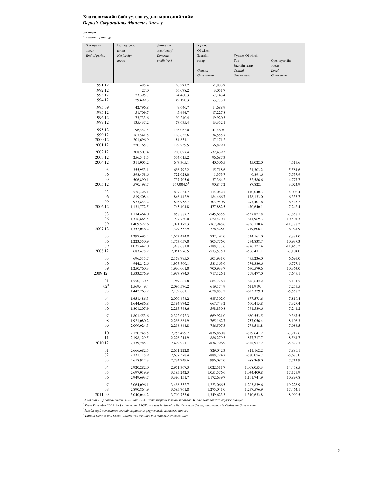## Хадгаламжийн байгууллагуудын мөнгөний тойм *Deposit Corporations Monetary Survey*

сая төгрөг *in millions of togrogs*

| Хугацааны             | Гадаад цэвэр             | Дотоодын                                                                                                | Үүнээс                       |                              |                           |
|-----------------------|--------------------------|---------------------------------------------------------------------------------------------------------|------------------------------|------------------------------|---------------------------|
| эцэст                 | актив                    | зээл (цэвэр)                                                                                            | Of which                     |                              |                           |
| End-of-period         | Net foreign              | Domestic                                                                                                | Засгийн                      | Үүнээс: Of which:            |                           |
|                       | assets                   | credit (net)                                                                                            | газар                        | Төв                          | Орон нуггийн              |
|                       |                          |                                                                                                         |                              | Засгийн газар                | төсөв                     |
|                       |                          |                                                                                                         | General                      | Central                      | Local                     |
|                       |                          |                                                                                                         | Government                   | Government                   | Government                |
|                       |                          |                                                                                                         |                              |                              |                           |
| 1991 12               | 495.4                    | 10,971.2                                                                                                | $-1,883.7$                   |                              |                           |
| 1992 12               | $-27.0$                  | 16,078.2                                                                                                | $-3,051.7$                   |                              |                           |
| 1993 12               | 23,395.7                 | 24,460.3                                                                                                | $-7,143.4$                   |                              |                           |
| 1994 12               | 29,699.3                 | 49,190.3                                                                                                | $-3,773.1$                   |                              |                           |
| 1995 09               | 42,796.8                 | 49,646.7                                                                                                | $-14,688.9$                  |                              |                           |
| 1995 12               | 51,709.7                 | 45,494.7                                                                                                | $-17,227.8$                  |                              |                           |
| 1996 12               | 73,733.6                 | 90,240.4                                                                                                | 19,920.3                     |                              |                           |
| 1997 12               | 135,437.2                | 67,635.4                                                                                                | 13,352.1                     |                              |                           |
| 1998 12               | 96,557.5                 | 136,062.0                                                                                               | 41,460.0                     |                              |                           |
| 1999 12               | 167,541.5                | 116,635.6                                                                                               | 34,555.7                     |                              |                           |
| 2000 12               | 201,696.9                | 84,831.1                                                                                                | 17,171.2                     |                              |                           |
| 2001 12               | 220,165.7                | 129,259.5                                                                                               | $-6,829.1$                   |                              |                           |
| 2002 12               | 308,507.4                | 200,027.4                                                                                               | $-32,439.3$                  |                              |                           |
| 2003 12               | 256,341.5                | 514,615.2                                                                                               | 96,687.3                     |                              |                           |
| 2004 12               | 311,005.2                | 647,305.1                                                                                               | 40,506.5                     | 45,022.0                     | $-4,515.6$                |
|                       |                          |                                                                                                         |                              |                              |                           |
| 03                    | 355,953.1                | 656,792.2                                                                                               | 15,718.6                     | 21,303.2                     | $-5,584.6$                |
| 06                    | 398,458.6                | 722,028.0                                                                                               | 1,353.7                      | 6,891.6                      | $-5,537.9$                |
| 09                    | 506,890.1                | 737,705.6                                                                                               | $-37,364.2$                  | $-32,586.6$                  | $-4,777.7$                |
| 2005 12               | 570,198.7                | 769,004.6 <sup>2</sup>                                                                                  | $-90,847.2$                  | $-87,822.4$                  | $-3,024.9$                |
| 03                    | 576,426.1                | 837,634.7                                                                                               | $-114,042.7$                 | $-110,040.3$                 | $-4,002.4$                |
| 06                    | 819,508.4                | 866,442.9                                                                                               | $-184,466.7$                 | $-178, 133.0$                | $-6,333.7$                |
| 09                    | 973,853.2                | 816,958.7                                                                                               | -303,950.9                   | $-297,407.6$                 | $-6,543.2$                |
| 2006 12               | 1,131,772.5              | 745,404.8                                                                                               | -477,882.5                   | $-470,640.1$                 | $-7,242.4$                |
| 03                    | 1,174,464.0              | 858,887.2                                                                                               | $-545,685.9$                 | $-537,827.8$                 | $-7,858.1$                |
| 06                    | 1,316,665.5              | 977,750.0                                                                                               | $-622,470.7$                 | $-611,969.3$                 | $-10,501.3$               |
| 09                    | 1,409,522.6              | 1,091,172.3                                                                                             | $-767,948.6$                 | $-756,170.4$                 | $-11,778.2$               |
| 2007 12               | 1,352,046.2              | 1,329,532.9                                                                                             | $-726,528.0$                 | $-719,606.1$                 | $-6,921.9$                |
| 03                    | 1,297,695.4              | 1,603,434.8                                                                                             | $-732,494.0$                 | $-724,161.0$                 | $-8,333.0$                |
| 06                    | 1,223,350.9              | 1,753,657.0                                                                                             | $-805,776.0$                 | -794,838.7                   | $-10,937.3$               |
| 09                    | 1,035,442.0              | 1,928,681.0                                                                                             | $-788,177.6$                 | $-776,727.4$                 | $-11,450.2$               |
| 2008 12               | 683,478.2                | 2,061,976.5                                                                                             | $-573,575.1$                 | $-566,471.1$                 | $-7,104.0$                |
|                       |                          |                                                                                                         |                              |                              |                           |
| 03<br>06              | 696,315.7                | 2,169,795.5                                                                                             | $-501,931.0$                 | $-495,236.0$                 | $-6,695.0$                |
| 09                    | 944,242.6<br>1,250,760.3 | 1,977,766.1<br>1,930,001.0                                                                              | $-581,163.6$<br>$-700,933.7$ | $-574,386.6$<br>$-690,570.6$ | $-6,777.1$<br>$-10,363.0$ |
| $200912$ <sup>1</sup> | 1,533,276.9              | 1,937,874.3                                                                                             | $-717, 126.1$                | $-709,477.0$                 | $-7,649.1$                |
|                       |                          |                                                                                                         |                              |                              |                           |
| 01                    | 1,550,130.5              | 1,989,667.8                                                                                             | $-684,776.7$                 | $-676,642.2$                 | $-8,134.5$                |
| $02^{2}$              | 1,569,449.4              | 2,096,576.2                                                                                             | $-619, 174.9$                | $-611,919.4$                 | $-7,255.5$                |
| 03                    | 1,442,263.2              | 2,139,661.1                                                                                             | $-628,887.2$                 | $-623,329.0$                 | $-5,558.2$                |
| 04                    | 1,651,486.3              | 2,079,478.2                                                                                             | $-685,392.9$                 | $-677,573.6$                 | $-7,819.4$                |
| 05                    | 1,644,686.8              | 2,184,974.2                                                                                             | $-667,743.2$                 | $-660,415.8$                 | $-7,327.4$                |
| 06                    | 1,801,207.9              | 2,283,798.6                                                                                             | -598,830.8                   | -591,589.6                   | $-7,241.2$                |
| 07                    | 1,801,553.6              | 2,302,072.3                                                                                             | $-669,921.0$                 | $-660,553.5$                 | $-9,367.5$                |
| 08                    | 1,921,080.2              | 2,256,881.9                                                                                             | $-765, 162.7$                | $-757,056.4$                 | $-8,106.3$                |
| 09                    | 2,099,024.3              | 2,298,844.8                                                                                             | $-786,507.3$                 | $-778,518.8$                 | $-7,988.5$                |
| 10                    | 2,120,248.5              | 2,253,429.7                                                                                             | $-836,860.8$                 | $-829,641.2$                 | $-7,219.6$                |
| 11                    | 2,198,129.5              | 2,226,214.9                                                                                             | $-886,279.3$                 | $-877,717.7$                 | $-8,561.7$                |
| 2010 12               | 2,739,285.7              | 2,429,981.1                                                                                             | $-834,796.9$                 | $-828,917.2$                 | $-5,879.7$                |
|                       |                          |                                                                                                         |                              |                              |                           |
| 01                    | 2,666,682.5              | 2,611,222.8                                                                                             | $-829,042.3$                 | $-821,162.2$                 | $-7,880.1$                |
| 02                    | 2,731,118.9              | 2,637,578.4                                                                                             | $-888,724.7$                 | $-880,054.7$                 | $-8,670.0$                |
| 03                    | 2,618,912.3              | 2,734,749.6                                                                                             | -996,082.0                   | -988,369.0                   | $-7,712.9$                |
| 04                    | 2,920,282.0              | 2,951,367.3                                                                                             | $-1,022,511.7$               | $-1,008,053.3$               | $-14,458.5$               |
| 05                    | 2,697,019.9              | 3,195,242.3                                                                                             | $-1,051,576.6$               | $-1,034,400.8$               | $-17,175.9$               |
| 06                    | 2,949,693.7              | 3,380,151.7                                                                                             | $-1,172,639.7$               | $-1,161,741.9$               | $-10,897.8$               |
| 07                    | 3,064,096.1              | 3,458,332.7                                                                                             | $-1,223,066.5$               | $-1,203,839.6$               | $-19,226.9$               |
| 08                    | 2,890,864.9              | 3,595,761.8                                                                                             | $-1,275,041.0$               | $-1,257,576.9$               | $-17,464.1$               |
| 2011 09               | 3,040,044.2              | 3,710,733.6                                                                                             | $-1,349,623.3$               | $-1,340,632.8$               | $-8,990.5$                |
|                       |                          | 2008 оны 12-р сараас эхлэн ОУВС-ийн ЯБХД хөтөлбөрийн зээлийн тооцоог ЗГ-аас авах авлагад оруулж тооцов. |                              |                              |                           |

<sup>1</sup> From December 2008 the Settlement on PRGF loan was included in Net Domestic Credit, particularly in Claims on Government<br><sup>2</sup> Тухайн сард хадгаламж зээлийн хоршооны үзүүлэлтийг нэгтгэж тооцов

*2 Data of Savings and Credit Unions was included in Broad Money calculation*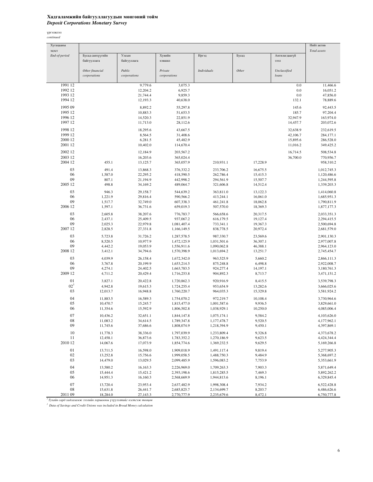### Хадгаламжийн байгууллагуудын мөнгөний тойм *Deposit Corporations Monetary Survey*

үргэлжлэл *continued*

| Total assets<br>эцэст<br>End-of-period<br>Бусад санхүүгийн<br>Улсын<br>Хувийн<br>Иргэд<br>Бусад<br>Ангилагдаагүй<br>байгууллага<br>байгууллага<br>кишаєх<br>зээл<br>Other<br>Other financial<br>Public<br>Private<br><b>Individuals</b><br>Unclassified<br>loans<br>corporations<br>corporations<br>corporations<br>1991 12<br>9,779.6<br>3,075.3<br>0.0<br>11,466.6<br>1992 12<br>12,204.2<br>6,925.7<br>0.0<br>16,051.2<br>1993 12<br>0.0<br>21,744.4<br>9,859.3<br>47,856.0<br>1994 12<br>12,193.3<br>40,638.0<br>132.1<br>78,889.6<br>1995 09<br>8,892.2<br>55,297.8<br>145.6<br>92,443.5<br>1995 12<br>10,883.3<br>185.7<br>97,204.4<br>51,653.5<br>1996 12<br>14,520.3<br>22,851.9<br>163,974.0<br>32,947.9<br>1997 12<br>11,713.0<br>203,072.6<br>28,112.6<br>14,457.7<br>1998 12<br>18,295.6<br>43,667.5<br>32,638.9<br>232,619.5<br>1999 12<br>8,564.5<br>31,408.6<br>284,177.1<br>42,106.7<br>2000 12<br>6,281.5<br>45,482.9<br>286,528.0<br>15,895.6<br>2001 12<br>10,402.0<br>349,425.2<br>114,670.4<br>11,016.2<br>2002 12<br>12,184.9<br>203,567.2<br>508,534.8<br>16,714.5<br>2003 12<br>16,203.6<br>365,024.4<br>36,700.0<br>770,956.7<br>2004 12<br>455.1<br>365,057.9<br>210,931.1<br>958,310.2<br>13,125.7<br>17,228.9<br>03<br>491.4<br>13,868.3<br>376,332.2<br>233,706.2<br>16,675.5<br>1,012,745.3<br>06<br>1,587.0<br>22,295.2<br>418,590.5<br>262,786.4<br>15,415.3<br>1,120,486.6<br>09<br>807.1<br>21,194.9<br>442,998.2<br>294,561.9<br>15,507.7<br>1,244,595.8<br>2005 12<br>498.8<br>34,169.2<br>489,064.7<br>14,512.4<br>1,339,203.3<br>321,606.8<br>03<br>946.3<br>29,158.7<br>544,639.2<br>363,811.0<br>13.122.3<br>1,414,060.8<br>06<br>1,221.9<br>590,566.2<br>413,244.1<br>16,061.0<br>1,685,951.3<br>29,816.4<br>09<br>1,517.7<br>32,749.0<br>607,338.3<br>461,241.8<br>18,062.8<br>1,790,811.9<br>2006 12<br>1,597.1<br>36,731.6<br>659,019.3<br>507,570.0<br>18,369.3<br>1,877,177.3<br>03<br>2,605.8<br>38,207.6<br>566,658.6<br>20,317.5<br>776,783.7<br>2,033,351.3<br>06<br>2,437.1<br>25,409.5<br>937,067.2<br>616,179.5<br>19,127.4<br>2,294,415.5<br>09<br>2,025.3<br>22,979.8<br>1,081,407.4<br>733,341.1<br>19,367.3<br>2,500,694.8<br>2007 12<br>2,828.5<br>20,972.4<br>27,331.8<br>1,166,149.5<br>838,778.5<br>2,681,579.0<br>03<br>5,723.8<br>987,330.7<br>23,569.6<br>31,726.2<br>1,287,578.5<br>2,901,130.3<br>06<br>8,520.5<br>10,977.9<br>1,472,125.9<br>1,031,501.6<br>36,307.1<br>2,977,007.8<br>09<br>4,442.2<br>46,388.1<br>19,053.9<br>1,556,911.6<br>1,090,062.8<br>2,964,123.0<br>2008 12<br>3,412.1<br>34,794.6<br>1,570,398.9<br>13,251.7<br>1,013,694.2<br>2,745,454.7<br>03<br>4,039.9<br>26,158.4<br>1,672,342.0<br>963,525.9<br>5,660.2<br>2,866,111.3<br>06<br>3,767.8<br>20,199.9<br>6,498.8<br>1,653,214.5<br>875,248.8<br>2,922,008.7<br>09<br>4,274.1<br>924,277.4<br>24,402.5<br>1,663,783.5<br>14,197.1<br>3,180,761.3<br>2009 12<br>4,711.2<br>904,892.3<br>8,713.7<br>20,429.4<br>1,716,253.8<br>3,471,151.2<br>01<br>920,916.9<br>3,827.1<br>20,422.8<br>1,720,862.3<br>8,415.5<br>3,539,798.3<br>02 <sup>1</sup><br>4,942.8<br>19,615.3<br>953,654.9<br>13,282.6<br>1,724,255.4<br>3,666,025.6<br>03<br>12,013.7<br>16,948.8<br>1,760,220.7<br>964,035.3<br>15,329.8<br>3,581,924.2<br>04<br>10,108.4<br>11,883.5<br>16,589.3<br>1,754,070.2<br>972,219.7<br>3,730,964.6<br>05<br>10,470.7<br>1,001,587.6<br>9,936.5<br>3,829,661.0<br>15,245.7<br>1,815,477.0<br>06<br>11,354.6<br>15,592.9<br>1,806,502.8<br>1,038,929.1<br>10,250.0<br>4,085,006.4<br>07<br>32,651.1<br>1,844,147.8<br>1,075,174.1<br>9,584.2<br>4,103,626.0<br>10,436.2<br>08<br>11,083.2<br>34,614.5<br>1,789,347.8<br>1,177,478.7<br>9,520.5<br>4,177,962.1<br>09<br>11,745.6<br>37,686.6<br>1,808,074.9<br>1,218,394.9<br>9,450.1<br>4,397,869.1<br>10<br>11,778.3<br>1,797,039.9<br>9,326.8<br>38,336.0<br>1,233,809.4<br>4,373,678.2<br>11<br>12,458.1<br>36,873.6<br>1,783,352.2<br>1,270,186.9<br>9,623.5<br>4,424,344.4<br>2010 12<br>14,067.6<br>17,073.9<br>1,854,774.6<br>1,369,232.5<br>9,629.5<br>5,169,266.8<br>01<br>16,598.0<br>1,909,018.9<br>1,491,117.4<br>9,819.4<br>5,277,905.3<br>13,711.5<br>02<br>9,484.9<br>5,368,697.2<br>13,252.8<br>15,756.6<br>1,999,058.5<br>1,488,750.3<br>03<br>14,479.0<br>13,029.5<br>2,099,485.9<br>1,596,083.2<br>7,753.9<br>5,353,661.9<br>04<br>13,580.2<br>16,163.3<br>2,226,969.0<br>1,709,263.3<br>7,903.3<br>5,871,649.4<br>05<br>15,444.4<br>15,421.2<br>2,393,198.6<br>1,815,285.5<br>7,469.3<br>5,892,262.2<br>06<br>14,951.3<br>16,160.3<br>2,568,669.9<br>1,944,813.6<br>8,196.1<br>6,329,845.4<br>07<br>13,720.4<br>23,953.4<br>2,637,482.9<br>1,998,308.4<br>7,934.2<br>6,522,428.8<br>08<br>15,631.8<br>2,685,825.7<br>2,134,699.7<br>8,203.7<br>6,486,626.6<br>26,441.7<br>2011 09<br>18,284.0<br>27,143.3<br>2,770,777.9<br>2,235,679.6<br>8,472.1<br>6,750,777.8 | Хугацааны |  |  |  | Нийт актив |
|------------------------------------------------------------------------------------------------------------------------------------------------------------------------------------------------------------------------------------------------------------------------------------------------------------------------------------------------------------------------------------------------------------------------------------------------------------------------------------------------------------------------------------------------------------------------------------------------------------------------------------------------------------------------------------------------------------------------------------------------------------------------------------------------------------------------------------------------------------------------------------------------------------------------------------------------------------------------------------------------------------------------------------------------------------------------------------------------------------------------------------------------------------------------------------------------------------------------------------------------------------------------------------------------------------------------------------------------------------------------------------------------------------------------------------------------------------------------------------------------------------------------------------------------------------------------------------------------------------------------------------------------------------------------------------------------------------------------------------------------------------------------------------------------------------------------------------------------------------------------------------------------------------------------------------------------------------------------------------------------------------------------------------------------------------------------------------------------------------------------------------------------------------------------------------------------------------------------------------------------------------------------------------------------------------------------------------------------------------------------------------------------------------------------------------------------------------------------------------------------------------------------------------------------------------------------------------------------------------------------------------------------------------------------------------------------------------------------------------------------------------------------------------------------------------------------------------------------------------------------------------------------------------------------------------------------------------------------------------------------------------------------------------------------------------------------------------------------------------------------------------------------------------------------------------------------------------------------------------------------------------------------------------------------------------------------------------------------------------------------------------------------------------------------------------------------------------------------------------------------------------------------------------------------------------------------------------------------------------------------------------------------------------------------------------------------------------------------------------------------------------------------------------------------------------------------------------------------------------------------------------------------------------------------------------------------------------------------------------------------------------------------------------------------------------------------------------------------------------------------------------------------------------------------------------------------------------------------------------------------------------------------------------------------------------------------------------------------------------------------------------------------------------------------------------------------------------------------------------------------------------------------------------------------------------------------------------------------------------------------------------------------------------------------------------------------------------------------------------------------------------------------------------------------------------------------------------------------------------------------------------------|-----------|--|--|--|------------|
|                                                                                                                                                                                                                                                                                                                                                                                                                                                                                                                                                                                                                                                                                                                                                                                                                                                                                                                                                                                                                                                                                                                                                                                                                                                                                                                                                                                                                                                                                                                                                                                                                                                                                                                                                                                                                                                                                                                                                                                                                                                                                                                                                                                                                                                                                                                                                                                                                                                                                                                                                                                                                                                                                                                                                                                                                                                                                                                                                                                                                                                                                                                                                                                                                                                                                                                                                                                                                                                                                                                                                                                                                                                                                                                                                                                                                                                                                                                                                                                                                                                                                                                                                                                                                                                                                                                                                                                                                                                                                                                                                                                                                                                                                                                                                                                                                                                                                          |           |  |  |  |            |
|                                                                                                                                                                                                                                                                                                                                                                                                                                                                                                                                                                                                                                                                                                                                                                                                                                                                                                                                                                                                                                                                                                                                                                                                                                                                                                                                                                                                                                                                                                                                                                                                                                                                                                                                                                                                                                                                                                                                                                                                                                                                                                                                                                                                                                                                                                                                                                                                                                                                                                                                                                                                                                                                                                                                                                                                                                                                                                                                                                                                                                                                                                                                                                                                                                                                                                                                                                                                                                                                                                                                                                                                                                                                                                                                                                                                                                                                                                                                                                                                                                                                                                                                                                                                                                                                                                                                                                                                                                                                                                                                                                                                                                                                                                                                                                                                                                                                                          |           |  |  |  |            |
|                                                                                                                                                                                                                                                                                                                                                                                                                                                                                                                                                                                                                                                                                                                                                                                                                                                                                                                                                                                                                                                                                                                                                                                                                                                                                                                                                                                                                                                                                                                                                                                                                                                                                                                                                                                                                                                                                                                                                                                                                                                                                                                                                                                                                                                                                                                                                                                                                                                                                                                                                                                                                                                                                                                                                                                                                                                                                                                                                                                                                                                                                                                                                                                                                                                                                                                                                                                                                                                                                                                                                                                                                                                                                                                                                                                                                                                                                                                                                                                                                                                                                                                                                                                                                                                                                                                                                                                                                                                                                                                                                                                                                                                                                                                                                                                                                                                                                          |           |  |  |  |            |
|                                                                                                                                                                                                                                                                                                                                                                                                                                                                                                                                                                                                                                                                                                                                                                                                                                                                                                                                                                                                                                                                                                                                                                                                                                                                                                                                                                                                                                                                                                                                                                                                                                                                                                                                                                                                                                                                                                                                                                                                                                                                                                                                                                                                                                                                                                                                                                                                                                                                                                                                                                                                                                                                                                                                                                                                                                                                                                                                                                                                                                                                                                                                                                                                                                                                                                                                                                                                                                                                                                                                                                                                                                                                                                                                                                                                                                                                                                                                                                                                                                                                                                                                                                                                                                                                                                                                                                                                                                                                                                                                                                                                                                                                                                                                                                                                                                                                                          |           |  |  |  |            |
|                                                                                                                                                                                                                                                                                                                                                                                                                                                                                                                                                                                                                                                                                                                                                                                                                                                                                                                                                                                                                                                                                                                                                                                                                                                                                                                                                                                                                                                                                                                                                                                                                                                                                                                                                                                                                                                                                                                                                                                                                                                                                                                                                                                                                                                                                                                                                                                                                                                                                                                                                                                                                                                                                                                                                                                                                                                                                                                                                                                                                                                                                                                                                                                                                                                                                                                                                                                                                                                                                                                                                                                                                                                                                                                                                                                                                                                                                                                                                                                                                                                                                                                                                                                                                                                                                                                                                                                                                                                                                                                                                                                                                                                                                                                                                                                                                                                                                          |           |  |  |  |            |
|                                                                                                                                                                                                                                                                                                                                                                                                                                                                                                                                                                                                                                                                                                                                                                                                                                                                                                                                                                                                                                                                                                                                                                                                                                                                                                                                                                                                                                                                                                                                                                                                                                                                                                                                                                                                                                                                                                                                                                                                                                                                                                                                                                                                                                                                                                                                                                                                                                                                                                                                                                                                                                                                                                                                                                                                                                                                                                                                                                                                                                                                                                                                                                                                                                                                                                                                                                                                                                                                                                                                                                                                                                                                                                                                                                                                                                                                                                                                                                                                                                                                                                                                                                                                                                                                                                                                                                                                                                                                                                                                                                                                                                                                                                                                                                                                                                                                                          |           |  |  |  |            |
|                                                                                                                                                                                                                                                                                                                                                                                                                                                                                                                                                                                                                                                                                                                                                                                                                                                                                                                                                                                                                                                                                                                                                                                                                                                                                                                                                                                                                                                                                                                                                                                                                                                                                                                                                                                                                                                                                                                                                                                                                                                                                                                                                                                                                                                                                                                                                                                                                                                                                                                                                                                                                                                                                                                                                                                                                                                                                                                                                                                                                                                                                                                                                                                                                                                                                                                                                                                                                                                                                                                                                                                                                                                                                                                                                                                                                                                                                                                                                                                                                                                                                                                                                                                                                                                                                                                                                                                                                                                                                                                                                                                                                                                                                                                                                                                                                                                                                          |           |  |  |  |            |
|                                                                                                                                                                                                                                                                                                                                                                                                                                                                                                                                                                                                                                                                                                                                                                                                                                                                                                                                                                                                                                                                                                                                                                                                                                                                                                                                                                                                                                                                                                                                                                                                                                                                                                                                                                                                                                                                                                                                                                                                                                                                                                                                                                                                                                                                                                                                                                                                                                                                                                                                                                                                                                                                                                                                                                                                                                                                                                                                                                                                                                                                                                                                                                                                                                                                                                                                                                                                                                                                                                                                                                                                                                                                                                                                                                                                                                                                                                                                                                                                                                                                                                                                                                                                                                                                                                                                                                                                                                                                                                                                                                                                                                                                                                                                                                                                                                                                                          |           |  |  |  |            |
|                                                                                                                                                                                                                                                                                                                                                                                                                                                                                                                                                                                                                                                                                                                                                                                                                                                                                                                                                                                                                                                                                                                                                                                                                                                                                                                                                                                                                                                                                                                                                                                                                                                                                                                                                                                                                                                                                                                                                                                                                                                                                                                                                                                                                                                                                                                                                                                                                                                                                                                                                                                                                                                                                                                                                                                                                                                                                                                                                                                                                                                                                                                                                                                                                                                                                                                                                                                                                                                                                                                                                                                                                                                                                                                                                                                                                                                                                                                                                                                                                                                                                                                                                                                                                                                                                                                                                                                                                                                                                                                                                                                                                                                                                                                                                                                                                                                                                          |           |  |  |  |            |
|                                                                                                                                                                                                                                                                                                                                                                                                                                                                                                                                                                                                                                                                                                                                                                                                                                                                                                                                                                                                                                                                                                                                                                                                                                                                                                                                                                                                                                                                                                                                                                                                                                                                                                                                                                                                                                                                                                                                                                                                                                                                                                                                                                                                                                                                                                                                                                                                                                                                                                                                                                                                                                                                                                                                                                                                                                                                                                                                                                                                                                                                                                                                                                                                                                                                                                                                                                                                                                                                                                                                                                                                                                                                                                                                                                                                                                                                                                                                                                                                                                                                                                                                                                                                                                                                                                                                                                                                                                                                                                                                                                                                                                                                                                                                                                                                                                                                                          |           |  |  |  |            |
|                                                                                                                                                                                                                                                                                                                                                                                                                                                                                                                                                                                                                                                                                                                                                                                                                                                                                                                                                                                                                                                                                                                                                                                                                                                                                                                                                                                                                                                                                                                                                                                                                                                                                                                                                                                                                                                                                                                                                                                                                                                                                                                                                                                                                                                                                                                                                                                                                                                                                                                                                                                                                                                                                                                                                                                                                                                                                                                                                                                                                                                                                                                                                                                                                                                                                                                                                                                                                                                                                                                                                                                                                                                                                                                                                                                                                                                                                                                                                                                                                                                                                                                                                                                                                                                                                                                                                                                                                                                                                                                                                                                                                                                                                                                                                                                                                                                                                          |           |  |  |  |            |
|                                                                                                                                                                                                                                                                                                                                                                                                                                                                                                                                                                                                                                                                                                                                                                                                                                                                                                                                                                                                                                                                                                                                                                                                                                                                                                                                                                                                                                                                                                                                                                                                                                                                                                                                                                                                                                                                                                                                                                                                                                                                                                                                                                                                                                                                                                                                                                                                                                                                                                                                                                                                                                                                                                                                                                                                                                                                                                                                                                                                                                                                                                                                                                                                                                                                                                                                                                                                                                                                                                                                                                                                                                                                                                                                                                                                                                                                                                                                                                                                                                                                                                                                                                                                                                                                                                                                                                                                                                                                                                                                                                                                                                                                                                                                                                                                                                                                                          |           |  |  |  |            |
|                                                                                                                                                                                                                                                                                                                                                                                                                                                                                                                                                                                                                                                                                                                                                                                                                                                                                                                                                                                                                                                                                                                                                                                                                                                                                                                                                                                                                                                                                                                                                                                                                                                                                                                                                                                                                                                                                                                                                                                                                                                                                                                                                                                                                                                                                                                                                                                                                                                                                                                                                                                                                                                                                                                                                                                                                                                                                                                                                                                                                                                                                                                                                                                                                                                                                                                                                                                                                                                                                                                                                                                                                                                                                                                                                                                                                                                                                                                                                                                                                                                                                                                                                                                                                                                                                                                                                                                                                                                                                                                                                                                                                                                                                                                                                                                                                                                                                          |           |  |  |  |            |
|                                                                                                                                                                                                                                                                                                                                                                                                                                                                                                                                                                                                                                                                                                                                                                                                                                                                                                                                                                                                                                                                                                                                                                                                                                                                                                                                                                                                                                                                                                                                                                                                                                                                                                                                                                                                                                                                                                                                                                                                                                                                                                                                                                                                                                                                                                                                                                                                                                                                                                                                                                                                                                                                                                                                                                                                                                                                                                                                                                                                                                                                                                                                                                                                                                                                                                                                                                                                                                                                                                                                                                                                                                                                                                                                                                                                                                                                                                                                                                                                                                                                                                                                                                                                                                                                                                                                                                                                                                                                                                                                                                                                                                                                                                                                                                                                                                                                                          |           |  |  |  |            |
|                                                                                                                                                                                                                                                                                                                                                                                                                                                                                                                                                                                                                                                                                                                                                                                                                                                                                                                                                                                                                                                                                                                                                                                                                                                                                                                                                                                                                                                                                                                                                                                                                                                                                                                                                                                                                                                                                                                                                                                                                                                                                                                                                                                                                                                                                                                                                                                                                                                                                                                                                                                                                                                                                                                                                                                                                                                                                                                                                                                                                                                                                                                                                                                                                                                                                                                                                                                                                                                                                                                                                                                                                                                                                                                                                                                                                                                                                                                                                                                                                                                                                                                                                                                                                                                                                                                                                                                                                                                                                                                                                                                                                                                                                                                                                                                                                                                                                          |           |  |  |  |            |
|                                                                                                                                                                                                                                                                                                                                                                                                                                                                                                                                                                                                                                                                                                                                                                                                                                                                                                                                                                                                                                                                                                                                                                                                                                                                                                                                                                                                                                                                                                                                                                                                                                                                                                                                                                                                                                                                                                                                                                                                                                                                                                                                                                                                                                                                                                                                                                                                                                                                                                                                                                                                                                                                                                                                                                                                                                                                                                                                                                                                                                                                                                                                                                                                                                                                                                                                                                                                                                                                                                                                                                                                                                                                                                                                                                                                                                                                                                                                                                                                                                                                                                                                                                                                                                                                                                                                                                                                                                                                                                                                                                                                                                                                                                                                                                                                                                                                                          |           |  |  |  |            |
|                                                                                                                                                                                                                                                                                                                                                                                                                                                                                                                                                                                                                                                                                                                                                                                                                                                                                                                                                                                                                                                                                                                                                                                                                                                                                                                                                                                                                                                                                                                                                                                                                                                                                                                                                                                                                                                                                                                                                                                                                                                                                                                                                                                                                                                                                                                                                                                                                                                                                                                                                                                                                                                                                                                                                                                                                                                                                                                                                                                                                                                                                                                                                                                                                                                                                                                                                                                                                                                                                                                                                                                                                                                                                                                                                                                                                                                                                                                                                                                                                                                                                                                                                                                                                                                                                                                                                                                                                                                                                                                                                                                                                                                                                                                                                                                                                                                                                          |           |  |  |  |            |
|                                                                                                                                                                                                                                                                                                                                                                                                                                                                                                                                                                                                                                                                                                                                                                                                                                                                                                                                                                                                                                                                                                                                                                                                                                                                                                                                                                                                                                                                                                                                                                                                                                                                                                                                                                                                                                                                                                                                                                                                                                                                                                                                                                                                                                                                                                                                                                                                                                                                                                                                                                                                                                                                                                                                                                                                                                                                                                                                                                                                                                                                                                                                                                                                                                                                                                                                                                                                                                                                                                                                                                                                                                                                                                                                                                                                                                                                                                                                                                                                                                                                                                                                                                                                                                                                                                                                                                                                                                                                                                                                                                                                                                                                                                                                                                                                                                                                                          |           |  |  |  |            |
|                                                                                                                                                                                                                                                                                                                                                                                                                                                                                                                                                                                                                                                                                                                                                                                                                                                                                                                                                                                                                                                                                                                                                                                                                                                                                                                                                                                                                                                                                                                                                                                                                                                                                                                                                                                                                                                                                                                                                                                                                                                                                                                                                                                                                                                                                                                                                                                                                                                                                                                                                                                                                                                                                                                                                                                                                                                                                                                                                                                                                                                                                                                                                                                                                                                                                                                                                                                                                                                                                                                                                                                                                                                                                                                                                                                                                                                                                                                                                                                                                                                                                                                                                                                                                                                                                                                                                                                                                                                                                                                                                                                                                                                                                                                                                                                                                                                                                          |           |  |  |  |            |
|                                                                                                                                                                                                                                                                                                                                                                                                                                                                                                                                                                                                                                                                                                                                                                                                                                                                                                                                                                                                                                                                                                                                                                                                                                                                                                                                                                                                                                                                                                                                                                                                                                                                                                                                                                                                                                                                                                                                                                                                                                                                                                                                                                                                                                                                                                                                                                                                                                                                                                                                                                                                                                                                                                                                                                                                                                                                                                                                                                                                                                                                                                                                                                                                                                                                                                                                                                                                                                                                                                                                                                                                                                                                                                                                                                                                                                                                                                                                                                                                                                                                                                                                                                                                                                                                                                                                                                                                                                                                                                                                                                                                                                                                                                                                                                                                                                                                                          |           |  |  |  |            |
|                                                                                                                                                                                                                                                                                                                                                                                                                                                                                                                                                                                                                                                                                                                                                                                                                                                                                                                                                                                                                                                                                                                                                                                                                                                                                                                                                                                                                                                                                                                                                                                                                                                                                                                                                                                                                                                                                                                                                                                                                                                                                                                                                                                                                                                                                                                                                                                                                                                                                                                                                                                                                                                                                                                                                                                                                                                                                                                                                                                                                                                                                                                                                                                                                                                                                                                                                                                                                                                                                                                                                                                                                                                                                                                                                                                                                                                                                                                                                                                                                                                                                                                                                                                                                                                                                                                                                                                                                                                                                                                                                                                                                                                                                                                                                                                                                                                                                          |           |  |  |  |            |
|                                                                                                                                                                                                                                                                                                                                                                                                                                                                                                                                                                                                                                                                                                                                                                                                                                                                                                                                                                                                                                                                                                                                                                                                                                                                                                                                                                                                                                                                                                                                                                                                                                                                                                                                                                                                                                                                                                                                                                                                                                                                                                                                                                                                                                                                                                                                                                                                                                                                                                                                                                                                                                                                                                                                                                                                                                                                                                                                                                                                                                                                                                                                                                                                                                                                                                                                                                                                                                                                                                                                                                                                                                                                                                                                                                                                                                                                                                                                                                                                                                                                                                                                                                                                                                                                                                                                                                                                                                                                                                                                                                                                                                                                                                                                                                                                                                                                                          |           |  |  |  |            |
|                                                                                                                                                                                                                                                                                                                                                                                                                                                                                                                                                                                                                                                                                                                                                                                                                                                                                                                                                                                                                                                                                                                                                                                                                                                                                                                                                                                                                                                                                                                                                                                                                                                                                                                                                                                                                                                                                                                                                                                                                                                                                                                                                                                                                                                                                                                                                                                                                                                                                                                                                                                                                                                                                                                                                                                                                                                                                                                                                                                                                                                                                                                                                                                                                                                                                                                                                                                                                                                                                                                                                                                                                                                                                                                                                                                                                                                                                                                                                                                                                                                                                                                                                                                                                                                                                                                                                                                                                                                                                                                                                                                                                                                                                                                                                                                                                                                                                          |           |  |  |  |            |
|                                                                                                                                                                                                                                                                                                                                                                                                                                                                                                                                                                                                                                                                                                                                                                                                                                                                                                                                                                                                                                                                                                                                                                                                                                                                                                                                                                                                                                                                                                                                                                                                                                                                                                                                                                                                                                                                                                                                                                                                                                                                                                                                                                                                                                                                                                                                                                                                                                                                                                                                                                                                                                                                                                                                                                                                                                                                                                                                                                                                                                                                                                                                                                                                                                                                                                                                                                                                                                                                                                                                                                                                                                                                                                                                                                                                                                                                                                                                                                                                                                                                                                                                                                                                                                                                                                                                                                                                                                                                                                                                                                                                                                                                                                                                                                                                                                                                                          |           |  |  |  |            |
|                                                                                                                                                                                                                                                                                                                                                                                                                                                                                                                                                                                                                                                                                                                                                                                                                                                                                                                                                                                                                                                                                                                                                                                                                                                                                                                                                                                                                                                                                                                                                                                                                                                                                                                                                                                                                                                                                                                                                                                                                                                                                                                                                                                                                                                                                                                                                                                                                                                                                                                                                                                                                                                                                                                                                                                                                                                                                                                                                                                                                                                                                                                                                                                                                                                                                                                                                                                                                                                                                                                                                                                                                                                                                                                                                                                                                                                                                                                                                                                                                                                                                                                                                                                                                                                                                                                                                                                                                                                                                                                                                                                                                                                                                                                                                                                                                                                                                          |           |  |  |  |            |
|                                                                                                                                                                                                                                                                                                                                                                                                                                                                                                                                                                                                                                                                                                                                                                                                                                                                                                                                                                                                                                                                                                                                                                                                                                                                                                                                                                                                                                                                                                                                                                                                                                                                                                                                                                                                                                                                                                                                                                                                                                                                                                                                                                                                                                                                                                                                                                                                                                                                                                                                                                                                                                                                                                                                                                                                                                                                                                                                                                                                                                                                                                                                                                                                                                                                                                                                                                                                                                                                                                                                                                                                                                                                                                                                                                                                                                                                                                                                                                                                                                                                                                                                                                                                                                                                                                                                                                                                                                                                                                                                                                                                                                                                                                                                                                                                                                                                                          |           |  |  |  |            |
|                                                                                                                                                                                                                                                                                                                                                                                                                                                                                                                                                                                                                                                                                                                                                                                                                                                                                                                                                                                                                                                                                                                                                                                                                                                                                                                                                                                                                                                                                                                                                                                                                                                                                                                                                                                                                                                                                                                                                                                                                                                                                                                                                                                                                                                                                                                                                                                                                                                                                                                                                                                                                                                                                                                                                                                                                                                                                                                                                                                                                                                                                                                                                                                                                                                                                                                                                                                                                                                                                                                                                                                                                                                                                                                                                                                                                                                                                                                                                                                                                                                                                                                                                                                                                                                                                                                                                                                                                                                                                                                                                                                                                                                                                                                                                                                                                                                                                          |           |  |  |  |            |
|                                                                                                                                                                                                                                                                                                                                                                                                                                                                                                                                                                                                                                                                                                                                                                                                                                                                                                                                                                                                                                                                                                                                                                                                                                                                                                                                                                                                                                                                                                                                                                                                                                                                                                                                                                                                                                                                                                                                                                                                                                                                                                                                                                                                                                                                                                                                                                                                                                                                                                                                                                                                                                                                                                                                                                                                                                                                                                                                                                                                                                                                                                                                                                                                                                                                                                                                                                                                                                                                                                                                                                                                                                                                                                                                                                                                                                                                                                                                                                                                                                                                                                                                                                                                                                                                                                                                                                                                                                                                                                                                                                                                                                                                                                                                                                                                                                                                                          |           |  |  |  |            |
|                                                                                                                                                                                                                                                                                                                                                                                                                                                                                                                                                                                                                                                                                                                                                                                                                                                                                                                                                                                                                                                                                                                                                                                                                                                                                                                                                                                                                                                                                                                                                                                                                                                                                                                                                                                                                                                                                                                                                                                                                                                                                                                                                                                                                                                                                                                                                                                                                                                                                                                                                                                                                                                                                                                                                                                                                                                                                                                                                                                                                                                                                                                                                                                                                                                                                                                                                                                                                                                                                                                                                                                                                                                                                                                                                                                                                                                                                                                                                                                                                                                                                                                                                                                                                                                                                                                                                                                                                                                                                                                                                                                                                                                                                                                                                                                                                                                                                          |           |  |  |  |            |
|                                                                                                                                                                                                                                                                                                                                                                                                                                                                                                                                                                                                                                                                                                                                                                                                                                                                                                                                                                                                                                                                                                                                                                                                                                                                                                                                                                                                                                                                                                                                                                                                                                                                                                                                                                                                                                                                                                                                                                                                                                                                                                                                                                                                                                                                                                                                                                                                                                                                                                                                                                                                                                                                                                                                                                                                                                                                                                                                                                                                                                                                                                                                                                                                                                                                                                                                                                                                                                                                                                                                                                                                                                                                                                                                                                                                                                                                                                                                                                                                                                                                                                                                                                                                                                                                                                                                                                                                                                                                                                                                                                                                                                                                                                                                                                                                                                                                                          |           |  |  |  |            |
|                                                                                                                                                                                                                                                                                                                                                                                                                                                                                                                                                                                                                                                                                                                                                                                                                                                                                                                                                                                                                                                                                                                                                                                                                                                                                                                                                                                                                                                                                                                                                                                                                                                                                                                                                                                                                                                                                                                                                                                                                                                                                                                                                                                                                                                                                                                                                                                                                                                                                                                                                                                                                                                                                                                                                                                                                                                                                                                                                                                                                                                                                                                                                                                                                                                                                                                                                                                                                                                                                                                                                                                                                                                                                                                                                                                                                                                                                                                                                                                                                                                                                                                                                                                                                                                                                                                                                                                                                                                                                                                                                                                                                                                                                                                                                                                                                                                                                          |           |  |  |  |            |
|                                                                                                                                                                                                                                                                                                                                                                                                                                                                                                                                                                                                                                                                                                                                                                                                                                                                                                                                                                                                                                                                                                                                                                                                                                                                                                                                                                                                                                                                                                                                                                                                                                                                                                                                                                                                                                                                                                                                                                                                                                                                                                                                                                                                                                                                                                                                                                                                                                                                                                                                                                                                                                                                                                                                                                                                                                                                                                                                                                                                                                                                                                                                                                                                                                                                                                                                                                                                                                                                                                                                                                                                                                                                                                                                                                                                                                                                                                                                                                                                                                                                                                                                                                                                                                                                                                                                                                                                                                                                                                                                                                                                                                                                                                                                                                                                                                                                                          |           |  |  |  |            |
|                                                                                                                                                                                                                                                                                                                                                                                                                                                                                                                                                                                                                                                                                                                                                                                                                                                                                                                                                                                                                                                                                                                                                                                                                                                                                                                                                                                                                                                                                                                                                                                                                                                                                                                                                                                                                                                                                                                                                                                                                                                                                                                                                                                                                                                                                                                                                                                                                                                                                                                                                                                                                                                                                                                                                                                                                                                                                                                                                                                                                                                                                                                                                                                                                                                                                                                                                                                                                                                                                                                                                                                                                                                                                                                                                                                                                                                                                                                                                                                                                                                                                                                                                                                                                                                                                                                                                                                                                                                                                                                                                                                                                                                                                                                                                                                                                                                                                          |           |  |  |  |            |
|                                                                                                                                                                                                                                                                                                                                                                                                                                                                                                                                                                                                                                                                                                                                                                                                                                                                                                                                                                                                                                                                                                                                                                                                                                                                                                                                                                                                                                                                                                                                                                                                                                                                                                                                                                                                                                                                                                                                                                                                                                                                                                                                                                                                                                                                                                                                                                                                                                                                                                                                                                                                                                                                                                                                                                                                                                                                                                                                                                                                                                                                                                                                                                                                                                                                                                                                                                                                                                                                                                                                                                                                                                                                                                                                                                                                                                                                                                                                                                                                                                                                                                                                                                                                                                                                                                                                                                                                                                                                                                                                                                                                                                                                                                                                                                                                                                                                                          |           |  |  |  |            |
|                                                                                                                                                                                                                                                                                                                                                                                                                                                                                                                                                                                                                                                                                                                                                                                                                                                                                                                                                                                                                                                                                                                                                                                                                                                                                                                                                                                                                                                                                                                                                                                                                                                                                                                                                                                                                                                                                                                                                                                                                                                                                                                                                                                                                                                                                                                                                                                                                                                                                                                                                                                                                                                                                                                                                                                                                                                                                                                                                                                                                                                                                                                                                                                                                                                                                                                                                                                                                                                                                                                                                                                                                                                                                                                                                                                                                                                                                                                                                                                                                                                                                                                                                                                                                                                                                                                                                                                                                                                                                                                                                                                                                                                                                                                                                                                                                                                                                          |           |  |  |  |            |
|                                                                                                                                                                                                                                                                                                                                                                                                                                                                                                                                                                                                                                                                                                                                                                                                                                                                                                                                                                                                                                                                                                                                                                                                                                                                                                                                                                                                                                                                                                                                                                                                                                                                                                                                                                                                                                                                                                                                                                                                                                                                                                                                                                                                                                                                                                                                                                                                                                                                                                                                                                                                                                                                                                                                                                                                                                                                                                                                                                                                                                                                                                                                                                                                                                                                                                                                                                                                                                                                                                                                                                                                                                                                                                                                                                                                                                                                                                                                                                                                                                                                                                                                                                                                                                                                                                                                                                                                                                                                                                                                                                                                                                                                                                                                                                                                                                                                                          |           |  |  |  |            |
|                                                                                                                                                                                                                                                                                                                                                                                                                                                                                                                                                                                                                                                                                                                                                                                                                                                                                                                                                                                                                                                                                                                                                                                                                                                                                                                                                                                                                                                                                                                                                                                                                                                                                                                                                                                                                                                                                                                                                                                                                                                                                                                                                                                                                                                                                                                                                                                                                                                                                                                                                                                                                                                                                                                                                                                                                                                                                                                                                                                                                                                                                                                                                                                                                                                                                                                                                                                                                                                                                                                                                                                                                                                                                                                                                                                                                                                                                                                                                                                                                                                                                                                                                                                                                                                                                                                                                                                                                                                                                                                                                                                                                                                                                                                                                                                                                                                                                          |           |  |  |  |            |
|                                                                                                                                                                                                                                                                                                                                                                                                                                                                                                                                                                                                                                                                                                                                                                                                                                                                                                                                                                                                                                                                                                                                                                                                                                                                                                                                                                                                                                                                                                                                                                                                                                                                                                                                                                                                                                                                                                                                                                                                                                                                                                                                                                                                                                                                                                                                                                                                                                                                                                                                                                                                                                                                                                                                                                                                                                                                                                                                                                                                                                                                                                                                                                                                                                                                                                                                                                                                                                                                                                                                                                                                                                                                                                                                                                                                                                                                                                                                                                                                                                                                                                                                                                                                                                                                                                                                                                                                                                                                                                                                                                                                                                                                                                                                                                                                                                                                                          |           |  |  |  |            |
|                                                                                                                                                                                                                                                                                                                                                                                                                                                                                                                                                                                                                                                                                                                                                                                                                                                                                                                                                                                                                                                                                                                                                                                                                                                                                                                                                                                                                                                                                                                                                                                                                                                                                                                                                                                                                                                                                                                                                                                                                                                                                                                                                                                                                                                                                                                                                                                                                                                                                                                                                                                                                                                                                                                                                                                                                                                                                                                                                                                                                                                                                                                                                                                                                                                                                                                                                                                                                                                                                                                                                                                                                                                                                                                                                                                                                                                                                                                                                                                                                                                                                                                                                                                                                                                                                                                                                                                                                                                                                                                                                                                                                                                                                                                                                                                                                                                                                          |           |  |  |  |            |
|                                                                                                                                                                                                                                                                                                                                                                                                                                                                                                                                                                                                                                                                                                                                                                                                                                                                                                                                                                                                                                                                                                                                                                                                                                                                                                                                                                                                                                                                                                                                                                                                                                                                                                                                                                                                                                                                                                                                                                                                                                                                                                                                                                                                                                                                                                                                                                                                                                                                                                                                                                                                                                                                                                                                                                                                                                                                                                                                                                                                                                                                                                                                                                                                                                                                                                                                                                                                                                                                                                                                                                                                                                                                                                                                                                                                                                                                                                                                                                                                                                                                                                                                                                                                                                                                                                                                                                                                                                                                                                                                                                                                                                                                                                                                                                                                                                                                                          |           |  |  |  |            |
|                                                                                                                                                                                                                                                                                                                                                                                                                                                                                                                                                                                                                                                                                                                                                                                                                                                                                                                                                                                                                                                                                                                                                                                                                                                                                                                                                                                                                                                                                                                                                                                                                                                                                                                                                                                                                                                                                                                                                                                                                                                                                                                                                                                                                                                                                                                                                                                                                                                                                                                                                                                                                                                                                                                                                                                                                                                                                                                                                                                                                                                                                                                                                                                                                                                                                                                                                                                                                                                                                                                                                                                                                                                                                                                                                                                                                                                                                                                                                                                                                                                                                                                                                                                                                                                                                                                                                                                                                                                                                                                                                                                                                                                                                                                                                                                                                                                                                          |           |  |  |  |            |
|                                                                                                                                                                                                                                                                                                                                                                                                                                                                                                                                                                                                                                                                                                                                                                                                                                                                                                                                                                                                                                                                                                                                                                                                                                                                                                                                                                                                                                                                                                                                                                                                                                                                                                                                                                                                                                                                                                                                                                                                                                                                                                                                                                                                                                                                                                                                                                                                                                                                                                                                                                                                                                                                                                                                                                                                                                                                                                                                                                                                                                                                                                                                                                                                                                                                                                                                                                                                                                                                                                                                                                                                                                                                                                                                                                                                                                                                                                                                                                                                                                                                                                                                                                                                                                                                                                                                                                                                                                                                                                                                                                                                                                                                                                                                                                                                                                                                                          |           |  |  |  |            |
|                                                                                                                                                                                                                                                                                                                                                                                                                                                                                                                                                                                                                                                                                                                                                                                                                                                                                                                                                                                                                                                                                                                                                                                                                                                                                                                                                                                                                                                                                                                                                                                                                                                                                                                                                                                                                                                                                                                                                                                                                                                                                                                                                                                                                                                                                                                                                                                                                                                                                                                                                                                                                                                                                                                                                                                                                                                                                                                                                                                                                                                                                                                                                                                                                                                                                                                                                                                                                                                                                                                                                                                                                                                                                                                                                                                                                                                                                                                                                                                                                                                                                                                                                                                                                                                                                                                                                                                                                                                                                                                                                                                                                                                                                                                                                                                                                                                                                          |           |  |  |  |            |
|                                                                                                                                                                                                                                                                                                                                                                                                                                                                                                                                                                                                                                                                                                                                                                                                                                                                                                                                                                                                                                                                                                                                                                                                                                                                                                                                                                                                                                                                                                                                                                                                                                                                                                                                                                                                                                                                                                                                                                                                                                                                                                                                                                                                                                                                                                                                                                                                                                                                                                                                                                                                                                                                                                                                                                                                                                                                                                                                                                                                                                                                                                                                                                                                                                                                                                                                                                                                                                                                                                                                                                                                                                                                                                                                                                                                                                                                                                                                                                                                                                                                                                                                                                                                                                                                                                                                                                                                                                                                                                                                                                                                                                                                                                                                                                                                                                                                                          |           |  |  |  |            |
|                                                                                                                                                                                                                                                                                                                                                                                                                                                                                                                                                                                                                                                                                                                                                                                                                                                                                                                                                                                                                                                                                                                                                                                                                                                                                                                                                                                                                                                                                                                                                                                                                                                                                                                                                                                                                                                                                                                                                                                                                                                                                                                                                                                                                                                                                                                                                                                                                                                                                                                                                                                                                                                                                                                                                                                                                                                                                                                                                                                                                                                                                                                                                                                                                                                                                                                                                                                                                                                                                                                                                                                                                                                                                                                                                                                                                                                                                                                                                                                                                                                                                                                                                                                                                                                                                                                                                                                                                                                                                                                                                                                                                                                                                                                                                                                                                                                                                          |           |  |  |  |            |
|                                                                                                                                                                                                                                                                                                                                                                                                                                                                                                                                                                                                                                                                                                                                                                                                                                                                                                                                                                                                                                                                                                                                                                                                                                                                                                                                                                                                                                                                                                                                                                                                                                                                                                                                                                                                                                                                                                                                                                                                                                                                                                                                                                                                                                                                                                                                                                                                                                                                                                                                                                                                                                                                                                                                                                                                                                                                                                                                                                                                                                                                                                                                                                                                                                                                                                                                                                                                                                                                                                                                                                                                                                                                                                                                                                                                                                                                                                                                                                                                                                                                                                                                                                                                                                                                                                                                                                                                                                                                                                                                                                                                                                                                                                                                                                                                                                                                                          |           |  |  |  |            |
|                                                                                                                                                                                                                                                                                                                                                                                                                                                                                                                                                                                                                                                                                                                                                                                                                                                                                                                                                                                                                                                                                                                                                                                                                                                                                                                                                                                                                                                                                                                                                                                                                                                                                                                                                                                                                                                                                                                                                                                                                                                                                                                                                                                                                                                                                                                                                                                                                                                                                                                                                                                                                                                                                                                                                                                                                                                                                                                                                                                                                                                                                                                                                                                                                                                                                                                                                                                                                                                                                                                                                                                                                                                                                                                                                                                                                                                                                                                                                                                                                                                                                                                                                                                                                                                                                                                                                                                                                                                                                                                                                                                                                                                                                                                                                                                                                                                                                          |           |  |  |  |            |
|                                                                                                                                                                                                                                                                                                                                                                                                                                                                                                                                                                                                                                                                                                                                                                                                                                                                                                                                                                                                                                                                                                                                                                                                                                                                                                                                                                                                                                                                                                                                                                                                                                                                                                                                                                                                                                                                                                                                                                                                                                                                                                                                                                                                                                                                                                                                                                                                                                                                                                                                                                                                                                                                                                                                                                                                                                                                                                                                                                                                                                                                                                                                                                                                                                                                                                                                                                                                                                                                                                                                                                                                                                                                                                                                                                                                                                                                                                                                                                                                                                                                                                                                                                                                                                                                                                                                                                                                                                                                                                                                                                                                                                                                                                                                                                                                                                                                                          |           |  |  |  |            |
|                                                                                                                                                                                                                                                                                                                                                                                                                                                                                                                                                                                                                                                                                                                                                                                                                                                                                                                                                                                                                                                                                                                                                                                                                                                                                                                                                                                                                                                                                                                                                                                                                                                                                                                                                                                                                                                                                                                                                                                                                                                                                                                                                                                                                                                                                                                                                                                                                                                                                                                                                                                                                                                                                                                                                                                                                                                                                                                                                                                                                                                                                                                                                                                                                                                                                                                                                                                                                                                                                                                                                                                                                                                                                                                                                                                                                                                                                                                                                                                                                                                                                                                                                                                                                                                                                                                                                                                                                                                                                                                                                                                                                                                                                                                                                                                                                                                                                          |           |  |  |  |            |
|                                                                                                                                                                                                                                                                                                                                                                                                                                                                                                                                                                                                                                                                                                                                                                                                                                                                                                                                                                                                                                                                                                                                                                                                                                                                                                                                                                                                                                                                                                                                                                                                                                                                                                                                                                                                                                                                                                                                                                                                                                                                                                                                                                                                                                                                                                                                                                                                                                                                                                                                                                                                                                                                                                                                                                                                                                                                                                                                                                                                                                                                                                                                                                                                                                                                                                                                                                                                                                                                                                                                                                                                                                                                                                                                                                                                                                                                                                                                                                                                                                                                                                                                                                                                                                                                                                                                                                                                                                                                                                                                                                                                                                                                                                                                                                                                                                                                                          |           |  |  |  |            |
|                                                                                                                                                                                                                                                                                                                                                                                                                                                                                                                                                                                                                                                                                                                                                                                                                                                                                                                                                                                                                                                                                                                                                                                                                                                                                                                                                                                                                                                                                                                                                                                                                                                                                                                                                                                                                                                                                                                                                                                                                                                                                                                                                                                                                                                                                                                                                                                                                                                                                                                                                                                                                                                                                                                                                                                                                                                                                                                                                                                                                                                                                                                                                                                                                                                                                                                                                                                                                                                                                                                                                                                                                                                                                                                                                                                                                                                                                                                                                                                                                                                                                                                                                                                                                                                                                                                                                                                                                                                                                                                                                                                                                                                                                                                                                                                                                                                                                          |           |  |  |  |            |
|                                                                                                                                                                                                                                                                                                                                                                                                                                                                                                                                                                                                                                                                                                                                                                                                                                                                                                                                                                                                                                                                                                                                                                                                                                                                                                                                                                                                                                                                                                                                                                                                                                                                                                                                                                                                                                                                                                                                                                                                                                                                                                                                                                                                                                                                                                                                                                                                                                                                                                                                                                                                                                                                                                                                                                                                                                                                                                                                                                                                                                                                                                                                                                                                                                                                                                                                                                                                                                                                                                                                                                                                                                                                                                                                                                                                                                                                                                                                                                                                                                                                                                                                                                                                                                                                                                                                                                                                                                                                                                                                                                                                                                                                                                                                                                                                                                                                                          |           |  |  |  |            |
|                                                                                                                                                                                                                                                                                                                                                                                                                                                                                                                                                                                                                                                                                                                                                                                                                                                                                                                                                                                                                                                                                                                                                                                                                                                                                                                                                                                                                                                                                                                                                                                                                                                                                                                                                                                                                                                                                                                                                                                                                                                                                                                                                                                                                                                                                                                                                                                                                                                                                                                                                                                                                                                                                                                                                                                                                                                                                                                                                                                                                                                                                                                                                                                                                                                                                                                                                                                                                                                                                                                                                                                                                                                                                                                                                                                                                                                                                                                                                                                                                                                                                                                                                                                                                                                                                                                                                                                                                                                                                                                                                                                                                                                                                                                                                                                                                                                                                          |           |  |  |  |            |
|                                                                                                                                                                                                                                                                                                                                                                                                                                                                                                                                                                                                                                                                                                                                                                                                                                                                                                                                                                                                                                                                                                                                                                                                                                                                                                                                                                                                                                                                                                                                                                                                                                                                                                                                                                                                                                                                                                                                                                                                                                                                                                                                                                                                                                                                                                                                                                                                                                                                                                                                                                                                                                                                                                                                                                                                                                                                                                                                                                                                                                                                                                                                                                                                                                                                                                                                                                                                                                                                                                                                                                                                                                                                                                                                                                                                                                                                                                                                                                                                                                                                                                                                                                                                                                                                                                                                                                                                                                                                                                                                                                                                                                                                                                                                                                                                                                                                                          |           |  |  |  |            |
|                                                                                                                                                                                                                                                                                                                                                                                                                                                                                                                                                                                                                                                                                                                                                                                                                                                                                                                                                                                                                                                                                                                                                                                                                                                                                                                                                                                                                                                                                                                                                                                                                                                                                                                                                                                                                                                                                                                                                                                                                                                                                                                                                                                                                                                                                                                                                                                                                                                                                                                                                                                                                                                                                                                                                                                                                                                                                                                                                                                                                                                                                                                                                                                                                                                                                                                                                                                                                                                                                                                                                                                                                                                                                                                                                                                                                                                                                                                                                                                                                                                                                                                                                                                                                                                                                                                                                                                                                                                                                                                                                                                                                                                                                                                                                                                                                                                                                          |           |  |  |  |            |
|                                                                                                                                                                                                                                                                                                                                                                                                                                                                                                                                                                                                                                                                                                                                                                                                                                                                                                                                                                                                                                                                                                                                                                                                                                                                                                                                                                                                                                                                                                                                                                                                                                                                                                                                                                                                                                                                                                                                                                                                                                                                                                                                                                                                                                                                                                                                                                                                                                                                                                                                                                                                                                                                                                                                                                                                                                                                                                                                                                                                                                                                                                                                                                                                                                                                                                                                                                                                                                                                                                                                                                                                                                                                                                                                                                                                                                                                                                                                                                                                                                                                                                                                                                                                                                                                                                                                                                                                                                                                                                                                                                                                                                                                                                                                                                                                                                                                                          |           |  |  |  |            |

<sup>1</sup> Тухайн сард хадгаламж зээлийн хоршооны үзүүлэлтийг нэгтгэж тооцов *1 Data of Savings and Credit Unions was included in Broad Money calculation*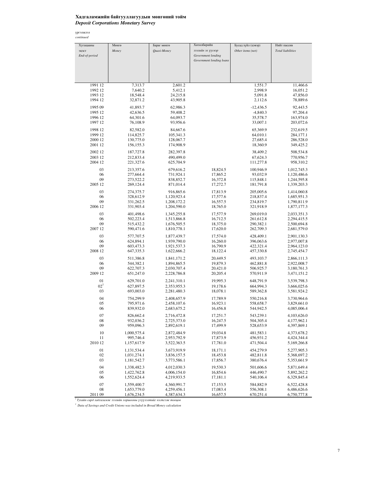### Хадгаламжийн байгууллагуудын мөнгөний тойм *Deposit Corporations Monetary Survey*

үргэлжлэл *continued*

| Хугацааны     | Мөнгө                  | Бараг мөнгө                | Хөтөлбөрийн              | Бусад зүйл (цэвэр)     | Нийт пассив                |
|---------------|------------------------|----------------------------|--------------------------|------------------------|----------------------------|
| эцэст         | Money                  | Quasi-Money                | зээлийн эх үүсвэр        | Other items (net)      | <b>Total liabilities</b>   |
| End-of-period |                        |                            | Government lending       |                        |                            |
|               |                        |                            | Government lending loans |                        |                            |
|               |                        |                            |                          |                        |                            |
|               |                        |                            |                          |                        |                            |
|               |                        |                            |                          |                        |                            |
|               |                        |                            |                          |                        |                            |
| 1991 12       | 7,313.7                | 2,601.2                    |                          | 1,551.7                | 11,466.6                   |
| 1992 12       | 7,640.2                | 5,412.1                    |                          | 2,998.9                | 16,051.2                   |
| 1993 12       | 18,548.4               | 24,215.8                   |                          | 5,091.8                | 47,856.0                   |
| 1994 12       | 32,871.2               | 43,905.8                   |                          | 2,112.6                | 78,889.6                   |
| 1995 09       | 41,893.7               | 62,986.3                   |                          | $-12,436.5$            | 92,443.5                   |
| 1995 12       | 42,636.5               | 59,408.2                   |                          | $-4,840.3$             | 97,204.4                   |
| 1996 12       | 64,301.6               | 64,093.7                   |                          | 35,578.7               | 163,974.0                  |
| 1997 12       | 76,108.9               | 93,956.6                   |                          | 33,007.1               | 203,072.6                  |
| 1998 12       | 82,582.0               | 84,667.6                   |                          | 65,369.9               | 232,619.5                  |
| 1999 12       | 114,825.7              | 105,341.3                  |                          | 64,010.1               | 284,177.1                  |
| 2000 12       | 130,775.0              | 128,067.7                  |                          | 27,685.4               | 286,528.0                  |
| 2001 12       | 156, 155.3             | 174,908.9                  |                          | 18,360.9               | 349,425.2                  |
|               |                        |                            |                          |                        |                            |
| 2002 12       | 187,727.8              | 282,397.8                  |                          | 38,409.2               | 508,534.8                  |
| 2003 12       | 212,833.4              | 490,499.0                  |                          | 67,624.3               | 770,956.7                  |
| 2004 12       | 221,327.6              | 625,704.9                  |                          | 111,277.8              | 958,310.2                  |
| 03            | 213,357.6              | 679,616.2                  | 18,824.5                 | 100,946.9              | 1,012,745.3                |
| 06            | 277,664.4              | 731,924.1                  | 17,865.2                 | 93,032.9               | 1,120,486.6                |
| 09            | 273,522.2              | 838,852.7                  | 16,372.8                 | 115,848.1              | 1,244,595.8                |
| 2005 12       | 269,124.4              | 871,014.4                  | 17,272.7                 | 181,791.8              | 1,339,203.3                |
|               |                        |                            |                          |                        |                            |
| 03            | 274,375.7<br>328,612.9 | 916,865.6                  | 17,813.9                 | 205,005.6              | 1,414,060.8                |
| 06<br>09      | 331,262.5              | 1,120,923.4<br>1,208,172.2 | 17,577.6<br>16,557.5     | 218,837.4<br>234,819.7 | 1,685,951.3                |
| 2006 12       | 331,903.4              | 1,204,590.0                | 18,765.0                 | 321,918.9              | 1,790,811.9<br>1,877,177.3 |
|               |                        |                            |                          |                        |                            |
| 03            | 401,498.6              | 1,345,255.8                | 17,577.9                 | 269,019.0              | 2,033,351.3                |
| 06            | 502,223.4              | 1,513,866.8                | 16,712.5                 | 261,612.8              | 2,294,415.5                |
| 09            | 515,432.2              | 1,676,505.5                | 18,375.0                 | 290,382.1              | 2,500,694.8                |
| 2007 12       | 590,471.6              | 1,810,778.1                | 17,620.0                 | 262,709.3              | 2,681,579.0                |
| 03            | 577,707.5              | 1,877,439.7                | 17,574.0                 | 428,409.1              | 2,901,130.3                |
| 06            | 624,894.1              | 1,939,790.0                | 16,260.0                 | 396,063.6              | 2,977,007.8                |
| 09            | 603,473.3              | 1,921,537.3                | 16,790.9                 | 422,321.4              | 2,964,123.0                |
| 2008 12       | 647,335.3              | 1,622,666.2                | 18,122.4                 | 457,330.8              | 2,745,454.7                |
| 03            | 511,386.8              | 1,841,171.2                | 20,449.5                 | 493,103.7              | 2,866,111.3                |
| 06            | 544,382.1              | 1,894,865.5                | 19,879.3                 | 462,881.8              | 2,922,008.7                |
| 09            | 622,707.3              | 2,030,707.4                | 20,421.0                 | 506,925.7              | 3,180,761.3                |
| 2009 12       | 651,247.0              | 2,228,786.8                | 20,205.4                 | 570,911.9              | 3,471,151.2                |
|               |                        |                            |                          |                        |                            |
| 01            | 629,701.0              | 2,241,310.1                | 19,995.3                 | 648,791.9              | 3,539,798.3                |
| $02^{1}$      | 627,897.5              | 2,353,955.3                | 19,178.6                 | 664,994.3              | 3,666,025.6                |
| 03            | 693,003.0              | 2,281,480.3                | 18,078.1                 | 589,362.8              | 3,581,924.2                |
| 04            | 754,299.9              | 2,408,657.9                | 17,789.9                 | 550,216.8              | 3,730,964.6                |
| 05            | 795,971.6              | 2,458,107.6                | 16,923.1                 | 558,658.7              | 3,829,661.0                |
| 06            | 839,932.0              | 2,683,675.2                | 16,456.8                 | 544,942.5              | 4,085,006.4                |
| 07            | 826,662.4              | 2,716,472.8                | 17,251.7                 | 543,239.1              | 4,103,626.0                |
| 08            | 932,036.2              | 2,725,373.0                | 16,247.5                 | 504,305.4              | 4,177,962.1                |
| 09            | 959,096.3              | 2,892,619.1                | 17,499.9                 | 528,653.9              | 4,397,869.1                |
|               |                        |                            |                          |                        |                            |
| 10            | 1,000,575.4            | 2,872,484.9                | 19,034.8                 | 481,583.1              | 4,373,678.2                |
| 11            | 995,746.4              | 2,953,792.9                | 17,873.9                 | 456,931.2              | 4,424,344.4                |
| 2010 12       | 1,157,617.9            | 3,522,363.5                | 17,781.0                 | 471,504.4              | 5,169,266.8                |
| 01            | 1,131,534.4            | 3,673,919.9                | 18,171.1                 | 454,279.9              | 5,277,905.3                |
| 02            | 1,031,274.1            | 3,836,157.5                | 18,453.8                 | 482,811.8              | 5,368,697.2                |
| 03            | 1,181,542.7            | 3,773,586.1                | 17,856.7                 | 380,676.4              | 5,353,661.9                |
| 04            | 1,338,482.3            | 4,012,030.3                | 19,530.3                 | 501,606.6              | 5,871,649.4                |
| 05            | 1,422,762.8            | 4,006,154.0                | 16,854.6                 | 446,490.7              | 5,892,262.2                |
| 06            | 1,552,624.4            | 4,219,933.5                | 17,181.1                 | 540,106.4              | 6,329,845.4                |
|               |                        |                            |                          |                        |                            |
| 07            | 1,559,400.7            | 4,360,991.7                | 17,153.5                 | 584,882.9              | 6,522,428.8                |
| 08            | 1,653,779.0            | 4,259,456.1                | 17,083.4                 | 556,308.1              | 6,486,626.6                |
| 2011 09       | 1,676,234.5            | 4,387,634.3                | 16,657.5                 | 670,251.4              | 6,750,777.8                |

<sup>1</sup> Тухайн сард хадгаламж зээлийн хоршооны үзүүлэлтийг нэгтгэж тооцов *1 Data of Savings and Credit Unions was included in Broad Money calculation*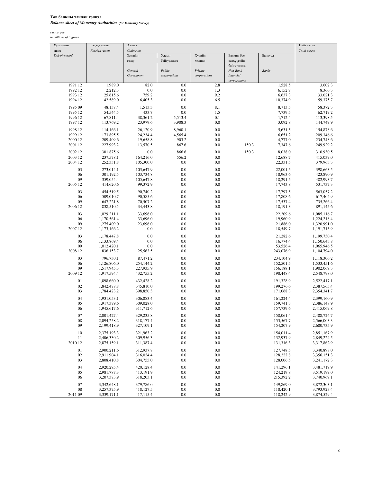### Төв банкны тайлан тэнцэл *Balance sheet of Monetary Authorities (for Monetary Survey)*

сая төгрөг *in millions of togrogs*

| Claims on<br>эцэст<br><b>Foreign Assets</b><br>Total assets<br>Засгийн<br>Улсын<br>Хувийн<br>End-of-period<br>Банкны бус<br>Банкууд<br>газар<br>байгууллага<br>кишисх<br>санхүүгийн<br>байгууллага<br>Public<br>General<br>Private<br>Non-Bank<br><b>Banks</b><br>Government<br>corporations<br>corporations<br>financial<br>corporations<br>1991 12<br>1,989.0<br>82.0<br>0.0<br>2.8<br>1,528.5<br>3,602.3<br>2,212.3<br>0.0<br>8,366.3<br>1992 12<br>0.0<br>1.3<br>6,152.7<br>9.2<br>1993 12<br>25,615.6<br>759.2<br>0.0<br>6,637.3<br>33,021.3<br>6.5<br>1994 12<br>42,589.0<br>6,405.3<br>0.0<br>10,374.9<br>59,375.7<br>1995 09<br>48,137.4<br>0.0<br>8.1<br>8,713.5<br>58,372.3<br>1,513.3<br>1995 12<br>54,544.5<br>433.7<br>0.0<br>1.5<br>7,739.5<br>62,719.2<br>0.1<br>1996 12<br>67,811.4<br>38,361.2<br>5.513.4<br>1,712.4<br>113,398.5<br>1997 12<br>113,769.2<br>23,979.6<br>3,908.3<br>0.0<br>3,092.8<br>144,749.9<br>1998 12<br>114,166.1<br>26,120.9<br>8,960.1<br>0.0<br>5,631.5<br>154,878.6<br>1999 12<br>173,895.5<br>24,234.4<br>4,565.4<br>0.0<br>6,651.2<br>209,346.6<br>209,409.6<br>903.2<br>4,777.0<br>2000 12<br>19,658.8<br>0.0<br>234,748.6<br>867.6<br>0.0<br>150.3<br>2001 12<br>227,993.2<br>13,570.5<br>7,347.6<br>249,929.2<br>150.3<br>2002 12<br>301,875.6<br>0.0<br>866.6<br>0.0<br>8,038.0<br>310,930.5<br>2003 12<br>237,578.1<br>164,216.0<br>556.2<br>0.0<br>12,688.7<br>415,039.0<br>2004 12<br>252,331.8<br>105,300.0<br>0.0<br>0.0<br>22,331.5<br>379,963.3<br>03<br>273,014.1<br>0.0<br>0.0<br>22,001.5<br>103,647.9<br>398,663.5<br>06<br>301,192.5<br>0.0<br>0.0<br>18,963.6<br>423,890.9<br>103,734.8<br>09<br>0.0<br>0.0<br>18,291.5<br>359,054.4<br>105,647.8<br>482,993.7<br>2005 12<br>99,372.9<br>0.0<br>17,743.8<br>414,620.6<br>0.0<br>531,737.3<br>03<br>454,519.5<br>90,740.2<br>0.0<br>0.0<br>17,797.5<br>563,057.2<br>06<br>90,585.6<br>0.0<br>0.0<br>17,808.6<br>509,010.7<br>617,404.9<br>09<br>647,221.8<br>70,507.2<br>0.0<br>0.0<br>17,537.4<br>735,266.4<br>0.0<br>0.0<br>18,191.3<br>2006 12<br>838,510.5<br>34,443.8<br>891,145.6<br>03<br>33,696.0<br>0.0<br>0.0<br>22,209.6<br>1,029,211.1<br>1,085,116.7<br>0.0<br>0.0<br>19,960.9<br>06<br>1,170,561.4<br>33,696.0<br>1,224,218.4<br>09<br>23,696.0<br>0.0<br>0.0<br>1,275,409.0<br>21,886.0<br>1,320,991.0<br>2007 12<br>0.0<br>0.0<br>0.0<br>18,549.7<br>1,173,166.2<br>1, 191, 715.9<br>03<br>0.0<br>0.0<br>0.0<br>1,178,447.8<br>21,282.6<br>1,199,730.4<br>06<br>0.0<br>0.0<br>0.0<br>16,774.4<br>1,133,869.4<br>1,150,643.8<br>09<br>0.0<br>0.0<br>1,012,420.1<br>0.0<br>53,526.4<br>1,065,946.5<br>2008 12<br>836,153.7<br>25,563.5<br>0.0<br>0.0<br>243,076.9<br>1,104,794.0<br>03<br>0.0<br>0.0<br>234,104.9<br>796,730.1<br>87,471.2<br>1,118,306.2<br>0.0<br>0.0<br>06<br>1,126,806.0<br>254,144.2<br>152,501.5<br>1,533,451.6<br>0.0<br>0.0<br>09<br>1,517,945.3<br>227,935.9<br>156,188.1<br>1,902,069.3<br>0.0<br>0.0<br>2009 12<br>1,917,594.4<br>432,755.2<br>198,448.4<br>2,548,798.0<br>0.0<br>0.0<br>01<br>1,898,660.0<br>432.428.2<br>191,328.9<br>2,522,417.1<br>02<br>345,810.0<br>0.0<br>0.0<br>199,276.6<br>1,842,478.8<br>2.387.565.4<br>0.0<br>03<br>1,784,423.2<br>398,850.3<br>0.0<br>171,068.3<br>2,354,341.7<br>04<br>306,883.4<br>0.0<br>0.0<br>1,931,053.1<br>161,224.4<br>2,399,160.9<br>05<br>309,028.0<br>0.0<br>0.0<br>159,741.3<br>1,917,379.6<br>2,386,148.9<br>0.0<br>0.0<br>06<br>1,945,617.6<br>311,712.6<br>157,739.6<br>2,415,069.8<br>$07\,$<br>2,001,427.4<br>329,235.8<br>$0.0\,$<br>$0.0\,$<br>158,061.4<br>2,488,724.7<br>08<br>2,094,258.2<br>318,177.4<br>0.0<br>0.0<br>153,567.7<br>2,566,003.3<br>09<br>2,199,418.9<br>327,109.1<br>0.0<br>0.0<br>154,207.9<br>2,680,735.9<br>10<br>$0.0\,$<br>2,375,193.3<br>321,963.2<br>0.0<br>154,011.4<br>2,851,167.9<br>11<br>2,406,330.2<br>309,956.3<br>0.0<br>0.0<br>132,937.9<br>2,849,224.5<br>2010 12<br>311,387.4<br>0.0<br>0.0<br>131,316.3<br>2,875,159.1<br>3,317,862.9<br>01<br>2,900,211.6<br>312,937.8<br>0.0<br>0.0<br>127,748.5<br>3,340,898.0<br>02<br>316,024.4<br>0.0<br>2,911,904.1<br>0.0<br>128,222.8<br>3,356,151.3<br>03<br>304,755.0<br>0.0<br>0.0<br>128,006.5<br>2,808,410.8<br>3,241,172.3<br>04<br>2,920,295.4<br>420,128.4<br>0.0<br>0.0<br>141,296.1<br>3,481,719.9<br>05<br>2,981,787.3<br>413,191.9<br>0.0<br>0.0<br>124,219.8<br>3,519,199.0<br>06<br>3,207,373.9<br>318,203.1<br>0.0<br>0.0<br>215,392.2<br>3,740,969.1<br>07<br>3,342,648.1<br>379,786.0<br>0.0<br>0.0<br>149,869.0<br>3,872,303.1<br>08<br>418,127.5<br>0.0<br>$0.0\,$<br>3,257,375.9<br>118,420.1<br>3,793,923.4<br>2011 09<br>3,339,171.1<br>417,115.4<br>0.0<br>$0.0\,$<br>118,242.9<br>3,874,529.4 | Хугацааны | Гадаад актив | Авлага |  |  | Нийт актив |
|-----------------------------------------------------------------------------------------------------------------------------------------------------------------------------------------------------------------------------------------------------------------------------------------------------------------------------------------------------------------------------------------------------------------------------------------------------------------------------------------------------------------------------------------------------------------------------------------------------------------------------------------------------------------------------------------------------------------------------------------------------------------------------------------------------------------------------------------------------------------------------------------------------------------------------------------------------------------------------------------------------------------------------------------------------------------------------------------------------------------------------------------------------------------------------------------------------------------------------------------------------------------------------------------------------------------------------------------------------------------------------------------------------------------------------------------------------------------------------------------------------------------------------------------------------------------------------------------------------------------------------------------------------------------------------------------------------------------------------------------------------------------------------------------------------------------------------------------------------------------------------------------------------------------------------------------------------------------------------------------------------------------------------------------------------------------------------------------------------------------------------------------------------------------------------------------------------------------------------------------------------------------------------------------------------------------------------------------------------------------------------------------------------------------------------------------------------------------------------------------------------------------------------------------------------------------------------------------------------------------------------------------------------------------------------------------------------------------------------------------------------------------------------------------------------------------------------------------------------------------------------------------------------------------------------------------------------------------------------------------------------------------------------------------------------------------------------------------------------------------------------------------------------------------------------------------------------------------------------------------------------------------------------------------------------------------------------------------------------------------------------------------------------------------------------------------------------------------------------------------------------------------------------------------------------------------------------------------------------------------------------------------------------------------------------------------------------------------------------------------------------------------------------------------------------------------------------------------------------------------------------------------------------------------------------------------------------------------------------------------------------------------------------------------------------------------------------------------------------------------------------------------------------------------------------------------------------------------------------------------------------------------------------------------------------------------------------------------------------------------------------------------------------------------------------------------------------------------------------------------------------------------------------------------------------------------------------------------------------------------------------------------------------------------------------------------------------------------------------|-----------|--------------|--------|--|--|------------|
|                                                                                                                                                                                                                                                                                                                                                                                                                                                                                                                                                                                                                                                                                                                                                                                                                                                                                                                                                                                                                                                                                                                                                                                                                                                                                                                                                                                                                                                                                                                                                                                                                                                                                                                                                                                                                                                                                                                                                                                                                                                                                                                                                                                                                                                                                                                                                                                                                                                                                                                                                                                                                                                                                                                                                                                                                                                                                                                                                                                                                                                                                                                                                                                                                                                                                                                                                                                                                                                                                                                                                                                                                                                                                                                                                                                                                                                                                                                                                                                                                                                                                                                                                                                                                                                                                                                                                                                                                                                                                                                                                                                                                                                                                                                             |           |              |        |  |  |            |
|                                                                                                                                                                                                                                                                                                                                                                                                                                                                                                                                                                                                                                                                                                                                                                                                                                                                                                                                                                                                                                                                                                                                                                                                                                                                                                                                                                                                                                                                                                                                                                                                                                                                                                                                                                                                                                                                                                                                                                                                                                                                                                                                                                                                                                                                                                                                                                                                                                                                                                                                                                                                                                                                                                                                                                                                                                                                                                                                                                                                                                                                                                                                                                                                                                                                                                                                                                                                                                                                                                                                                                                                                                                                                                                                                                                                                                                                                                                                                                                                                                                                                                                                                                                                                                                                                                                                                                                                                                                                                                                                                                                                                                                                                                                             |           |              |        |  |  |            |
|                                                                                                                                                                                                                                                                                                                                                                                                                                                                                                                                                                                                                                                                                                                                                                                                                                                                                                                                                                                                                                                                                                                                                                                                                                                                                                                                                                                                                                                                                                                                                                                                                                                                                                                                                                                                                                                                                                                                                                                                                                                                                                                                                                                                                                                                                                                                                                                                                                                                                                                                                                                                                                                                                                                                                                                                                                                                                                                                                                                                                                                                                                                                                                                                                                                                                                                                                                                                                                                                                                                                                                                                                                                                                                                                                                                                                                                                                                                                                                                                                                                                                                                                                                                                                                                                                                                                                                                                                                                                                                                                                                                                                                                                                                                             |           |              |        |  |  |            |
|                                                                                                                                                                                                                                                                                                                                                                                                                                                                                                                                                                                                                                                                                                                                                                                                                                                                                                                                                                                                                                                                                                                                                                                                                                                                                                                                                                                                                                                                                                                                                                                                                                                                                                                                                                                                                                                                                                                                                                                                                                                                                                                                                                                                                                                                                                                                                                                                                                                                                                                                                                                                                                                                                                                                                                                                                                                                                                                                                                                                                                                                                                                                                                                                                                                                                                                                                                                                                                                                                                                                                                                                                                                                                                                                                                                                                                                                                                                                                                                                                                                                                                                                                                                                                                                                                                                                                                                                                                                                                                                                                                                                                                                                                                                             |           |              |        |  |  |            |
|                                                                                                                                                                                                                                                                                                                                                                                                                                                                                                                                                                                                                                                                                                                                                                                                                                                                                                                                                                                                                                                                                                                                                                                                                                                                                                                                                                                                                                                                                                                                                                                                                                                                                                                                                                                                                                                                                                                                                                                                                                                                                                                                                                                                                                                                                                                                                                                                                                                                                                                                                                                                                                                                                                                                                                                                                                                                                                                                                                                                                                                                                                                                                                                                                                                                                                                                                                                                                                                                                                                                                                                                                                                                                                                                                                                                                                                                                                                                                                                                                                                                                                                                                                                                                                                                                                                                                                                                                                                                                                                                                                                                                                                                                                                             |           |              |        |  |  |            |
|                                                                                                                                                                                                                                                                                                                                                                                                                                                                                                                                                                                                                                                                                                                                                                                                                                                                                                                                                                                                                                                                                                                                                                                                                                                                                                                                                                                                                                                                                                                                                                                                                                                                                                                                                                                                                                                                                                                                                                                                                                                                                                                                                                                                                                                                                                                                                                                                                                                                                                                                                                                                                                                                                                                                                                                                                                                                                                                                                                                                                                                                                                                                                                                                                                                                                                                                                                                                                                                                                                                                                                                                                                                                                                                                                                                                                                                                                                                                                                                                                                                                                                                                                                                                                                                                                                                                                                                                                                                                                                                                                                                                                                                                                                                             |           |              |        |  |  |            |
|                                                                                                                                                                                                                                                                                                                                                                                                                                                                                                                                                                                                                                                                                                                                                                                                                                                                                                                                                                                                                                                                                                                                                                                                                                                                                                                                                                                                                                                                                                                                                                                                                                                                                                                                                                                                                                                                                                                                                                                                                                                                                                                                                                                                                                                                                                                                                                                                                                                                                                                                                                                                                                                                                                                                                                                                                                                                                                                                                                                                                                                                                                                                                                                                                                                                                                                                                                                                                                                                                                                                                                                                                                                                                                                                                                                                                                                                                                                                                                                                                                                                                                                                                                                                                                                                                                                                                                                                                                                                                                                                                                                                                                                                                                                             |           |              |        |  |  |            |
|                                                                                                                                                                                                                                                                                                                                                                                                                                                                                                                                                                                                                                                                                                                                                                                                                                                                                                                                                                                                                                                                                                                                                                                                                                                                                                                                                                                                                                                                                                                                                                                                                                                                                                                                                                                                                                                                                                                                                                                                                                                                                                                                                                                                                                                                                                                                                                                                                                                                                                                                                                                                                                                                                                                                                                                                                                                                                                                                                                                                                                                                                                                                                                                                                                                                                                                                                                                                                                                                                                                                                                                                                                                                                                                                                                                                                                                                                                                                                                                                                                                                                                                                                                                                                                                                                                                                                                                                                                                                                                                                                                                                                                                                                                                             |           |              |        |  |  |            |
|                                                                                                                                                                                                                                                                                                                                                                                                                                                                                                                                                                                                                                                                                                                                                                                                                                                                                                                                                                                                                                                                                                                                                                                                                                                                                                                                                                                                                                                                                                                                                                                                                                                                                                                                                                                                                                                                                                                                                                                                                                                                                                                                                                                                                                                                                                                                                                                                                                                                                                                                                                                                                                                                                                                                                                                                                                                                                                                                                                                                                                                                                                                                                                                                                                                                                                                                                                                                                                                                                                                                                                                                                                                                                                                                                                                                                                                                                                                                                                                                                                                                                                                                                                                                                                                                                                                                                                                                                                                                                                                                                                                                                                                                                                                             |           |              |        |  |  |            |
|                                                                                                                                                                                                                                                                                                                                                                                                                                                                                                                                                                                                                                                                                                                                                                                                                                                                                                                                                                                                                                                                                                                                                                                                                                                                                                                                                                                                                                                                                                                                                                                                                                                                                                                                                                                                                                                                                                                                                                                                                                                                                                                                                                                                                                                                                                                                                                                                                                                                                                                                                                                                                                                                                                                                                                                                                                                                                                                                                                                                                                                                                                                                                                                                                                                                                                                                                                                                                                                                                                                                                                                                                                                                                                                                                                                                                                                                                                                                                                                                                                                                                                                                                                                                                                                                                                                                                                                                                                                                                                                                                                                                                                                                                                                             |           |              |        |  |  |            |
|                                                                                                                                                                                                                                                                                                                                                                                                                                                                                                                                                                                                                                                                                                                                                                                                                                                                                                                                                                                                                                                                                                                                                                                                                                                                                                                                                                                                                                                                                                                                                                                                                                                                                                                                                                                                                                                                                                                                                                                                                                                                                                                                                                                                                                                                                                                                                                                                                                                                                                                                                                                                                                                                                                                                                                                                                                                                                                                                                                                                                                                                                                                                                                                                                                                                                                                                                                                                                                                                                                                                                                                                                                                                                                                                                                                                                                                                                                                                                                                                                                                                                                                                                                                                                                                                                                                                                                                                                                                                                                                                                                                                                                                                                                                             |           |              |        |  |  |            |
|                                                                                                                                                                                                                                                                                                                                                                                                                                                                                                                                                                                                                                                                                                                                                                                                                                                                                                                                                                                                                                                                                                                                                                                                                                                                                                                                                                                                                                                                                                                                                                                                                                                                                                                                                                                                                                                                                                                                                                                                                                                                                                                                                                                                                                                                                                                                                                                                                                                                                                                                                                                                                                                                                                                                                                                                                                                                                                                                                                                                                                                                                                                                                                                                                                                                                                                                                                                                                                                                                                                                                                                                                                                                                                                                                                                                                                                                                                                                                                                                                                                                                                                                                                                                                                                                                                                                                                                                                                                                                                                                                                                                                                                                                                                             |           |              |        |  |  |            |
|                                                                                                                                                                                                                                                                                                                                                                                                                                                                                                                                                                                                                                                                                                                                                                                                                                                                                                                                                                                                                                                                                                                                                                                                                                                                                                                                                                                                                                                                                                                                                                                                                                                                                                                                                                                                                                                                                                                                                                                                                                                                                                                                                                                                                                                                                                                                                                                                                                                                                                                                                                                                                                                                                                                                                                                                                                                                                                                                                                                                                                                                                                                                                                                                                                                                                                                                                                                                                                                                                                                                                                                                                                                                                                                                                                                                                                                                                                                                                                                                                                                                                                                                                                                                                                                                                                                                                                                                                                                                                                                                                                                                                                                                                                                             |           |              |        |  |  |            |
|                                                                                                                                                                                                                                                                                                                                                                                                                                                                                                                                                                                                                                                                                                                                                                                                                                                                                                                                                                                                                                                                                                                                                                                                                                                                                                                                                                                                                                                                                                                                                                                                                                                                                                                                                                                                                                                                                                                                                                                                                                                                                                                                                                                                                                                                                                                                                                                                                                                                                                                                                                                                                                                                                                                                                                                                                                                                                                                                                                                                                                                                                                                                                                                                                                                                                                                                                                                                                                                                                                                                                                                                                                                                                                                                                                                                                                                                                                                                                                                                                                                                                                                                                                                                                                                                                                                                                                                                                                                                                                                                                                                                                                                                                                                             |           |              |        |  |  |            |
|                                                                                                                                                                                                                                                                                                                                                                                                                                                                                                                                                                                                                                                                                                                                                                                                                                                                                                                                                                                                                                                                                                                                                                                                                                                                                                                                                                                                                                                                                                                                                                                                                                                                                                                                                                                                                                                                                                                                                                                                                                                                                                                                                                                                                                                                                                                                                                                                                                                                                                                                                                                                                                                                                                                                                                                                                                                                                                                                                                                                                                                                                                                                                                                                                                                                                                                                                                                                                                                                                                                                                                                                                                                                                                                                                                                                                                                                                                                                                                                                                                                                                                                                                                                                                                                                                                                                                                                                                                                                                                                                                                                                                                                                                                                             |           |              |        |  |  |            |
|                                                                                                                                                                                                                                                                                                                                                                                                                                                                                                                                                                                                                                                                                                                                                                                                                                                                                                                                                                                                                                                                                                                                                                                                                                                                                                                                                                                                                                                                                                                                                                                                                                                                                                                                                                                                                                                                                                                                                                                                                                                                                                                                                                                                                                                                                                                                                                                                                                                                                                                                                                                                                                                                                                                                                                                                                                                                                                                                                                                                                                                                                                                                                                                                                                                                                                                                                                                                                                                                                                                                                                                                                                                                                                                                                                                                                                                                                                                                                                                                                                                                                                                                                                                                                                                                                                                                                                                                                                                                                                                                                                                                                                                                                                                             |           |              |        |  |  |            |
|                                                                                                                                                                                                                                                                                                                                                                                                                                                                                                                                                                                                                                                                                                                                                                                                                                                                                                                                                                                                                                                                                                                                                                                                                                                                                                                                                                                                                                                                                                                                                                                                                                                                                                                                                                                                                                                                                                                                                                                                                                                                                                                                                                                                                                                                                                                                                                                                                                                                                                                                                                                                                                                                                                                                                                                                                                                                                                                                                                                                                                                                                                                                                                                                                                                                                                                                                                                                                                                                                                                                                                                                                                                                                                                                                                                                                                                                                                                                                                                                                                                                                                                                                                                                                                                                                                                                                                                                                                                                                                                                                                                                                                                                                                                             |           |              |        |  |  |            |
|                                                                                                                                                                                                                                                                                                                                                                                                                                                                                                                                                                                                                                                                                                                                                                                                                                                                                                                                                                                                                                                                                                                                                                                                                                                                                                                                                                                                                                                                                                                                                                                                                                                                                                                                                                                                                                                                                                                                                                                                                                                                                                                                                                                                                                                                                                                                                                                                                                                                                                                                                                                                                                                                                                                                                                                                                                                                                                                                                                                                                                                                                                                                                                                                                                                                                                                                                                                                                                                                                                                                                                                                                                                                                                                                                                                                                                                                                                                                                                                                                                                                                                                                                                                                                                                                                                                                                                                                                                                                                                                                                                                                                                                                                                                             |           |              |        |  |  |            |
|                                                                                                                                                                                                                                                                                                                                                                                                                                                                                                                                                                                                                                                                                                                                                                                                                                                                                                                                                                                                                                                                                                                                                                                                                                                                                                                                                                                                                                                                                                                                                                                                                                                                                                                                                                                                                                                                                                                                                                                                                                                                                                                                                                                                                                                                                                                                                                                                                                                                                                                                                                                                                                                                                                                                                                                                                                                                                                                                                                                                                                                                                                                                                                                                                                                                                                                                                                                                                                                                                                                                                                                                                                                                                                                                                                                                                                                                                                                                                                                                                                                                                                                                                                                                                                                                                                                                                                                                                                                                                                                                                                                                                                                                                                                             |           |              |        |  |  |            |
|                                                                                                                                                                                                                                                                                                                                                                                                                                                                                                                                                                                                                                                                                                                                                                                                                                                                                                                                                                                                                                                                                                                                                                                                                                                                                                                                                                                                                                                                                                                                                                                                                                                                                                                                                                                                                                                                                                                                                                                                                                                                                                                                                                                                                                                                                                                                                                                                                                                                                                                                                                                                                                                                                                                                                                                                                                                                                                                                                                                                                                                                                                                                                                                                                                                                                                                                                                                                                                                                                                                                                                                                                                                                                                                                                                                                                                                                                                                                                                                                                                                                                                                                                                                                                                                                                                                                                                                                                                                                                                                                                                                                                                                                                                                             |           |              |        |  |  |            |
|                                                                                                                                                                                                                                                                                                                                                                                                                                                                                                                                                                                                                                                                                                                                                                                                                                                                                                                                                                                                                                                                                                                                                                                                                                                                                                                                                                                                                                                                                                                                                                                                                                                                                                                                                                                                                                                                                                                                                                                                                                                                                                                                                                                                                                                                                                                                                                                                                                                                                                                                                                                                                                                                                                                                                                                                                                                                                                                                                                                                                                                                                                                                                                                                                                                                                                                                                                                                                                                                                                                                                                                                                                                                                                                                                                                                                                                                                                                                                                                                                                                                                                                                                                                                                                                                                                                                                                                                                                                                                                                                                                                                                                                                                                                             |           |              |        |  |  |            |
|                                                                                                                                                                                                                                                                                                                                                                                                                                                                                                                                                                                                                                                                                                                                                                                                                                                                                                                                                                                                                                                                                                                                                                                                                                                                                                                                                                                                                                                                                                                                                                                                                                                                                                                                                                                                                                                                                                                                                                                                                                                                                                                                                                                                                                                                                                                                                                                                                                                                                                                                                                                                                                                                                                                                                                                                                                                                                                                                                                                                                                                                                                                                                                                                                                                                                                                                                                                                                                                                                                                                                                                                                                                                                                                                                                                                                                                                                                                                                                                                                                                                                                                                                                                                                                                                                                                                                                                                                                                                                                                                                                                                                                                                                                                             |           |              |        |  |  |            |
|                                                                                                                                                                                                                                                                                                                                                                                                                                                                                                                                                                                                                                                                                                                                                                                                                                                                                                                                                                                                                                                                                                                                                                                                                                                                                                                                                                                                                                                                                                                                                                                                                                                                                                                                                                                                                                                                                                                                                                                                                                                                                                                                                                                                                                                                                                                                                                                                                                                                                                                                                                                                                                                                                                                                                                                                                                                                                                                                                                                                                                                                                                                                                                                                                                                                                                                                                                                                                                                                                                                                                                                                                                                                                                                                                                                                                                                                                                                                                                                                                                                                                                                                                                                                                                                                                                                                                                                                                                                                                                                                                                                                                                                                                                                             |           |              |        |  |  |            |
|                                                                                                                                                                                                                                                                                                                                                                                                                                                                                                                                                                                                                                                                                                                                                                                                                                                                                                                                                                                                                                                                                                                                                                                                                                                                                                                                                                                                                                                                                                                                                                                                                                                                                                                                                                                                                                                                                                                                                                                                                                                                                                                                                                                                                                                                                                                                                                                                                                                                                                                                                                                                                                                                                                                                                                                                                                                                                                                                                                                                                                                                                                                                                                                                                                                                                                                                                                                                                                                                                                                                                                                                                                                                                                                                                                                                                                                                                                                                                                                                                                                                                                                                                                                                                                                                                                                                                                                                                                                                                                                                                                                                                                                                                                                             |           |              |        |  |  |            |
|                                                                                                                                                                                                                                                                                                                                                                                                                                                                                                                                                                                                                                                                                                                                                                                                                                                                                                                                                                                                                                                                                                                                                                                                                                                                                                                                                                                                                                                                                                                                                                                                                                                                                                                                                                                                                                                                                                                                                                                                                                                                                                                                                                                                                                                                                                                                                                                                                                                                                                                                                                                                                                                                                                                                                                                                                                                                                                                                                                                                                                                                                                                                                                                                                                                                                                                                                                                                                                                                                                                                                                                                                                                                                                                                                                                                                                                                                                                                                                                                                                                                                                                                                                                                                                                                                                                                                                                                                                                                                                                                                                                                                                                                                                                             |           |              |        |  |  |            |
|                                                                                                                                                                                                                                                                                                                                                                                                                                                                                                                                                                                                                                                                                                                                                                                                                                                                                                                                                                                                                                                                                                                                                                                                                                                                                                                                                                                                                                                                                                                                                                                                                                                                                                                                                                                                                                                                                                                                                                                                                                                                                                                                                                                                                                                                                                                                                                                                                                                                                                                                                                                                                                                                                                                                                                                                                                                                                                                                                                                                                                                                                                                                                                                                                                                                                                                                                                                                                                                                                                                                                                                                                                                                                                                                                                                                                                                                                                                                                                                                                                                                                                                                                                                                                                                                                                                                                                                                                                                                                                                                                                                                                                                                                                                             |           |              |        |  |  |            |
|                                                                                                                                                                                                                                                                                                                                                                                                                                                                                                                                                                                                                                                                                                                                                                                                                                                                                                                                                                                                                                                                                                                                                                                                                                                                                                                                                                                                                                                                                                                                                                                                                                                                                                                                                                                                                                                                                                                                                                                                                                                                                                                                                                                                                                                                                                                                                                                                                                                                                                                                                                                                                                                                                                                                                                                                                                                                                                                                                                                                                                                                                                                                                                                                                                                                                                                                                                                                                                                                                                                                                                                                                                                                                                                                                                                                                                                                                                                                                                                                                                                                                                                                                                                                                                                                                                                                                                                                                                                                                                                                                                                                                                                                                                                             |           |              |        |  |  |            |
|                                                                                                                                                                                                                                                                                                                                                                                                                                                                                                                                                                                                                                                                                                                                                                                                                                                                                                                                                                                                                                                                                                                                                                                                                                                                                                                                                                                                                                                                                                                                                                                                                                                                                                                                                                                                                                                                                                                                                                                                                                                                                                                                                                                                                                                                                                                                                                                                                                                                                                                                                                                                                                                                                                                                                                                                                                                                                                                                                                                                                                                                                                                                                                                                                                                                                                                                                                                                                                                                                                                                                                                                                                                                                                                                                                                                                                                                                                                                                                                                                                                                                                                                                                                                                                                                                                                                                                                                                                                                                                                                                                                                                                                                                                                             |           |              |        |  |  |            |
|                                                                                                                                                                                                                                                                                                                                                                                                                                                                                                                                                                                                                                                                                                                                                                                                                                                                                                                                                                                                                                                                                                                                                                                                                                                                                                                                                                                                                                                                                                                                                                                                                                                                                                                                                                                                                                                                                                                                                                                                                                                                                                                                                                                                                                                                                                                                                                                                                                                                                                                                                                                                                                                                                                                                                                                                                                                                                                                                                                                                                                                                                                                                                                                                                                                                                                                                                                                                                                                                                                                                                                                                                                                                                                                                                                                                                                                                                                                                                                                                                                                                                                                                                                                                                                                                                                                                                                                                                                                                                                                                                                                                                                                                                                                             |           |              |        |  |  |            |
|                                                                                                                                                                                                                                                                                                                                                                                                                                                                                                                                                                                                                                                                                                                                                                                                                                                                                                                                                                                                                                                                                                                                                                                                                                                                                                                                                                                                                                                                                                                                                                                                                                                                                                                                                                                                                                                                                                                                                                                                                                                                                                                                                                                                                                                                                                                                                                                                                                                                                                                                                                                                                                                                                                                                                                                                                                                                                                                                                                                                                                                                                                                                                                                                                                                                                                                                                                                                                                                                                                                                                                                                                                                                                                                                                                                                                                                                                                                                                                                                                                                                                                                                                                                                                                                                                                                                                                                                                                                                                                                                                                                                                                                                                                                             |           |              |        |  |  |            |
|                                                                                                                                                                                                                                                                                                                                                                                                                                                                                                                                                                                                                                                                                                                                                                                                                                                                                                                                                                                                                                                                                                                                                                                                                                                                                                                                                                                                                                                                                                                                                                                                                                                                                                                                                                                                                                                                                                                                                                                                                                                                                                                                                                                                                                                                                                                                                                                                                                                                                                                                                                                                                                                                                                                                                                                                                                                                                                                                                                                                                                                                                                                                                                                                                                                                                                                                                                                                                                                                                                                                                                                                                                                                                                                                                                                                                                                                                                                                                                                                                                                                                                                                                                                                                                                                                                                                                                                                                                                                                                                                                                                                                                                                                                                             |           |              |        |  |  |            |
|                                                                                                                                                                                                                                                                                                                                                                                                                                                                                                                                                                                                                                                                                                                                                                                                                                                                                                                                                                                                                                                                                                                                                                                                                                                                                                                                                                                                                                                                                                                                                                                                                                                                                                                                                                                                                                                                                                                                                                                                                                                                                                                                                                                                                                                                                                                                                                                                                                                                                                                                                                                                                                                                                                                                                                                                                                                                                                                                                                                                                                                                                                                                                                                                                                                                                                                                                                                                                                                                                                                                                                                                                                                                                                                                                                                                                                                                                                                                                                                                                                                                                                                                                                                                                                                                                                                                                                                                                                                                                                                                                                                                                                                                                                                             |           |              |        |  |  |            |
|                                                                                                                                                                                                                                                                                                                                                                                                                                                                                                                                                                                                                                                                                                                                                                                                                                                                                                                                                                                                                                                                                                                                                                                                                                                                                                                                                                                                                                                                                                                                                                                                                                                                                                                                                                                                                                                                                                                                                                                                                                                                                                                                                                                                                                                                                                                                                                                                                                                                                                                                                                                                                                                                                                                                                                                                                                                                                                                                                                                                                                                                                                                                                                                                                                                                                                                                                                                                                                                                                                                                                                                                                                                                                                                                                                                                                                                                                                                                                                                                                                                                                                                                                                                                                                                                                                                                                                                                                                                                                                                                                                                                                                                                                                                             |           |              |        |  |  |            |
|                                                                                                                                                                                                                                                                                                                                                                                                                                                                                                                                                                                                                                                                                                                                                                                                                                                                                                                                                                                                                                                                                                                                                                                                                                                                                                                                                                                                                                                                                                                                                                                                                                                                                                                                                                                                                                                                                                                                                                                                                                                                                                                                                                                                                                                                                                                                                                                                                                                                                                                                                                                                                                                                                                                                                                                                                                                                                                                                                                                                                                                                                                                                                                                                                                                                                                                                                                                                                                                                                                                                                                                                                                                                                                                                                                                                                                                                                                                                                                                                                                                                                                                                                                                                                                                                                                                                                                                                                                                                                                                                                                                                                                                                                                                             |           |              |        |  |  |            |
|                                                                                                                                                                                                                                                                                                                                                                                                                                                                                                                                                                                                                                                                                                                                                                                                                                                                                                                                                                                                                                                                                                                                                                                                                                                                                                                                                                                                                                                                                                                                                                                                                                                                                                                                                                                                                                                                                                                                                                                                                                                                                                                                                                                                                                                                                                                                                                                                                                                                                                                                                                                                                                                                                                                                                                                                                                                                                                                                                                                                                                                                                                                                                                                                                                                                                                                                                                                                                                                                                                                                                                                                                                                                                                                                                                                                                                                                                                                                                                                                                                                                                                                                                                                                                                                                                                                                                                                                                                                                                                                                                                                                                                                                                                                             |           |              |        |  |  |            |
|                                                                                                                                                                                                                                                                                                                                                                                                                                                                                                                                                                                                                                                                                                                                                                                                                                                                                                                                                                                                                                                                                                                                                                                                                                                                                                                                                                                                                                                                                                                                                                                                                                                                                                                                                                                                                                                                                                                                                                                                                                                                                                                                                                                                                                                                                                                                                                                                                                                                                                                                                                                                                                                                                                                                                                                                                                                                                                                                                                                                                                                                                                                                                                                                                                                                                                                                                                                                                                                                                                                                                                                                                                                                                                                                                                                                                                                                                                                                                                                                                                                                                                                                                                                                                                                                                                                                                                                                                                                                                                                                                                                                                                                                                                                             |           |              |        |  |  |            |
|                                                                                                                                                                                                                                                                                                                                                                                                                                                                                                                                                                                                                                                                                                                                                                                                                                                                                                                                                                                                                                                                                                                                                                                                                                                                                                                                                                                                                                                                                                                                                                                                                                                                                                                                                                                                                                                                                                                                                                                                                                                                                                                                                                                                                                                                                                                                                                                                                                                                                                                                                                                                                                                                                                                                                                                                                                                                                                                                                                                                                                                                                                                                                                                                                                                                                                                                                                                                                                                                                                                                                                                                                                                                                                                                                                                                                                                                                                                                                                                                                                                                                                                                                                                                                                                                                                                                                                                                                                                                                                                                                                                                                                                                                                                             |           |              |        |  |  |            |
|                                                                                                                                                                                                                                                                                                                                                                                                                                                                                                                                                                                                                                                                                                                                                                                                                                                                                                                                                                                                                                                                                                                                                                                                                                                                                                                                                                                                                                                                                                                                                                                                                                                                                                                                                                                                                                                                                                                                                                                                                                                                                                                                                                                                                                                                                                                                                                                                                                                                                                                                                                                                                                                                                                                                                                                                                                                                                                                                                                                                                                                                                                                                                                                                                                                                                                                                                                                                                                                                                                                                                                                                                                                                                                                                                                                                                                                                                                                                                                                                                                                                                                                                                                                                                                                                                                                                                                                                                                                                                                                                                                                                                                                                                                                             |           |              |        |  |  |            |
|                                                                                                                                                                                                                                                                                                                                                                                                                                                                                                                                                                                                                                                                                                                                                                                                                                                                                                                                                                                                                                                                                                                                                                                                                                                                                                                                                                                                                                                                                                                                                                                                                                                                                                                                                                                                                                                                                                                                                                                                                                                                                                                                                                                                                                                                                                                                                                                                                                                                                                                                                                                                                                                                                                                                                                                                                                                                                                                                                                                                                                                                                                                                                                                                                                                                                                                                                                                                                                                                                                                                                                                                                                                                                                                                                                                                                                                                                                                                                                                                                                                                                                                                                                                                                                                                                                                                                                                                                                                                                                                                                                                                                                                                                                                             |           |              |        |  |  |            |
|                                                                                                                                                                                                                                                                                                                                                                                                                                                                                                                                                                                                                                                                                                                                                                                                                                                                                                                                                                                                                                                                                                                                                                                                                                                                                                                                                                                                                                                                                                                                                                                                                                                                                                                                                                                                                                                                                                                                                                                                                                                                                                                                                                                                                                                                                                                                                                                                                                                                                                                                                                                                                                                                                                                                                                                                                                                                                                                                                                                                                                                                                                                                                                                                                                                                                                                                                                                                                                                                                                                                                                                                                                                                                                                                                                                                                                                                                                                                                                                                                                                                                                                                                                                                                                                                                                                                                                                                                                                                                                                                                                                                                                                                                                                             |           |              |        |  |  |            |
|                                                                                                                                                                                                                                                                                                                                                                                                                                                                                                                                                                                                                                                                                                                                                                                                                                                                                                                                                                                                                                                                                                                                                                                                                                                                                                                                                                                                                                                                                                                                                                                                                                                                                                                                                                                                                                                                                                                                                                                                                                                                                                                                                                                                                                                                                                                                                                                                                                                                                                                                                                                                                                                                                                                                                                                                                                                                                                                                                                                                                                                                                                                                                                                                                                                                                                                                                                                                                                                                                                                                                                                                                                                                                                                                                                                                                                                                                                                                                                                                                                                                                                                                                                                                                                                                                                                                                                                                                                                                                                                                                                                                                                                                                                                             |           |              |        |  |  |            |
|                                                                                                                                                                                                                                                                                                                                                                                                                                                                                                                                                                                                                                                                                                                                                                                                                                                                                                                                                                                                                                                                                                                                                                                                                                                                                                                                                                                                                                                                                                                                                                                                                                                                                                                                                                                                                                                                                                                                                                                                                                                                                                                                                                                                                                                                                                                                                                                                                                                                                                                                                                                                                                                                                                                                                                                                                                                                                                                                                                                                                                                                                                                                                                                                                                                                                                                                                                                                                                                                                                                                                                                                                                                                                                                                                                                                                                                                                                                                                                                                                                                                                                                                                                                                                                                                                                                                                                                                                                                                                                                                                                                                                                                                                                                             |           |              |        |  |  |            |
|                                                                                                                                                                                                                                                                                                                                                                                                                                                                                                                                                                                                                                                                                                                                                                                                                                                                                                                                                                                                                                                                                                                                                                                                                                                                                                                                                                                                                                                                                                                                                                                                                                                                                                                                                                                                                                                                                                                                                                                                                                                                                                                                                                                                                                                                                                                                                                                                                                                                                                                                                                                                                                                                                                                                                                                                                                                                                                                                                                                                                                                                                                                                                                                                                                                                                                                                                                                                                                                                                                                                                                                                                                                                                                                                                                                                                                                                                                                                                                                                                                                                                                                                                                                                                                                                                                                                                                                                                                                                                                                                                                                                                                                                                                                             |           |              |        |  |  |            |
|                                                                                                                                                                                                                                                                                                                                                                                                                                                                                                                                                                                                                                                                                                                                                                                                                                                                                                                                                                                                                                                                                                                                                                                                                                                                                                                                                                                                                                                                                                                                                                                                                                                                                                                                                                                                                                                                                                                                                                                                                                                                                                                                                                                                                                                                                                                                                                                                                                                                                                                                                                                                                                                                                                                                                                                                                                                                                                                                                                                                                                                                                                                                                                                                                                                                                                                                                                                                                                                                                                                                                                                                                                                                                                                                                                                                                                                                                                                                                                                                                                                                                                                                                                                                                                                                                                                                                                                                                                                                                                                                                                                                                                                                                                                             |           |              |        |  |  |            |
|                                                                                                                                                                                                                                                                                                                                                                                                                                                                                                                                                                                                                                                                                                                                                                                                                                                                                                                                                                                                                                                                                                                                                                                                                                                                                                                                                                                                                                                                                                                                                                                                                                                                                                                                                                                                                                                                                                                                                                                                                                                                                                                                                                                                                                                                                                                                                                                                                                                                                                                                                                                                                                                                                                                                                                                                                                                                                                                                                                                                                                                                                                                                                                                                                                                                                                                                                                                                                                                                                                                                                                                                                                                                                                                                                                                                                                                                                                                                                                                                                                                                                                                                                                                                                                                                                                                                                                                                                                                                                                                                                                                                                                                                                                                             |           |              |        |  |  |            |
|                                                                                                                                                                                                                                                                                                                                                                                                                                                                                                                                                                                                                                                                                                                                                                                                                                                                                                                                                                                                                                                                                                                                                                                                                                                                                                                                                                                                                                                                                                                                                                                                                                                                                                                                                                                                                                                                                                                                                                                                                                                                                                                                                                                                                                                                                                                                                                                                                                                                                                                                                                                                                                                                                                                                                                                                                                                                                                                                                                                                                                                                                                                                                                                                                                                                                                                                                                                                                                                                                                                                                                                                                                                                                                                                                                                                                                                                                                                                                                                                                                                                                                                                                                                                                                                                                                                                                                                                                                                                                                                                                                                                                                                                                                                             |           |              |        |  |  |            |
|                                                                                                                                                                                                                                                                                                                                                                                                                                                                                                                                                                                                                                                                                                                                                                                                                                                                                                                                                                                                                                                                                                                                                                                                                                                                                                                                                                                                                                                                                                                                                                                                                                                                                                                                                                                                                                                                                                                                                                                                                                                                                                                                                                                                                                                                                                                                                                                                                                                                                                                                                                                                                                                                                                                                                                                                                                                                                                                                                                                                                                                                                                                                                                                                                                                                                                                                                                                                                                                                                                                                                                                                                                                                                                                                                                                                                                                                                                                                                                                                                                                                                                                                                                                                                                                                                                                                                                                                                                                                                                                                                                                                                                                                                                                             |           |              |        |  |  |            |
|                                                                                                                                                                                                                                                                                                                                                                                                                                                                                                                                                                                                                                                                                                                                                                                                                                                                                                                                                                                                                                                                                                                                                                                                                                                                                                                                                                                                                                                                                                                                                                                                                                                                                                                                                                                                                                                                                                                                                                                                                                                                                                                                                                                                                                                                                                                                                                                                                                                                                                                                                                                                                                                                                                                                                                                                                                                                                                                                                                                                                                                                                                                                                                                                                                                                                                                                                                                                                                                                                                                                                                                                                                                                                                                                                                                                                                                                                                                                                                                                                                                                                                                                                                                                                                                                                                                                                                                                                                                                                                                                                                                                                                                                                                                             |           |              |        |  |  |            |
|                                                                                                                                                                                                                                                                                                                                                                                                                                                                                                                                                                                                                                                                                                                                                                                                                                                                                                                                                                                                                                                                                                                                                                                                                                                                                                                                                                                                                                                                                                                                                                                                                                                                                                                                                                                                                                                                                                                                                                                                                                                                                                                                                                                                                                                                                                                                                                                                                                                                                                                                                                                                                                                                                                                                                                                                                                                                                                                                                                                                                                                                                                                                                                                                                                                                                                                                                                                                                                                                                                                                                                                                                                                                                                                                                                                                                                                                                                                                                                                                                                                                                                                                                                                                                                                                                                                                                                                                                                                                                                                                                                                                                                                                                                                             |           |              |        |  |  |            |
|                                                                                                                                                                                                                                                                                                                                                                                                                                                                                                                                                                                                                                                                                                                                                                                                                                                                                                                                                                                                                                                                                                                                                                                                                                                                                                                                                                                                                                                                                                                                                                                                                                                                                                                                                                                                                                                                                                                                                                                                                                                                                                                                                                                                                                                                                                                                                                                                                                                                                                                                                                                                                                                                                                                                                                                                                                                                                                                                                                                                                                                                                                                                                                                                                                                                                                                                                                                                                                                                                                                                                                                                                                                                                                                                                                                                                                                                                                                                                                                                                                                                                                                                                                                                                                                                                                                                                                                                                                                                                                                                                                                                                                                                                                                             |           |              |        |  |  |            |
|                                                                                                                                                                                                                                                                                                                                                                                                                                                                                                                                                                                                                                                                                                                                                                                                                                                                                                                                                                                                                                                                                                                                                                                                                                                                                                                                                                                                                                                                                                                                                                                                                                                                                                                                                                                                                                                                                                                                                                                                                                                                                                                                                                                                                                                                                                                                                                                                                                                                                                                                                                                                                                                                                                                                                                                                                                                                                                                                                                                                                                                                                                                                                                                                                                                                                                                                                                                                                                                                                                                                                                                                                                                                                                                                                                                                                                                                                                                                                                                                                                                                                                                                                                                                                                                                                                                                                                                                                                                                                                                                                                                                                                                                                                                             |           |              |        |  |  |            |
|                                                                                                                                                                                                                                                                                                                                                                                                                                                                                                                                                                                                                                                                                                                                                                                                                                                                                                                                                                                                                                                                                                                                                                                                                                                                                                                                                                                                                                                                                                                                                                                                                                                                                                                                                                                                                                                                                                                                                                                                                                                                                                                                                                                                                                                                                                                                                                                                                                                                                                                                                                                                                                                                                                                                                                                                                                                                                                                                                                                                                                                                                                                                                                                                                                                                                                                                                                                                                                                                                                                                                                                                                                                                                                                                                                                                                                                                                                                                                                                                                                                                                                                                                                                                                                                                                                                                                                                                                                                                                                                                                                                                                                                                                                                             |           |              |        |  |  |            |
|                                                                                                                                                                                                                                                                                                                                                                                                                                                                                                                                                                                                                                                                                                                                                                                                                                                                                                                                                                                                                                                                                                                                                                                                                                                                                                                                                                                                                                                                                                                                                                                                                                                                                                                                                                                                                                                                                                                                                                                                                                                                                                                                                                                                                                                                                                                                                                                                                                                                                                                                                                                                                                                                                                                                                                                                                                                                                                                                                                                                                                                                                                                                                                                                                                                                                                                                                                                                                                                                                                                                                                                                                                                                                                                                                                                                                                                                                                                                                                                                                                                                                                                                                                                                                                                                                                                                                                                                                                                                                                                                                                                                                                                                                                                             |           |              |        |  |  |            |
|                                                                                                                                                                                                                                                                                                                                                                                                                                                                                                                                                                                                                                                                                                                                                                                                                                                                                                                                                                                                                                                                                                                                                                                                                                                                                                                                                                                                                                                                                                                                                                                                                                                                                                                                                                                                                                                                                                                                                                                                                                                                                                                                                                                                                                                                                                                                                                                                                                                                                                                                                                                                                                                                                                                                                                                                                                                                                                                                                                                                                                                                                                                                                                                                                                                                                                                                                                                                                                                                                                                                                                                                                                                                                                                                                                                                                                                                                                                                                                                                                                                                                                                                                                                                                                                                                                                                                                                                                                                                                                                                                                                                                                                                                                                             |           |              |        |  |  |            |
|                                                                                                                                                                                                                                                                                                                                                                                                                                                                                                                                                                                                                                                                                                                                                                                                                                                                                                                                                                                                                                                                                                                                                                                                                                                                                                                                                                                                                                                                                                                                                                                                                                                                                                                                                                                                                                                                                                                                                                                                                                                                                                                                                                                                                                                                                                                                                                                                                                                                                                                                                                                                                                                                                                                                                                                                                                                                                                                                                                                                                                                                                                                                                                                                                                                                                                                                                                                                                                                                                                                                                                                                                                                                                                                                                                                                                                                                                                                                                                                                                                                                                                                                                                                                                                                                                                                                                                                                                                                                                                                                                                                                                                                                                                                             |           |              |        |  |  |            |
|                                                                                                                                                                                                                                                                                                                                                                                                                                                                                                                                                                                                                                                                                                                                                                                                                                                                                                                                                                                                                                                                                                                                                                                                                                                                                                                                                                                                                                                                                                                                                                                                                                                                                                                                                                                                                                                                                                                                                                                                                                                                                                                                                                                                                                                                                                                                                                                                                                                                                                                                                                                                                                                                                                                                                                                                                                                                                                                                                                                                                                                                                                                                                                                                                                                                                                                                                                                                                                                                                                                                                                                                                                                                                                                                                                                                                                                                                                                                                                                                                                                                                                                                                                                                                                                                                                                                                                                                                                                                                                                                                                                                                                                                                                                             |           |              |        |  |  |            |
|                                                                                                                                                                                                                                                                                                                                                                                                                                                                                                                                                                                                                                                                                                                                                                                                                                                                                                                                                                                                                                                                                                                                                                                                                                                                                                                                                                                                                                                                                                                                                                                                                                                                                                                                                                                                                                                                                                                                                                                                                                                                                                                                                                                                                                                                                                                                                                                                                                                                                                                                                                                                                                                                                                                                                                                                                                                                                                                                                                                                                                                                                                                                                                                                                                                                                                                                                                                                                                                                                                                                                                                                                                                                                                                                                                                                                                                                                                                                                                                                                                                                                                                                                                                                                                                                                                                                                                                                                                                                                                                                                                                                                                                                                                                             |           |              |        |  |  |            |
|                                                                                                                                                                                                                                                                                                                                                                                                                                                                                                                                                                                                                                                                                                                                                                                                                                                                                                                                                                                                                                                                                                                                                                                                                                                                                                                                                                                                                                                                                                                                                                                                                                                                                                                                                                                                                                                                                                                                                                                                                                                                                                                                                                                                                                                                                                                                                                                                                                                                                                                                                                                                                                                                                                                                                                                                                                                                                                                                                                                                                                                                                                                                                                                                                                                                                                                                                                                                                                                                                                                                                                                                                                                                                                                                                                                                                                                                                                                                                                                                                                                                                                                                                                                                                                                                                                                                                                                                                                                                                                                                                                                                                                                                                                                             |           |              |        |  |  |            |
|                                                                                                                                                                                                                                                                                                                                                                                                                                                                                                                                                                                                                                                                                                                                                                                                                                                                                                                                                                                                                                                                                                                                                                                                                                                                                                                                                                                                                                                                                                                                                                                                                                                                                                                                                                                                                                                                                                                                                                                                                                                                                                                                                                                                                                                                                                                                                                                                                                                                                                                                                                                                                                                                                                                                                                                                                                                                                                                                                                                                                                                                                                                                                                                                                                                                                                                                                                                                                                                                                                                                                                                                                                                                                                                                                                                                                                                                                                                                                                                                                                                                                                                                                                                                                                                                                                                                                                                                                                                                                                                                                                                                                                                                                                                             |           |              |        |  |  |            |
|                                                                                                                                                                                                                                                                                                                                                                                                                                                                                                                                                                                                                                                                                                                                                                                                                                                                                                                                                                                                                                                                                                                                                                                                                                                                                                                                                                                                                                                                                                                                                                                                                                                                                                                                                                                                                                                                                                                                                                                                                                                                                                                                                                                                                                                                                                                                                                                                                                                                                                                                                                                                                                                                                                                                                                                                                                                                                                                                                                                                                                                                                                                                                                                                                                                                                                                                                                                                                                                                                                                                                                                                                                                                                                                                                                                                                                                                                                                                                                                                                                                                                                                                                                                                                                                                                                                                                                                                                                                                                                                                                                                                                                                                                                                             |           |              |        |  |  |            |
|                                                                                                                                                                                                                                                                                                                                                                                                                                                                                                                                                                                                                                                                                                                                                                                                                                                                                                                                                                                                                                                                                                                                                                                                                                                                                                                                                                                                                                                                                                                                                                                                                                                                                                                                                                                                                                                                                                                                                                                                                                                                                                                                                                                                                                                                                                                                                                                                                                                                                                                                                                                                                                                                                                                                                                                                                                                                                                                                                                                                                                                                                                                                                                                                                                                                                                                                                                                                                                                                                                                                                                                                                                                                                                                                                                                                                                                                                                                                                                                                                                                                                                                                                                                                                                                                                                                                                                                                                                                                                                                                                                                                                                                                                                                             |           |              |        |  |  |            |
|                                                                                                                                                                                                                                                                                                                                                                                                                                                                                                                                                                                                                                                                                                                                                                                                                                                                                                                                                                                                                                                                                                                                                                                                                                                                                                                                                                                                                                                                                                                                                                                                                                                                                                                                                                                                                                                                                                                                                                                                                                                                                                                                                                                                                                                                                                                                                                                                                                                                                                                                                                                                                                                                                                                                                                                                                                                                                                                                                                                                                                                                                                                                                                                                                                                                                                                                                                                                                                                                                                                                                                                                                                                                                                                                                                                                                                                                                                                                                                                                                                                                                                                                                                                                                                                                                                                                                                                                                                                                                                                                                                                                                                                                                                                             |           |              |        |  |  |            |
|                                                                                                                                                                                                                                                                                                                                                                                                                                                                                                                                                                                                                                                                                                                                                                                                                                                                                                                                                                                                                                                                                                                                                                                                                                                                                                                                                                                                                                                                                                                                                                                                                                                                                                                                                                                                                                                                                                                                                                                                                                                                                                                                                                                                                                                                                                                                                                                                                                                                                                                                                                                                                                                                                                                                                                                                                                                                                                                                                                                                                                                                                                                                                                                                                                                                                                                                                                                                                                                                                                                                                                                                                                                                                                                                                                                                                                                                                                                                                                                                                                                                                                                                                                                                                                                                                                                                                                                                                                                                                                                                                                                                                                                                                                                             |           |              |        |  |  |            |
|                                                                                                                                                                                                                                                                                                                                                                                                                                                                                                                                                                                                                                                                                                                                                                                                                                                                                                                                                                                                                                                                                                                                                                                                                                                                                                                                                                                                                                                                                                                                                                                                                                                                                                                                                                                                                                                                                                                                                                                                                                                                                                                                                                                                                                                                                                                                                                                                                                                                                                                                                                                                                                                                                                                                                                                                                                                                                                                                                                                                                                                                                                                                                                                                                                                                                                                                                                                                                                                                                                                                                                                                                                                                                                                                                                                                                                                                                                                                                                                                                                                                                                                                                                                                                                                                                                                                                                                                                                                                                                                                                                                                                                                                                                                             |           |              |        |  |  |            |
|                                                                                                                                                                                                                                                                                                                                                                                                                                                                                                                                                                                                                                                                                                                                                                                                                                                                                                                                                                                                                                                                                                                                                                                                                                                                                                                                                                                                                                                                                                                                                                                                                                                                                                                                                                                                                                                                                                                                                                                                                                                                                                                                                                                                                                                                                                                                                                                                                                                                                                                                                                                                                                                                                                                                                                                                                                                                                                                                                                                                                                                                                                                                                                                                                                                                                                                                                                                                                                                                                                                                                                                                                                                                                                                                                                                                                                                                                                                                                                                                                                                                                                                                                                                                                                                                                                                                                                                                                                                                                                                                                                                                                                                                                                                             |           |              |        |  |  |            |
|                                                                                                                                                                                                                                                                                                                                                                                                                                                                                                                                                                                                                                                                                                                                                                                                                                                                                                                                                                                                                                                                                                                                                                                                                                                                                                                                                                                                                                                                                                                                                                                                                                                                                                                                                                                                                                                                                                                                                                                                                                                                                                                                                                                                                                                                                                                                                                                                                                                                                                                                                                                                                                                                                                                                                                                                                                                                                                                                                                                                                                                                                                                                                                                                                                                                                                                                                                                                                                                                                                                                                                                                                                                                                                                                                                                                                                                                                                                                                                                                                                                                                                                                                                                                                                                                                                                                                                                                                                                                                                                                                                                                                                                                                                                             |           |              |        |  |  |            |
|                                                                                                                                                                                                                                                                                                                                                                                                                                                                                                                                                                                                                                                                                                                                                                                                                                                                                                                                                                                                                                                                                                                                                                                                                                                                                                                                                                                                                                                                                                                                                                                                                                                                                                                                                                                                                                                                                                                                                                                                                                                                                                                                                                                                                                                                                                                                                                                                                                                                                                                                                                                                                                                                                                                                                                                                                                                                                                                                                                                                                                                                                                                                                                                                                                                                                                                                                                                                                                                                                                                                                                                                                                                                                                                                                                                                                                                                                                                                                                                                                                                                                                                                                                                                                                                                                                                                                                                                                                                                                                                                                                                                                                                                                                                             |           |              |        |  |  |            |
|                                                                                                                                                                                                                                                                                                                                                                                                                                                                                                                                                                                                                                                                                                                                                                                                                                                                                                                                                                                                                                                                                                                                                                                                                                                                                                                                                                                                                                                                                                                                                                                                                                                                                                                                                                                                                                                                                                                                                                                                                                                                                                                                                                                                                                                                                                                                                                                                                                                                                                                                                                                                                                                                                                                                                                                                                                                                                                                                                                                                                                                                                                                                                                                                                                                                                                                                                                                                                                                                                                                                                                                                                                                                                                                                                                                                                                                                                                                                                                                                                                                                                                                                                                                                                                                                                                                                                                                                                                                                                                                                                                                                                                                                                                                             |           |              |        |  |  |            |
|                                                                                                                                                                                                                                                                                                                                                                                                                                                                                                                                                                                                                                                                                                                                                                                                                                                                                                                                                                                                                                                                                                                                                                                                                                                                                                                                                                                                                                                                                                                                                                                                                                                                                                                                                                                                                                                                                                                                                                                                                                                                                                                                                                                                                                                                                                                                                                                                                                                                                                                                                                                                                                                                                                                                                                                                                                                                                                                                                                                                                                                                                                                                                                                                                                                                                                                                                                                                                                                                                                                                                                                                                                                                                                                                                                                                                                                                                                                                                                                                                                                                                                                                                                                                                                                                                                                                                                                                                                                                                                                                                                                                                                                                                                                             |           |              |        |  |  |            |
|                                                                                                                                                                                                                                                                                                                                                                                                                                                                                                                                                                                                                                                                                                                                                                                                                                                                                                                                                                                                                                                                                                                                                                                                                                                                                                                                                                                                                                                                                                                                                                                                                                                                                                                                                                                                                                                                                                                                                                                                                                                                                                                                                                                                                                                                                                                                                                                                                                                                                                                                                                                                                                                                                                                                                                                                                                                                                                                                                                                                                                                                                                                                                                                                                                                                                                                                                                                                                                                                                                                                                                                                                                                                                                                                                                                                                                                                                                                                                                                                                                                                                                                                                                                                                                                                                                                                                                                                                                                                                                                                                                                                                                                                                                                             |           |              |        |  |  |            |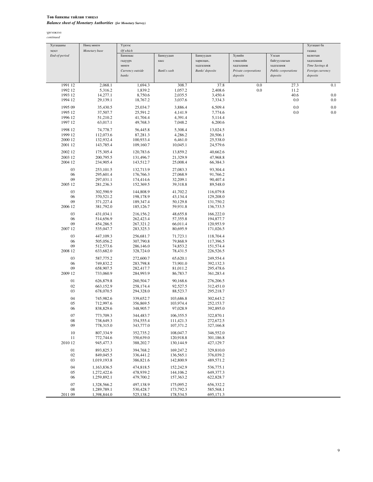### Төв банкны тайлан тэнцэл *Balance sheet of Monetary Authorities (for Monetary Survey)*

| Of which<br>эцэст<br>Monetary base<br>гадаад<br>Хувийн<br>End-of-period<br>Банкнаас<br>Банкуудын<br>Банкуудын<br>Улсын<br>валютын<br>гадуурх<br>касс<br>харилцах,<br>хэвшлийн<br>байгууллагын<br>хадгаламж<br>мөнгө<br>хадгаламж<br>хадгаламж<br>хадгаламж<br>Time Savings &<br>Currency outside<br>Bank's cash<br>Banks' deposits<br>Private corporations<br>Public corporations<br>Foreign currency<br>banks<br>deposits<br>deposits<br>deposits<br>1991 12<br>2,068.1<br>1,694.3<br>308.7<br>37.8<br>0.0<br>27.3<br>0.1<br>1,839.2<br>1,057.2<br>2,408.6<br>0.0<br>11.2<br>1992 12<br>5,316.2<br>40.6<br>0.0<br>1993 12<br>14,277.1<br>8,750.6<br>2,035.5<br>3,450.4<br>3,037.6<br>7,334.3<br>0.0<br>0.0<br>1994 12<br>29,139.1<br>18,767.2<br>25,034.7<br>3,886.4<br>6,509.4<br>0.0<br>0.0<br>1995 09<br>35,430.5<br>37,507.7<br>25,591.2<br>0.0<br>0.0<br>1995 12<br>4,141.9<br>7,774.6<br>51,210.2<br>41,704.4<br>4,391.4<br>5,114.4<br>1996 12<br>1997 12<br>63,017.1<br>49,768.3<br>7,048.2<br>6,200.6<br>1998 12<br>74,778.7<br>5,308.4<br>56,445.8<br>13,024.5<br>1999 12<br>112,073.6<br>4,286.2<br>20,506.1<br>87,281.3<br>2000 12<br>132,932.4<br>100,933.4<br>6,461.0<br>25,538.0<br>2001 12<br>143,785.4<br>109,160.7<br>10,045.1<br>24,579.6<br>2002 12<br>175,305.4<br>120,783.6<br>13,859.2<br>40,662.6<br>2003 12<br>200,795.5<br>131,496.7<br>21,329.9<br>47,968.8<br>2004 12<br>234,905.4<br>143,512.7<br>25,008.4<br>66,384.3<br>03<br>253,101.5<br>132,713.9<br>27,083.3<br>93,304.4<br>06<br>295,601.4<br>176,766.3<br>27,068.9<br>91,766.2<br>09<br>297,031.1<br>90,407.4<br>174,414.6<br>32,209.1<br>2005 12<br>281,236.3<br>39,318.8<br>152,369.5<br>89,548.0<br>03<br>302,590.9<br>144,808.9<br>41,702.2<br>116,079.8<br>06<br>370,521.2<br>198,178.9<br>43,134.4<br>129,208.0<br>09<br>371,227.4<br>189,347.4<br>50,129.8<br>131,750.2<br>2006 12<br>59,931.8<br>381,792.0<br>185, 126.7<br>136,733.5<br>03<br>216,156.2<br>431,034.1<br>48,655.8<br>166,222.0<br>06<br>514,656.9<br>262,423.4<br>57,355.8<br>194,877.7<br>09<br>454,286.5<br>267,321.2<br>66,011.4<br>120,953.9<br>2007 12<br>80,695.9<br>535,047.7<br>283,325.3<br>171,026.5<br>03<br>447,109.3<br>256,681.7<br>71,723.1<br>118,704.4<br>06<br>505,056.2<br>307,790.8<br>79,868.9<br>117,396.5<br>09<br>512,573.6<br>286,146.0<br>74,853.2<br>151,574.4<br>2008 12<br>633,682.0<br>328,724.0<br>78,431.5<br>226,526.5<br>03<br>249,554.4<br>587,775.2<br>272,600.7<br>65,620.1<br>06<br>749,832.2<br>283,798.8<br>73,901.0<br>392,132.3<br>09<br>658,907.5<br>81,011.2<br>282,417.7<br>295,478.6<br>2009 12<br>733,060.9<br>284,993.9<br>86,783.7<br>361,283.4<br>01<br>260,504.7<br>626,879.8<br>90,168.6<br>276,206.5<br>02<br>663,152.9<br>258,174.4<br>92,527.5<br>312,451.0<br>03<br>678,070.5<br>294,328.0<br>88,523.7<br>295,218.7<br>04<br>745,982.6<br>339,652.7<br>103,686.8<br>302,643.2<br>05<br>356,869.5<br>712,997.6<br>103,974.4<br>252,153.7<br>06<br>838,829.6<br>348,905.7<br>97,028.9<br>392,895.0<br>07<br>773,709.3<br>344,483.7<br>106,355.5<br>322,870.1<br>08<br>354,555.4<br>111,421.3<br>272,672.5<br>738,649.3<br>09<br>778,315.0<br>343,777.0<br>107,371.2<br>327,166.8<br>10<br>807,334.9<br>352,735.2<br>108,047.7<br>346,552.0<br>120,918.8<br>11<br>772,744.6<br>350,639.0<br>301,186.8<br>2010 12<br>130,144.9<br>427,129.7<br>945,477.3<br>388,202.7<br>01<br>893,825.3<br>394,768.2<br>329,810.0<br>169,247.2<br>02<br>849,045.5<br>336,441.2<br>136,565.1<br>376,039.2<br>03<br>1,019,193.8<br>386,821.6<br>142,800.9<br>489,571.2<br>04<br>1,163,836.5<br>474,818.5<br>152,242.9<br>536,775.1<br>05<br>1,272,422.6<br>478,939.2<br>144,106.2<br>649,377.3<br>06<br>479,700.2<br>1,259,892.1<br>157,363.2<br>622,828.7<br>07<br>1,328,566.2<br>497,138.9<br>175,095.2<br>656,332.2<br>08<br>1,289,789.1<br>530,428.7<br>173,792.3<br>585,568.1<br>2011 09<br>1,398,844.0<br>525,138.2<br>178,534.5<br>695,171.3 | Хугацааны | Нөөц мөнгө | Үүнээс |  |  | Хугацаат ба |
|-----------------------------------------------------------------------------------------------------------------------------------------------------------------------------------------------------------------------------------------------------------------------------------------------------------------------------------------------------------------------------------------------------------------------------------------------------------------------------------------------------------------------------------------------------------------------------------------------------------------------------------------------------------------------------------------------------------------------------------------------------------------------------------------------------------------------------------------------------------------------------------------------------------------------------------------------------------------------------------------------------------------------------------------------------------------------------------------------------------------------------------------------------------------------------------------------------------------------------------------------------------------------------------------------------------------------------------------------------------------------------------------------------------------------------------------------------------------------------------------------------------------------------------------------------------------------------------------------------------------------------------------------------------------------------------------------------------------------------------------------------------------------------------------------------------------------------------------------------------------------------------------------------------------------------------------------------------------------------------------------------------------------------------------------------------------------------------------------------------------------------------------------------------------------------------------------------------------------------------------------------------------------------------------------------------------------------------------------------------------------------------------------------------------------------------------------------------------------------------------------------------------------------------------------------------------------------------------------------------------------------------------------------------------------------------------------------------------------------------------------------------------------------------------------------------------------------------------------------------------------------------------------------------------------------------------------------------------------------------------------------------------------------------------------------------------------------------------------------------------------------------------------------------------------------------------------------------------------------------------------------------------------------------------------------------------------------------------------------------------------------------------------------------------------------------------------------------------------------------------------------------------------------------------------------------------------------------------------------------------------------------------------------------------------------------------------------------------------------------------------------------------------------------------------------------------------------------------------------------------------------------------------------------------------------------------------------|-----------|------------|--------|--|--|-------------|
|                                                                                                                                                                                                                                                                                                                                                                                                                                                                                                                                                                                                                                                                                                                                                                                                                                                                                                                                                                                                                                                                                                                                                                                                                                                                                                                                                                                                                                                                                                                                                                                                                                                                                                                                                                                                                                                                                                                                                                                                                                                                                                                                                                                                                                                                                                                                                                                                                                                                                                                                                                                                                                                                                                                                                                                                                                                                                                                                                                                                                                                                                                                                                                                                                                                                                                                                                                                                                                                                                                                                                                                                                                                                                                                                                                                                                                                                                                                                                     |           |            |        |  |  |             |
|                                                                                                                                                                                                                                                                                                                                                                                                                                                                                                                                                                                                                                                                                                                                                                                                                                                                                                                                                                                                                                                                                                                                                                                                                                                                                                                                                                                                                                                                                                                                                                                                                                                                                                                                                                                                                                                                                                                                                                                                                                                                                                                                                                                                                                                                                                                                                                                                                                                                                                                                                                                                                                                                                                                                                                                                                                                                                                                                                                                                                                                                                                                                                                                                                                                                                                                                                                                                                                                                                                                                                                                                                                                                                                                                                                                                                                                                                                                                                     |           |            |        |  |  |             |
|                                                                                                                                                                                                                                                                                                                                                                                                                                                                                                                                                                                                                                                                                                                                                                                                                                                                                                                                                                                                                                                                                                                                                                                                                                                                                                                                                                                                                                                                                                                                                                                                                                                                                                                                                                                                                                                                                                                                                                                                                                                                                                                                                                                                                                                                                                                                                                                                                                                                                                                                                                                                                                                                                                                                                                                                                                                                                                                                                                                                                                                                                                                                                                                                                                                                                                                                                                                                                                                                                                                                                                                                                                                                                                                                                                                                                                                                                                                                                     |           |            |        |  |  |             |
|                                                                                                                                                                                                                                                                                                                                                                                                                                                                                                                                                                                                                                                                                                                                                                                                                                                                                                                                                                                                                                                                                                                                                                                                                                                                                                                                                                                                                                                                                                                                                                                                                                                                                                                                                                                                                                                                                                                                                                                                                                                                                                                                                                                                                                                                                                                                                                                                                                                                                                                                                                                                                                                                                                                                                                                                                                                                                                                                                                                                                                                                                                                                                                                                                                                                                                                                                                                                                                                                                                                                                                                                                                                                                                                                                                                                                                                                                                                                                     |           |            |        |  |  |             |
|                                                                                                                                                                                                                                                                                                                                                                                                                                                                                                                                                                                                                                                                                                                                                                                                                                                                                                                                                                                                                                                                                                                                                                                                                                                                                                                                                                                                                                                                                                                                                                                                                                                                                                                                                                                                                                                                                                                                                                                                                                                                                                                                                                                                                                                                                                                                                                                                                                                                                                                                                                                                                                                                                                                                                                                                                                                                                                                                                                                                                                                                                                                                                                                                                                                                                                                                                                                                                                                                                                                                                                                                                                                                                                                                                                                                                                                                                                                                                     |           |            |        |  |  |             |
|                                                                                                                                                                                                                                                                                                                                                                                                                                                                                                                                                                                                                                                                                                                                                                                                                                                                                                                                                                                                                                                                                                                                                                                                                                                                                                                                                                                                                                                                                                                                                                                                                                                                                                                                                                                                                                                                                                                                                                                                                                                                                                                                                                                                                                                                                                                                                                                                                                                                                                                                                                                                                                                                                                                                                                                                                                                                                                                                                                                                                                                                                                                                                                                                                                                                                                                                                                                                                                                                                                                                                                                                                                                                                                                                                                                                                                                                                                                                                     |           |            |        |  |  |             |
|                                                                                                                                                                                                                                                                                                                                                                                                                                                                                                                                                                                                                                                                                                                                                                                                                                                                                                                                                                                                                                                                                                                                                                                                                                                                                                                                                                                                                                                                                                                                                                                                                                                                                                                                                                                                                                                                                                                                                                                                                                                                                                                                                                                                                                                                                                                                                                                                                                                                                                                                                                                                                                                                                                                                                                                                                                                                                                                                                                                                                                                                                                                                                                                                                                                                                                                                                                                                                                                                                                                                                                                                                                                                                                                                                                                                                                                                                                                                                     |           |            |        |  |  |             |
|                                                                                                                                                                                                                                                                                                                                                                                                                                                                                                                                                                                                                                                                                                                                                                                                                                                                                                                                                                                                                                                                                                                                                                                                                                                                                                                                                                                                                                                                                                                                                                                                                                                                                                                                                                                                                                                                                                                                                                                                                                                                                                                                                                                                                                                                                                                                                                                                                                                                                                                                                                                                                                                                                                                                                                                                                                                                                                                                                                                                                                                                                                                                                                                                                                                                                                                                                                                                                                                                                                                                                                                                                                                                                                                                                                                                                                                                                                                                                     |           |            |        |  |  |             |
|                                                                                                                                                                                                                                                                                                                                                                                                                                                                                                                                                                                                                                                                                                                                                                                                                                                                                                                                                                                                                                                                                                                                                                                                                                                                                                                                                                                                                                                                                                                                                                                                                                                                                                                                                                                                                                                                                                                                                                                                                                                                                                                                                                                                                                                                                                                                                                                                                                                                                                                                                                                                                                                                                                                                                                                                                                                                                                                                                                                                                                                                                                                                                                                                                                                                                                                                                                                                                                                                                                                                                                                                                                                                                                                                                                                                                                                                                                                                                     |           |            |        |  |  |             |
|                                                                                                                                                                                                                                                                                                                                                                                                                                                                                                                                                                                                                                                                                                                                                                                                                                                                                                                                                                                                                                                                                                                                                                                                                                                                                                                                                                                                                                                                                                                                                                                                                                                                                                                                                                                                                                                                                                                                                                                                                                                                                                                                                                                                                                                                                                                                                                                                                                                                                                                                                                                                                                                                                                                                                                                                                                                                                                                                                                                                                                                                                                                                                                                                                                                                                                                                                                                                                                                                                                                                                                                                                                                                                                                                                                                                                                                                                                                                                     |           |            |        |  |  |             |
|                                                                                                                                                                                                                                                                                                                                                                                                                                                                                                                                                                                                                                                                                                                                                                                                                                                                                                                                                                                                                                                                                                                                                                                                                                                                                                                                                                                                                                                                                                                                                                                                                                                                                                                                                                                                                                                                                                                                                                                                                                                                                                                                                                                                                                                                                                                                                                                                                                                                                                                                                                                                                                                                                                                                                                                                                                                                                                                                                                                                                                                                                                                                                                                                                                                                                                                                                                                                                                                                                                                                                                                                                                                                                                                                                                                                                                                                                                                                                     |           |            |        |  |  |             |
|                                                                                                                                                                                                                                                                                                                                                                                                                                                                                                                                                                                                                                                                                                                                                                                                                                                                                                                                                                                                                                                                                                                                                                                                                                                                                                                                                                                                                                                                                                                                                                                                                                                                                                                                                                                                                                                                                                                                                                                                                                                                                                                                                                                                                                                                                                                                                                                                                                                                                                                                                                                                                                                                                                                                                                                                                                                                                                                                                                                                                                                                                                                                                                                                                                                                                                                                                                                                                                                                                                                                                                                                                                                                                                                                                                                                                                                                                                                                                     |           |            |        |  |  |             |
|                                                                                                                                                                                                                                                                                                                                                                                                                                                                                                                                                                                                                                                                                                                                                                                                                                                                                                                                                                                                                                                                                                                                                                                                                                                                                                                                                                                                                                                                                                                                                                                                                                                                                                                                                                                                                                                                                                                                                                                                                                                                                                                                                                                                                                                                                                                                                                                                                                                                                                                                                                                                                                                                                                                                                                                                                                                                                                                                                                                                                                                                                                                                                                                                                                                                                                                                                                                                                                                                                                                                                                                                                                                                                                                                                                                                                                                                                                                                                     |           |            |        |  |  |             |
|                                                                                                                                                                                                                                                                                                                                                                                                                                                                                                                                                                                                                                                                                                                                                                                                                                                                                                                                                                                                                                                                                                                                                                                                                                                                                                                                                                                                                                                                                                                                                                                                                                                                                                                                                                                                                                                                                                                                                                                                                                                                                                                                                                                                                                                                                                                                                                                                                                                                                                                                                                                                                                                                                                                                                                                                                                                                                                                                                                                                                                                                                                                                                                                                                                                                                                                                                                                                                                                                                                                                                                                                                                                                                                                                                                                                                                                                                                                                                     |           |            |        |  |  |             |
|                                                                                                                                                                                                                                                                                                                                                                                                                                                                                                                                                                                                                                                                                                                                                                                                                                                                                                                                                                                                                                                                                                                                                                                                                                                                                                                                                                                                                                                                                                                                                                                                                                                                                                                                                                                                                                                                                                                                                                                                                                                                                                                                                                                                                                                                                                                                                                                                                                                                                                                                                                                                                                                                                                                                                                                                                                                                                                                                                                                                                                                                                                                                                                                                                                                                                                                                                                                                                                                                                                                                                                                                                                                                                                                                                                                                                                                                                                                                                     |           |            |        |  |  |             |
|                                                                                                                                                                                                                                                                                                                                                                                                                                                                                                                                                                                                                                                                                                                                                                                                                                                                                                                                                                                                                                                                                                                                                                                                                                                                                                                                                                                                                                                                                                                                                                                                                                                                                                                                                                                                                                                                                                                                                                                                                                                                                                                                                                                                                                                                                                                                                                                                                                                                                                                                                                                                                                                                                                                                                                                                                                                                                                                                                                                                                                                                                                                                                                                                                                                                                                                                                                                                                                                                                                                                                                                                                                                                                                                                                                                                                                                                                                                                                     |           |            |        |  |  |             |
|                                                                                                                                                                                                                                                                                                                                                                                                                                                                                                                                                                                                                                                                                                                                                                                                                                                                                                                                                                                                                                                                                                                                                                                                                                                                                                                                                                                                                                                                                                                                                                                                                                                                                                                                                                                                                                                                                                                                                                                                                                                                                                                                                                                                                                                                                                                                                                                                                                                                                                                                                                                                                                                                                                                                                                                                                                                                                                                                                                                                                                                                                                                                                                                                                                                                                                                                                                                                                                                                                                                                                                                                                                                                                                                                                                                                                                                                                                                                                     |           |            |        |  |  |             |
|                                                                                                                                                                                                                                                                                                                                                                                                                                                                                                                                                                                                                                                                                                                                                                                                                                                                                                                                                                                                                                                                                                                                                                                                                                                                                                                                                                                                                                                                                                                                                                                                                                                                                                                                                                                                                                                                                                                                                                                                                                                                                                                                                                                                                                                                                                                                                                                                                                                                                                                                                                                                                                                                                                                                                                                                                                                                                                                                                                                                                                                                                                                                                                                                                                                                                                                                                                                                                                                                                                                                                                                                                                                                                                                                                                                                                                                                                                                                                     |           |            |        |  |  |             |
|                                                                                                                                                                                                                                                                                                                                                                                                                                                                                                                                                                                                                                                                                                                                                                                                                                                                                                                                                                                                                                                                                                                                                                                                                                                                                                                                                                                                                                                                                                                                                                                                                                                                                                                                                                                                                                                                                                                                                                                                                                                                                                                                                                                                                                                                                                                                                                                                                                                                                                                                                                                                                                                                                                                                                                                                                                                                                                                                                                                                                                                                                                                                                                                                                                                                                                                                                                                                                                                                                                                                                                                                                                                                                                                                                                                                                                                                                                                                                     |           |            |        |  |  |             |
|                                                                                                                                                                                                                                                                                                                                                                                                                                                                                                                                                                                                                                                                                                                                                                                                                                                                                                                                                                                                                                                                                                                                                                                                                                                                                                                                                                                                                                                                                                                                                                                                                                                                                                                                                                                                                                                                                                                                                                                                                                                                                                                                                                                                                                                                                                                                                                                                                                                                                                                                                                                                                                                                                                                                                                                                                                                                                                                                                                                                                                                                                                                                                                                                                                                                                                                                                                                                                                                                                                                                                                                                                                                                                                                                                                                                                                                                                                                                                     |           |            |        |  |  |             |
|                                                                                                                                                                                                                                                                                                                                                                                                                                                                                                                                                                                                                                                                                                                                                                                                                                                                                                                                                                                                                                                                                                                                                                                                                                                                                                                                                                                                                                                                                                                                                                                                                                                                                                                                                                                                                                                                                                                                                                                                                                                                                                                                                                                                                                                                                                                                                                                                                                                                                                                                                                                                                                                                                                                                                                                                                                                                                                                                                                                                                                                                                                                                                                                                                                                                                                                                                                                                                                                                                                                                                                                                                                                                                                                                                                                                                                                                                                                                                     |           |            |        |  |  |             |
|                                                                                                                                                                                                                                                                                                                                                                                                                                                                                                                                                                                                                                                                                                                                                                                                                                                                                                                                                                                                                                                                                                                                                                                                                                                                                                                                                                                                                                                                                                                                                                                                                                                                                                                                                                                                                                                                                                                                                                                                                                                                                                                                                                                                                                                                                                                                                                                                                                                                                                                                                                                                                                                                                                                                                                                                                                                                                                                                                                                                                                                                                                                                                                                                                                                                                                                                                                                                                                                                                                                                                                                                                                                                                                                                                                                                                                                                                                                                                     |           |            |        |  |  |             |
|                                                                                                                                                                                                                                                                                                                                                                                                                                                                                                                                                                                                                                                                                                                                                                                                                                                                                                                                                                                                                                                                                                                                                                                                                                                                                                                                                                                                                                                                                                                                                                                                                                                                                                                                                                                                                                                                                                                                                                                                                                                                                                                                                                                                                                                                                                                                                                                                                                                                                                                                                                                                                                                                                                                                                                                                                                                                                                                                                                                                                                                                                                                                                                                                                                                                                                                                                                                                                                                                                                                                                                                                                                                                                                                                                                                                                                                                                                                                                     |           |            |        |  |  |             |
|                                                                                                                                                                                                                                                                                                                                                                                                                                                                                                                                                                                                                                                                                                                                                                                                                                                                                                                                                                                                                                                                                                                                                                                                                                                                                                                                                                                                                                                                                                                                                                                                                                                                                                                                                                                                                                                                                                                                                                                                                                                                                                                                                                                                                                                                                                                                                                                                                                                                                                                                                                                                                                                                                                                                                                                                                                                                                                                                                                                                                                                                                                                                                                                                                                                                                                                                                                                                                                                                                                                                                                                                                                                                                                                                                                                                                                                                                                                                                     |           |            |        |  |  |             |
|                                                                                                                                                                                                                                                                                                                                                                                                                                                                                                                                                                                                                                                                                                                                                                                                                                                                                                                                                                                                                                                                                                                                                                                                                                                                                                                                                                                                                                                                                                                                                                                                                                                                                                                                                                                                                                                                                                                                                                                                                                                                                                                                                                                                                                                                                                                                                                                                                                                                                                                                                                                                                                                                                                                                                                                                                                                                                                                                                                                                                                                                                                                                                                                                                                                                                                                                                                                                                                                                                                                                                                                                                                                                                                                                                                                                                                                                                                                                                     |           |            |        |  |  |             |
|                                                                                                                                                                                                                                                                                                                                                                                                                                                                                                                                                                                                                                                                                                                                                                                                                                                                                                                                                                                                                                                                                                                                                                                                                                                                                                                                                                                                                                                                                                                                                                                                                                                                                                                                                                                                                                                                                                                                                                                                                                                                                                                                                                                                                                                                                                                                                                                                                                                                                                                                                                                                                                                                                                                                                                                                                                                                                                                                                                                                                                                                                                                                                                                                                                                                                                                                                                                                                                                                                                                                                                                                                                                                                                                                                                                                                                                                                                                                                     |           |            |        |  |  |             |
|                                                                                                                                                                                                                                                                                                                                                                                                                                                                                                                                                                                                                                                                                                                                                                                                                                                                                                                                                                                                                                                                                                                                                                                                                                                                                                                                                                                                                                                                                                                                                                                                                                                                                                                                                                                                                                                                                                                                                                                                                                                                                                                                                                                                                                                                                                                                                                                                                                                                                                                                                                                                                                                                                                                                                                                                                                                                                                                                                                                                                                                                                                                                                                                                                                                                                                                                                                                                                                                                                                                                                                                                                                                                                                                                                                                                                                                                                                                                                     |           |            |        |  |  |             |
|                                                                                                                                                                                                                                                                                                                                                                                                                                                                                                                                                                                                                                                                                                                                                                                                                                                                                                                                                                                                                                                                                                                                                                                                                                                                                                                                                                                                                                                                                                                                                                                                                                                                                                                                                                                                                                                                                                                                                                                                                                                                                                                                                                                                                                                                                                                                                                                                                                                                                                                                                                                                                                                                                                                                                                                                                                                                                                                                                                                                                                                                                                                                                                                                                                                                                                                                                                                                                                                                                                                                                                                                                                                                                                                                                                                                                                                                                                                                                     |           |            |        |  |  |             |
|                                                                                                                                                                                                                                                                                                                                                                                                                                                                                                                                                                                                                                                                                                                                                                                                                                                                                                                                                                                                                                                                                                                                                                                                                                                                                                                                                                                                                                                                                                                                                                                                                                                                                                                                                                                                                                                                                                                                                                                                                                                                                                                                                                                                                                                                                                                                                                                                                                                                                                                                                                                                                                                                                                                                                                                                                                                                                                                                                                                                                                                                                                                                                                                                                                                                                                                                                                                                                                                                                                                                                                                                                                                                                                                                                                                                                                                                                                                                                     |           |            |        |  |  |             |
|                                                                                                                                                                                                                                                                                                                                                                                                                                                                                                                                                                                                                                                                                                                                                                                                                                                                                                                                                                                                                                                                                                                                                                                                                                                                                                                                                                                                                                                                                                                                                                                                                                                                                                                                                                                                                                                                                                                                                                                                                                                                                                                                                                                                                                                                                                                                                                                                                                                                                                                                                                                                                                                                                                                                                                                                                                                                                                                                                                                                                                                                                                                                                                                                                                                                                                                                                                                                                                                                                                                                                                                                                                                                                                                                                                                                                                                                                                                                                     |           |            |        |  |  |             |
|                                                                                                                                                                                                                                                                                                                                                                                                                                                                                                                                                                                                                                                                                                                                                                                                                                                                                                                                                                                                                                                                                                                                                                                                                                                                                                                                                                                                                                                                                                                                                                                                                                                                                                                                                                                                                                                                                                                                                                                                                                                                                                                                                                                                                                                                                                                                                                                                                                                                                                                                                                                                                                                                                                                                                                                                                                                                                                                                                                                                                                                                                                                                                                                                                                                                                                                                                                                                                                                                                                                                                                                                                                                                                                                                                                                                                                                                                                                                                     |           |            |        |  |  |             |
|                                                                                                                                                                                                                                                                                                                                                                                                                                                                                                                                                                                                                                                                                                                                                                                                                                                                                                                                                                                                                                                                                                                                                                                                                                                                                                                                                                                                                                                                                                                                                                                                                                                                                                                                                                                                                                                                                                                                                                                                                                                                                                                                                                                                                                                                                                                                                                                                                                                                                                                                                                                                                                                                                                                                                                                                                                                                                                                                                                                                                                                                                                                                                                                                                                                                                                                                                                                                                                                                                                                                                                                                                                                                                                                                                                                                                                                                                                                                                     |           |            |        |  |  |             |
|                                                                                                                                                                                                                                                                                                                                                                                                                                                                                                                                                                                                                                                                                                                                                                                                                                                                                                                                                                                                                                                                                                                                                                                                                                                                                                                                                                                                                                                                                                                                                                                                                                                                                                                                                                                                                                                                                                                                                                                                                                                                                                                                                                                                                                                                                                                                                                                                                                                                                                                                                                                                                                                                                                                                                                                                                                                                                                                                                                                                                                                                                                                                                                                                                                                                                                                                                                                                                                                                                                                                                                                                                                                                                                                                                                                                                                                                                                                                                     |           |            |        |  |  |             |
|                                                                                                                                                                                                                                                                                                                                                                                                                                                                                                                                                                                                                                                                                                                                                                                                                                                                                                                                                                                                                                                                                                                                                                                                                                                                                                                                                                                                                                                                                                                                                                                                                                                                                                                                                                                                                                                                                                                                                                                                                                                                                                                                                                                                                                                                                                                                                                                                                                                                                                                                                                                                                                                                                                                                                                                                                                                                                                                                                                                                                                                                                                                                                                                                                                                                                                                                                                                                                                                                                                                                                                                                                                                                                                                                                                                                                                                                                                                                                     |           |            |        |  |  |             |
|                                                                                                                                                                                                                                                                                                                                                                                                                                                                                                                                                                                                                                                                                                                                                                                                                                                                                                                                                                                                                                                                                                                                                                                                                                                                                                                                                                                                                                                                                                                                                                                                                                                                                                                                                                                                                                                                                                                                                                                                                                                                                                                                                                                                                                                                                                                                                                                                                                                                                                                                                                                                                                                                                                                                                                                                                                                                                                                                                                                                                                                                                                                                                                                                                                                                                                                                                                                                                                                                                                                                                                                                                                                                                                                                                                                                                                                                                                                                                     |           |            |        |  |  |             |
|                                                                                                                                                                                                                                                                                                                                                                                                                                                                                                                                                                                                                                                                                                                                                                                                                                                                                                                                                                                                                                                                                                                                                                                                                                                                                                                                                                                                                                                                                                                                                                                                                                                                                                                                                                                                                                                                                                                                                                                                                                                                                                                                                                                                                                                                                                                                                                                                                                                                                                                                                                                                                                                                                                                                                                                                                                                                                                                                                                                                                                                                                                                                                                                                                                                                                                                                                                                                                                                                                                                                                                                                                                                                                                                                                                                                                                                                                                                                                     |           |            |        |  |  |             |
|                                                                                                                                                                                                                                                                                                                                                                                                                                                                                                                                                                                                                                                                                                                                                                                                                                                                                                                                                                                                                                                                                                                                                                                                                                                                                                                                                                                                                                                                                                                                                                                                                                                                                                                                                                                                                                                                                                                                                                                                                                                                                                                                                                                                                                                                                                                                                                                                                                                                                                                                                                                                                                                                                                                                                                                                                                                                                                                                                                                                                                                                                                                                                                                                                                                                                                                                                                                                                                                                                                                                                                                                                                                                                                                                                                                                                                                                                                                                                     |           |            |        |  |  |             |
|                                                                                                                                                                                                                                                                                                                                                                                                                                                                                                                                                                                                                                                                                                                                                                                                                                                                                                                                                                                                                                                                                                                                                                                                                                                                                                                                                                                                                                                                                                                                                                                                                                                                                                                                                                                                                                                                                                                                                                                                                                                                                                                                                                                                                                                                                                                                                                                                                                                                                                                                                                                                                                                                                                                                                                                                                                                                                                                                                                                                                                                                                                                                                                                                                                                                                                                                                                                                                                                                                                                                                                                                                                                                                                                                                                                                                                                                                                                                                     |           |            |        |  |  |             |
|                                                                                                                                                                                                                                                                                                                                                                                                                                                                                                                                                                                                                                                                                                                                                                                                                                                                                                                                                                                                                                                                                                                                                                                                                                                                                                                                                                                                                                                                                                                                                                                                                                                                                                                                                                                                                                                                                                                                                                                                                                                                                                                                                                                                                                                                                                                                                                                                                                                                                                                                                                                                                                                                                                                                                                                                                                                                                                                                                                                                                                                                                                                                                                                                                                                                                                                                                                                                                                                                                                                                                                                                                                                                                                                                                                                                                                                                                                                                                     |           |            |        |  |  |             |
|                                                                                                                                                                                                                                                                                                                                                                                                                                                                                                                                                                                                                                                                                                                                                                                                                                                                                                                                                                                                                                                                                                                                                                                                                                                                                                                                                                                                                                                                                                                                                                                                                                                                                                                                                                                                                                                                                                                                                                                                                                                                                                                                                                                                                                                                                                                                                                                                                                                                                                                                                                                                                                                                                                                                                                                                                                                                                                                                                                                                                                                                                                                                                                                                                                                                                                                                                                                                                                                                                                                                                                                                                                                                                                                                                                                                                                                                                                                                                     |           |            |        |  |  |             |
|                                                                                                                                                                                                                                                                                                                                                                                                                                                                                                                                                                                                                                                                                                                                                                                                                                                                                                                                                                                                                                                                                                                                                                                                                                                                                                                                                                                                                                                                                                                                                                                                                                                                                                                                                                                                                                                                                                                                                                                                                                                                                                                                                                                                                                                                                                                                                                                                                                                                                                                                                                                                                                                                                                                                                                                                                                                                                                                                                                                                                                                                                                                                                                                                                                                                                                                                                                                                                                                                                                                                                                                                                                                                                                                                                                                                                                                                                                                                                     |           |            |        |  |  |             |
|                                                                                                                                                                                                                                                                                                                                                                                                                                                                                                                                                                                                                                                                                                                                                                                                                                                                                                                                                                                                                                                                                                                                                                                                                                                                                                                                                                                                                                                                                                                                                                                                                                                                                                                                                                                                                                                                                                                                                                                                                                                                                                                                                                                                                                                                                                                                                                                                                                                                                                                                                                                                                                                                                                                                                                                                                                                                                                                                                                                                                                                                                                                                                                                                                                                                                                                                                                                                                                                                                                                                                                                                                                                                                                                                                                                                                                                                                                                                                     |           |            |        |  |  |             |
|                                                                                                                                                                                                                                                                                                                                                                                                                                                                                                                                                                                                                                                                                                                                                                                                                                                                                                                                                                                                                                                                                                                                                                                                                                                                                                                                                                                                                                                                                                                                                                                                                                                                                                                                                                                                                                                                                                                                                                                                                                                                                                                                                                                                                                                                                                                                                                                                                                                                                                                                                                                                                                                                                                                                                                                                                                                                                                                                                                                                                                                                                                                                                                                                                                                                                                                                                                                                                                                                                                                                                                                                                                                                                                                                                                                                                                                                                                                                                     |           |            |        |  |  |             |
|                                                                                                                                                                                                                                                                                                                                                                                                                                                                                                                                                                                                                                                                                                                                                                                                                                                                                                                                                                                                                                                                                                                                                                                                                                                                                                                                                                                                                                                                                                                                                                                                                                                                                                                                                                                                                                                                                                                                                                                                                                                                                                                                                                                                                                                                                                                                                                                                                                                                                                                                                                                                                                                                                                                                                                                                                                                                                                                                                                                                                                                                                                                                                                                                                                                                                                                                                                                                                                                                                                                                                                                                                                                                                                                                                                                                                                                                                                                                                     |           |            |        |  |  |             |
|                                                                                                                                                                                                                                                                                                                                                                                                                                                                                                                                                                                                                                                                                                                                                                                                                                                                                                                                                                                                                                                                                                                                                                                                                                                                                                                                                                                                                                                                                                                                                                                                                                                                                                                                                                                                                                                                                                                                                                                                                                                                                                                                                                                                                                                                                                                                                                                                                                                                                                                                                                                                                                                                                                                                                                                                                                                                                                                                                                                                                                                                                                                                                                                                                                                                                                                                                                                                                                                                                                                                                                                                                                                                                                                                                                                                                                                                                                                                                     |           |            |        |  |  |             |
|                                                                                                                                                                                                                                                                                                                                                                                                                                                                                                                                                                                                                                                                                                                                                                                                                                                                                                                                                                                                                                                                                                                                                                                                                                                                                                                                                                                                                                                                                                                                                                                                                                                                                                                                                                                                                                                                                                                                                                                                                                                                                                                                                                                                                                                                                                                                                                                                                                                                                                                                                                                                                                                                                                                                                                                                                                                                                                                                                                                                                                                                                                                                                                                                                                                                                                                                                                                                                                                                                                                                                                                                                                                                                                                                                                                                                                                                                                                                                     |           |            |        |  |  |             |
|                                                                                                                                                                                                                                                                                                                                                                                                                                                                                                                                                                                                                                                                                                                                                                                                                                                                                                                                                                                                                                                                                                                                                                                                                                                                                                                                                                                                                                                                                                                                                                                                                                                                                                                                                                                                                                                                                                                                                                                                                                                                                                                                                                                                                                                                                                                                                                                                                                                                                                                                                                                                                                                                                                                                                                                                                                                                                                                                                                                                                                                                                                                                                                                                                                                                                                                                                                                                                                                                                                                                                                                                                                                                                                                                                                                                                                                                                                                                                     |           |            |        |  |  |             |
|                                                                                                                                                                                                                                                                                                                                                                                                                                                                                                                                                                                                                                                                                                                                                                                                                                                                                                                                                                                                                                                                                                                                                                                                                                                                                                                                                                                                                                                                                                                                                                                                                                                                                                                                                                                                                                                                                                                                                                                                                                                                                                                                                                                                                                                                                                                                                                                                                                                                                                                                                                                                                                                                                                                                                                                                                                                                                                                                                                                                                                                                                                                                                                                                                                                                                                                                                                                                                                                                                                                                                                                                                                                                                                                                                                                                                                                                                                                                                     |           |            |        |  |  |             |
|                                                                                                                                                                                                                                                                                                                                                                                                                                                                                                                                                                                                                                                                                                                                                                                                                                                                                                                                                                                                                                                                                                                                                                                                                                                                                                                                                                                                                                                                                                                                                                                                                                                                                                                                                                                                                                                                                                                                                                                                                                                                                                                                                                                                                                                                                                                                                                                                                                                                                                                                                                                                                                                                                                                                                                                                                                                                                                                                                                                                                                                                                                                                                                                                                                                                                                                                                                                                                                                                                                                                                                                                                                                                                                                                                                                                                                                                                                                                                     |           |            |        |  |  |             |
|                                                                                                                                                                                                                                                                                                                                                                                                                                                                                                                                                                                                                                                                                                                                                                                                                                                                                                                                                                                                                                                                                                                                                                                                                                                                                                                                                                                                                                                                                                                                                                                                                                                                                                                                                                                                                                                                                                                                                                                                                                                                                                                                                                                                                                                                                                                                                                                                                                                                                                                                                                                                                                                                                                                                                                                                                                                                                                                                                                                                                                                                                                                                                                                                                                                                                                                                                                                                                                                                                                                                                                                                                                                                                                                                                                                                                                                                                                                                                     |           |            |        |  |  |             |
|                                                                                                                                                                                                                                                                                                                                                                                                                                                                                                                                                                                                                                                                                                                                                                                                                                                                                                                                                                                                                                                                                                                                                                                                                                                                                                                                                                                                                                                                                                                                                                                                                                                                                                                                                                                                                                                                                                                                                                                                                                                                                                                                                                                                                                                                                                                                                                                                                                                                                                                                                                                                                                                                                                                                                                                                                                                                                                                                                                                                                                                                                                                                                                                                                                                                                                                                                                                                                                                                                                                                                                                                                                                                                                                                                                                                                                                                                                                                                     |           |            |        |  |  |             |
|                                                                                                                                                                                                                                                                                                                                                                                                                                                                                                                                                                                                                                                                                                                                                                                                                                                                                                                                                                                                                                                                                                                                                                                                                                                                                                                                                                                                                                                                                                                                                                                                                                                                                                                                                                                                                                                                                                                                                                                                                                                                                                                                                                                                                                                                                                                                                                                                                                                                                                                                                                                                                                                                                                                                                                                                                                                                                                                                                                                                                                                                                                                                                                                                                                                                                                                                                                                                                                                                                                                                                                                                                                                                                                                                                                                                                                                                                                                                                     |           |            |        |  |  |             |
|                                                                                                                                                                                                                                                                                                                                                                                                                                                                                                                                                                                                                                                                                                                                                                                                                                                                                                                                                                                                                                                                                                                                                                                                                                                                                                                                                                                                                                                                                                                                                                                                                                                                                                                                                                                                                                                                                                                                                                                                                                                                                                                                                                                                                                                                                                                                                                                                                                                                                                                                                                                                                                                                                                                                                                                                                                                                                                                                                                                                                                                                                                                                                                                                                                                                                                                                                                                                                                                                                                                                                                                                                                                                                                                                                                                                                                                                                                                                                     |           |            |        |  |  |             |
|                                                                                                                                                                                                                                                                                                                                                                                                                                                                                                                                                                                                                                                                                                                                                                                                                                                                                                                                                                                                                                                                                                                                                                                                                                                                                                                                                                                                                                                                                                                                                                                                                                                                                                                                                                                                                                                                                                                                                                                                                                                                                                                                                                                                                                                                                                                                                                                                                                                                                                                                                                                                                                                                                                                                                                                                                                                                                                                                                                                                                                                                                                                                                                                                                                                                                                                                                                                                                                                                                                                                                                                                                                                                                                                                                                                                                                                                                                                                                     |           |            |        |  |  |             |
|                                                                                                                                                                                                                                                                                                                                                                                                                                                                                                                                                                                                                                                                                                                                                                                                                                                                                                                                                                                                                                                                                                                                                                                                                                                                                                                                                                                                                                                                                                                                                                                                                                                                                                                                                                                                                                                                                                                                                                                                                                                                                                                                                                                                                                                                                                                                                                                                                                                                                                                                                                                                                                                                                                                                                                                                                                                                                                                                                                                                                                                                                                                                                                                                                                                                                                                                                                                                                                                                                                                                                                                                                                                                                                                                                                                                                                                                                                                                                     |           |            |        |  |  |             |
|                                                                                                                                                                                                                                                                                                                                                                                                                                                                                                                                                                                                                                                                                                                                                                                                                                                                                                                                                                                                                                                                                                                                                                                                                                                                                                                                                                                                                                                                                                                                                                                                                                                                                                                                                                                                                                                                                                                                                                                                                                                                                                                                                                                                                                                                                                                                                                                                                                                                                                                                                                                                                                                                                                                                                                                                                                                                                                                                                                                                                                                                                                                                                                                                                                                                                                                                                                                                                                                                                                                                                                                                                                                                                                                                                                                                                                                                                                                                                     |           |            |        |  |  |             |
|                                                                                                                                                                                                                                                                                                                                                                                                                                                                                                                                                                                                                                                                                                                                                                                                                                                                                                                                                                                                                                                                                                                                                                                                                                                                                                                                                                                                                                                                                                                                                                                                                                                                                                                                                                                                                                                                                                                                                                                                                                                                                                                                                                                                                                                                                                                                                                                                                                                                                                                                                                                                                                                                                                                                                                                                                                                                                                                                                                                                                                                                                                                                                                                                                                                                                                                                                                                                                                                                                                                                                                                                                                                                                                                                                                                                                                                                                                                                                     |           |            |        |  |  |             |
|                                                                                                                                                                                                                                                                                                                                                                                                                                                                                                                                                                                                                                                                                                                                                                                                                                                                                                                                                                                                                                                                                                                                                                                                                                                                                                                                                                                                                                                                                                                                                                                                                                                                                                                                                                                                                                                                                                                                                                                                                                                                                                                                                                                                                                                                                                                                                                                                                                                                                                                                                                                                                                                                                                                                                                                                                                                                                                                                                                                                                                                                                                                                                                                                                                                                                                                                                                                                                                                                                                                                                                                                                                                                                                                                                                                                                                                                                                                                                     |           |            |        |  |  |             |
|                                                                                                                                                                                                                                                                                                                                                                                                                                                                                                                                                                                                                                                                                                                                                                                                                                                                                                                                                                                                                                                                                                                                                                                                                                                                                                                                                                                                                                                                                                                                                                                                                                                                                                                                                                                                                                                                                                                                                                                                                                                                                                                                                                                                                                                                                                                                                                                                                                                                                                                                                                                                                                                                                                                                                                                                                                                                                                                                                                                                                                                                                                                                                                                                                                                                                                                                                                                                                                                                                                                                                                                                                                                                                                                                                                                                                                                                                                                                                     |           |            |        |  |  |             |
|                                                                                                                                                                                                                                                                                                                                                                                                                                                                                                                                                                                                                                                                                                                                                                                                                                                                                                                                                                                                                                                                                                                                                                                                                                                                                                                                                                                                                                                                                                                                                                                                                                                                                                                                                                                                                                                                                                                                                                                                                                                                                                                                                                                                                                                                                                                                                                                                                                                                                                                                                                                                                                                                                                                                                                                                                                                                                                                                                                                                                                                                                                                                                                                                                                                                                                                                                                                                                                                                                                                                                                                                                                                                                                                                                                                                                                                                                                                                                     |           |            |        |  |  |             |
|                                                                                                                                                                                                                                                                                                                                                                                                                                                                                                                                                                                                                                                                                                                                                                                                                                                                                                                                                                                                                                                                                                                                                                                                                                                                                                                                                                                                                                                                                                                                                                                                                                                                                                                                                                                                                                                                                                                                                                                                                                                                                                                                                                                                                                                                                                                                                                                                                                                                                                                                                                                                                                                                                                                                                                                                                                                                                                                                                                                                                                                                                                                                                                                                                                                                                                                                                                                                                                                                                                                                                                                                                                                                                                                                                                                                                                                                                                                                                     |           |            |        |  |  |             |
|                                                                                                                                                                                                                                                                                                                                                                                                                                                                                                                                                                                                                                                                                                                                                                                                                                                                                                                                                                                                                                                                                                                                                                                                                                                                                                                                                                                                                                                                                                                                                                                                                                                                                                                                                                                                                                                                                                                                                                                                                                                                                                                                                                                                                                                                                                                                                                                                                                                                                                                                                                                                                                                                                                                                                                                                                                                                                                                                                                                                                                                                                                                                                                                                                                                                                                                                                                                                                                                                                                                                                                                                                                                                                                                                                                                                                                                                                                                                                     |           |            |        |  |  |             |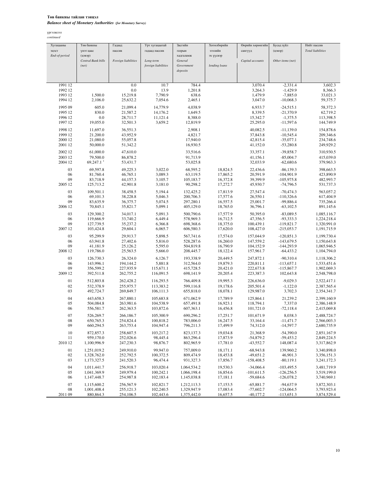### Төв банкны тайлан тэнцэл *Balance sheet of Monetary Authorities (for Monetary Survey)*

| Хугацааны          | Төв банкны             | Гадаад                 | Урт хугацаатай         | Засгийн                | Хөтөлбөрийн          | Өөрийн хөрөнгийн     | Бусад зүйл                 | Нийт пассив                |
|--------------------|------------------------|------------------------|------------------------|------------------------|----------------------|----------------------|----------------------------|----------------------------|
| эцэст              | үнэт цаас              | пассив                 | гадаад пассив          | газрын                 | нйипеее              | сангууд              | (цэвэр)                    | <b>Total liabilities</b>   |
| End-of-period      | (цэвэр)                |                        |                        | хадгаламж              | эх үүсвэр            |                      |                            |                            |
|                    | Central Bank bills     | Foreign liabilities    | Long-term              | General                |                      | Capital accounts     | Other items (net)          |                            |
|                    | (net)                  |                        | foreign liabilities    | Government             | lending loans        |                      |                            |                            |
|                    |                        |                        |                        | deposits               |                      |                      |                            |                            |
|                    |                        |                        |                        |                        |                      |                      |                            |                            |
| 1991 12            |                        | 0.0                    | 10.7                   | 784.4                  |                      | 3,070.4              | $-2,331.4$                 | 3,602.3                    |
| 1992 12            |                        | 0.0                    | 13.9                   | 1,201.8                |                      | 3,264.3              | $-1,429.9$                 | 8,366.3                    |
| 1993 12            | 1,500.0                | 15,219.8               | 7,790.9                | 638.6                  |                      | 1,479.9              | $-7,885.0$                 | 33,021.3                   |
| 1994 12            | 2,106.0                | 25,632.2               | 7,054.6                | 2,465.1                |                      | 3,047.0              | $-10,068.3$                | 59,375.7                   |
| 1995 09            | 605.0                  | 21,099.4               | 14,779.9               | 4,038.9                |                      | 6,933.7              | $-24,515.1$                | 58,372.3                   |
| 1995 12            | 830.0                  | 21,587.2               | 14,176.2               | 1,649.5                |                      | 8,339.5              | $-21,370.9$                | 62,719.2                   |
| 1996 12            | 0.0                    | 28,711.7               | 11,121.4               | 8,388.0                |                      | 15,342.7             | $-1,375.5$                 | 113,398.5                  |
| 1997 12            | 19,055.0               | 32,501.3               | 3,659.2                | 12,819.9               |                      | 25,295.0             | $-11,597.6$                | 144,749.9                  |
| 1998 12            | 11,697.0               | 36,551.3               |                        | 2,908.1                |                      | 40,082.5             |                            | 154,878.6                  |
| 1999 12            | 21,200.0               | 43,952.9               |                        | 4,821.7                |                      | 37,843.8             | $-11,139.0$<br>$-10,545.4$ | 209,346.6                  |
| 2000 12            | 21,080.0               | 55,057.8               |                        | 17,940.0               |                      | 42,815.4             | $-35,077.1$                | 234,748.6                  |
| 2001 12            | 50,000.0               | 51,342.2               |                        | 16,930.5               |                      | 41,152.0             | $-53,280.8$                | 249,929.2                  |
|                    |                        |                        |                        |                        |                      |                      |                            |                            |
| 2002 12            | 61,000.0               | 47,610.0               |                        | 33,516.6               |                      | 33,357.1             | $-39,858.7$                | 310,930.5                  |
| 2003 12<br>2004 12 | 79,500.0<br>69,247.1   | 86,878.2<br>53,431.7   |                        | 91,713.9<br>53,025.8   |                      | 41,156.1<br>32,033.9 | $-85,004.7$<br>$-62,680.6$ | 415,039.0<br>379,963.3     |
|                    |                        |                        |                        |                        |                      |                      |                            |                            |
| 03                 | 69,597.8               | 49,225.3               | 3,022.0                | 68,595.2               | 18,824.5             | 22,436.6             | $-86, 139.3$               | 398,663.5                  |
| 06                 | 81,760.4               | 46,765.1               | 3,089.3                | 63,119.5               | 17,865.2             | 20,591.9             | $-104,901.9$               | 423,890.9                  |
| 09                 | 83,718.9               | 44,157.3               | 3,105.7                | 105,183.7              | 16,372.8             | 39,399.9             | $-105,975.8$               | 482,993.7                  |
| 2005 12            | 125,713.2              | 42,901.8               | 3,181.0                | 90,298.2               | 17,272.7             | 45,930.7             | $-74,796.5$                | 531,737.3                  |
| 03                 | 109,501.1              | 38,458.5               | 5,194.4                | 132,425.2              | 17,813.9             | 27,547.4             | $-70,474.3$                | 563,057.2                  |
| 06                 | 69,101.3               | 38,228.8               | 5,046.3                | 200,706.3              | 17,577.6             | 26,550.1             | $-110,326.6$               | 617,404.9                  |
| 09                 | 83,635.9               | 36,375.7               | 5,074.5                | 297,280.1              | 16,557.5             | 25,001.7             | -99,886.4                  | 735,266.4                  |
| 2006 12            | 70,845.1               | 35,821.7               | 5,099.1                | 405,129.0              | 18,765.0             | 36,796.1             | $-63,102.5$                | 891,145.6                  |
| 03                 | 129,300.2              | 34,017.1               | 5,091.3                | 500,790.6              | 17,577.9             | 50,395.0             | $-83,089.5$                | 1,085,116.7                |
| 06                 | 119,666.9              | 33,740.2               | 6,449.4                | 578,969.3              | 16,712.5             | 47,356.5             | $-93,333.3$                | 1,224,218.4                |
| 09                 | 127,739.5              | 35,237.2               | 6,366.8                | 698,368.6              | 18,375.0             | 100,439.1            | $-119,821.7$               | 1,320,991.0                |
| 2007 12            | 103,424.8              | 29,604.1               | 6,065.7                | 606,580.3              | 17,620.0             | 108,427.0            | $-215,053.7$               | 1,191,715.9                |
| 03                 | 95,299.9               | 29,913.7               | 5,898.5                | 567,741.6              | 17,574.0             | 157,044.9            | $-120,851.3$               | 1,199,730.4                |
| 06                 | 63,941.8               | 27,402.6               | 5,816.0                | 528,287.6              | 16,260.0             | 147,559.2            | $-143,679.5$               | 1,150,643.8                |
| 09                 | 41,181.9               | 25,126.2               | 5,595.0                | 504,819.8              | 16,790.9             | 104,152.9            | $-144,293.9$               | 1,065,946.5                |
| 2008 12            | 119,786.0              | 25,563.5               | 5,666.0                | 208,445.7              | 18,122.4             | 157,961.7            | $-64,433.2$                | 1,104,794.0                |
| 03                 | 126,730.3              | 26,324.0               | 6,126.7                | 193,338.9              | 20,449.5             | 247,872.1            | $-90,310.4$                | 1,118,306.2                |
| 06                 | 143,996.1              | 194,144.2              | 5,881.8                | 312,564.0              | 19,879.3             | 220,811.1            | $-113,657.1$               | 1,533,451.6                |
| 09                 | 356,599.2              | 227,935.9              | 115,671.1              | 415,728.5              | 20,421.0             | 222,673.8            | $-115,867.7$               | 1,902,069.3                |
| 2009 12            | 392,511.8              | 262,755.2              | 116,091.5              | 698,141.9              | 20,205.4             | 223,387.3            | 102,643.8                  | 2,548,798.0                |
| 01                 | 512,803.8              | 262,428.2              | 116,293.5              | 766,409.8              | 19,995.3             | 226,636.0            | $-9,029.3$                 | 2,522,417.1                |
| 02                 | 532,378.9              | 255,975.7              | 113,383.2              | 599,116.8              | 19,178.6             | 205,501.4            | $-1,122.0$                 | 2,387,565.4                |
| 03                 | 492,724.7              | 269,849.7              | 106,111.3              | 655,818.0              | 18,078.1             | 129,987.0            | 3,702.3                    | 2,354,341.7                |
| 04                 | 443,658.3              | 267,880.1              | 105,683.8              | 671,062.9              | 17,789.9             | 125,864.1            | 21,239.2                   | 2,399,160.9                |
| 05                 | 504,084.8              | 263,981.6              | 104,538.9              | 657,491.8              | 16,923.1             | 118,794.1            | 7,337.0                    | 2,386,148.9                |
| 06                 | 556,581.7              | 262,363.5              | 103,872.6              | 607,363.1              | 16,456.8             | 101,721.0            | $-72,118.4$                | 2,415,069.8                |
|                    |                        |                        |                        |                        |                      |                      |                            |                            |
| 07                 | 526,269.7<br>650,765.3 | 266,186.7<br>254,824.4 | 105,300.9              | 690,296.2<br>783,006.0 | 17,251.7             | 101,671.9            | 8,038.3                    | 2,488,724.7<br>2,566,003.3 |
| 08<br>09           | 660,294.5              | 263,753.4              | 100,818.2<br>104,947.4 | 796,211.3              | 16,247.5<br>17,499.9 | 33,164.4<br>74,312.0 | $-11,471.7$<br>$-14,597.7$ | 2,680,735.9                |
|                    |                        |                        |                        |                        |                      |                      |                            |                            |
| 10                 | 872,857.3              | 258,607.5              | 103.217.2              | 823.137.3              | 19,034.8             | 21,368.9             | $-54,390.0$                | 2,851,167.9                |
| 11                 | 959,170.0              | 252,026.6              | 98,445.4               | 863,296.4              | 17,873.9             | $-54,879.2$          | $-59,453.2$                | 2,849,224.5                |
| 2010 12            | 1,100,996.9            | 247,230.3              | 98,876.7               | 802,965.9              | 17,781.0             | $-43,552.7$          | 148,087.4                  | 3,317,862.9                |
| 01                 | 1,251,019.2            | 249,910.0              | 99,947.0               | 757,009.0              | 18,171.1             | $-68,943.8$          | 139,960.2                  | 3,340,898.0                |
| 02                 | 1,328,762.0            | 252,792.5              | 100,372.5              | 809,474.9              | 18,453.8             | $-49,651.2$          | 46,901.3                   | 3,356,151.3                |
| 03                 | 1,173,327.5            | 241,520.3              | 96,474.4               | 931,327.3              | 17,856.7             | $-158,408.5$         | $-80, 119.1$               | 3,241,172.3                |
| 04                 | 1,011,441.7            | 256,918.7              | 103,020.4              | 1,064,534.2            | 19,530.3             | $-34,066.4$          | $-103,495.5$               | 3,481,719.9                |
| 05                 | 1,041,369.9            | 249,979.4              | 100,242.1              | 1,066,198.4            | 16,854.6             | $-101,611.5$         | $-126,256.5$               | 3,519,199.0                |
| 06                 | 1,147,448.7            | 254,987.8              | 102,183.4              | 1,145,038.8            | 17,181.1             | $-59,684.6$          | $-126,078.2$               | 3,740,969.1                |
| 07                 | 1,115,600.2            | 256,567.9              | 102,821.7              | 1,212,113.3            | 17,153.5             | $-65,881.7$          | $-94,637.9$                | 3,872,303.1                |
| 08                 | 1,001,408.4            | 255,121.3              | 102,240.5              | 1,329,947.9            | 17,083.4             | $-77,602.7$          | $-124,064.5$               | 3,793,923.4                |
| 2011 09            | 880, 864. 3            | 254,106.5              | 102,443.6              | 1,375,442.0            | 16,657.5             | $-40, 177.2$         | $-113,651.3$               | 3,874,529.4                |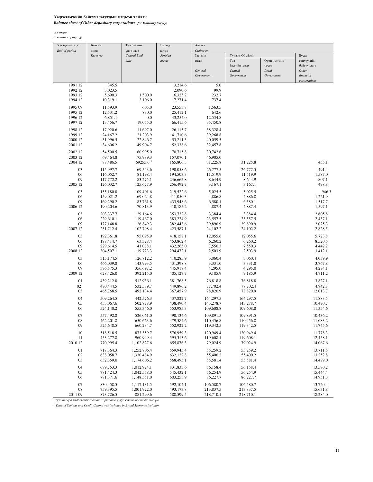## Хадгаламжийн байгууллагуудын нэгдсэн тайлан *Balance sheet of Other depository corporations (for Monetary Survey)*

сая төгрөг *in millions of togrogs*

| Хугацааны эцэст                                                            | Банкны                 | Төв банкны             | Гадаад                 | Авлага                 |                        |              |                      |
|----------------------------------------------------------------------------|------------------------|------------------------|------------------------|------------------------|------------------------|--------------|----------------------|
| End-of-period                                                              | нөөц                   | үнэт цаас              | актив                  | Claims on              |                        |              |                      |
|                                                                            | Reserves               | <b>Central Bank</b>    | Foreign                | Засгийн                | Үүнээс: Of which:      |              | Бусад                |
|                                                                            |                        | bills                  | assets                 | газар                  | $T_{\Theta B}$         | Орон нутгийн | санхүүгийн           |
|                                                                            |                        |                        |                        |                        | Засгийн газар          | төсөв        | байгууллага          |
|                                                                            |                        |                        |                        | General                | Central                | Local        | Other                |
|                                                                            |                        |                        |                        | Government             | Government             | Government   | financial            |
| 1991 12                                                                    |                        |                        | 3,214.6                | 5.0                    |                        |              | corporations         |
| 1992 12                                                                    | 345.5<br>3,023.5       |                        | 2,090.6                | 99.9                   |                        |              |                      |
| 1993 12                                                                    | 5,690.3                | 1,500.0                | 16,325.2               | 232.7                  |                        |              |                      |
| 1994 12                                                                    | 10,319.1               | 2,106.0                | 17,271.4               | 737.4                  |                        |              |                      |
|                                                                            |                        |                        |                        |                        |                        |              |                      |
| 1995 09                                                                    | 11,593.9               | 605.0                  | 23,553.8               | 1,563.5                |                        |              |                      |
| 1995 12                                                                    | 12,531.2               | 830.0                  | 25,412.1               | 642.6                  |                        |              |                      |
| 1996 12                                                                    | 6,851.1                | 0.0<br>19,055.0        | 43,254.0               | 12,534.8               |                        |              |                      |
| 1997 12                                                                    | 13,456.7               |                        | 66,415.6               | 35,450.8               |                        |              |                      |
| 1998 12                                                                    | 17,920.6               | 11,697.0               | 26,115.7               | 38,328.4               |                        |              |                      |
| 1999 12                                                                    | 24,167.2               | 21,203.9               | 41,710.6               | 39,268.8               |                        |              |                      |
| 2000 12                                                                    | 31,996.5               | 22,846.7               | 53,211.3               | 40,059.5               |                        |              |                      |
| 2001 12                                                                    | 34,606.2               | 49,904.7               | 52,338.6               | 32,457.8               |                        |              |                      |
| 2002 12                                                                    | 54,500.5               | 60,995.0               | 70,715.8               | 30,742.6               |                        |              |                      |
| 2003 12                                                                    | 69,464.8               | 75,989.3               | 157,070.1              | 46,905.0               |                        |              |                      |
| 2004 12                                                                    | 88,486.5               | 69255.6                | 165,806.3              | 31,225.8               | 31,225.8               |              | 455.1                |
| 03                                                                         | 115,997.7              | 69,543.6               | 190,058.6              | 26,777.5               | 26,777.5               |              | 491.4                |
| 06                                                                         | 116,052.7              | 81,198.4               | 194,503.3              | 11,519.9               | 11,519.9               |              | 1,587.0              |
| 09                                                                         | 117,772.2              | 83,275.1               | 246,665.8              | 8,644.9                | 8,644.9                |              | 807.1                |
| 2005 12                                                                    | 126,032.7              | 125,677.9              | 256,492.7              | 3,167.1                | 3,167.1                |              | 498.8                |
| 03                                                                         | 155,180.0              | 109,401.6              | 219,522.6              | 5,025.5                | 5,025.5                |              | 946.3                |
| 06                                                                         | 159,021.2              | 69,024.8               | 411,050.3              | 4,886.8                | 4,886.8                |              | 1,221.9              |
| 09                                                                         | 169,290.2              | 83,761.8               | 433,948.6              | 6,580.1                | 6,580.1                |              | 1,517.7              |
| 2006 12                                                                    | 190,204.6              | 70,813.9               | 410,185.2              | 4,887.4                | 4,887.4                |              | 1,597.1              |
|                                                                            |                        |                        |                        |                        |                        |              |                      |
| 03                                                                         | 203,337.7              | 129,164.6              | 353,732.8              | 3,384.4                | 3,384.4                |              | 2,605.8              |
| 06<br>09                                                                   | 229,610.1              | 119,467.0              | 383,224.9              | 23,557.5               | 23,557.5<br>39,890.9   |              | 2,437.1              |
| 2007 12                                                                    | 177,148.8<br>251,712.4 | 126,849.3<br>102,798.4 | 382,443.6<br>423,587.1 | 39,890.9<br>24,102.2   | 24,102.2               |              | 2,025.3<br>2,828.5   |
|                                                                            |                        |                        |                        |                        |                        |              |                      |
| 03                                                                         | 192,361.8              | 95,095.9               | 418,158.1              | 12,055.6               | 12,055.6               |              | 5,723.8              |
| 06                                                                         | 198,414.7              | 63,328.4               | 453,862.4              | 6,260.2                | 6,260.2                |              | 8,520.5              |
| 09                                                                         | 229,614.5              | 41,088.1               | 432,265.0              | 7,550.3                | 7,550.3                |              | 4,442.2              |
| 2008 12                                                                    | 304,507.1              | 119,723.3              | 294,472.1              | 2,503.9                | 2,503.9                |              | 3,412.1              |
| 03                                                                         | 315,174.5              | 126,712.2              | 410,285.9              | 3,060.4                | 3,060.4                |              | 4,039.9              |
| 06                                                                         | 466,039.8              | 143,993.5              | 431,398.8              | 3,331.0                | 3,331.0                |              | 3,767.8              |
| 09                                                                         | 376,575.3              | 356,697.2              | 445,918.4              | 4,295.0                | 4,295.0                |              | 4,274.1              |
| 2009 12                                                                    | 628,426.0              | 392,215.0              | 405,127.7              | 9,185.9                | 9,185.9                |              | 4,711.2              |
| 01                                                                         | 439,212.0              | 512,936.1              | 381,768.5              | 76,818.8               | 76,818.8               |              | 3,827.1              |
| $02^{1}$                                                                   | 470,444.5              | 532,589.7              | 449,896.2              | 77,702.4               | 77,702.4               |              | 4,942.8              |
| 03                                                                         | 465,768.5              | 492,134.4              | 367,457.9              | 78,820.9               | 78,820.9               |              | 12,013.7             |
| 04                                                                         | 509,264.5              | 442,576.3              | 437,822.7              | 164,297.5              | 164,297.5              |              | 11,883.5             |
| 05                                                                         | 453,067.6              | 502,878.9              | 438,490.4              | 143,278.7              | 143,278.7              |              | 10,470.7             |
| 06                                                                         | 524,140.2              | 555,346.0              | 553,985.3              | 109,608.8              | 109,608.8              |              | 11,354.6             |
| 07                                                                         | 557,492.8              | 526,061.0              | 490,134.6              | 109,891.5              | 109,891.5              |              | 10,436.2             |
| 08                                                                         | 462,201.8              | 650,663.6              | 479,584.6              | 110,456.8              | 110,456.8              |              | 11,083.2             |
| 09                                                                         | 525,648.5              | 660,234.7              | 552,922.2              | 119,342.5              | 119,342.5              |              | 11,745.6             |
|                                                                            |                        |                        |                        |                        |                        |              |                      |
| 10<br>11                                                                   | 518,518.5<br>453,277.8 | 873,359.7<br>960,949.4 | 576,959.3<br>595,313.6 | 120,949.4<br>119,608.1 | 120,949.4<br>119,608.1 |              | 11,778.3<br>12,458.1 |
| 2010 12                                                                    | 770,995.4              | 1,102,827.6            | 655,876.3              | 79,024.9               | 79,024.9               |              | 14,067.6             |
|                                                                            |                        |                        |                        |                        |                        |              |                      |
| 01                                                                         | 717,364.3              | 1,252,806.4            | 559,945.4              | 55,259.2               | 55,259.2               |              | 13,711.5             |
| 02                                                                         | 638,058.7              | 1,330,484.9            | 632,122.8              | 55,400.2               | 55,400.2<br>55,581.4   |              | 13,252.8             |
| 03                                                                         | 632,359.0              | 1,174,606.2            | 568,495.1              | 55,581.4               |                        |              | 14,479.0             |
| 04                                                                         | 689,753.3              | 1,012,924.1            | 831,833.6              | 56,158.4               | 56,158.4               |              | 13,580.2             |
| 05                                                                         | 781,424.3              | 1,042,558.0            | 545,432.1              | 56,254.9               | 56,254.9               |              | 15,444.4             |
| 06                                                                         | 781,371.6              | 1,148,551.0            | 603,253.9              | 86,227.7               | 86,227.7               |              | 14,951.3             |
| 07                                                                         | 830,458.5              | 1,117,131.5            | 592,104.1              | 106,580.7              | 106,580.7              |              | 13,720.4             |
| 08                                                                         | 759,395.5              | 1,001,922.0            | 493,173.8              | 213,837.5              | 213,837.5              |              | 15,631.8             |
| 2011 09                                                                    | 873,726.5              | 881,299.6              | 588,599.5              | 218,710.1              | 218,710.1              |              | 18,284.0             |
| ${}^{1}$ Тухайн сард хадгаламж зээлийн хоршооны үзүүлэлтийг нэгтгэж тооцов |                        |                        |                        |                        |                        |              |                      |

*1 Data of Savings and Credit Unions was included in Broad Money calculation*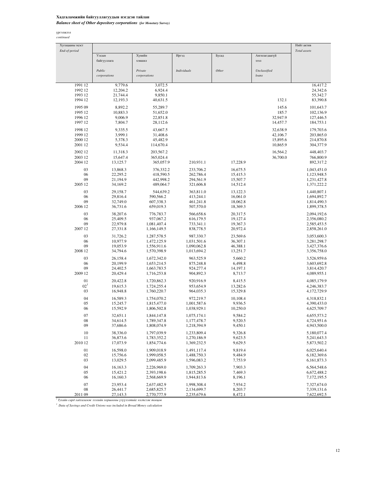#### Хадгаламжийн байгууллагуудын нэгдсэн тайлан *Balance sheet of Other depository corporations (for Monetary Survey)*

үргэлжлэл *continued*

| Хугацааны эцэст |                      |                            |                            |                     |                       | Нийт актив                 |
|-----------------|----------------------|----------------------------|----------------------------|---------------------|-----------------------|----------------------------|
| End-of-period   |                      |                            |                            |                     |                       | Total assets               |
|                 | Улсын<br>байгууллага | Хувийн<br>хэвшил           | Иргэд                      | Бусад               | Ангилагдаагүй<br>зээл |                            |
|                 | Public               | Private                    | <b>Individuals</b>         | Other               | Unclassified          |                            |
|                 | corporations         | corporations               |                            |                     | loans                 |                            |
| 1991 12         | 9,779.6              | 3,072.5                    |                            |                     |                       | 16,417.2                   |
| 1992 12         | 12,204.2             | 6,924.4                    |                            |                     |                       | 24,342.6                   |
| 1993 12         | 21,744.4             | 9,850.1                    |                            |                     |                       | 55,342.7                   |
| 1994 12         | 12,193.3             | 40,631.5                   |                            |                     | 132.1                 | 83,390.8                   |
| 1995 09         | 8,892.2              | 55,289.7                   |                            |                     | 145.6                 | 101,643.7                  |
| 1995 12         | 10,883.3             | 51,652.0                   |                            |                     | 185.7                 | 102,136.9                  |
| 1996 12         | 9,006.9              | 22,851.8                   |                            |                     | 32,947.9              | 127,446.5                  |
| 1997 12         | 7,804.7              | 28,112.6                   |                            |                     | 14,457.7              | 184,753.1                  |
| 1998 12         | 9,335.5              | 43,667.5                   |                            |                     | 32,638.9              | 179,703.6                  |
| 1999 12         | 3,999.1              | 31,408.6                   |                            |                     | 42,106.7              | 203,865.0                  |
| 2000 12         | 5,378.3              | 45,482.9                   |                            |                     | 15,895.6              | 214,870.8                  |
| 2001 12         | 9,534.4              | 114,670.4                  |                            |                     | 10,865.9              | 304,377.9                  |
| 2002 12         | 11,318.3             | 203,567.2                  |                            |                     | 16,564.2              | 448,403.7                  |
| 2003 12         | 15,647.4             | 365,024.4                  |                            |                     | 36,700.0              | 766,800.9                  |
| 2004 12         | 13,125.7             | 365,057.9                  | 210,931.1                  | 17,228.9            |                       | 892,317.2                  |
| 03              | 13,868.3             | 376,332.2                  | 233,706.2                  | 16,675.5            |                       | 1,043,451.0                |
| 06              | 22,295.2             | 418,590.5                  | 262,786.4                  | 15,415.3            |                       | 1,123,948.5                |
| 09              | 21,194.9             | 442,998.2                  | 294,561.9                  | 15,507.7            |                       | 1,231,427.8                |
| 2005 12         | 34,169.2             | 489,064.7                  | 321,606.8                  | 14,512.4            |                       | 1,371,222.2                |
| 03              | 29,158.7             | 544,639.2                  | 363,811.0                  | 13,122.3            |                       | 1,440,807.1                |
| 06              | 29,816.4             | 590,566.2                  | 413,244.1                  | 16,061.0            |                       | 1,694,892.7                |
| 09              | 32,749.0             | 607,338.3                  | 461,241.8                  | 18,062.8            |                       | 1,814,490.3                |
| 2006 12         | 36,731.6             | 659,019.3                  | 507,570.0                  | 18,369.3            |                       | 1,899,378.5                |
| 03              | 38,207.6             | 776,783.7                  | 566,658.6                  | 20,317.5            |                       | 2,094,192.6                |
| 06              | 25,409.5             | 937,067.2                  | 616,179.5                  | 19,127.4            |                       | 2,356,080.2                |
| 09              | 22,979.8             | 1,081,407.4                | 733,341.1                  | 19,367.3            |                       | 2,585,453.5                |
| 2007 12         | 27,331.8             | 1,166,149.5                | 838,778.5                  | 20,972.4            |                       | 2,858,261.0                |
| 03              | 31,726.2             | 1,287,578.5                | 987,330.7                  | 23,569.6            |                       | 3,053,600.3                |
| 06              | 10,977.9             | 1,472,125.9                | 1,031,501.6                | 36,307.1            |                       | 3,281,298.7                |
| 09              | 19,053.9             | 1,556,911.6                | 1,090,062.8                | 46,388.1            |                       | 3,427,376.6                |
| 2008 12         | 34,794.6             | 1,570,398.9                | 1,013,694.2                | 13,251.7            |                       | 3,356,758.0                |
| 03              | 26,158.4             | 1,672,342.0                | 963,525.9                  | 5,660.2             |                       | 3,526,959.6                |
| 06<br>09        | 20,199.9             | 1,653,214.5                | 875,248.8<br>924,277.4     | 6,498.8             |                       | 3,603,692.8                |
| 2009 12         | 24,402.5<br>20,429.4 | 1,663,783.5<br>1,716,253.8 | 904,892.3                  | 14,197.1<br>8,713.7 |                       | 3,814,420.7<br>4,089,955.1 |
|                 |                      |                            |                            |                     |                       |                            |
| 01              | 20,422.8             | 1,720,862.3                | 920,916.9                  | 8,415.5             |                       | 4,085,179.9                |
| 02 <sup>1</sup> | 19,615.3             | 1,724,255.4                | 953,654.9                  | 13,282.6            |                       | 4,246,383.7                |
| 03              | 16,948.8             | 1,760,220.7                | 964,035.3                  | 15,329.8            |                       | 4,172,729.9                |
| 04              | 16,589.3             | 1,754,070.2                | 972,219.7                  | 10,108.4            |                       | 4,318,832.1                |
| 05<br>06        | 15,245.7<br>15,592.9 | 1,815,477.0<br>1,806,502.8 | 1,001,587.6<br>1,038,929.1 | 9,936.5<br>10,250.0 |                       | 4,390,433.0<br>4,625,709.7 |
|                 |                      |                            |                            |                     |                       |                            |
| 07              | 32,651.1             | 1,844,147.8                | 1,075,174.1                | 9,584.2             |                       | 4,655,573.2                |
| 08              | 34,614.5             | 1,789,347.8                | 1,177,478.7                | 9,520.5             |                       | 4,724,951.6                |
| 09              | 37,686.6             | 1,808,074.9                | 1,218,394.9                | 9,450.1             |                       | 4,943,500.0                |
| 10              | 38,336.0             | 1,797,039.9                | 1,233,809.4                | 9,326.8             |                       | 5,180,077.4                |
| 11              | 36,873.6             | 1,783,352.2                | 1,270,186.9                | 9,623.5             |                       | 5,241,643.3                |
| 2010 12         | 17,073.9             | 1,854,774.6                | 1,369,232.5                | 9,629.5             |                       | 5,873,502.2                |
| 01              | 16,598.0             | 1,909,018.9                | 1,491,117.4                | 9,819.4             |                       | 6,025,640.4                |
| 02              | 15,756.6             | 1,999,058.5                | 1,488,750.3                | 9,484.9             |                       | 6,182,369.6                |
| 03              | 13,029.5             | 2,099,485.9                | 1,596,083.2                | 7,753.9             |                       | 6,161,873.3                |
| 04              | 16,163.3             | 2,226,969.0                | 1,709,263.3                | 7,903.3             |                       | 6,564,548.6                |
| 05              | 15,421.2             | 2,393,198.6                | 1,815,285.5                | 7,469.3             |                       | 6,672,488.2                |
| 06              | 16,160.3             | 2,568,669.9                | 1,944,813.6                | 8,196.1             |                       | 7,172,195.5                |
| 07              | 23,953.4             | 2,637,482.9                | 1,998,308.4                | 7,934.2             |                       | 7,327,674.0                |
| 08              | 26,441.7             | 2,685,825.7                | 2,134,699.7                | 8,203.7             |                       | 7,339,131.6                |
| 2011 09         | 27,143.3             | 2,770,777.9                | 2,235,679.6                | 8,472.1             |                       | 7,622,692.5                |

<sup>1</sup> Тухайн сард хадгаламж зээлийн хоршооны үзүүлэлтийг нэгтгэж тооцов *1 Data of Savings and Credit Unions was included in Broad Money calculation*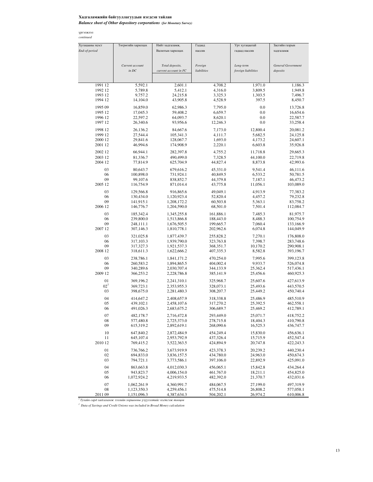## Хадгаламжийн байгууллагуудын нэгдсэн тайлан

*Balance sheet of Other depository corporations (for Monetary Survey)*

| Хугацааны эцэст    | Төгрөгийн харилцах           | Нийт хадгаламж,                          | Гадаад                 | Урт хугацаатай                   | Засгийн газрын            |
|--------------------|------------------------------|------------------------------------------|------------------------|----------------------------------|---------------------------|
| End-of-period      |                              | Валютын харилцах                         | пассив                 | гадаад пассив                    | хадгаламж                 |
|                    |                              |                                          |                        |                                  |                           |
|                    |                              |                                          |                        |                                  | <b>General Government</b> |
|                    | Current account<br>$in$ $DC$ | Total deposits,<br>current account in FC | Foreign<br>liabilities | Long-term<br>foreign liabilities | deposits                  |
|                    |                              |                                          |                        |                                  |                           |
|                    |                              |                                          |                        |                                  |                           |
| 1991 12            | 5,592.1                      | 2,601.1                                  | 4,708.2                | 1,971.0                          | 1,186.3                   |
| 1992 12            | 5,789.8                      | 5,412.1                                  | 4,316.0                | 3,809.5                          | 1,949.8                   |
| 1993 12            | 9,757.2                      | 24,215.8                                 | 3,325.3                | 1,303.5                          | 7,496.7                   |
| 1994 12            | 14,104.0                     | 43,905.8                                 | 4,528.9                | 397.5                            | 8,450.7                   |
| 1995 09            | 16,859.0                     | 62,986.3                                 | 7,795.0                | 0.0                              | 13,726.8                  |
| 1995 12            | 17,045.3                     | 59,408.2                                 | 6,659.7                | 0.0                              | 16,654.6                  |
| 1996 12            | 22,597.2                     | 64,093.7                                 | 8,620.1                | 0.0                              | 22,587.7                  |
| 1997 12            | 26,340.6                     | 93,956.6                                 | 12,246.3               | 0.0                              | 33,258.4                  |
| 1998 12            | 26,136.2                     | 84,667.6                                 | 7,173.0                | 12,800.4                         | 20,081.2                  |
| 1999 12            | 27,544.4                     | 105,341.3                                | 4,111.7                | 5,682.5                          | 24,125.8                  |
| 2000 12            | 29,841.6                     | 128,067.7                                | 1,693.0                | 4,173.2                          | 24,607.1                  |
| 2001 12            | 46,994.6                     | 174,908.9                                | 2,220.1                | 6,603.8                          | 35,926.8                  |
|                    |                              |                                          |                        |                                  |                           |
| 2002 12            | 66,944.1                     | 282,397.8                                | 4,755.2                | 11,718.8                         | 29,665.3                  |
| 2003 12<br>2004 12 | 81,336.7<br>77,814.9         | 490,499.0<br>625,704.9                   | 7,328.5<br>44,827.4    | 44,100.0<br>8,873.8              | 22,719.8<br>42,993.6      |
|                    |                              |                                          |                        |                                  |                           |
| 03                 | 80,643.7                     | 679,616.2                                | 45,331.0               | 9,541.4                          | 46,111.6                  |
| 06                 | 100,898.0                    | 731,924.1                                | 40,849.5               | 6,533.2                          | 50,781.5                  |
| 09                 | 99,107.6                     | 838,852.7                                | 44,379.8               | 7,187.1                          | 46,473.2                  |
| 2005 12            | 116,754.9                    | 871,014.4                                | 43,775.8               | 11,056.1                         | 103,089.0                 |
| 03                 | 129,566.8                    | 916,865.6                                | 49,049.1               | 4,913.9                          | 77,383.2                  |
| 06                 | 130,434.0                    | 1,120,923.4                              | 52,820.4               | 4,457.2                          | 79,232.8                  |
| 09                 | 141,915.1                    | 1,208,172.2                              | 60,503.8               | 5,363.1                          | 83,758.2                  |
| 2006 12            | 146,776.7                    | 1,204,590.0                              | 68,501.0               | 7,501.4                          | 112,084.7                 |
| 03                 | 185,342.4                    | 1,345,255.8                              | 161,886.1              | 7,485.3                          | 81,975.7                  |
| 06                 | 239,800.0                    | 1,513,866.8                              | 188,443.0              | 8,488.3                          | 100,754.9                 |
| 09                 | 248,111.1                    | 1,676,505.5                              | 199,665.7              | 7,060.4                          | 133,166.9                 |
| 2007 12            | 307,146.3                    | 1,810,778.1                              | 202,962.6              | 6,074.8                          | 144,049.9                 |
| 03                 | 321,025.8                    | 1,877,439.7                              | 255,828.2              | 7,270.1                          | 176,808.0                 |
| 06                 | 317,103.3                    | 1,939,790.0                              | 323,763.8              | 7,398.7                          | 283,748.6                 |
| 09                 | 317,327.3                    | 1,921,537.3                              | 368, 351. 7            | 10,170.2                         | 290,908.1                 |
| 2008 12            | 318,611.3                    | 1,622,666.2                              | 407,335.3              | 8,582.8                          | 393,196.7                 |
| 03                 | 238,786.1                    | 1,841,171.2                              | 470,254.0              | 7,995.6                          | 399,123.8                 |
| 06                 | 260,583.2                    | 1,894,865.5                              | 404,002.4              | 9,933.7                          | 526,074.8                 |
| 09                 | 340,289.6                    | 2,030,707.4                              | 344,133.9              | 25,362.4                         | 517,436.1                 |
| 2009 12            | 366,253.2                    | 2,228,786.8                              | 385,141.9              | 25,456.6                         | 460,925.3                 |
| 01                 |                              |                                          |                        | 25,607.6                         |                           |
| $02^{1}$           | 369,196.2<br>369,723.1       | 2,241,310.1<br>2,353,955.3               | 325,968.7              | 25,493.6                         | 427,613.9<br>443,570.5    |
| 03                 | 398,675.0                    | 2,281,480.3                              | 328,073.1<br>308,207.7 | 25,449.2                         | 450,740.4                 |
|                    |                              |                                          |                        |                                  |                           |
| 04                 | 414,647.2                    | 2,408,657.9                              | 318,338.8              | 25,486.9                         | 485,510.9                 |
| 05                 | 439,102.1                    | 2,458,107.6                              | 317,270.2              | 25,392.5                         | 462,558.1                 |
| 06                 | 491,026.3                    | 2,683,675.2                              | 306,689.7              | 25,469.2                         | 412,789.1                 |
| 07                 | 482,178.7                    | 2,716,472.8                              | 293,449.0              | 25,071.7                         | 418,752.2                 |
| 08                 | 577,480.8                    | 2,725,373.0                              | 278,715.8              | 18,404.3                         | 410,790.8                 |
| 09                 | 615,319.2                    | 2,892,619.1                              | 268,090.6              | 16,525.3                         | 436,747.7                 |
| 10                 | 647,840.2                    | 2,872,484.9                              | 454,249.4              | 15,830.0                         | 456,636.1                 |
| 11                 | 645,107.4                    | 2,953,792.9                              | 437,326.4              | 15,715.9                         | 452,547.4                 |
| 2010 12            | 769,415.2                    | 3,522,363.5                              | 424,894.9              | 20,747.8                         | 422,243.3                 |
| 01                 | 736,766.2                    | 3,673,919.9                              | 423,378.3              | 20,239.2                         | 440,230.4                 |
| 02                 | 694,833.0                    | 3,836,157.5                              | 434,780.0              | 24,963.0                         | 450,674.3                 |
| 03                 | 794,721.1                    | 3,773,586.1                              | 397,106.0              | 22,892.9                         | 425,091.0                 |
| 04                 | 863,663.8                    | 4,012,030.3                              | 456,065.1              | 15,842.8                         | 434,264.4                 |
| 05                 | 943,823.7                    | 4,006,154.0                              | 461,767.0              | 18,211.1                         | 454,825.0                 |
| 06                 | 1,072,924.2                  | 4,219,933.5                              | 482,392.0              | 21,370.7                         | 432,031.6                 |
|                    |                              |                                          |                        |                                  |                           |
| 07                 | 1,062,261.9                  | 4,360,991.7                              | 484,067.5              | 27,199.0                         | 497,319.9                 |
| 08<br>2011 09      | 1,123,350.3<br>1,151,096.3   | 4,259,456.1<br>4,387,634.3               | 475,514.8<br>504,202.1 | 26,808.2<br>26,974.2             | 577,058.1<br>610,006.8    |
|                    |                              |                                          |                        |                                  |                           |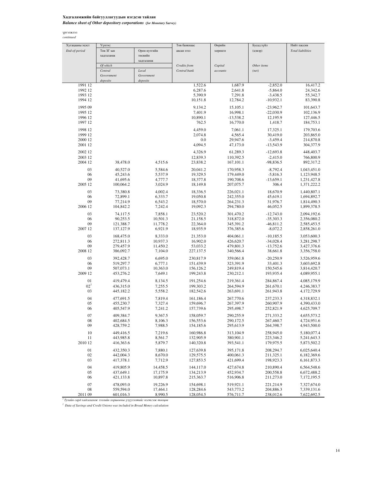## Хадгаламжийн байгууллагуудын нэгдсэн тайлан *Balance sheet of Other depository corporations (for Monetary Survey)*

#### үргэлжлэл *continued*

| Хугацааны эцэст | Үүнээс:                |                      | Төв банкнаас           | Өөрийн                 | Бусад зүйл                 | Нийт пассив                |
|-----------------|------------------------|----------------------|------------------------|------------------------|----------------------------|----------------------------|
| End-of-period   | Төв ЗГ-ын              | Орон нутгийн         | авсан зээл             | хөрөнгө                | (цэвэр)                    | <b>Total liabilities</b>   |
|                 | хадгаламж              | төсвийн              |                        |                        |                            |                            |
|                 |                        | хадгаламж            |                        |                        |                            |                            |
|                 | Of which               |                      | Credits from           | Capital                | Other items                |                            |
|                 | Central                | Local                | Central bank           | accounts               | (net)                      |                            |
|                 | Government             | Government           |                        |                        |                            |                            |
|                 | deposits               | deposits             |                        |                        |                            |                            |
| 1991 12         |                        |                      | 1,522.6                | 1,687.9                | $-2,852.0$                 | 16,417.2                   |
| 1992 12         |                        |                      | 6,287.6                | 2,641.8                | $-5,864.0$                 | 24,342.6                   |
| 1993 12         |                        |                      | 5,390.9                | 7,291.8                | $-3,438.5$                 | 55,342.7                   |
| 1994 12         |                        |                      | 10,151.8               | 12,784.2               | $-10,932.1$                | 83,390.8                   |
| 1995 09         |                        |                      | 9,134.2                | 15,105.1               | $-23,962.7$                | 101,643.7                  |
| 1995 12         |                        |                      | 7,401.9                | 16,998.1               | $-22,030.9$                | 102,136.9                  |
| 1996 12         |                        |                      | 10,890.1               | $-13,538.2$            | 12,195.9                   | 127,446.5                  |
| 1997 12         |                        |                      | 762.5                  | 16,770.0               | 1,418.7                    | 184,753.1                  |
| 1998 12         |                        |                      | 4,459.0                | 7,061.1                | 17,325.1                   | 179,703.6                  |
| 1999 12         |                        |                      | 2,074.8                | 4,565.4                | 30,419.0                   | 203,865.0                  |
| 2000 12         |                        |                      | 0.0                    | 29,947.6               | $-3,459.4$                 | 214,870.8                  |
| 2001 12         |                        |                      | 4,094.5                | 47,173.0               | $-13,543.9$                | 304,377.9                  |
| 2002 12         |                        |                      | 4,326.9                | 61,289.3               | $-12,693.8$                | 448,403.7                  |
| 2003 12         |                        |                      | 12,839.3               | 110,392.5              | $-2,415.0$                 | 766,800.9                  |
| 2004 12         | 38,478.0               | 4,515.6              | 23,838.2               | 167,101.1              | $-98,836.5$                | 892,317.2                  |
| 03              | 40,527.0               | 5,584.6              | 20,041.2               | 170,958.3              | $-8,792.4$                 | 1,043,451.0                |
| 06              | 45,243.6               | 5,537.9              | 19,329.5               | 179,449.0              | $-5,816.3$                 | 1,123,948.5                |
| 09              | 41,695.6               | 4,777.7              | 18,377.8               | 190,708.6              | $-13,659.1$                | 1,231,427.8                |
| 2005 12         | 100,064.2              | 3,024.9              | 18,149.8               | 207,075.7              | 306.4                      | 1,371,222.2                |
| 03              | 73,380.8               | 4,002.4              | 18,336.5               | 226,021.1              | 18,670.9                   | 1,440,807.1                |
| 06              | 72,899.1               | 6,333.7              | 19,050.8               | 242,355.0              | 45,619.1                   | 1,694,892.7                |
| 09              | 77,214.9               | 6,543.2              | 18,570.0               | 264,231.3              | 31,976.7                   | 1,814,490.3                |
| 2006 12         | 104,842.2              | 7,242.4              | 19,092.3               | 294,780.0              | 46,052.5                   | 1,899,378.5                |
|                 |                        |                      |                        |                        |                            |                            |
| 03<br>06        | 74,117.5               | 7,858.1              | 23,520.2               | 301,470.2              | $-12,743.0$                | 2,094,192.6                |
| 09              | 90,253.5<br>121,388.7  | 10,501.3<br>11,778.2 | 21,158.5<br>22,364.0   | 318,872.0<br>345,391.2 | $-35,303.3$<br>$-46,811.2$ | 2,356,080.2<br>2,585,453.5 |
| 2007 12         | 137, 127.9             | 6,921.9              | 18,935.9               | 376,385.6              | $-8,072.2$                 | 2,858,261.0                |
|                 |                        |                      |                        |                        |                            |                            |
| 03              | 168,475.0              | 8,333.0              | 21,353.0               | 404,061.1              | $-10,185.5$                | 3,053,600.3                |
| 06<br>09        | 272,811.3              | 10,937.3             | 16,902.0               | 426,620.7              | $-34,028.4$                | 3,281,298.7                |
| 2008 12         | 279,457.9<br>386,092.7 | 11,450.2<br>7,104.0  | 53,033.2<br>227,137.5  | 479,801.3<br>340,566.4 | $-13,752.6$<br>38,661.8    | 3,427,376.6<br>3,356,758.0 |
|                 |                        |                      |                        |                        |                            |                            |
| 03              | 392,428.7              | 6,695.0              | 230,817.9              | 359,061.8              | $-20,250.9$                | 3,526,959.6                |
| 06<br>09        | 519,297.7              | 6,777.1              | 151,439.9              | 323,391.9              | 33,401.3                   | 3,603,692.8                |
| 2009 12         | 507,073.1<br>453,276.2 | 10,363.0<br>7,649.1  | 156,126.2<br>199,243.8 | 249,819.4<br>230,212.1 | 150,545.6<br>193,935.4     | 3,814,420.7<br>4,089,955.1 |
|                 |                        |                      |                        |                        |                            |                            |
| 01              | 419,479.4              | 8,134.5              | 191,254.6              | 219,361.4              | 284,867.4                  | 4,085,179.9                |
| $02^{1}$        | 436,315.0              | 7,255.5              | 199,303.2              | 264,594.9              | 261,670.1                  | 4,246,383.7                |
| 03              | 445,182.2              | 5,558.2              | 182,542.6              | 263,691.1              | 261,943.8                  | 4,172,729.9                |
| 04              | 477,691.5              | 7,819.4              | 161,186.4              | 267,770.6              | 237,233.3                  | 4,318,832.1                |
| 05              | 455,230.7              | 7,327.4              | 159,696.7              | 267,397.9              | 260,907.9                  | 4,390,433.0                |
| 06              | 405,547.9              | 7,241.2              | 157,739.6              | 295,498.7              | 252,821.9                  | 4,625,709.7                |
| 07              | 409,384.7              | 9,367.5              | 158,059.7              | 290,255.9              | 271,333.2                  | 4,655,573.2                |
| $08\,$          | 402,684.5              | 8,106.3              | 156,553.6              | 290,172.5              | 267,460.7                  | 4,724,951.6                |
| 09              | 428,759.2              | 7,988.5              | 154,185.6              | 295,613.9              | 264,398.7                  | 4,943,500.0                |
| 10              | 449,416.5              | 7,219.6              | 160,986.8              | 313,104.9              | 258,945.0                  | 5,180,077.4                |
| 11              | 443,985.8              | 8,561.7              | 132,905.9              | 380,901.1              | 223,346.2                  | 5,241,643.3                |
| 2010 12         | 416,363.6              | 5,879.7              | 140,320.8              | 393,541.1              | 179,975.5                  | 5,873,502.2                |
| 01              | 432,350.3              | 7,880.1              | 127,639.8              | 395,171.8              | 208,294.7                  | 6,025,640.4                |
| 02              | 442,004.3              | 8,670.0              | 129,575.5              | 400,061.3              | 211,325.1                  | 6,182,369.6                |
| 03              | 417,378.1              | 7,712.9              | 127,853.5              | 421,699.4              | 198,923.3                  | 6,161,873.3                |
|                 |                        |                      |                        |                        |                            |                            |
| 04              | 419,805.9<br>437,649.1 | 14,458.5             | 144,117.0              | 427,674.8              | 210,890.4                  | 6,564,548.6                |
| 05<br>06        | 421,133.8              | 17,175.9<br>10,897.8 | 134,213.9<br>215,363.7 | 452,934.7<br>516,906.8 | 200,558.8<br>211,273.0     | 6,672,488.2<br>7,172,195.5 |
|                 |                        |                      |                        |                        |                            |                            |
| 07              | 478,093.0              | 19,226.9             | 154,698.1              | 519,921.1              | 221,214.9                  | 7,327,674.0                |
| 08              | 559,594.0              | 17,464.1             | 128,284.6              | 543,773.2              | 204,886.3                  | 7,339,131.6                |
| 2011 09         | 601,016.3              | 8,990.5              | 128,054.5              | 576,711.7              | 238,012.6                  | 7,622,692.5                |

<sup>1</sup> Тухайн сард хадгаламж зээлийн хоршооны үзүүлэлтийг нэгтгэж тооцов

*1 Data of Savings and Credit Unions was included in Broad Money calculation*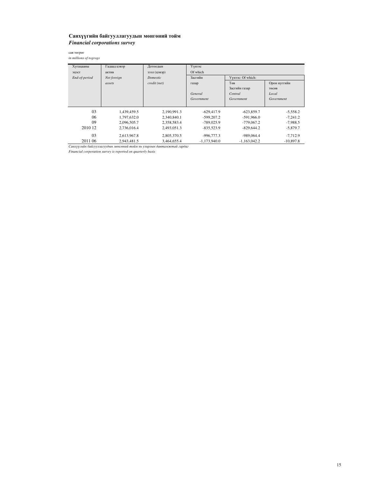## Санхүүгийн байгууллагуудын мөнгөний тойм *Financial corporations survey*

сая төгрөг

*in millions of togrogs*

| Хугацааны     | Гадаад цэвэр | Дотоодын     | Үүнээс         |                   |              |
|---------------|--------------|--------------|----------------|-------------------|--------------|
| эцэст         | актив        | (деяец) пеее | Of which       |                   |              |
| End-of-period | Net foreign  | Domestic     | Засгийн        | Үүнээс: Of which: |              |
|               | assets       | credit (net) | газар          | Төв               | Орон нуггийн |
|               |              |              |                | Засгийн газар     | төсөв        |
|               |              |              | General        | Central           | Local        |
|               |              |              | Government     | Government        | Government   |
|               |              |              |                |                   |              |
| 03            | 1.439.459.5  | 2.190.991.3  | $-629.417.9$   | $-623,859.7$      | $-5,558.2$   |
| 06            | 1.797.632.0  | 2.340.840.1  | $-599.207.2$   | $-591.966.0$      | $-7.241.2$   |
| 09            | 2,096,505.7  | 2,358,583.4  | $-789.025.9$   | $-779,067.2$      | $-7,988.5$   |
| 2010 12       | 2.736.016.4  | 2.493.051.3  | $-835.523.9$   | $-829.644.2$      | $-5,879.7$   |
| 03            | 2,613,967.8  | 2,805,370.5  | $-996,777.3$   | $-989.064.4$      | $-7.712.9$   |
| 2011 06       | 2.943.481.5  | 3.464,655.4  | $-1.173.940.0$ | $-1.163.042.2$    | $-10.897.8$  |

Санхүүгийн байгууллагуудын мөнгөний тойм нь улирлын давтамжтай гардаг

*Financial corporation survey is reported on quarterly basis*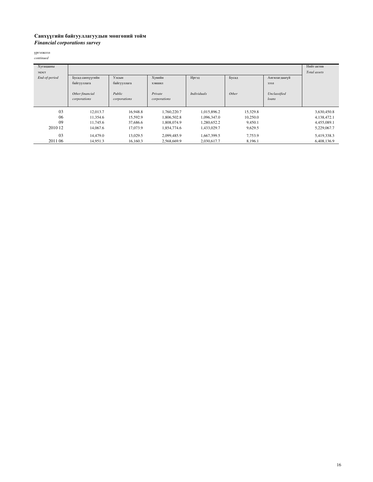## Санхүүгийн байгууллагуудын мөнгөний тойм *Financial corporations survey*

үргэлжлэл

| continued |  |
|-----------|--|
|           |  |

| Хугацааны     |                  |              |              |                    |          |               | Нийт актив   |
|---------------|------------------|--------------|--------------|--------------------|----------|---------------|--------------|
| эцэст         |                  |              |              |                    |          |               | Total assets |
| End-of-period | Бусад санхүүгийн | Улсын        | Хувийн       | Иргэд              | Бусад    | Ангилагдаагүй |              |
|               | байгууллага      | байгууллага  | хэвшил       |                    |          | зээл          |              |
|               |                  |              |              |                    |          |               |              |
|               | Other financial  | Public       | Private      | <b>Individuals</b> | Other    | Unclassified  |              |
|               | corporations     | corporations | corporations |                    |          | loans         |              |
|               |                  |              |              |                    |          |               |              |
| 03            | 12,013.7         | 16,948.8     | 1.760.220.7  | 1,015,896.2        | 15,329.8 |               | 3,630,450.8  |
| 06            | 11.354.6         | 15,592.9     | 1,806,502.8  | 1,096,347.0        | 10,250.0 |               | 4,138,472.1  |
| 09            | 11,745.6         | 37,686.6     | 1.808.074.9  | 1,280,652.2        | 9,450.1  |               | 4,455,089.1  |
| 2010 12       | 14,067.6         | 17,073.9     | 1,854,774.6  | 1,433,029.7        | 9,629.5  |               | 5,229,067.7  |
| 03            | 14,479.0         | 13,029.5     | 2.099.485.9  | 1,667,399.5        | 7,753.9  |               | 5,419,338.3  |
| 2011 06       | 14.951.3         | 16.160.3     | 2.568.669.9  | 2,030,617.7        | 8,196.1  |               | 6.408.136.9  |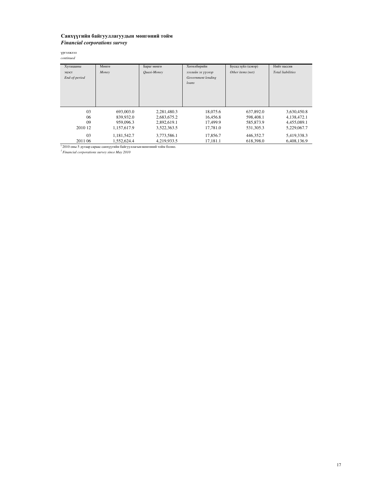## Санхүүгийн байгууллагуудын мөнгөний тойм *Financial corporations survey*

үргэлжлэл *continued*

| Хугацааны              | Мөнгө       | Бараг мөнгө | Хөтөлбөрийн                                      | Бусад зүйл (цэвэр) | Нийт пассив              |
|------------------------|-------------|-------------|--------------------------------------------------|--------------------|--------------------------|
| эцэст<br>End-of-period | Money       | Ouasi-Money | зээлийн эх үүсвэр<br>Government lending<br>loans | Other items (net)  | <b>Total liabilities</b> |
| 03                     | 693,003.0   | 2,281,480.3 | 18,075.6                                         | 637,892.0          | 3,630,450.8              |
| 06                     | 839,932.0   | 2,683,675.2 | 16,456.8                                         | 598,408.1          | 4,138,472.1              |
| 09                     | 959,096.3   | 2,892,619.1 | 17,499.9                                         | 585,873.9          | 4,455,089.1              |
| 2010 12                | 1,157,617.9 | 3,522,363.5 | 17.781.0                                         | 531,305.3          | 5,229,067.7              |
| 03                     | 1,181,542.7 | 3,773,586.1 | 17,856.7                                         | 446,352.7          | 5,419,338.3              |
| 2011 06                | 1.552.624.4 | 4.219.933.5 | 17.181.1                                         | 618,398.0          | 6.408.136.9              |

 $^{-1}$ 2010 оны 5 дугаар сараас санхүүгийн байгууллагын мөнгөний тойм болно.

*1 Financial corporations survey since May 2010*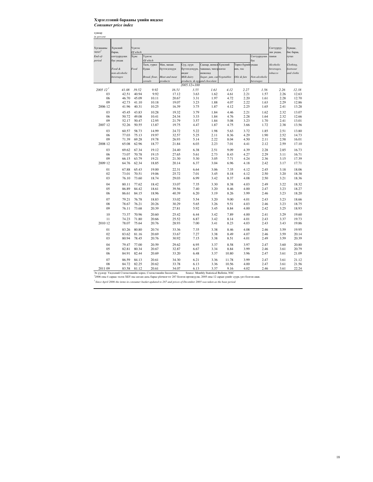#### Хэрэглээний барааны үнийн индекс *Consumer price index*

хувиар

| in percent            |                                                                |          |               |                                                                                                                                               |                              |                                           |       |                   |               |            |            |
|-----------------------|----------------------------------------------------------------|----------|---------------|-----------------------------------------------------------------------------------------------------------------------------------------------|------------------------------|-------------------------------------------|-------|-------------------|---------------|------------|------------|
|                       |                                                                |          |               |                                                                                                                                               |                              |                                           |       |                   |               |            |            |
| Хугацааны             | Хүнсний                                                        | Үүнээс   |               |                                                                                                                                               |                              |                                           |       |                   |               | Согтууруу- | Хувцас,    |
| эцэст $^3$            | бараа,                                                         | Of which |               |                                                                                                                                               |                              |                                           |       |                   |               | лах ундаа, | бөс бараа, |
| End-of-               | согтууруулах                                                   | Хүнс     | Үүнээс        |                                                                                                                                               |                              |                                           |       |                   | Согтууруулах  | тамхи      | гутал      |
| period                | бус ундаа                                                      |          | Of which      |                                                                                                                                               |                              |                                           |       |                   | бус           |            |            |
|                       |                                                                |          | Галх, гурил   | Мах, махан                                                                                                                                    | Сүү, сүүн                    | Саахар, жимсн Хүнсний                     |       | Төрөл бүрийгундаа |               | Alcoholic  | Clothing,  |
|                       | Food &                                                         | Food     | будаа         | бүтээгдэхүүн                                                                                                                                  | бүтээгдэхүүн,                | чанамал, чихэрногоо                       |       | өөх, тос          |               | beverages, | footwear   |
|                       | non-alcoholic                                                  |          |               |                                                                                                                                               | өндөг                        | шоколад                                   |       |                   |               | tobacco    | and cloths |
|                       | beverages                                                      |          | Bread, flour, | Meat and meat                                                                                                                                 | Milk dairy                   | Sugar, jam, can Vegetables                |       | Oils & fats       | Non-alcoholic |            |            |
|                       |                                                                |          | cereals       | products                                                                                                                                      | products, & eggand chocolate |                                           |       |                   | beverages     |            |            |
|                       |                                                                |          |               |                                                                                                                                               | $2005.12 = 100$              |                                           |       |                   |               |            |            |
| $200512$ <sup>1</sup> | 41.08                                                          | 39.52    | 9.92          | 16.51                                                                                                                                         | 3.55                         | 1.61                                      | 4.12  | 2.27              | 1.56          | 2.26       | 12.38      |
| 03                    | 42.51                                                          | 40.94    | 9.92          | 17.12                                                                                                                                         | 3.63                         | 1.62                                      | 4.61  | 2.21              | 1.57          | 2.26       | 12.63      |
| 06                    | 46.70                                                          | 45.09    | 10.11         | 20.67                                                                                                                                         | 3.31                         | 1.97                                      | 4.72  | 2.20              | 1.61          | 2.28       | 12.70      |
| 09                    | 42.73                                                          | 41.10    | 10.18         | 19.07                                                                                                                                         | 3.23                         | 1.88                                      | 4.07  | 2.22              | 1.63          | 2.29       | 12.86      |
| 2006 12               | 41.96                                                          | 40.31    | 10.25         | 16.39                                                                                                                                         | 3.75                         | 1.87                                      | 4.12  | 2.25              | 1.65          | 2.41       | 13.28      |
| 03                    | 45.45                                                          | 43.83    | 10.28         | 19.32                                                                                                                                         | 3.79                         | 1.84                                      | 4.46  | 2.21              | 1.62          | 2.32       | 13.07      |
| 06                    | 50.72                                                          | 49.08    | 10.41         | 24.34                                                                                                                                         | 3.33                         | 1.84                                      | 4.76  | 2.28              | 1.64          | 2.32       | 12.66      |
| 09                    | 52.17                                                          | 50.47    | 12.95         | 21.79                                                                                                                                         | 3.57                         | 1.84                                      | 5.08  | 3.23              | 1.70          | 2.41       | 13.01      |
| 2007 12               | 52.26                                                          | 50.55    | 13.87         | 19.75                                                                                                                                         | 4.47                         | 1.87                                      | 4.75  | 3.66              | 1.72          | 2.38       | 13.56      |
| 03                    | 60.57                                                          | 58.73    | 14.99         | 24.72                                                                                                                                         | 5.22                         | 1.98                                      | 5.63  | 3.72              | 1.85          | 2.51       | 13.80      |
| 06                    | 77.03                                                          | 75.13    | 19.97         | 32.57                                                                                                                                         | 5.25                         | 2.11                                      | 8.36  | 4.29              | 1.90          | 2.52       | 14.73      |
| 09                    | 71.39                                                          | 69.28    | 19.78         | 26.93                                                                                                                                         | 5.14                         | 2.22                                      | 8.04  | 4.50              | 2.11          | 2.58       | 16.01      |
| 2008 12               | 65.08                                                          | 62.96    | 18.77         | 21.84                                                                                                                                         | 6.03                         | 2.23                                      | 7.01  | 4.41              | 2.12          | 2.59       | 17.10      |
|                       |                                                                |          |               |                                                                                                                                               |                              |                                           |       |                   |               |            |            |
| 03                    | 69.62                                                          | 67.34    | 19.12         | 24.40                                                                                                                                         | 6.38                         | 2.51                                      | 9.09  | 4.39              | 2.28          | 2.85       | 16.73      |
| 06                    | 73.07                                                          | 70.78    | 19.15         | 27.65                                                                                                                                         | 5.61                         | 2.73                                      | 8.43  | 4.27              | 2.29          | 3.11       | 16.71      |
| 09                    | 66.15                                                          | 63.79    | 19.21         | 21.30                                                                                                                                         | 5.30                         | 3.05                                      | 7.71  | 4.24              | 2.36          | 3.15       | 17.39      |
| 2009 12               | 64.76                                                          | 62.34    | 18.85         | 20.14                                                                                                                                         | 6.37                         | 3.04                                      | 6.96  | 4.18              | 2.42          | 3.17       | 17.71      |
| 01                    | 67.88                                                          | 65.43    | 19.00         | 22.31                                                                                                                                         | 6.64                         | 3.06                                      | 7.35  | 4.12              | 2.45          | 3.18       | 18.06      |
| 02                    | 73.01                                                          | 70.51    | 19.06         | 25.72                                                                                                                                         | 7.01                         | 3.45                                      | 8.18  | 4.12              | 2.50          | 3.20       | 18.38      |
| 03                    | 76.10                                                          | 73.60    | 18.74         | 29.03                                                                                                                                         | 6.99                         | 3.42                                      | 8.37  | 4.08              | 2.50          | 3.21       | 18.36      |
|                       |                                                                |          |               |                                                                                                                                               |                              |                                           |       |                   |               |            |            |
| 04                    | 80.11                                                          | 77.62    | 18.42         | 33.07                                                                                                                                         | 7.35                         | 3.30                                      | 8.38  | 4.03              | 2.49          | 3.22       | 18.32      |
| 05                    | 86.89                                                          | 84.42    | 18.61         | 39.56                                                                                                                                         | 7.40                         | 3.20                                      | 8.46  | 4.00              | 2.47          | 3.23       | 18.27      |
| 06                    | 86.61                                                          | 84.15    | 18.96         | 40.39                                                                                                                                         | 6.20                         | 3.19                                      | 8.26  | 3.99              | 2.46          | 3.23       | 18.20      |
| 07                    | 79.21                                                          | 76.78    | 18.83         | 33.02                                                                                                                                         | 5.54                         | 3.20                                      | 9.00  | 4.01              | 2.43          | 3.23       | 18.66      |
| 08                    | 78.67                                                          | 76.21    | 20.26         | 30.29                                                                                                                                         | 5.65                         | 3.26                                      | 9.51  | 4.03              | 2.46          | 3.23       | 18.75      |
| 09                    | 76.11                                                          | 73.68    | 20.39         | 27.81                                                                                                                                         | 5.92                         | 3.45                                      | 8.84  | 4.00              | 2.42          | 3.25       | 18.93      |
|                       |                                                                |          |               |                                                                                                                                               |                              |                                           |       |                   |               |            |            |
| 10                    | 73.37                                                          | 70.96    | 20.60         | 25.42                                                                                                                                         | 6.44                         | 3.42                                      | 7.89  | 4.00              | 2.41          | 3.29       | 19.60      |
| 11                    | 74.23                                                          | 71.80    | 20.66         | 25.52                                                                                                                                         | 6.87                         | 3.42                                      | 8.14  | 4.01              | 2.43          | 3.37       | 19.73      |
| 2010 12               | 78.07                                                          | 75.64    | 20.76         | 28.93                                                                                                                                         | 7.00                         | 3.41                                      | 8.23  | 4.03              | 2.43          | 3.43       | 19.86      |
| 01                    | 83.26                                                          | 80.80    | 20.74         | 33.36                                                                                                                                         | 7.35                         | 3.38                                      | 8.46  | 4.08              | 2.46          | 3.59       | 19.95      |
| 02                    | 83.62                                                          | 81.16    | 20.69         | 33.67                                                                                                                                         | 7.27                         | 3.38                                      | 8.49  | 4.07              | 2.46          | 3.59       | 20.14      |
| 03                    | 80.94                                                          | 78.45    | 20.76         | 30.92                                                                                                                                         | 7.15                         | 3.38                                      | 8.51  | 4.01              | 2.49          | 3.59       | 20.39      |
|                       |                                                                |          |               |                                                                                                                                               |                              |                                           |       |                   |               |            |            |
| 04                    | 79.47                                                          | 77.00    | 20.59         | 29.62                                                                                                                                         | 6.95                         | 3.37                                      | 8.58  | 3.97              | 2.47          | 3.60       | 20.80      |
| 05                    | 82.81                                                          | 80.34    | 20.67         | 32.87                                                                                                                                         | 6.67                         | 3.34                                      | 8.84  | 3.99              | 2.46          | 3.61       | 20.79      |
| 06                    | 84.91                                                          | 82.44    | 20.69         | 33.20                                                                                                                                         | 6.48                         | 3.37                                      | 10.80 | 3.96              | 2.47          | 3.61       | 21.09      |
| 07                    | 86.59                                                          | 84.13    | 20.61         | 34.30                                                                                                                                         | 6.21                         | 3.36                                      | 11.78 | 3.99              | 2.47          | 3.61       | 21.12      |
| 08                    | 84.72                                                          | 82.25    | 20.62         | 33.78                                                                                                                                         | 6.13                         | 3.36                                      | 10.56 | 4.00              | 2.47          | 3.61       | 21.56      |
| 2011 09               | 83.58                                                          | 81.12    | 20.61         | 34.07                                                                                                                                         | 6.13                         | 3.37                                      | 9.16  | 4.02              | 2.46          | 3.61       | 22.24      |
|                       | Эх үүсвэр: Үндэсний Статистикийн хороо, Статистикийн бюллетень |          |               |                                                                                                                                               |                              | Source: Monthly Statistical Bulletin, NSC |       |                   |               |            |            |
|                       |                                                                |          |               | <sup>1</sup> 2006 оны 4 сараас эхлэн ХБҮ-ны сагсан дахь бараа үйлчилгээг 287 болгон өргөжүүлж, 2005 оны 12 сарын үнийг суурь үнэ болгон авав. |                              |                                           |       |                   |               |            |            |
|                       |                                                                |          |               | Since April 2006 the items in consumer basket updated to 287 and prices of December 2005 was taken as the base period.                        |                              |                                           |       |                   |               |            |            |
|                       |                                                                |          |               |                                                                                                                                               |                              |                                           |       |                   |               |            |            |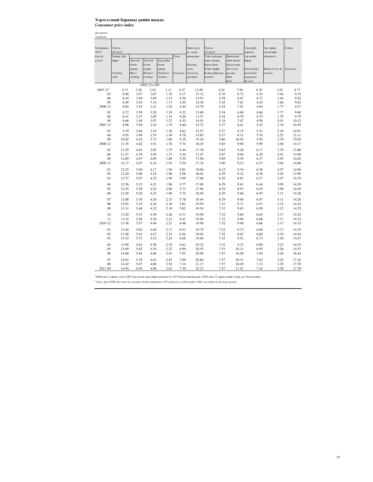#### Хэрэглээний барааны үнийн индекс *Consumer price index*

үргэлжлэл

| continued             |             |          |                 |            |          |              |                 |              |              |                |           |
|-----------------------|-------------|----------|-----------------|------------|----------|--------------|-----------------|--------------|--------------|----------------|-----------|
|                       |             |          |                 |            |          |              |                 |              |              |                |           |
|                       |             |          |                 |            |          |              |                 |              |              |                |           |
| Хугацааны             | Үүнээс      |          |                 |            |          | Орон сууц,   | Үүнээс          |              | Гэр ахуйн    | Эм, тариа,     | Тээвэр    |
| эцэст <sup>3</sup>    | Of which    |          |                 |            |          | ус, түлш,    | Of which        |              | тавилга,     | эмнэлгийн      |           |
| End-of-               | Хувцас, бөс |          |                 |            | Гутал    | цахилгаан    | Усан хангамж,   | Цахилгаан,   | гэр ахуйн    | сетцирцйу      |           |
| period                | бараа       | Эрэгтэй  | Эмэгтэй         | Хүүхдийн   |          |              | орон сууцны     | хийн болон   | бараа        |                |           |
|                       |             | бэлэн    | бэлэн           | бэлэн      |          | Housing,     | бусад үйлч.     | бусад түлш   |              |                |           |
|                       |             | хувцас   | хувцас          | хувцас     |          | water,       | Water supply    | Electricity, | Furnishings, | Medical care & | Transport |
|                       | Clothing,   | Men's    | Women's         | Children's | Footwear | electricity, | & miscellaneous | gas and      | household    | services       |           |
|                       | cloth       | clothing | clothing        | clothing   |          | and fuels    | services        | other        | equipment    |                |           |
|                       |             |          | $2005.12 = 100$ |            |          |              |                 | fuels        | & tools      |                |           |
| $200512$ <sup>1</sup> | 8.11        | 3.26     | 2.93            | 1.11       | 4.27     | 13.40        | 4.24            | 7.60         | 4.30         | 1.62           | 8.71      |
| 03                    | 8.46        | 3.47     | 3.07            | 1.10       | 4.17     | 13.12        | 4.78            | 6.73         | 4.34         | 1.64           | 9.35      |
|                       |             |          |                 |            | 4.26     |              |                 |              |              |                |           |
| 06                    | 8.44        | 3.40     | 3.09            | 1.13       |          | 13.01        | 4.78            | 6.67         | 4.37         | 1.64           | 9.42      |
| 09                    | 8.58        | 3.45     | 3.14            | 1.17       | 4.29     | 14.38        | 5.18            | 7.61         | 4.45         | 1.66           | 9.63      |
| 2006 12               | 8.84        | 3.54     | 3.21            | 1.22       | 4.45     | 14.70        | 5.18            | 7.91         | 4.64         | 1.77           | 9.57      |
| 03                    | 8.73        | 3.50     | 3.20            | 1.18       | 4.32     | 13.69        | 5.34            | 6.60         | 4.66         | 1.77           | 9.60      |
| 06                    | 8.41        | 3.37     | 3.05            | 1.14       | 4.26     | 13.37        | 5.34            | 6.70         | 4.73         | 1.79           | 9.79      |
| 09                    | 8.68        | 3.49     | 3.07            | 1.27       | 4.33     | 14.91        | 5.34            | 7.67         | 4.98         | 2.01           | 10.12     |
| 2007 12               | 8.96        | 3.58     | 3.10            | 1.35       | 4.60     | 15.73        | 5.37            | 8.41         | 5.22         | 2.10           | 10.59     |
| 03                    | 9.19        |          | 3.19            | 1.39       |          | 15.53        |                 |              |              | 2.18           | 10.91     |
|                       | 9.95        | 3.66     |                 |            | 4.62     |              | 5.37            | 8.15         | 5.51         |                |           |
| 06                    |             | 3.98     | 3.55            | 1.49       | 4.78     | 15.65        | 5.37            | 8.11         | 5.76         | 2.52           | 11.11     |
| 09                    | 10.82       | 4.42     | 3.73            | 1.69       | 5.19     | 19.30        | 5.80            | 10.93        | 5.95         | 2.70           | 15.05     |
| 2008 12               | 11.35       | 4.62     | 3.91            | 1.76       | 5.74     | 18.45        | 5.83            | 9.90         | 5.99         | 2.68           | 14.17     |
| 03                    | 11.29       | 4.63     | 3.85            | 1.75       | 5.44     | 17.78        | 5.83            | 9.28         | 6.17         | 2.70           | 13.88     |
| 06                    | 11.47       | 4.79     | 3.99            | 1.73       | 5.24     | 17.47        | 5.87            | 9.04         | 6.29         | 2.91           | 13.08     |
| 09                    | 12.09       | 4.97     | 4.09            | 1.89       | 5.30     | 17.90        | 5.89            | 9.39         | 6.37         | 2.95           | 14.02     |
| 2009 12               | 12.17       | 4.97     | 4.14            | 1.93       | 5.54     | 17.74        | 5.90            | 9.23         | 6.37         | 3.06           | 14.06     |
|                       |             |          |                 |            |          |              |                 |              |              |                |           |
| 01                    | 12.25       | 5.00     | 4.17            | 1.94       | 5.81     | 18.06        | 6.12            | 9.34         | 6.38         | 3.07           | 14.06     |
| 02                    | 12.40       | 5.06     | 4.24            | 1.96       | 5.98     | 18.02        | 6.29            | 9.12         | 6.39         | 3.05           | 13.99     |
| 03                    | 12.37       | 5.07     | 4.22            | 1.94       | 5.99     | 17.68        | 6.29            | 8.81         | 6.37         | 3.07           | 14.19     |
| 04                    | 12.56       | 5.23     | 4.23            | 1.96       | 5.77     | 17.69        | 6.29            | 8.81         | 6.44         | 3.09           | 14.20     |
| 05                    | 12.55       | 5.20     | 4.24            | 2.00       | 5.73     | 17.66        | 6.29            | 8.93         | 6.45         | 3.09           | 14.45     |
| 06                    | 12.49       | 5.20     | 4.22            | 1.96       | 5.72     | 18.40        | 6.29            | 9.66         | 6.45         | 3.11           | 14.28     |
|                       |             |          |                 |            |          |              |                 |              |              |                |           |
| 07                    | 12.88       | 5.36     | 4.26            | 2.15       | 5.78     | 18.44        | 6.29            | 9.69         | 6.47         | 3.11           | 14.26     |
| 08                    | 12.93       | 5.35     | 4.28            | 2.18       | 5.82     | 19.59        | 7.32            | 9.71         | 6.51         | 3.12           | 14.24     |
| 09                    | 13.11       | 5.46     | 4.32            | 2.19       | 5.82     | 19.54        | 7.32            | 9.63         | 6.50         | 3.12           | 14.25     |
| 10                    |             |          | 4.36            |            |          | 19.58        |                 | 9.60         |              |                |           |
|                       | 13.29       | 5.53     |                 | 2.20       | 6.31     |              | 7.32            |              | 6.65         | 3.17           | 14.24     |
| 11                    | 13.32       | 5.56     | 4.36            | 2.21       | 6.41     | 19.94        | 7.32            | 9.96         | 6.68         | 3.17           | 14.32     |
| 2010 12               | 13.38       | 5.57     | 4.40            | 2.21       | 6.48     | 19.96        | 7.32            | 9.96         | 6.66         | 3.17           | 14.32     |
| 01                    | 13.44       | 5.62     | 4.40            | 2.17       | 6.51     | 19.75        | 7.32            | 9.73         | 6.68         | 3.17           | 14.35     |
| 02                    | 13.58       | 5.63     | 4.47            | 2.23       | 6.56     | 19.65        | 7.32            | 9.67         | 6.69         | 3.19           | 14.44     |
| 03                    | 13.72       | 5.72     | 4.52            | 2.24       | 6.68     | 19.46        | 7.32            | 9.51         | 6.73         | 3.20           | 14.47     |
|                       |             |          |                 |            |          |              |                 |              |              |                |           |
| 04                    | 13.99       | 5.83     | 4.58            | 2.35       | 6.81     | 19.32        | 7.32            | 9.32         | 6.90         | 3.22           | 14.53     |
| 05                    | 13.89       | 5.82     | 4.54            | 2.32       | 6.90     | 20.55        | 7.53            | 10.11        | 6.95         | 3.26           | 14.57     |
| 06                    | 14.06       | 5.84     | 4.60            | 2.41       | 7.03     | 20.90        | 7.57            | 10.40        | 7.04         | 3.26           | 16.44     |
| 07                    | 14.03       | 5.78     | 4.61            | 2.43       | 7.09     | 20.86        | 7.57            | 10.31        | 7.03         | 3.25           | 17.26     |
| 08                    | 14.42       | 5.87     | 4.80            | 2.52       | 7.14     | 21.17        | 7.57            | 10.49        | 7.13         | 3.25           | 17.39     |
| 2011 09               | 14.94       | 6.05     | 4.98            | 2.63       | 7.30     | 22.21        | 7.57            | 11.51        | 7.16         | 3.28           | 17.39     |
|                       |             |          |                 |            |          |              |                 |              |              |                |           |

<sup>1</sup>2006 оны 4 сараас эхлэн ХБҮ-ны сагсан дахь бараа үйлчилгээг 287 болгон өргөжүүлж, 2005 оны 12 сарын үнийг суурь үнэ болгон авав.<br><sup>1</sup> Since April 2006 the items in consumer basket updated to 287 and prices of December 2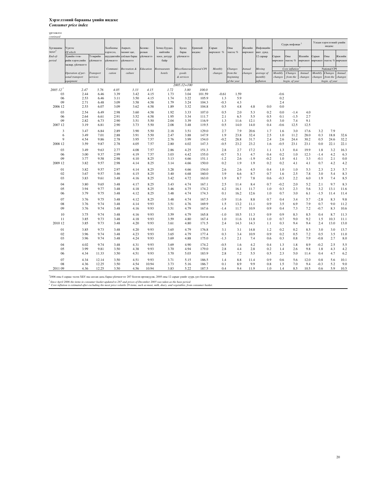#### Хэрэглээний барааны үнийн индекс *Consumer price index*

үргэлжлэл

| continued                               |                                             |                       |                                      |                                          |                    |                                 |                   |                           |               |                |          |                         |            |                            |                             |                                   |                          |                             |
|-----------------------------------------|---------------------------------------------|-----------------------|--------------------------------------|------------------------------------------|--------------------|---------------------------------|-------------------|---------------------------|---------------|----------------|----------|-------------------------|------------|----------------------------|-----------------------------|-----------------------------------|--------------------------|-----------------------------|
| Хугацааны                               | Үүнээс                                      |                       | Холбооны                             | Амралт,                                  | Боловс-            | Зочид буудал,                   | Бусад             | Ерөнхий                   | Сарын         | Оны            | Жилийн   | Инфляцийн               |            | Суурь инфляци <sup>2</sup> |                             | Улсын хэрэглээний үнийн<br>индекс |                          |                             |
| эцэст <sup>3</sup><br>End-of-<br>period | Of which<br>Хувийн тээв-<br>рийн хэрэгслийн | Тээврийн<br>сетцирцйу | хэрэгсэл,<br>шуудангийн<br>сєтцирцйу | чөлөөт цаг,<br>соёлын бараа<br>єєтцирцйу | ролын<br>сєтцирцйу | нийтийн<br>хоол, дотуур<br>байр | бараа<br>естинийу | индекс                    | өөрчлөлт %    | эхнээс %       | өөрчлөлт | шат. дунд.<br>12 capaap | Сарын      | Оны<br>өөрчлөлт эхнээс %   | Жилийн<br>өөрчлөлт өөрчлөлт | Сарын                             | Оны                      | Жилийн<br>эхнээс % өөрчлөлт |
|                                         | засвар, үйлчилгээ                           |                       |                                      |                                          |                    |                                 |                   |                           |               |                |          |                         |            |                            |                             |                                   |                          |                             |
|                                         |                                             |                       | Communi                              | Recreation &                             | Education          | Restraurants                    |                   | Miscellaneous General CPI | Monthly       | Changes        | Annual   | Moving                  |            | Core inflation $2$         |                             |                                   | National CPI             |                             |
|                                         | Operation of per-                           | <b>Transport</b>      | cation                               | culture                                  |                    | hotels                          | goods             |                           | changes       | <i>rom</i> the | changes  | average of              | Monthly    | Changes                    | Annual                      | Monthly                           | Changes                  | Annual                      |
|                                         | sonal transport                             | services              |                                      |                                          |                    |                                 | & services        |                           |               | beginning      |          | monthly                 | changes    | from the                   | changes                     |                                   | changes from the changes |                             |
|                                         | equipment                                   |                       |                                      |                                          |                    |                                 |                   |                           |               | of the year    |          | inflation               |            | begin. of year             |                             |                                   | begin. of year           |                             |
|                                         |                                             |                       |                                      |                                          |                    |                                 | $2005.12 = 100$   |                           |               |                |          |                         |            |                            |                             |                                   |                          |                             |
| $200512$ <sup>1</sup>                   | 2.47                                        | 5.76                  | 4.05                                 | 3.33                                     | 4.15               | 1.72                            | 3.00              | 100.0                     |               |                |          |                         |            |                            |                             |                                   |                          |                             |
| 03                                      | 2.44                                        | 6.46                  | 3.39                                 | 3.42                                     | 4.15               | 1.73                            | 3.04              | 101.59                    | $-0.61$       | 1.59           |          |                         | $-0.6$     |                            |                             |                                   |                          |                             |
| 06<br>09                                | 2.53<br>2.71                                | 6.46<br>6.48          | 3.11<br>3.09                         | 3.50<br>3.58                             | 4.15<br>4.58       | 1.74<br>1.79                    | 3.22<br>3.24      | 105.9<br>104.3            | 1.3<br>$-0.3$ | 5.9<br>4.3     |          |                         | 0.2<br>2.4 |                            |                             |                                   |                          |                             |
| 2006 12                                 | 2.53                                        | 6.07                  | 3.09                                 | 3.62                                     | 4.58               | 1.89                            | 3.32              | 104.8                     | 0.5           | 4.8            | 4.8      | 0.0                     | 0.0        |                            |                             |                                   |                          |                             |
|                                         |                                             |                       |                                      |                                          |                    |                                 |                   |                           |               |                |          |                         |            |                            |                             |                                   |                          |                             |
| 03                                      | 2.54                                        | 6.49                  | 2.98                                 | 3.60                                     | 4.58               | 1.92                            | 3.33              | 107.0                     | 0.5           | 2.0            | 5.3      | 0.2                     | 0.0        | $-1.4$                     | 4.0                         |                                   |                          |                             |
| 06                                      | 2.64                                        | 6.61                  | 2.91                                 | 3.52                                     | 4.58               | 1.95                            | 3.34              | 111.7                     | 2.1           | 6.5            | 5.5      | 0.5                     | 0.1        | $-1.5$                     | 2.7                         |                                   |                          |                             |
| 09                                      | 2.82                                        | 6.73                  | 2.90                                 | 3.51                                     | 5.50               | 2.04                            | 3.39              | 116.9                     | 1.3           | 11.6           | 12.1     | 0.5                     | 3.0        | 7.4                        | 9.1                         |                                   |                          |                             |
| 2007 12                                 | 3.19                                        | 6.81                  | 2.90                                 | 3.73                                     | 5.50               | 2.08                            | 3.48              | 119.5                     | 0.5           | 14.0           | 14.0     | 0.4                     | $-0.6$     | 12.5                       | 12.5                        |                                   |                          |                             |
| 3                                       | 3.47                                        | 6.84                  | 2.89                                 | 3.90                                     | 5.50               | 2.18                            | 3.51              | 129.0                     | 2.7           | 7.9            | 20.6     | 1.7                     | 1.6        | 3.0                        | 17.6                        | 3.2                               | 7.9                      |                             |
| 6                                       | 3.49                                        | 7.01                  | 2.88                                 | 3.91                                     | 5.50               | 2.47                            | 3.88              | 147.9                     | 1.9           | 23.8           | 32.4     | 2.5                     | 1.0        | 11.2                       | 28.0                        | 0.3                               | 18.8                     | 32.6                        |
| 9                                       | 4.54                                        | 9.86                  | 2.78                                 | 3.95                                     | 7.57               | 2.76                            | 3.99              | 154.0                     | $-0.2$        | 28.8           | 31.7     | 2.4                     | 2.6        | 24.4                       | 30.2                        | 0.5                               | 24.6                     | 32.2                        |
| 2008 12                                 | 3.59                                        | 9.87                  | 2.78                                 | 4.05                                     | 7.57               | 2.80                            | 4.02              | 147.3                     | $-0.5$        | 23.2           | 23.2     | 1.6                     | $-0.5$     | 23.1                       | 23.1                        | 0.0                               | 22.1                     | 22.1                        |
| 03                                      | 3.49                                        | 9.63                  | 2.77                                 | 4.08                                     | 7.57               | 2.86                            | 4.25              | 151.3                     | 2.8           | 2.7            | 17.2     | 1.1                     | 1.3        | 0.4                        | 19.9                        | 1.8                               | 3.2                      | 16.3                        |
| 06                                      | 3.00                                        | 9.37                  | 2.99                                 | 4.19                                     | 7.57               | 3.03                            | 4.42              | 155.0                     | $-0.7$        | 5.1            | 4.7      | 0.4                     | 0.2        | 1.0                        | 12.3                        | $-1.4$                            | 4.2                      | 6.3                         |
| 09                                      | 3.77                                        | 9.58                  | 2.98                                 | 4.10                                     | 8.25               | 3.13                            | 4.66              | 151.1                     | $-1.2$        | 2.6            | $-1.9$   | $-0.2$                  | 1.0        | 4.1                        | 3.3                         | $-0.1$                            | 2.1                      | 0.0                         |
| 2009 12                                 | 3.82                                        | 9.57                  | 2.98                                 | 4.14                                     | 8.25               | 3.14                            | 4.66              | 150.0                     | 0.2           | 1.9            | 1.9      | 0.2                     | 0.2        | 4.1                        | 4.1                         | 0.7                               | 4.2                      | 4.2                         |
|                                         |                                             |                       |                                      |                                          |                    |                                 |                   |                           |               |                |          |                         |            |                            |                             |                                   |                          |                             |
| 01                                      | 3.82                                        | 9.57                  | 2.97                                 | 4.14                                     | 8.25               | 3.28                            | 4.66              | 154.0                     | 2.6           | 2.6            | 4.5      | 0.4                     | 1.0        | 1.0                        | 5.3                         | 2.3                               | 2.3                      | 5.7                         |
| 02                                      | 3.67                                        | 9.57                  | 3.46                                 | 4.15                                     | 8.25               | 3.40                            | 4.68              | 160.0                     | 3.9           | 6.6            | 8.7      | 0.7                     | 1.6        | 2.5                        | 7.8                         | 3.0                               | 5.4                      | 8.3                         |
| 03                                      | 3.83                                        | 9.61                  | 3.48                                 | 4.16                                     | 8.25               | 3.42                            | 4.72              | 163.0                     | 1.9           | 8.7            | 7.8      | 0.6                     | $-0.3$     | 2.2                        | 6.0                         | 1.9                               | 7.4                      | 8.5                         |
| 04                                      | 3.80                                        | 9.65                  | 3.48                                 | 4.17                                     | 8.25               | 3.43                            | 4.74              | 167.1                     | 2.5           | 11.4           | 8.4      | 0.7                     | $-0.2$     | 2.0                        | 5.2                         | 2.1                               | 9.7                      | 8.3                         |
| 05                                      | 3.94                                        | 9.77                  | 3.48                                 | 4.18                                     | 8.25               | 3.46                            | 4.75              | 174.2                     | 4.2           | 16.1           | 11.7     | 1.0                     | 0.3        | 2.3                        | 5.6                         | 3.2                               | 13.1                     | 11.6                        |
| 06                                      | 3.79                                        | 9.75                  | 3.48                                 | 4.12                                     | 8.25               | 3.48                            | 4.74              | 174.3                     | 0.1           | 16.2           | 12.6     | 1.0                     | 0.7        | 3.0                        | 6.1                         | $-1.5$                            | 11.4                     | 11.4                        |
| 07                                      | 3.76                                        | 9.75                  | 3.48                                 | 4.12                                     | 8.25               | 3.48                            | 4.74              | 167.5                     | $-3.9$        | 11.6           | 8.8      | 0.7                     | 0.4        | 3.4                        | 5.7                         | $-2.8$                            | 8.3                      | 9.8                         |
| 08                                      | 3.76                                        | 9.74                  | 3.48                                 | 4.14                                     | 9.93               | 3.51                            | 4.76              | 169.9                     | 1.5           | 13.2           | 11.1     | 0.9                     | 3.5        | 6.9                        | 7.9                         | 0.7                               | 9.0                      | 11.2                        |
| 09                                      | 3.76                                        | 9.74                  | 3.48                                 | 4.16                                     | 9.93               | 3.51                            | 4.79              | 167.6                     | $-1.4$        | 11.7           | 10.9     | 0.9                     | 0.4        | 7.3                        | 7.2                         | $-0.7$                            | 8.3                      | 10.6                        |
|                                         |                                             |                       |                                      |                                          |                    |                                 |                   |                           |               |                |          |                         |            |                            |                             |                                   |                          |                             |
| 10                                      | 3.75                                        | 9.74                  | 3.48                                 | 4.16                                     | 9.93               | 3.59                            | 4.79              | 165.8                     | $-1.0$        | 10.5           | 11.3     | 0.9                     | 0.9        | 8.3                        | 8.5                         | 0.4                               | 8.7                      | 11.3                        |
| 11                                      | 3.85                                        | 9.73                  | 3.48                                 | 4.18                                     | 9.93               | 3.59                            | 4.80              | 167.4                     | 1.0           | 11.6           | 11.8     | 1.0                     | 0.7        | 9.0                        | 9.2                         | 1.5                               | 10.3                     | 11.1                        |
| 2010 12                                 | 3.85                                        | 9.73                  | 3.48                                 | 4.20                                     | 9.93               | 3.61                            | 4.80              | 171.5                     | 2.4           | 14.3           | 14.3     | 1.1                     | 0.3        | 9.4                        | 9.4                         | 2.4                               | 13.0                     | 13.0                        |
| 01                                      | 3.85                                        | 9.73                  | 3.48                                 | 4.20                                     | 9.93               | 3.65                            | 4.79              | 176.8                     | 3.1           | 3.1            | 14.8     | 1.2                     | 0.2        | 0.2                        | 8.5                         | 3.0                               | 3.0                      | 13.7                        |
| 02                                      | 3.96                                        | 9.74                  | 3.48                                 | 4.23                                     | 9.93               | 3.65                            | 4.79              | 177.4                     | 0.3           | 3.4            | 10.9     | 0.9                     | 0.2        | 0.5                        | 7.2                         | 0.5                               | 3.5                      | 11.0                        |
| 03                                      | 3.96                                        | 9.74                  | 3.48                                 | 4.24                                     | 9.93               | 3.69                            | 4.88              | 175.0                     | $-1.3$        | 2.1            | 7.4      | 0.6                     | 0.3        | 0.8                        | 7.9                         | $-0.8$                            | 2.7                      | 8.0                         |
| 04                                      | 4.02                                        | 9.74                  | 3.48                                 | 4.31                                     | 9.93               | 3.69                            | 4.90              | 174.2                     | $-0.5$        | 1.6            | 4.2      | 0.4                     | 1.3        |                            | 8.9                         |                                   | 2.5                      |                             |
| 05                                      | 3.99                                        | 9.81                  |                                      |                                          |                    | 3.70                            | 4.94              | 179.0                     |               |                |          |                         |            | 1.8                        |                             | $-0.2$                            |                          | 5.5                         |
|                                         |                                             |                       | 3.50                                 | 4.38                                     | 9.93<br>9.93       |                                 |                   | 183.9                     | $2.8\,$       | 4.4            | 2.8      | 0.2                     | 1.4<br>2.3 | 2.6                        | 9.8                         | 1.8                               | 4.3                      | 4.2                         |
| 06                                      | 4.34                                        | 11.33                 | 3.50                                 | 4.51                                     |                    | 3.70                            | 5.03              |                           | 2.8           | 7.2            | 5.5      | 0.5                     |            | 5.0                        | 11.4                        | 0.4                               | 4.7                      | 6.2                         |
| 07                                      | 4.34                                        | 12.14                 | 3.50                                 | 4.51                                     | 9.93               | 3.71                            | 5.15              | 186.5                     | 1.4           | 8.8            | 11.4     | 0.9                     | 0.6        | 5.6                        | 12.0                        | 0.8                               | 5.6                      | 10.1                        |
| 08                                      | 4.36                                        | 12.25                 | 3.50                                 | 4.54                                     | 10.94              | 3.73                            | 5.16              | 186.7                     | 0.1           | 8.9            | 9.9      | 0.8                     | 1.5        | 7.0                        | 9.4                         | $-0.3$                            | 5.2                      | 9.0                         |
| 2011 09                                 | 4.36                                        | 12.25                 | 3.50                                 | 4.56                                     | 10.94              | 3.83                            | 5.22              | 187.5                     | 0.4           | 9.4            | 11.9     | 1.0                     | 1.4        | 8.5                        | 10.5                        | 0.6                               | 5.9                      | 10.5                        |

<sup>1</sup>2006 оны 4 сараас эхлэн XБY-ны сагсан дахь бараа үйлчилгээг 287 болгон өргөжүүлж, 2005 оны 12 сарын үнийг суурь үнэ болгон авав.<br>*' Smee April 2006 the items in consumer basket updated to 287 and prices of December 200*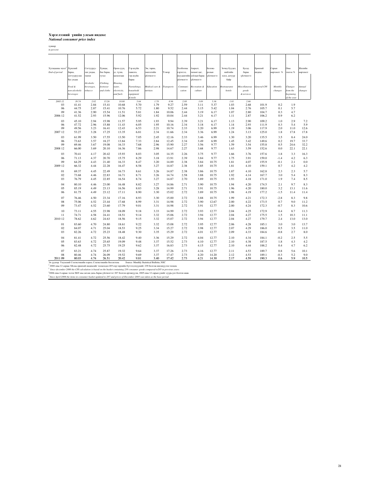## Хэрэглээнийүнийн улсын индекс *National consumer price index*

хувиар *in percent*

| Хугацааны эцэст<br>End-of-period | Хүнсний<br>бараа,<br>согтууруулах<br>бус ундаа<br>Food &<br>non-alcoholic<br>beverages | Согтууруу-<br>лах ундаа,<br>тамхи<br>Alcoholic<br>beverages,<br>tobacco | Хувцас,<br>бөс бараа,<br>гутал<br>Clothing,<br>footwear<br>and cloths | Орон сууц<br>ус, түлш,<br>цахилгаан<br>Housing,<br>water,<br>electricity,<br>and fuels | Гэр ахуйн<br>тавилга,<br>гэр ахуйн<br>бараа<br>Furnishings,<br>household<br>equipment | Эм, тариа,<br>нйнтгенме<br>еєтпиртій<br>Medical care &<br>services | Тээвэр<br><b>Transports</b> | Холбооны<br>хэрэгсэл,<br>шуудангийн<br>ествичий<br>Communi-<br>cation | Амралт,<br>чөлөөт цаг,<br>соёлын бараа<br>ествичий<br>Recreation &<br>culture | Боловс-<br>юлын<br>естпингій<br>Education | Зочид буудал,<br>нийтийн<br>хоол, дотуур<br>байр<br>Restraurants<br>hotels | Бусад<br>бараа<br>үйлчилгээ<br>Miscellaneous<br>goods<br>& services | Ерөнхий<br>индекс<br><b>General CPI</b> | Сарын<br>эөрчлөлт %<br>Monthly<br>changes | Оны<br>эхнээс %<br>Changes<br>from the<br>beginning | Жилийн<br>эөрчлөлт<br>Annual<br>changes |
|----------------------------------|----------------------------------------------------------------------------------------|-------------------------------------------------------------------------|-----------------------------------------------------------------------|----------------------------------------------------------------------------------------|---------------------------------------------------------------------------------------|--------------------------------------------------------------------|-----------------------------|-----------------------------------------------------------------------|-------------------------------------------------------------------------------|-------------------------------------------|----------------------------------------------------------------------------|---------------------------------------------------------------------|-----------------------------------------|-------------------------------------------|-----------------------------------------------------|-----------------------------------------|
|                                  |                                                                                        |                                                                         |                                                                       |                                                                                        | & tools                                                                               |                                                                    |                             |                                                                       |                                                                               |                                           |                                                                            |                                                                     |                                         |                                           | of the year                                         |                                         |
| 2005.12                          | 39.74                                                                                  | 2.82                                                                    | 15.26                                                                 | 10.80                                                                                  | 5.64                                                                                  | 1.78                                                               | 8.96                        | 2.88                                                                  | 3.09                                                                          | 5.36                                      | 1.01                                                                       | 2.66                                                                |                                         |                                           |                                                     |                                         |
| 03                               | 41.41                                                                                  | 2.84                                                                    | 15.41                                                                 | 10.68                                                                                  | 5.70                                                                                  | 1.79                                                               | 9.27                        | 2.59                                                                  | 3.11                                                                          | 5.37                                      | 1.03                                                                       | 2.68                                                                | 101.9                                   | 0.2                                       | 1.9                                                 |                                         |
| 06<br>09                         | 44.75<br>41.36                                                                         | 2.87<br>2.90                                                            | 15.41<br>15.54                                                        | 10.76<br>11.51                                                                         | 5.72<br>5.81                                                                          | 1.80<br>1.84                                                       | 9.52<br>10.06               | 2.44<br>2.44                                                          | 3.15<br>3.19                                                                  | 5.42<br>6.17                              | 1.04<br>1.07                                                               | 2.76<br>2.80                                                        | 105.7<br>104.7                          | 0.1<br>0.3                                | 5.7<br>4.7                                          |                                         |
| 2006 12                          | 41.52                                                                                  | 2.93                                                                    | 15.96                                                                 | 12.06                                                                                  | 5.92                                                                                  | 1.92                                                               | 10.04                       | 2.44                                                                  | 3.21                                                                          | 6.17                                      | 1.11                                                                       | 2.87                                                                | 106.2                                   | 0.9                                       | 6.2                                                 |                                         |
|                                  |                                                                                        |                                                                         |                                                                       |                                                                                        |                                                                                       |                                                                    |                             |                                                                       |                                                                               |                                           |                                                                            |                                                                     |                                         |                                           |                                                     |                                         |
| 03                               | 45.10                                                                                  | 2.94                                                                    | 15.98                                                                 | 11.57                                                                                  | 5.95                                                                                  | 1.93                                                               | 9.94                        | 2.39                                                                  | 3.21                                                                          | 6.17                                      | 1.13                                                                       | 2.90                                                                | 109.2                                   | 1.0                                       | 2.9                                                 | 7.2                                     |
| 06                               | 47.72                                                                                  | 2.96                                                                    | 15.88                                                                 | 11.43                                                                                  | 6.05                                                                                  | 1.95                                                               | 10.16                       | 2.34                                                                  | 3.18                                                                          | 6.17                                      | 1.14                                                                       | 2.93                                                                | 111.9                                   | 0.3                                       | 5.4                                                 | 5.9                                     |
| 09<br>2007 12                    | 49.56<br>53.27                                                                         | 3.23<br>3.28                                                            | 16.41<br>17.25                                                        | 12.43<br>13.35                                                                         | 6.53<br>6.81                                                                          | 2.21<br>2.34                                                       | 10.74<br>11.66              | 2.33<br>2.34                                                          | 3.20<br>3.36                                                                  | 6.99<br>6.99                              | 1.19<br>1.24                                                               | 3.06<br>3.13                                                        | 117.9<br>125.0                          | 2.0<br>1.8                                | 11.0<br>17.8                                        | 12.6<br>17.8                            |
|                                  |                                                                                        |                                                                         |                                                                       |                                                                                        |                                                                                       |                                                                    |                             |                                                                       |                                                                               |                                           |                                                                            |                                                                     |                                         |                                           |                                                     |                                         |
| 03                               | 61.99                                                                                  | 3.50                                                                    | 17.55                                                                 | 13.50                                                                                  | 7.05                                                                                  | 2.45                                                               | 12.16                       | 2.33                                                                  | 3.46                                                                          | 6.99                                      | 1.30                                                                       | 3.20                                                                | 135.5                                   | 3.5                                       | 8.4                                                 | 24.0                                    |
| 06                               | 73.63                                                                                  | 3.57                                                                    | 18.27                                                                 | 13.84                                                                                  | 7.33                                                                                  | 2.84                                                               | 12.45                       | 2.34                                                                  | 3.49                                                                          | 6.99                                      | 1.45                                                                       | 3.42                                                                | 149.6                                   | 0.2                                       | 19.7                                                | 33.7                                    |
| 09                               | 69.46                                                                                  | 3.67                                                                    | 19.08                                                                 | 16.33                                                                                  | 7.68                                                                                  | 2.96                                                               | 15.90                       | 2.27                                                                  | 3.56                                                                          | 9.77                                      | 1.59                                                                       | 3.54                                                                | 155.8                                   | 0.5                                       | 24.6                                                | 32.2                                    |
| 2008 12                          | 66.00                                                                                  | 3.69                                                                    | 20.10                                                                 | 16.36                                                                                  | 7.86                                                                                  | 2.98                                                               | 14.67                       | 2.27                                                                  | 3.68                                                                          | 9.77                                      | 1.63                                                                       | 3.59                                                                | 152.6                                   | 0.0                                       | 22.1                                                | 22.1                                    |
| 03                               | 70.41                                                                                  | 4.17                                                                    | 20.42                                                                 | 15.93                                                                                  | 8.03                                                                                  | 3.05                                                               | 14.35                       | 2.26                                                                  | 3.75                                                                          | 9.77                                      | 1.66                                                                       | 3.76                                                                | 157.6                                   | 1.8                                       | 3.3                                                 | 16.3                                    |
| 06                               | 71.13                                                                                  | 4.37                                                                    | 20.70                                                                 | 15.75                                                                                  | 8.29                                                                                  | 3.18                                                               | 13.91                       | 2.39                                                                  | 3.84                                                                          | 9.77                                      | 1.75                                                                       | 3.91                                                                | 159.0                                   | $-1.4$                                    | 4.2                                                 | 6.3                                     |
| 09                               | 64.29                                                                                  | 4.43                                                                    | 21.40                                                                 | 16.33                                                                                  | 8.47                                                                                  | 3.20                                                               | 14.89                       | 2.38                                                                  | 3.84                                                                          | 10.75                                     | 1.81                                                                       | 4.07                                                                | 155.9                                   | $-0.1$                                    | 2.1                                                 | 0.0                                     |
| 2009 12                          | 66.32                                                                                  | 4.44                                                                    | 22.28                                                                 | 16.47                                                                                  | 8.58                                                                                  | 3.27                                                               | 14.87                       | 2.38                                                                  | 3.85                                                                          | 10.75                                     | 1.81                                                                       | 4.10                                                                | 159.1                                   | 0.7                                       | 4.2                                                 | 4.2                                     |
| 01                               | 69.37                                                                                  | 4.45                                                                    | 22.49                                                                 | 16.73                                                                                  | 8.61                                                                                  | 3.26                                                               | 14.87                       | 2.38                                                                  | 3.86                                                                          | 10.75                                     | 1.87                                                                       | 4.10                                                                | 162.8                                   | 2.3                                       | 2.3                                                 | 5.7                                     |
| 02                               | 73.68                                                                                  | 4.46                                                                    | 22.83                                                                 | 16.71                                                                                  | 8.71                                                                                  | 3.26                                                               | 14.74                       | 2.58                                                                  | 3.88                                                                          | 10.75                                     | 1.92                                                                       | 4.14                                                                | 167.7                                   | 3.0                                       | 5.4                                                 | 8.3                                     |
| 03                               | 76.79                                                                                  | 4.45                                                                    | 22.85                                                                 | 16.54                                                                                  | 8.74                                                                                  | 3.27                                                               | 14.87                       | 2.70                                                                  | 3.89                                                                          | 10.75                                     | 1.93                                                                       | 4.18                                                                | 171.0                                   | 1.9                                       | 7.4                                                 | 8.5                                     |
|                                  |                                                                                        |                                                                         |                                                                       |                                                                                        |                                                                                       |                                                                    |                             |                                                                       |                                                                               |                                           |                                                                            |                                                                     |                                         |                                           |                                                     |                                         |
| 04                               | 80.10                                                                                  | 4.46                                                                    | 23.00                                                                 | 16.48                                                                                  | 8.82                                                                                  | 3.27                                                               | 14.86                       | 2.71                                                                  | 3.90                                                                          | 10.75                                     | 1.94                                                                       | 4.20                                                                | 174.5                                   | 2.1                                       | 9.7                                                 | 8.3                                     |
| 05                               | 85.19                                                                                  | 4.49                                                                    | 23.13                                                                 | 16.56                                                                                  | 8.83                                                                                  | 3.28                                                               | 14.99                       | 2.71                                                                  | 3.91                                                                          | 10.75                                     | 1.96                                                                       | 4.20                                                                | 180.0                                   | 3.2                                       | 13.1                                                | 11.6                                    |
| 06                               | 81.75                                                                                  | 4.49                                                                    | 23.12                                                                 | 17.11                                                                                  | 8.90                                                                                  | 3.30                                                               | 15.02                       | 2.72                                                                  | 3.89                                                                          | 10.75                                     | 1.98                                                                       | 4.19                                                                | 177.2                                   | $-1.5$                                    | 11.4                                                | 11.4                                    |
| 07                               | 76.46                                                                                  | 4.50                                                                    | 23.34                                                                 | 17.16                                                                                  | 8.93                                                                                  | 3.30                                                               | 15.00                       | 2.72                                                                  | 3.88                                                                          | 10.75                                     | 1.99                                                                       | 4.21                                                                | 172.3                                   | $-2.8$                                    | 8.3                                                 | 9.8                                     |
| 08                               | 75.06                                                                                  | 4.52                                                                    | 23.44                                                                 | 17.68                                                                                  | 8.99                                                                                  | 3.31                                                               | 14.98                       | 2.72                                                                  | 3.90                                                                          | 12.67                                     | 2.00                                                                       | 4.22                                                                | 173.5                                   | 0.7                                       | 9.0                                                 | 11.2                                    |
| 09                               | 73.47                                                                                  | 4.52                                                                    | 23.60                                                                 | 17.79                                                                                  | 9.01                                                                                  | 3.31                                                               | 14.98                       | 2.72                                                                  | 3.91                                                                          | 12.77                                     | 2.00                                                                       | 4.24                                                                | 172.3                                   | $-0.7$                                    | 8.3                                                 | 10.6                                    |
| 10                               | 73.11                                                                                  | 4.55                                                                    | 23.98                                                                 | 18.09                                                                                  | 9.18                                                                                  | 3.33                                                               | 14.99                       | 2.72                                                                  | 3.93                                                                          | 12.77                                     | 2.04                                                                       | 4.25                                                                | 172.9                                   | 0.4                                       | 8.7                                                 | 11.3                                    |
| 11                               | 74.71                                                                                  | 4.58                                                                    | 24.41                                                                 | 18.51                                                                                  | 9.14                                                                                  | 3.32                                                               | 15.06                       | 2.72                                                                  | 3.94                                                                          | 12.77                                     | 2.04                                                                       | 4.27                                                                | 175.5                                   | 1.5                                       | 10.3                                                | 11.1                                    |
| 2010 12                          | 78.62                                                                                  | 4.62                                                                    | 24.63                                                                 | 18.56                                                                                  | 9.15                                                                                  | 3.32                                                               | 15.07                       | 2.72                                                                  | 3.94                                                                          | 12.77                                     | 2.04                                                                       | 4.27                                                                | 179.7                                   | 2.4                                       | 13.0                                                | 13.0                                    |
|                                  |                                                                                        |                                                                         |                                                                       |                                                                                        |                                                                                       |                                                                    |                             |                                                                       |                                                                               |                                           |                                                                            |                                                                     |                                         |                                           |                                                     |                                         |
| 01                               | 83.60                                                                                  | 4.70                                                                    | 24.80                                                                 | 18.61                                                                                  | 9.22                                                                                  | 3.32                                                               | 15.08                       | 2.72                                                                  | 3.95                                                                          | 12.77                                     | 2.06                                                                       | 4.28                                                                | 185.1                                   | 3.0                                       | 3.0                                                 | 13.7                                    |
| 02                               | 84.07                                                                                  | 4.71                                                                    | 25.04                                                                 | 18.53                                                                                  | 9.25                                                                                  | 3.34                                                               | 15.27                       | 2.72                                                                  | 3.98                                                                          | 12.77                                     | 2.07                                                                       | 4.29                                                                | 186.0                                   | 0.5                                       | 3.5                                                 | 11.0                                    |
| 03                               | 82.26                                                                                  | 4.72                                                                    | 25.23                                                                 | 18.48                                                                                  | 9.30                                                                                  | 3.35                                                               | 15.29                       | 2.72                                                                  | 4.01                                                                          | 12.77                                     | 2.09                                                                       | 4.33                                                                | 184.6                                   | $-0.8$                                    | 2.7                                                 | 8.0                                     |
| 04                               | 81.41                                                                                  | 4.72                                                                    | 25.56                                                                 | 18.42                                                                                  | 9.40                                                                                  | 3.36                                                               | 15.29                       | 2.72                                                                  | 4.04                                                                          | 12.77                                     | 2.10                                                                       | 4.34                                                                | 184.1                                   | $-0.2$                                    | 2.5                                                 | 5.5                                     |
| 05                               | 83.63                                                                                  | 4.72                                                                    | 25.65                                                                 | 19.09                                                                                  | 9.48                                                                                  | 3.37                                                               | 15.52                       | 2.73                                                                  | 4.10                                                                          | 12.77                                     | 2.10                                                                       | 4.38                                                                | 187.5                                   | 1.8                                       | 4.3                                                 | 4.2                                     |
| 06                               | 82.48                                                                                  | 4.72                                                                    | 25.75                                                                 | 19.25                                                                                  | 9.62                                                                                  | 3.37                                                               | 16.83                       | 2.73                                                                  | 4.15                                                                          | 12.77                                     | 2.10                                                                       | 4.44                                                                | 188.2                                   | 0.4                                       | 4.7                                                 | 6.2                                     |
| 07                               | 83.21                                                                                  | 4.74                                                                    | 25.87                                                                 | 19.32                                                                                  | 9.64                                                                                  | 3.37                                                               | 17.26                       | 2.73                                                                  | 4.16                                                                          | 12.77                                     | 2.11                                                                       | 4.53                                                                | 189.7                                   | 0.8                                       | 5.6                                                 | 10.1                                    |
| 08                               | 80.46                                                                                  | 4.74                                                                    | 26.09                                                                 | 19.52                                                                                  | 9.69                                                                                  | 3.37                                                               | 17.47                       | 2.73                                                                  | 4.20                                                                          | 14.20                                     | 2.12                                                                       | 4.53                                                                | 189.1                                   | $-0.3$                                    | 5.2                                                 | 9.0                                     |
| 2011.00                          | <b>90.02</b>                                                                           | A7A                                                                     | 26.51                                                                 | 20.42                                                                                  | 0.91                                                                                  | 2.40                                                               | 17.42                       | 77                                                                    | A <sub>21</sub>                                                               | 14.30                                     | 217                                                                        | 450                                                                 | 100.2                                   | 0 K                                       | 50                                                  | 105                                     |

2011 09 80.03 4.74 26.51 20.42 9.81 3.40 17.42 2.73 4.21 14.30 2.17 4.59 190.3 0.6 5.9 10.5 Эх үүсвэр: Үндэсний Статистикийн хороо, Статистикийн бюллетень Source: Monthly Statistical Bulletin, NSC 2 2000 оны 12 сараас ХБ-ны ерөнхий индексийг тооцохдоо 205 нэр төрлийн бүтээгдэхүүнийг 239 болгож шилжүүлэн тооцов. *<sup>2</sup>Since december 2000 the CPI calculation is based on the basket containing 239 consumer goods compared to205 in previous years.* 3 2006 оны 4 сараас эхлэн ХБҮ-ны сагсан дахь бараа үйлчилгээг 287 болгон өргөжүүлж, 2005 оны 12 сарын үнийг суурь үнэ болгон авав. *3 Since April 2006 the items in consumer basket updated to 287 and prices of December 2005 was taken as the base period.*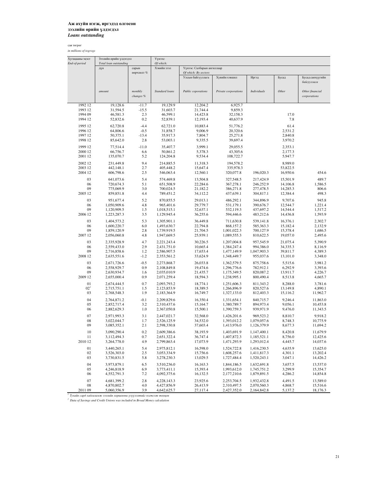сая төгрөг

*in millions of togrogs*

| Total loan outstanding<br>End-of-period<br>дүн<br>amount<br>1992 12<br>19,128.6<br>1993 12<br>31,594.5<br>1994 09<br>46,581.3<br>1994 12<br>52,832.6<br>1995 12<br>62,720.8<br>1996 12<br>64,806.6<br>1997 12<br>50,375.1<br>1998 12<br>85,642.0<br>1999 12<br>77,514.4<br>2000 12<br>66,756.7<br>2001 12<br>135,070.7<br>2002 12<br>231,449.8<br>2003 12<br>442,148.1<br>2004 12<br>606,798.6<br>03<br>641,073.6<br>06<br>720,674.3<br>09<br>775,069.9<br>2005 12<br>859,851.8<br>03<br>951,677.4<br>06<br>1,050,909.6<br>09<br>1,120,909.5<br>2006 12<br>1,223,287.3<br>03<br>1,404,573.2<br>06<br>1,600,220.7<br>09<br>1,859,120.9<br>2007 12<br>2,056,060.8<br>03<br>2,335,928.9<br>06<br>2,559,433.0<br>09<br>2,716,858.6<br>2008 12<br>2,635,551.6<br>03<br>2,671,726.6<br>06<br>2,558,929.7<br>09<br>2,630,934.7<br>2009 12<br>2,655,000.4<br>01<br>2,674,444.5<br>02 <sup>1</sup><br>2,715,751.1<br>03<br>2,768,548.3<br>04<br>2,764,871.2<br>05<br>2,852,717.4 | сарын<br>өөрчлөлт %<br>monthly<br>changes %<br>$-11.7$<br>$-15.5$<br>2.3<br>0.2<br>$-4.4$<br>$-0.5$<br>$-13.4$<br>2.8<br>$-11.0$<br>6.6<br>5.2<br>9.4<br>2.7<br>2.5 | Of which:<br>Хэвийн зээл<br>Standard loans<br>19,129.9<br>31,603.7<br>46,599.1<br>52,839.1<br>62,721.0<br>31,858.7<br>35,917.3<br>53,003.1<br>35,407.7<br>50,861.2<br>124,204.8 | Үүнээс: Салбарын ангиллаар<br>Of which: By sectors<br>Улсын байгууллага<br>Public coporations<br>12,204.2<br>21,744.4<br>14,423.8<br>12,193.4<br>10,883.4<br>9,006.9<br>7,804.7<br>9,335.5<br>3,999.1 | Хувийн хэвшил<br>Private corporations<br>6,925.7<br>9,859.3<br>32,158.3<br>40,637.9<br>51,776.2<br>20,320.6<br>25,271.8 | Иргэд<br><b>Individuals</b> | Бусад<br>Other<br>17.0<br>7.8<br>61.4 | Бусад санхүүгийн<br>байгууллага<br>Other financial<br>corporations |
|-------------------------------------------------------------------------------------------------------------------------------------------------------------------------------------------------------------------------------------------------------------------------------------------------------------------------------------------------------------------------------------------------------------------------------------------------------------------------------------------------------------------------------------------------------------------------------------------------------------------------------------------------------------------------------------------------------------------------------------------------------------------------------------------------------------------------------------------------------------------------------------------------------------------------------------------------------------------------|---------------------------------------------------------------------------------------------------------------------------------------------------------------------|---------------------------------------------------------------------------------------------------------------------------------------------------------------------------------|-------------------------------------------------------------------------------------------------------------------------------------------------------------------------------------------------------|-------------------------------------------------------------------------------------------------------------------------|-----------------------------|---------------------------------------|--------------------------------------------------------------------|
|                                                                                                                                                                                                                                                                                                                                                                                                                                                                                                                                                                                                                                                                                                                                                                                                                                                                                                                                                                         |                                                                                                                                                                     |                                                                                                                                                                                 |                                                                                                                                                                                                       |                                                                                                                         |                             |                                       |                                                                    |
|                                                                                                                                                                                                                                                                                                                                                                                                                                                                                                                                                                                                                                                                                                                                                                                                                                                                                                                                                                         |                                                                                                                                                                     |                                                                                                                                                                                 |                                                                                                                                                                                                       |                                                                                                                         |                             |                                       |                                                                    |
|                                                                                                                                                                                                                                                                                                                                                                                                                                                                                                                                                                                                                                                                                                                                                                                                                                                                                                                                                                         |                                                                                                                                                                     |                                                                                                                                                                                 |                                                                                                                                                                                                       |                                                                                                                         |                             |                                       |                                                                    |
|                                                                                                                                                                                                                                                                                                                                                                                                                                                                                                                                                                                                                                                                                                                                                                                                                                                                                                                                                                         |                                                                                                                                                                     |                                                                                                                                                                                 |                                                                                                                                                                                                       |                                                                                                                         |                             |                                       |                                                                    |
|                                                                                                                                                                                                                                                                                                                                                                                                                                                                                                                                                                                                                                                                                                                                                                                                                                                                                                                                                                         |                                                                                                                                                                     |                                                                                                                                                                                 |                                                                                                                                                                                                       |                                                                                                                         |                             |                                       |                                                                    |
|                                                                                                                                                                                                                                                                                                                                                                                                                                                                                                                                                                                                                                                                                                                                                                                                                                                                                                                                                                         |                                                                                                                                                                     |                                                                                                                                                                                 |                                                                                                                                                                                                       |                                                                                                                         |                             |                                       |                                                                    |
|                                                                                                                                                                                                                                                                                                                                                                                                                                                                                                                                                                                                                                                                                                                                                                                                                                                                                                                                                                         |                                                                                                                                                                     |                                                                                                                                                                                 |                                                                                                                                                                                                       |                                                                                                                         |                             |                                       |                                                                    |
|                                                                                                                                                                                                                                                                                                                                                                                                                                                                                                                                                                                                                                                                                                                                                                                                                                                                                                                                                                         |                                                                                                                                                                     |                                                                                                                                                                                 |                                                                                                                                                                                                       |                                                                                                                         |                             |                                       |                                                                    |
|                                                                                                                                                                                                                                                                                                                                                                                                                                                                                                                                                                                                                                                                                                                                                                                                                                                                                                                                                                         |                                                                                                                                                                     |                                                                                                                                                                                 |                                                                                                                                                                                                       |                                                                                                                         |                             | 2,531.2                               |                                                                    |
|                                                                                                                                                                                                                                                                                                                                                                                                                                                                                                                                                                                                                                                                                                                                                                                                                                                                                                                                                                         |                                                                                                                                                                     |                                                                                                                                                                                 |                                                                                                                                                                                                       |                                                                                                                         |                             | 2,840.8                               |                                                                    |
|                                                                                                                                                                                                                                                                                                                                                                                                                                                                                                                                                                                                                                                                                                                                                                                                                                                                                                                                                                         |                                                                                                                                                                     |                                                                                                                                                                                 |                                                                                                                                                                                                       | 39,697.4                                                                                                                |                             | 3,970.2                               |                                                                    |
|                                                                                                                                                                                                                                                                                                                                                                                                                                                                                                                                                                                                                                                                                                                                                                                                                                                                                                                                                                         |                                                                                                                                                                     |                                                                                                                                                                                 |                                                                                                                                                                                                       | 29,055.5                                                                                                                |                             | 2,353.1                               |                                                                    |
|                                                                                                                                                                                                                                                                                                                                                                                                                                                                                                                                                                                                                                                                                                                                                                                                                                                                                                                                                                         |                                                                                                                                                                     |                                                                                                                                                                                 | 5,378.3                                                                                                                                                                                               | 43,305.6                                                                                                                |                             | 2,177.3                               |                                                                    |
|                                                                                                                                                                                                                                                                                                                                                                                                                                                                                                                                                                                                                                                                                                                                                                                                                                                                                                                                                                         |                                                                                                                                                                     |                                                                                                                                                                                 | 9,534.4                                                                                                                                                                                               | 108,722.7                                                                                                               |                             | 5,947.7                               |                                                                    |
|                                                                                                                                                                                                                                                                                                                                                                                                                                                                                                                                                                                                                                                                                                                                                                                                                                                                                                                                                                         |                                                                                                                                                                     | 214,885.5                                                                                                                                                                       | 11,318.3                                                                                                                                                                                              | 194,578.2                                                                                                               |                             | 8,989.0                               |                                                                    |
|                                                                                                                                                                                                                                                                                                                                                                                                                                                                                                                                                                                                                                                                                                                                                                                                                                                                                                                                                                         |                                                                                                                                                                     | 405,448.2                                                                                                                                                                       | 15,647.4                                                                                                                                                                                              | 335,978.3                                                                                                               |                             | 53,822.5                              |                                                                    |
|                                                                                                                                                                                                                                                                                                                                                                                                                                                                                                                                                                                                                                                                                                                                                                                                                                                                                                                                                                         |                                                                                                                                                                     | 546,063.4                                                                                                                                                                       | 12,560.1                                                                                                                                                                                              | 320,077.8                                                                                                               | 196,020.3                   | 16,950.6                              | 454.6                                                              |
|                                                                                                                                                                                                                                                                                                                                                                                                                                                                                                                                                                                                                                                                                                                                                                                                                                                                                                                                                                         | 5.4<br>5.1                                                                                                                                                          | 574,469.8<br>651,508.9                                                                                                                                                          | 13,504.8<br>22,284.6                                                                                                                                                                                  | 327,548.5<br>367,278.1                                                                                                  | 217,424.9<br>246,252.9      | 15,501.9<br>14,106.8                  | 489.7<br>1,586.5                                                   |
|                                                                                                                                                                                                                                                                                                                                                                                                                                                                                                                                                                                                                                                                                                                                                                                                                                                                                                                                                                         | 3.0                                                                                                                                                                 | 700,024.5                                                                                                                                                                       | 21,182.2                                                                                                                                                                                              | 386,271.8                                                                                                               | 277,478.5                   | 14,285.3                              | 806.6                                                              |
|                                                                                                                                                                                                                                                                                                                                                                                                                                                                                                                                                                                                                                                                                                                                                                                                                                                                                                                                                                         | 4.4                                                                                                                                                                 | 789,451.2                                                                                                                                                                       | 34,112.2                                                                                                                                                                                              | 437,639.1                                                                                                               | 304,817.1                   | 12,384.4                              | 498.3                                                              |
|                                                                                                                                                                                                                                                                                                                                                                                                                                                                                                                                                                                                                                                                                                                                                                                                                                                                                                                                                                         | 5.2                                                                                                                                                                 | 870,855.5                                                                                                                                                                       | 29,013.1                                                                                                                                                                                              | 486,292.1                                                                                                               | 344,896.9                   | 9,707.6                               | 945.8                                                              |
|                                                                                                                                                                                                                                                                                                                                                                                                                                                                                                                                                                                                                                                                                                                                                                                                                                                                                                                                                                         | 4.8                                                                                                                                                                 | 965,401.6                                                                                                                                                                       | 29,779.7                                                                                                                                                                                              | 531,179.1                                                                                                               | 390,676.7                   | 12,544.7                              | 1,221.4                                                            |
|                                                                                                                                                                                                                                                                                                                                                                                                                                                                                                                                                                                                                                                                                                                                                                                                                                                                                                                                                                         | 1.5                                                                                                                                                                 | 1,018,515.1                                                                                                                                                                     | 32,637.1                                                                                                                                                                                              | 532,119.3                                                                                                               | 437,697.2                   | 14,544.4                              | 1,517.2                                                            |
|                                                                                                                                                                                                                                                                                                                                                                                                                                                                                                                                                                                                                                                                                                                                                                                                                                                                                                                                                                         | 3.5                                                                                                                                                                 | 1,129,945.4                                                                                                                                                                     | 36,255.6                                                                                                                                                                                              | 594,446.6                                                                                                               | 483,212.6                   | 14,436.8                              | 1,593.9                                                            |
|                                                                                                                                                                                                                                                                                                                                                                                                                                                                                                                                                                                                                                                                                                                                                                                                                                                                                                                                                                         | 5.3                                                                                                                                                                 | 1,305,901.1                                                                                                                                                                     | 36,449.8                                                                                                                                                                                              | 711,630.8                                                                                                               | 539,141.8                   | 16,376.1                              | 2,302.7                                                            |
|                                                                                                                                                                                                                                                                                                                                                                                                                                                                                                                                                                                                                                                                                                                                                                                                                                                                                                                                                                         | 6.0                                                                                                                                                                 | 1,493,630.7                                                                                                                                                                     | 22,794.8                                                                                                                                                                                              | 868,157.2                                                                                                               | 585,363.3<br>700,127.9      | 15,182.4                              | 2,132.9                                                            |
|                                                                                                                                                                                                                                                                                                                                                                                                                                                                                                                                                                                                                                                                                                                                                                                                                                                                                                                                                                         | 2.8<br>4.8                                                                                                                                                          | 1,739,919.5<br>1,947,669.5                                                                                                                                                      | 21,704.5<br>25,939.1                                                                                                                                                                                  | 1,001,022.3<br>1,089,555.3                                                                                              | 810,622.5                   | 15,378.4<br>19,057.0                  | 1,686.5<br>2,495.6                                                 |
|                                                                                                                                                                                                                                                                                                                                                                                                                                                                                                                                                                                                                                                                                                                                                                                                                                                                                                                                                                         | 4.7                                                                                                                                                                 | 2,221,243.4                                                                                                                                                                     | 30,226.5                                                                                                                                                                                              | 1,207,004.8                                                                                                             | 957,545.9                   | 21,075.4                              | 5,390.9                                                            |
|                                                                                                                                                                                                                                                                                                                                                                                                                                                                                                                                                                                                                                                                                                                                                                                                                                                                                                                                                                         | 2.9                                                                                                                                                                 | 2,431,751.0                                                                                                                                                                     | 10,665.4                                                                                                                                                                                              | 1,384,247.4                                                                                                             | 994,386.0                   | 34,335.3                              | 8,116.9                                                            |
|                                                                                                                                                                                                                                                                                                                                                                                                                                                                                                                                                                                                                                                                                                                                                                                                                                                                                                                                                                         | 1.2                                                                                                                                                                 | 2,586,907.5                                                                                                                                                                     | 17,653.4                                                                                                                                                                                              | 1,477,149.9                                                                                                             | 1,047,903.3                 | 39,811.7                              | 4,389.3                                                            |
|                                                                                                                                                                                                                                                                                                                                                                                                                                                                                                                                                                                                                                                                                                                                                                                                                                                                                                                                                                         | $-1.2$                                                                                                                                                              | 2,353,561.2                                                                                                                                                                     | 33,624.9                                                                                                                                                                                              | 1,348,449.7                                                                                                             | 955,037.6                   | 13,101.0                              | 3,348.0                                                            |
|                                                                                                                                                                                                                                                                                                                                                                                                                                                                                                                                                                                                                                                                                                                                                                                                                                                                                                                                                                         | $-0.5$                                                                                                                                                              | 2,273,868.7                                                                                                                                                                     | 26,033.8                                                                                                                                                                                              | 1,362,579.5                                                                                                             | 875,758.6                   | 5,515.6                               | 3,981.2                                                            |
|                                                                                                                                                                                                                                                                                                                                                                                                                                                                                                                                                                                                                                                                                                                                                                                                                                                                                                                                                                         | 0.9                                                                                                                                                                 | 2,108,849.8                                                                                                                                                                     | 19,474.6                                                                                                                                                                                              | 1,296,776.6                                                                                                             | 782,912.1                   | 6,292.9                               | 3,393.6                                                            |
|                                                                                                                                                                                                                                                                                                                                                                                                                                                                                                                                                                                                                                                                                                                                                                                                                                                                                                                                                                         | 1.6<br>0.9                                                                                                                                                          | 2,035,010.9<br>2,071,259.4                                                                                                                                                      | 21,435.7<br>18,594.3                                                                                                                                                                                  | 1,175,349.5<br>1,238,995.1                                                                                              | 820,087.2<br>800,490.4      | 13,911.7<br>8,513.8                   | 4,226.7<br>4,665.7                                                 |
|                                                                                                                                                                                                                                                                                                                                                                                                                                                                                                                                                                                                                                                                                                                                                                                                                                                                                                                                                                         |                                                                                                                                                                     |                                                                                                                                                                                 |                                                                                                                                                                                                       |                                                                                                                         |                             |                                       |                                                                    |
|                                                                                                                                                                                                                                                                                                                                                                                                                                                                                                                                                                                                                                                                                                                                                                                                                                                                                                                                                                         | 0.7<br>1.5                                                                                                                                                          | 2,093,793.2<br>2,123,853.9                                                                                                                                                      | 18,774.1<br>18,389.5                                                                                                                                                                                  | 1,251,606.3<br>1,266,896.9                                                                                              | 811,343.2<br>820,527.6      | 8,288.0<br>13,149.8                   | 3,781.6<br>4,890.1                                                 |
|                                                                                                                                                                                                                                                                                                                                                                                                                                                                                                                                                                                                                                                                                                                                                                                                                                                                                                                                                                         | 1.9                                                                                                                                                                 | 2,183,364.9                                                                                                                                                                     | 16,749.7                                                                                                                                                                                              | 1,327,133.0                                                                                                             | 812,403.3                   | 15,116.2                              | 11,962.7                                                           |
|                                                                                                                                                                                                                                                                                                                                                                                                                                                                                                                                                                                                                                                                                                                                                                                                                                                                                                                                                                         | $-0.1$                                                                                                                                                              | 2,209,829.6                                                                                                                                                                     | 16,350.4                                                                                                                                                                                              | 1,331,654.1                                                                                                             | 840,715.7                   | 9,246.4                               | 11,863.0                                                           |
|                                                                                                                                                                                                                                                                                                                                                                                                                                                                                                                                                                                                                                                                                                                                                                                                                                                                                                                                                                         | 3.2                                                                                                                                                                 | 2,310,437.6                                                                                                                                                                     | 15,164.7                                                                                                                                                                                              | 1,380,789.7                                                                                                             | 894,973.4                   | 9,056.1                               | 10,453.8                                                           |
| 06<br>2,882,629.3                                                                                                                                                                                                                                                                                                                                                                                                                                                                                                                                                                                                                                                                                                                                                                                                                                                                                                                                                       | 1.0                                                                                                                                                                 | 2,367,050.8                                                                                                                                                                     | 15,500.1                                                                                                                                                                                              | 1,390,759.3                                                                                                             | 939,971.9                   | 9,476.0                               | 11,343.5                                                           |
| 07<br>2,971,993.3                                                                                                                                                                                                                                                                                                                                                                                                                                                                                                                                                                                                                                                                                                                                                                                                                                                                                                                                                       | 3.1                                                                                                                                                                 | 2,447,021.7                                                                                                                                                                     | 32,568.0                                                                                                                                                                                              | 1,426,201.6                                                                                                             | 969,523.2                   | 8,810.7                               | 9,918.2                                                            |
| 08<br>3,022,044.7                                                                                                                                                                                                                                                                                                                                                                                                                                                                                                                                                                                                                                                                                                                                                                                                                                                                                                                                                       | 1.7                                                                                                                                                                 | 2,526,125.9                                                                                                                                                                     | 34,532.0                                                                                                                                                                                              | 1,393,012.2                                                                                                             | 1,079,057.6                 | 8,748.3                               | 10,775.9                                                           |
| 09<br>3,085,352.1                                                                                                                                                                                                                                                                                                                                                                                                                                                                                                                                                                                                                                                                                                                                                                                                                                                                                                                                                       | 2.1                                                                                                                                                                 | 2,598,330.8                                                                                                                                                                     | 37,603.4                                                                                                                                                                                              | 1,413,976.0                                                                                                             | 1,126,379.9                 | 8,677.3                               | 11,694.2                                                           |
| 10<br>3,090,290.4                                                                                                                                                                                                                                                                                                                                                                                                                                                                                                                                                                                                                                                                                                                                                                                                                                                                                                                                                       | 0.2                                                                                                                                                                 | 2,609,386.6                                                                                                                                                                     | 38,193.9                                                                                                                                                                                              | 1,403,691.9                                                                                                             | 1,147,400.1                 | 8,420.8                               | 11,679.9                                                           |
| 11<br>3,112,494.3<br>2010 12<br>3,264,778.0                                                                                                                                                                                                                                                                                                                                                                                                                                                                                                                                                                                                                                                                                                                                                                                                                                                                                                                             | 0.7<br>4.9                                                                                                                                                          | 2,651,322.4<br>2,799,863.4                                                                                                                                                      | 36,747.4<br>17,073.9                                                                                                                                                                                  | 1,407,872.3<br>1,471,293.9                                                                                              | 1,185,521.1<br>1,293,012.4  | 8,756.0<br>4,445.7                    | 12,425.6<br>14,037.6                                               |
|                                                                                                                                                                                                                                                                                                                                                                                                                                                                                                                                                                                                                                                                                                                                                                                                                                                                                                                                                                         |                                                                                                                                                                     |                                                                                                                                                                                 |                                                                                                                                                                                                       |                                                                                                                         |                             |                                       |                                                                    |
| $_{01}$<br>3,440,265.1<br>02<br>3,526,303.0                                                                                                                                                                                                                                                                                                                                                                                                                                                                                                                                                                                                                                                                                                                                                                                                                                                                                                                             | 5.4<br>2.5                                                                                                                                                          | 2,975,812.1<br>3,053,334.9                                                                                                                                                      | 16,598.0<br>15,756.6                                                                                                                                                                                  | 1,524,722.8<br>1,608,257.6                                                                                              | 1,416,230.5<br>1,411,817.3  | 4,635.9<br>4,301.1                    | 13,625.0<br>13,202.4                                               |
| 03<br>3,730,831.5                                                                                                                                                                                                                                                                                                                                                                                                                                                                                                                                                                                                                                                                                                                                                                                                                                                                                                                                                       | 5.8                                                                                                                                                                 | 3,278,230.3                                                                                                                                                                     | 13,029.5                                                                                                                                                                                              | 1,727,484.4                                                                                                             | 1,520,243.1                 | 3,047.1                               | 14,426.2                                                           |
| 04<br>3,973,879.1                                                                                                                                                                                                                                                                                                                                                                                                                                                                                                                                                                                                                                                                                                                                                                                                                                                                                                                                                       | 6.5                                                                                                                                                                 | 3,510,236.0                                                                                                                                                                     | 16,163.3                                                                                                                                                                                              | 1,844,186.5                                                                                                             | 1,632,691.8                 | 3,657.5                               | 13,537.0                                                           |
| 05<br>4,246,818.9                                                                                                                                                                                                                                                                                                                                                                                                                                                                                                                                                                                                                                                                                                                                                                                                                                                                                                                                                       | 6.9                                                                                                                                                                 | 3,773,411.1                                                                                                                                                                     | 15,393.4                                                                                                                                                                                              | 1,993,612.0                                                                                                             | 1,745,751.2                 | 3,299.9                               | 15,354.7                                                           |
| 06<br>4,552,791.3                                                                                                                                                                                                                                                                                                                                                                                                                                                                                                                                                                                                                                                                                                                                                                                                                                                                                                                                                       | 7.2                                                                                                                                                                 | 4,092,375.6                                                                                                                                                                     | 16,132.5                                                                                                                                                                                              | 2,177,210.6                                                                                                             | 1,879,891.5                 | 4,286.2                               | 14,854.8                                                           |
| 07<br>4,681,399.2                                                                                                                                                                                                                                                                                                                                                                                                                                                                                                                                                                                                                                                                                                                                                                                                                                                                                                                                                       |                                                                                                                                                                     | 4,228,143.3                                                                                                                                                                     | 23,925.6                                                                                                                                                                                              | 2,253,704.5                                                                                                             | 1,932,432.8                 | 4,491.5                               | 13,589.0                                                           |
| 08<br>4,870,802.7                                                                                                                                                                                                                                                                                                                                                                                                                                                                                                                                                                                                                                                                                                                                                                                                                                                                                                                                                       | 2.8                                                                                                                                                                 | 4,427,856.9                                                                                                                                                                     | 26,413.9                                                                                                                                                                                              | 2,310,497.5                                                                                                             | 2,070,560.3                 | 4,868.7                               | 15,516.6                                                           |
| 2011 09<br>5,060,356.9<br>Тухайн сард хадгаламж зээлийн хоршооны үзүүлэлтийг нэгтгэж тооцов                                                                                                                                                                                                                                                                                                                                                                                                                                                                                                                                                                                                                                                                                                                                                                                                                                                                             | 4.0<br>3.9                                                                                                                                                          | 4,642,625.7                                                                                                                                                                     | 27,117.4                                                                                                                                                                                              | 2,427,352.0                                                                                                             | 2,164,842.8                 | 5,137.2                               | 18,176.3                                                           |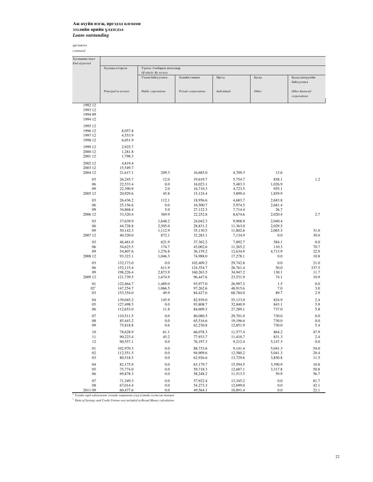| Хугацааны эцэст<br>End-of-period |                        |                                                                          |                      |                      |                    |                                 |
|----------------------------------|------------------------|--------------------------------------------------------------------------|----------------------|----------------------|--------------------|---------------------------------|
|                                  | Хугацаа хэтэрсэн       | Үүнээс: Салбарын ангиллаар<br>Of which: By sectors                       |                      |                      |                    |                                 |
|                                  |                        | Улсын байгууллага                                                        | Хувийн хэвшил        | Иргэд                | Бусад              | Бусад санхүүгийн<br>байгууллага |
|                                  | Principal in arrears   | Public coporations                                                       | Private corporations | <b>Individuals</b>   | Other              | Other financial<br>corporations |
| 1992 12<br>1993 12               |                        |                                                                          |                      |                      |                    |                                 |
| 1994 09<br>1994 12               |                        |                                                                          |                      |                      |                    |                                 |
| 1995 12                          |                        |                                                                          |                      |                      |                    |                                 |
| 1996 12                          | 8,057.8                |                                                                          |                      |                      |                    |                                 |
| 1997 12                          | 4,553.9                |                                                                          |                      |                      |                    |                                 |
| 1998 12                          | 6,051.9                |                                                                          |                      |                      |                    |                                 |
| 1999 12<br>2000 12               | 2,925.7<br>1,281.8     |                                                                          |                      |                      |                    |                                 |
| 2001 12                          | 1,798.3                |                                                                          |                      |                      |                    |                                 |
| 2002 12                          | 4,819.4                |                                                                          |                      |                      |                    |                                 |
| 2003 12                          | 15,549.7               |                                                                          |                      |                      |                    |                                 |
| 2004 12                          | 21,617.1               | 209.3                                                                    | 16,685.0             | 4,709.3              | 13.6               |                                 |
| 03                               | 26,245.7               | 12.0                                                                     | 19,619.7             | 5,754.7              | 858.1              | 1.2                             |
| 06                               | 22,533.4               | 0.0                                                                      | 16,023.1             | 5,483.3              | 1,026.9            |                                 |
| 09<br>2005 12                    | 22,390.9<br>20,929.6   | 2.0<br>45.8                                                              | 16,710.3<br>15,124.4 | 4,723.5<br>3,899.4   | 955.1<br>1,859.9   |                                 |
|                                  |                        |                                                                          |                      |                      |                    |                                 |
| 03<br>06                         | 26,436.2<br>25,156.6   | 112.1<br>0.0                                                             | 18,956.6<br>16,500.7 | 4,683.7<br>5,974.5   | 2,683.8<br>2,681.4 |                                 |
| 09                               | 34,868.4               | 5.0                                                                      | 27,122.3             | 7,714.4              | 26.7               |                                 |
| 2006 12                          | 33,320.4               | 369.9                                                                    | 22,252.8             | 8,674.6              | 2,020.4            | 2.7                             |
| 03                               | 37,639.9               | 1,648.2                                                                  | 24,042.3             | 9,908.9              | 2,040.4            |                                 |
| 06                               | 44,728.8               | 2,505.0                                                                  | 28,831.2             | 11,363.0             | 2,029.5            |                                 |
| 09                               | 50,142.3               | 1,112.9                                                                  | 35,130.5             | 11,802.6             | 2,065.3            | 31.0                            |
| 2007 12                          | 40,320.0               | 872.1                                                                    | 32,283.1             | 7,134.9              | 0.0                | 30.0                            |
| 03                               | 46,461.0               | 621.9                                                                    | 37,362.2             | 7,892.7              | 584.1              | 0.0                             |
| 06<br>09                         | 54,623.5<br>54,807.6   | 174.7<br>1,276.8                                                         | 43,002.6<br>36,159.2 | 11,265.2<br>12,634.9 | 110.3<br>4,713.9   | 70.7<br>22.9                    |
| 2008 12                          | 93,323.1               | 1,046.3                                                                  | 74,988.0             | 17,278.1             | 0.0                | 10.8                            |
| 03                               | 132,173.0              | 0.0                                                                      | 102,409.2            | 29,742.8             | 0.0                | 21.0                            |
| 06                               | 152,115.4              | 611.9                                                                    | 124,354.7            | 26,761.4             | 50.0               | 337.5                           |
| 09                               | 198,226.4              | 2,873.9                                                                  | 160,263.5            | 34,947.2             | 130.1              | 11.7                            |
| 2009 12                          | 121,739.5              | 1,674.9                                                                  | 96,447.6             | 23,531.9             | 74.1               | 10.9                            |
| 01                               | 122,464.7              | 1,489.0                                                                  | 93,977.0             | 26,997.2             | 1.5                | 0.0                             |
| 02 <sup>1</sup><br>03            | 147,254.7<br>153,354.0 | 1,066.5<br>49.9                                                          | 97,262.6<br>84,427.6 | 48,915.6<br>68,784.0 | 7.0<br>89.7        | 3.0<br>2.9                      |
| 04                               | 139,045.2              | 145.9                                                                    | 82,939.0             | 55,133.0             | 824.9              | 2.4                             |
| 05                               | 127,498.5              | 0.0                                                                      | 93,808.7             | 32,840.9             | 843.1              | 5.9                             |
| 06                               | 112,653.0              | 11.8                                                                     | 84,609.3             | 27,289.1             | 737.0              | 5.8                             |
| 07                               | 110,511.5              | 0.0                                                                      | 80,080.5             | 29,701.0             | 730.0              | 0.0                             |
| 08                               | 85,443.2               | 0.0                                                                      | 65,516.6             | 19,196.6             | 730.0              | 0.0                             |
| 09                               | 75,818.8               | 0.6                                                                      | 62,230.8             | 12,851.9             | 730.0              | 5.4                             |
| 10                               | 78,628.9               | 61.1                                                                     | 66,078.3             | 11,577.4             | 864.2              | 47.9                            |
| 11<br>12                         | 90,223.4<br>90,557.1   | 45.2<br>0.0                                                              | 77,933.7<br>76,197.3 | 11,410.7<br>9,212.4  | 831.3<br>5,147.3   | 2.4<br>0.0                      |
|                                  |                        |                                                                          |                      |                      |                    |                                 |
| 01<br>02                         | 102,970.3<br>112,551.5 | 0.0<br>0.0                                                               | 88,733.6<br>94,909.6 | 9,141.4<br>12,580.2  | 5,041.3<br>5,041.3 | 54.0<br>20.4                    |
| 03                               | 80,518.5               | 0.0                                                                      | 62,926.6             | 13,729.6             | 3,850.8            | 11.5                            |
| 04                               | 82,175.9               | 0.0                                                                      | 63,179.7             | 15,594.5             | 3,390.9            | 10.8                            |
| 05                               | 75,774.0               | 0.0                                                                      | 59,718.3             | 12,687.1             | 3,317.8            | 50.8                            |
| 06                               | 69,878.3               | 0.0                                                                      | 58,248.2             | 11,513.5             | 59.9               | 56.7                            |
| 07                               | 71,349.3               | 0.0                                                                      | 57,922.4             | 13,345.2             | 0.0                | 81.7                            |
| 08                               | 67,014.4               | 0.0                                                                      | 54,273.3             | 12,699.0             | 0.0                | 42.1                            |
| 2011 09                          | 60,477.6               | 0.0<br>Тухайн сард хадгаламж зээлийн хоршооны үзүүлэлтийг нэгтгэж тооцов | 49,564.1             | 10,891.4             | 0.0                | 22.1                            |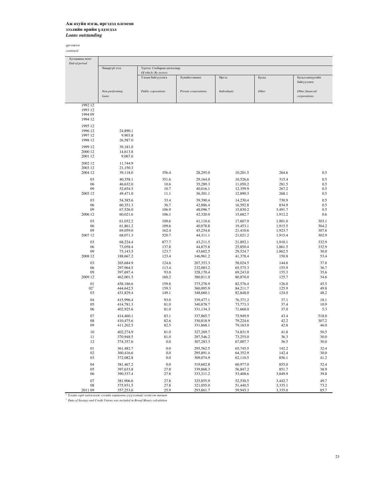үргэлжлэл *continued*

j.

| Хугацааны эцэст<br>End-of-period |                         |                            |                      |                      |         |                                 |
|----------------------------------|-------------------------|----------------------------|----------------------|----------------------|---------|---------------------------------|
|                                  | Чанаргүй зээл           | Үүнээс: Салбарын ангиллаар |                      |                      |         |                                 |
|                                  |                         | Of which: By sectors       |                      |                      |         |                                 |
|                                  |                         | Улсын байгууллага          | Хувийн хэвшил        | Иргэд                | Бусад   | Бусад санхүүгийн<br>байгууллага |
|                                  | Non-performing<br>loans | Public coporations         | Private corporations | <b>Individuals</b>   | Other   | Other financial<br>corporations |
| 1992 12                          |                         |                            |                      |                      |         |                                 |
| 1993 12                          |                         |                            |                      |                      |         |                                 |
| 1994 09                          |                         |                            |                      |                      |         |                                 |
| 1994 12                          |                         |                            |                      |                      |         |                                 |
| 1995 12                          |                         |                            |                      |                      |         |                                 |
| 1996 12                          | 24,890.1                |                            |                      |                      |         |                                 |
| 1997 12                          | 9,903.8                 |                            |                      |                      |         |                                 |
| 1998 12                          | 26,587.0                |                            |                      |                      |         |                                 |
|                                  |                         |                            |                      |                      |         |                                 |
| 1999 12                          | 39,181.0                |                            |                      |                      |         |                                 |
| 2000 12                          | 14,613.8                |                            |                      |                      |         |                                 |
| 2001 12                          | 9,067.6                 |                            |                      |                      |         |                                 |
| 2002 12                          | 11,744.9                |                            |                      |                      |         |                                 |
| 2003 12                          | 21,150.3                |                            |                      |                      |         |                                 |
| 2004 12                          | 39,118.0                | 356.4                      | 28,295.0             | 10,201.5             | 264.6   | 0.5                             |
| 03                               | 40,358.1                | 351.6                      | 29,164.0             | 10,526.6             | 315.4   | 0.5                             |
| 06                               | 46,632.0                | 10.6                       | 35,289.3             | 11,050.2             | 281.5   | 0.5                             |
| 09                               | 52,654.5                | 10.7                       | 40,016.1             | 12,359.9             | 267.2   | 0.5                             |
| 2005 12                          | 49,471.0                | 11.1                       | 36,301.1             | 12,890.3             | 268.1   | 0.5                             |
|                                  |                         |                            |                      |                      |         |                                 |
| 03                               | 54,385.6                | 33.4                       | 39,390.4             | 14,230.4             | 730.9   | 0.5                             |
| 06                               | 60,351.3                | 36.7                       | 42,886.4             | 16,592.8             | 834.9   | 0.5                             |
| 09                               | 67,526.0                | 106.9                      | 48,096.7             | 15,830.2             | 3,491.7 | 0.5                             |
| 2006 12                          | 60,021.6                | 106.1                      | 42,320.0             | 15,682.7             | 1,912.2 | 0.6                             |
| 03                               | 61,032.2                | 109.6                      | 41,110.6             | 17,607.9             | 1,901.0 | 303.1                           |
| 06                               | 61,861.2                | 109.6                      | 40,078.8             | 19,453.1             | 1,915.5 | 304.2                           |
| 09                               | 69,059.0                | 162.4                      | 45,254.6             | 21,410.6             | 1,923.7 | 307.8                           |
| 2007 12                          | 68,071.3                | 520.7                      | 44,311.1             | 21,021.2             | 1,915.4 | 302.9                           |
|                                  |                         |                            |                      |                      |         |                                 |
| 03                               | 68,224.4                | 877.7                      | 43,211.5             | 21,892.1             | 1,910.1 | 332.9                           |
| 06                               | 73,058.4                | 137.8                      | 44,875.8             | 25,850.4             | 1,861.5 | 332.9                           |
| 09                               | 75,143.5                | 123.7                      | 43,602.5             | 29,524.7             | 1,862.5 | 30.0                            |
| 2008 12                          | 188,667.2               | 123.4                      | 146,961.2            | 41,378.4             | 150.8   | 53.4                            |
| 03                               | 265,684.9               | 124.6                      | 207,353.3            | 58,024.5             | 144.6   | 37.8                            |
| 06                               | 297,964.5               | 113.4                      | 232,083.2            | 65,575.3             | 155.9   | 36.7                            |
| 09                               | 397,697.4               | 93.0                       | 328,170.4            | 69,243.0             | 155.3   | 35.6                            |
| 2009 12                          | 462,001.5               | 160.2                      | 380,811.0            | 80,870.0             | 125.7   | 34.6                            |
| 01                               | 458,186.6               | 159.8                      | 375,278.9            | 82,576.4             | 126.0   | 45.5                            |
| 02 <sup>1</sup>                  | 444,642.5               | 159.3                      | 360,095.9            | 84,211.7             | 125.9   | 49.8                            |
| 03                               | 431,829.4               | 149.1                      | 348,660.1            | 82,848.0             | 124.0   | 48.2                            |
|                                  |                         |                            |                      |                      |         |                                 |
| 04                               | 415,996.4               | 93.0                       | 339,477.1            | 76,371.2             | 37.1    | 18.1                            |
| 05                               | 414,781.3               | 81.0                       | 340,878.7            | 73,773.3             | 37.4    | 10.9                            |
| 06                               | 402,925.6               | 81.0                       | 331,134.3            | 71,668.0             | 37.0    | 5.3                             |
| 07                               | 414,460.1               | 83.1                       | 337,865.7            | 75,949.9             | 43.4    | 518.0                           |
| 08                               | 410,475.6               | 82.6                       | 330,818.9            | 79,224.6             | 42.2    | 307.2                           |
| 09                               | 411,202.5               | 82.5                       | 331,868.1            | 79,163.0             | 42.8    | 46.0                            |
|                                  | 402,274.9               |                            |                      |                      |         |                                 |
| 10                               | 370,948.5               | 81.0                       | 327,269.7            | 74,831.9             | 41.8    | 50.5                            |
| 11<br>12                         | 374,357.6               | 81.0                       | 297,546.2            | 73,255.0<br>67,007.7 | 36.3    | 30.0                            |
|                                  |                         | 0.0                        | 307,283.3            |                      | 36.5    | 30.0                            |
| 01                               | 361,482.7               | 0.0                        | 295,562.5            | 65,745.5             | 142.2   | 32.4                            |
| 02                               | 360,416.6               | 0.0                        | 295,891.4            | 64,352.9             | 142.4   | 30.0                            |
| 03                               | 372,082.8               | 0.0                        | 309,074.9            | 62,110.5             | 856.1   | 41.2                            |
| 04                               | 381,467.2               | 0.0                        | 319,602.8            | 60,977.0             | 855.0   | 32.4                            |
| 05                               | 397,633.8               | 27.8                       | 339,868.3            | 56,847.2             | 851.7   | 38.9                            |
| 06                               | 390,537.4               | 27.8                       | 333,211.2            | 53,408.6             | 3,849.9 | 39.8                            |
|                                  |                         |                            |                      |                      |         |                                 |
| 07                               | 381,906.6               | 27.8                       | 325,855.9            | 52,530.5             | 3,442.7 | 49.7                            |
| 08                               | 375,931.5               | 27.8                       | 321,055.0            | 51,440.5             | 3,335.1 | 73.2                            |
| 2011 09                          | 357,253.6               | 25.9                       | 293,861.7            | 59,945.3             | 3,335.0 | 85.7                            |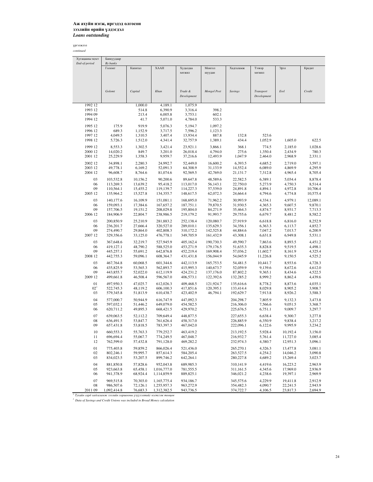| Хугацааны эцэст                                                                                                                                             | Банкуудаар  |          |             |                    |                    |                |                  |          |          |
|-------------------------------------------------------------------------------------------------------------------------------------------------------------|-------------|----------|-------------|--------------------|--------------------|----------------|------------------|----------|----------|
| End-of-period                                                                                                                                               | By banks    | Капитал  | <b>XAAH</b> |                    |                    |                |                  |          |          |
|                                                                                                                                                             | Голомт      |          |             | Худалдаа<br>хөгжил | Монгол<br>шуудан   | Хадгаламж      | Тээвэр<br>хөгжил | Эрэл     | Кредит   |
|                                                                                                                                                             |             |          |             |                    |                    |                |                  |          |          |
|                                                                                                                                                             |             |          |             |                    |                    |                |                  |          |          |
|                                                                                                                                                             |             |          |             |                    |                    |                |                  |          |          |
|                                                                                                                                                             | Golomt      | Capital  | Khan        | Trade &            | <b>Mongol Post</b> | <b>Savings</b> | Transport        | Erel     | Credit   |
|                                                                                                                                                             |             |          |             | Development        |                    |                | Development      |          |          |
| 1992 12                                                                                                                                                     |             | 1,000.0  | 4,189.1     | 1,075.9            |                    |                |                  |          |          |
| 1993 12                                                                                                                                                     |             | 514.8    | 6,390.9     | 3,316.4            | 398.2              |                |                  |          |          |
| 1994 09                                                                                                                                                     |             | 213.4    | 6,005.8     | 3,753.1            | 602.1              |                |                  |          |          |
| 1994 12                                                                                                                                                     |             | 41.7     | 5,071.0     | 4,784.0            | 533.3              |                |                  |          |          |
| 1995 12                                                                                                                                                     | 175.9       | 919.9    | 5,076.3     | 5,194.7            | 1,097.2            |                |                  |          |          |
| 1996 12                                                                                                                                                     | 689.3       | 1,152.9  | 3,717.5     | 7.596.2            | 1.123.3            |                |                  |          |          |
| 1997 12                                                                                                                                                     | 4,049.5     | 1,310.5  | 3,407.4     | 13,934.4           | 887.8              | 132.8          | 523.6            |          |          |
| 1998 12                                                                                                                                                     | 5,726.3     | 1,512.0  | 4,341.4     | 32,757.9           | 1,389.1            | 434.4          | 1,052.9          | 1,605.0  | 622.5    |
| 1999 12                                                                                                                                                     | 8,553.3     | 1,302.5  | 3,421.4     | 23,921.1           | 3,866.1            | 368.1          | 774.5            | 2,185.0  | 1,028.6  |
| 2000 12                                                                                                                                                     | 14,020.2    | 849.7    | 3,201.0     | 26,018.4           | 4,794.0            | 275.6          | 1,350.4          | 2,434.9  | 780.3    |
| 2001 12                                                                                                                                                     | 25,229.9    | 1,358.3  | 9,959.7     | 37,216.6           | 12,493.9           | 1,047.9        | 2,464.0          | 2,968.9  | 2,331.1  |
| 2002 12                                                                                                                                                     | 34,898.1    | 2,280.3  | 24,992.7    | 52,449.0           | 16,600.2           | 6,393.5        | 4,685.2          | 2,719.0  | 3,597.1  |
| 2003 12                                                                                                                                                     | 49,778.1    | 6,169.2  | 52,091.3    | 64,308.9           | 31,133.9           | 14,552.4       | 6,089.0          | 4,869.9  | 4,295.9  |
| 2004 12                                                                                                                                                     | 96,608.7    | 8,764.6  | 81,074.6    | 92,569.5           | 42,769.0           | 21,131.7       | 7,312.8          | 4,965.4  | 8,705.4  |
| 03                                                                                                                                                          | 103,532.8   | 10,156.2 | 90,200.6    | 89,647.8           | 48,589.6           | 22,582.5       | 6,389.1          | 5,034.4  | 8,878.4  |
| 06                                                                                                                                                          | 113,269.3   | 13,639.2 | 95,418.2    | 113,017.0          | 56,143.1           | 22,750.0       | 5,273.9          | 4,750.3  | 8,514.4  |
| 09                                                                                                                                                          | 110,564.1   | 15,455.2 | 119,139.7   | 114,227.3          | 57,539.0           | 24,891.8       | 4,894.1          | 4,972.8  | 10,706.4 |
| 2005 12                                                                                                                                                     | 135,964.2   | 15,527.8 | 134,355.7   | 148,617.5          | 62,072.3           | 24,664.4       | 4,794.6          | 4,774.8  | 10,575.4 |
| 03                                                                                                                                                          | 140,177.6   | 16,109.9 | 151,081.1   | 168,695.0          | 71,962.2           | 30,993.9       | 4,334.1          | 4,979.1  | 12,089.1 |
| 06                                                                                                                                                          | 159,093.1   | 17,384.6 | 167,657.2   | 187,751.1          | 79,870.5           | 31,930.5       | 4,365.3          | 9,607.5  | 9,870.1  |
| 09                                                                                                                                                          | 157,706.5   | 19,151.2 | 208,029.8   | 195,804.0          | 84,271.9           | 35,464.3       | 4,874.7          | 8,931.7  | 7,713.3  |
| 2006 12                                                                                                                                                     | 184,906.9   | 22,804.7 | 238,986.5   | 219,179.2          | 91,993.7           | 29,755.6       | 6,679.7          | 8,481.2  | 8,582.2  |
| 03                                                                                                                                                          | 200,850.9   | 25,210.9 | 281,883.2   | 252,138.4          | 120,080.7          | 27,919.9       | 6,618.8          | 6,816.0  | 8,252.9  |
| 06                                                                                                                                                          | 236,201.7   | 27,666.4 | 320,527.0   | 289,010.1          | 135,629.3          | 34,356.1       | 6,363.3          | 6,113.7  | 4,852.7  |
| 09                                                                                                                                                          | 274,490.7   | 29,864.0 | 402,808.3   | 310,172.2          | 142,525.8          | 44,884.6       | 7,047.2          | 7,013.7  | 6,200.9  |
| 2007 12                                                                                                                                                     | 329,356.6   | 33,125.0 | 476,778.1   | 349,705.9          | 161,432.9          | 43,308.1       | 6,631.8          | 6,949.8  | 5,531.1  |
| 03                                                                                                                                                          | 367,648.6   | 32,219.7 | 527,945.9   | 405,162.4          | 190,730.3          | 49,590.7       | 7,863.6          | 8,893.5  | 4,451.2  |
| 06                                                                                                                                                          | 419,127.1   | 48,790.2 | 588,525.0   | 453,271.9          | 179,176.5          | 51,635.3       | 8,828.8          | 9,519.5  | 4,498.1  |
| 09                                                                                                                                                          | 445,257.1   | 55,691.2 | 642,876.8   | 452,219.4          | 169,908.4          | 57,036.2       | 11,602.7         | 8,161.9  | 4,325.4  |
| 2008 12                                                                                                                                                     | 442,755.3   | 59,096.1 | 608,364.7   | 431,431.8          | 156,044.9          | 54,045.9       | 11,226.8         | 9,150.5  | 4,525.2  |
| 03                                                                                                                                                          | 467,764.8   | 60,068.5 | 601,344.6   | 442,113.9          | 165,753.5          | 54,481.5       | 10,441.7         | 8,933.6  | 4,728.3  |
| 06                                                                                                                                                          | 435,825.9   | 53,565.3 | 562,893.7   | 415,995.3          | 140,673.7          | 52,059.9       | 9,139.6          | 8,672.6  | 4,612.0  |
| 09                                                                                                                                                          | 443,855.7   | 52,022.0 | 612,119.9   | 424,231.2          | 137,176.0          | 87,802.2       | 9,365.1          | 8,434.6  | 4,522.5  |
| 2009 12                                                                                                                                                     | 499,661.8   | 46,508.4 | 596,567.0   | 406,573.1          | 122,392.6          | 132,285.2      | 8,999.2          | 8,862.4  | 4,439.6  |
| 01                                                                                                                                                          | 497,950.3   | 47,025.7 | 612,026.3   | 409,468.5          | 121,924.7          | 135,616.6      | 8,778.2          | 8,873.6  | 4,035.1  |
| 02 <sup>1</sup>                                                                                                                                             | 522,745.3   | 48,119.2 | 606,100.3   | 417,851.6          | 120,395.1          | 133,414.4      | 8,029.8          | 8,905.2  | 3,908.7  |
| 03                                                                                                                                                          | 579,345.8   | 51,813.9 | 610,438.7   | 423,402.9          | 46,794.1           | 192,629.7      | 7,913.8          | 8,926.2  | 3,588.3  |
| 04                                                                                                                                                          | 577,000.7   | 50,944.9 | 616,747.9   | 447,092.3          |                    | 204,298.7      | 7,805.9          | 9,132.3  | 3,473.8  |
| 05                                                                                                                                                          | 597,032.1   | 51,446.2 | 649,079.0   | 454,582.5          |                    | 216,306.0      | 7,566.6          | 9,051.5  | 3,368.7  |
| 06                                                                                                                                                          | 620,711.2   | 49,895.3 | 668,421.5   | 429,970.2          |                    | 225,676.5      | 6,751.1          | 9,009.7  | 3,297.7  |
| 07                                                                                                                                                          | 639,063.5   | 52,112.2 | 709,649.4   | 448,877.5          |                    | 227,655.3      | 6,638.4          | 9,300.7  | 3,277.8  |
| 08                                                                                                                                                          | 636,491.5   | 53,847.7 | 761,626.4   | 458,317.0          |                    | 226,885.9      | 6,350.9          | 9,838.4  | 3.217.2  |
| 09                                                                                                                                                          | 657,431.8   | 53,818.5 | 783,397.3   | 467,042.0          |                    | 222,096.1      | 6,122.6          | 9,995.9  | 3,234.2  |
| 10                                                                                                                                                          | 660,553.3   | 55,763.3 | 779,252.7   | 463,419.2          |                    | 213,192.5      | 5,928.4          | 10,192.4 | 3,156.0  |
| 11                                                                                                                                                          | 696,694.4   | 55,067.7 | 774,249.5   | 467,048.7          |                    | 216,932.7      | 5,761.4          | 11,727.0 | 3,085.4  |
| 12                                                                                                                                                          | 762,599.0   | 57,432.8 | 791,128.0   | 469,282.2          |                    | 232,974.3      | 4,380.7          | 12,951.3 | 3,096.1  |
| 01                                                                                                                                                          | 775,403.8   | 59,859.2 | 866,026.4   | 521,436.0          |                    | 265,270.1      | 4,326.3          | 13,477.8 | 3,081.1  |
| 02                                                                                                                                                          | 802,246.1   | 59,995.7 | 857,614.3   | 584,205.4          |                    | 263,527.5      | 4,254.2          | 14,046.2 | 3,090.8  |
| 03                                                                                                                                                          | 834,023.5   | 53,207.5 | 899,746.2   | 642,264.1          |                    | 280,227.8      | 4,689.2          | 15,269.4 | 3,023.7  |
| 04                                                                                                                                                          | 881,850.8   | 57,828.6 | 952,043.8   | 689,985.3          |                    | 310,141.9      | 4,419.6          | 16,223.2 | 2,963.9  |
| 05                                                                                                                                                          | 923,663.8   | 65,458.1 | 1,016,777.0 | 781,555.5          |                    | 311,161.5      | 4,345.6          | 17,969.0 | 2,936.9  |
| 06                                                                                                                                                          | 941,378.9   | 68,924.4 | 1,114,859.9 | 889,825.1          |                    | 346,021.2      | 4,238.6          | 19,397.1 | 2,969.9  |
| 07                                                                                                                                                          | 969,515.8   | 70,303.0 | 1,165,775.4 | 934,186.7          |                    | 345,575.6      | 4,229.9          | 19,411.8 | 2,912.9  |
| 08                                                                                                                                                          | 986,507.6   | 72,126.1 | 1,255,957.3 | 963,272.9          |                    | 354,482.3      | 4,090.7          | 22,241.5 | 2,943.9  |
| 201109                                                                                                                                                      | 1,092,414.8 | 76,683.3 | 1,312,382.5 | 943,736.5          |                    | 374,722.7      | 4,106.5          | 23,817.3 | 2,694.9  |
| <sup>1</sup> Тухайн сард хадгаламж зээлийн хоршооны үзүүлэлтийг нэгтгэж тооцов<br>Data of Savings and Credit Unions was included in Broad Money calculation |             |          |             |                    |                    |                |                  |          |          |
|                                                                                                                                                             |             |          |             |                    |                    |                |                  |          |          |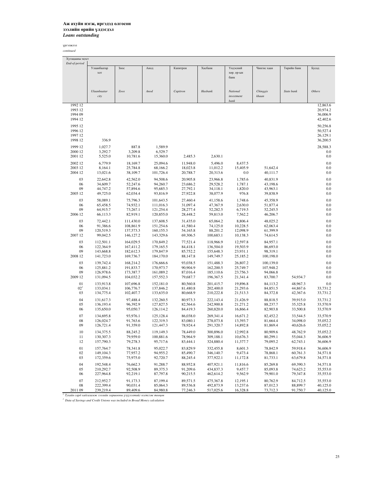| Хугацааны эцэст                                                                                                                                                    |                      |
|--------------------------------------------------------------------------------------------------------------------------------------------------------------------|----------------------|
| End-of-period                                                                                                                                                      |                      |
| Улаанбаатар<br><b>Зоос</b><br>Анод<br>Капитрон<br>Хасбанк<br>Үндэсний<br>Чингис хаан<br>Төрийн банк                                                                | Бусад                |
| <b>XOT</b><br>хөр. ор-ын                                                                                                                                           |                      |
| банк                                                                                                                                                               |                      |
|                                                                                                                                                                    |                      |
|                                                                                                                                                                    |                      |
| Ulaanbaatar<br>Zoos<br>Anod<br>Capitron<br>Hasbank<br>National<br>Chinggis<br>State bank                                                                           | Others               |
| city<br>investment<br>khaan                                                                                                                                        |                      |
| bank<br>1992 12                                                                                                                                                    | 12,863.6             |
| 1993 12                                                                                                                                                            | 20,974.2             |
| 1994 09                                                                                                                                                            | 36,006.9             |
| 1994 12                                                                                                                                                            | 42,402.6             |
|                                                                                                                                                                    |                      |
| 1995 12                                                                                                                                                            | 50,256.8             |
| 1996 12                                                                                                                                                            | 50,527.4             |
| 1997 12                                                                                                                                                            | 26,129.1             |
| 336.9<br>1998 12                                                                                                                                                   | 36,200.5             |
| 887.8<br>1999 12<br>1,027.7<br>1,589.9                                                                                                                             | 28,588.3             |
| 3,292.7<br>3,209.8<br>6,529.7<br>2000 12                                                                                                                           | 0.0                  |
| 2001 12<br>5,525.0<br>10,781.6<br>15,360.0<br>2,485.3<br>2,630.1                                                                                                   | 0.0                  |
|                                                                                                                                                                    |                      |
| 6,779.9<br>25,094.6<br>5,496.0<br>2002 12<br>18,169.7<br>11,948.0<br>8,437.5                                                                                       | 0.0                  |
| 15,405.9<br>2003 12<br>8,164.1<br>25,784.8<br>68,166.2<br>18,023.8<br>11,012.2<br>51,642.4                                                                         | 0.0                  |
| 2004 12<br>13,021.6<br>38,109.7<br>101,726.4<br>20,788.7<br>20,313.6<br>0.0<br>40,111.7                                                                            | 0.0                  |
| 94,508.6<br>20,905.8<br>03<br>22,642.8<br>42,562.0<br>23,966.8<br>1,785.6<br>40,831.9                                                                              | 0.0                  |
| 29,528.2<br>06<br>34,609.7<br>52,247.6<br>94,260.7<br>23,686.2<br>1,787.1<br>43,198.6                                                                              | 0.0                  |
| 09<br>95,685.3<br>27,792.1<br>44,747.2<br>57,894.6<br>34,118.1<br>1,820.0<br>43,963.1                                                                              | 0.0                  |
| 2005 12<br>49,725.0<br>62,034.4<br>93,816.9<br>27,922.8<br>38,077.9<br>976.8<br>39,838.9                                                                           | 0.0                  |
| 27,460.4<br>03<br>58,089.1<br>75,796.3<br>101,643.5<br>41,158.6<br>1,748.6<br>45,358.9                                                                             | 0.0                  |
| 06<br>65,458.5<br>74,932.1<br>111,016.3<br>31,097.4<br>47,367.9<br>2,630.0<br>51,877.4                                                                             | 0.0                  |
| 09<br>64,915.7<br>73,267.1<br>121,254.4<br>28,277.4<br>52,282.5<br>6,719.5<br>52,245.5                                                                             | 0.0                  |
| 2006 12<br>66,113.3<br>82,919.1<br>120,855.0<br>28,448.2<br>59,813.0<br>7,562.2<br>46,206.7                                                                        | 0.0                  |
|                                                                                                                                                                    |                      |
| 03<br>72,442.1<br>111,430.0<br>137,608.5<br>31,435.0<br>65,064.2<br>8,806.4<br>48,025.2                                                                            | 0.0                  |
| 74,125.0<br>06<br>91,386.6<br>108,861.9<br>151,254.6<br>41,580.4<br>10,228.5<br>62,063.4                                                                           | 0.0                  |
| 09<br>120,519.3<br>137,573.3<br>160,155.3<br>54,165.8<br>88,201.2<br>12,098.9<br>61,399.9                                                                          | 0.0                  |
| 99,042.5<br>2007 12<br>146, 127.2<br>143,329.6<br>69,306.5<br>100,683.1<br>10,138.3<br>74,614.5                                                                    | 0.0                  |
| 77,521.4<br>03<br>112,501.1<br>164,029.5<br>170,849.2<br>118,966.9<br>12,597.8<br>84,957.1                                                                         | 0.0                  |
| 06<br>122,364.9<br>167,411.2<br>179,165.5<br>84,418.1<br>136,504.0<br>19,503.9<br>86,693.0                                                                         | 0.0                  |
| 09<br>143,668.8<br>182,612.3<br>179,847.9<br>85,752.2<br>155,648.3<br>23,931.1<br>98,319.1                                                                         | 0.0                  |
| 2008 12<br>141,723.0<br>169,736.7<br>184,170.0<br>88,147.8<br>149,749.7<br>25,185.2<br>100,198.0                                                                   | 0.0                  |
| 03<br>93,038.5<br>139,742.4<br>168,214.2<br>176,666.6<br>151,488.3<br>26,807.2<br>100,139.0                                                                        | 0.0                  |
| 90,904.9<br>06<br>125,881.2<br>191,833.7<br>170,973.7<br>162,200.5<br>25,749.7<br>107,948.2                                                                        | 0.0                  |
| 09<br>126,978.6<br>173,387.7<br>161,089.2<br>87,016.4<br>185,110.6<br>23,756.3<br>94,066.8                                                                         | 0.0                  |
| 2009 12<br>79,687.7<br>131,094.5<br>104,032.2<br>157,552.3<br>196,367.5<br>21,341.4<br>83,700.7                                                                    | 54,934.7<br>0.0      |
|                                                                                                                                                                    |                      |
| 01<br>133,913.8<br>80,560.8<br>19,896.8<br>107,696.8<br>152,181.0<br>201,415.7<br>84,113.2<br>02 <sup>1</sup>                                                      | 0.0<br>48,967.3      |
| 133,034.1<br>106,776.7<br>137,846.2<br>81,480.8<br>202,400.0<br>21,293.6<br>84,851.5<br>03                                                                         | 44,867.6<br>33,731.2 |
| 134,775.4<br>102,407.7<br>133,635.0<br>80,668.9<br>210,222.8<br>21,513.3<br>84,372.8                                                                               | 42,367.6<br>33,731.2 |
| 04<br>131,617.3<br>97,488.4<br>132,260.5<br>80,973.3<br>222,143.4<br>21,426.9<br>88,818.5                                                                          | 39,915.0<br>33,731.2 |
| 05<br>96,392.9<br>127,827.5<br>242,900.8<br>136,193.4<br>82,564.6<br>21.271.2<br>88,237.7                                                                          | 35,325.8<br>33,570.9 |
| 06<br>135,650.0<br>95,050.7<br>126,114.2<br>84,419.3<br>260,820.0<br>16,866.4<br>82,903.8                                                                          | 33,500.8<br>33,570.9 |
| 07<br>134,695.8<br>93,976.1<br>125,128.4<br>86,038.0<br>269,341.4<br>16,671.2<br>82,452.2                                                                          | 33,544.5<br>33,570.9 |
| 08<br>126,024.7<br>91.763.6<br>122,319.3<br>83,080.1<br>278,073.8<br>13,393.7<br>81,664.4                                                                          | 34,098.0<br>35,052.2 |
| 09<br>91,359.0<br>78,924.4<br>291,320.7<br>14,892.8<br>81,869.4<br>126,721.4<br>121,447.3                                                                          | 40,626.6<br>35,052.2 |
|                                                                                                                                                                    |                      |
| 10<br>119,149.3<br>78,449.0<br>300,896.0<br>134,375.5<br>88,245.2<br>12,992.8<br>80,909.6                                                                          | 35,052.2<br>48,762.9 |
| 11<br>130,307.3<br>79,959.0<br>100,881.6<br>78,964.9<br>309,188.1<br>80,299.1<br>10,676.3                                                                          | 55,044.3<br>36,606.9 |
| 12<br>83,444.1<br>324,880.4<br>157,790.3<br>79,278.3<br>95,717.6<br>11,377.7<br>79,095.2                                                                           | 62,743.1<br>36,606.9 |
| 01<br>157,764.7<br>95,022.7<br>83,829.9<br>332,455.8<br>8,601.3<br>78,842.9<br>78,341.8                                                                            | 59,918.4<br>36,606.9 |
| 02<br>149,104.3<br>77,957.2<br>94,955.2<br>85,490.7<br>346,140.7<br>9,473.4<br>78,868.1                                                                            | 60,761.3<br>34,571.8 |
| 03<br>172,359.6<br>75,975.0<br>88,245.4<br>377,922.1<br>92,720.7<br>11,172.8<br>81,733.1                                                                           | 63,679.8<br>34,571.8 |
| 04<br>192,548.4<br>76,662.3<br>88,952.8<br>407,921.1<br>11,816.6<br>85,269.8<br>91,288.7                                                                           | 69,390.3<br>34,571.8 |
| 05<br>210,292.7<br>92,508.9<br>89,375.3<br>91,209.6<br>434,837.3<br>9,457.7<br>85,093.8                                                                            | 74,623.2<br>35,553.0 |
| 90,215.5<br>462,614.2<br>06<br>227,964.8<br>92,219.1<br>87,797.8<br>9,562.9<br>79,901.0                                                                            | 79,347.8<br>35,553.0 |
|                                                                                                                                                                    |                      |
| 07<br>212,952.7<br>91,173.3<br>87,199.4<br>89,571.5<br>475,367.8<br>12,195.1<br>80,762.9                                                                           | 84,712.5<br>35,553.0 |
| 222,399.4<br>90,031.4<br>08<br>85,064.3<br>89,536.8<br>492,873.9<br>13,237.6<br>87,012.3                                                                           |                      |
|                                                                                                                                                                    | 40,125.0<br>88,899.7 |
| 239,219.4<br>77,246.3<br>517,025.6<br>16,328.8<br>2011 09<br>89,409.6<br>84,980.8<br>73,712.3<br>Тухайн сард хадгаламж зээлийн хоршооны үзүүлэлтийг нэгтгэж тооцов | 40,125.0<br>91,750.7 |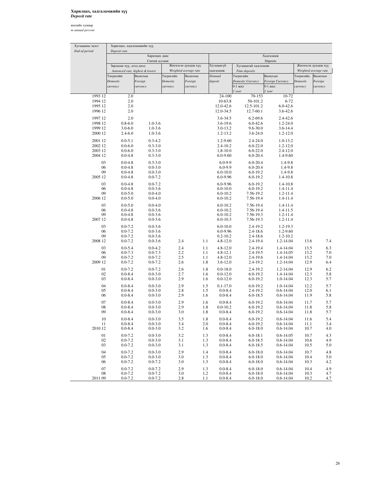## Харилцах**,** хадгаламжийн хүү *Deposit rate*

жилийн хувиар

*in annual percent*

| Хугацааны эцэст<br>End-of-period | Харилцах, хадгаламжийн хүү<br>Deposit rate |                                 |                       |                       |                                           |                                |                                |                       |                       |
|----------------------------------|--------------------------------------------|---------------------------------|-----------------------|-----------------------|-------------------------------------------|--------------------------------|--------------------------------|-----------------------|-----------------------|
|                                  |                                            | Харилцах данс                   |                       |                       |                                           |                                | Хадгаламж                      |                       |                       |
|                                  |                                            | Current account                 |                       |                       |                                           |                                | Deposits                       |                       |                       |
|                                  | Зарласан хүү, дээд доод                    |                                 |                       | Жигнэсэн дундаж хүү   | Хугацаагүй                                | Хугацаатай хадгаламж           |                                |                       | Жигнэсэн дундаж хүү   |
|                                  |                                            | Annonced rate, highest & lowest |                       | Weighted average rate | хадгаламж                                 | Time deposits                  |                                |                       | Weighted average rate |
|                                  | Төгрөгийн<br>Domestic                      | Валютын                         | Төгрөгийн<br>Domestic | Валютын<br>Foreign    | Demand<br>deposit                         | Төгрөгийн<br>Domestic Currency | Валютын                        | Төгрөгийн<br>Domestic | Валютын               |
|                                  | currency                                   | Foreign<br>currency             | currency              | currency              |                                           | 0-1 жил                        | Foreign Currency<br>0-1 жил    | currency              | Foreign<br>currency   |
|                                  |                                            |                                 |                       |                       |                                           | 1 year                         | 1 year                         |                       |                       |
| 1993 12                          | 2.0                                        |                                 |                       |                       | 24-100                                    | 70-153                         | $10 - 72$                      |                       |                       |
| 1994 12                          | 2.0                                        |                                 |                       |                       | 10-63.8                                   | 50-101.2                       | $6 - 72$                       |                       |                       |
| 1995 12                          | 2.0                                        |                                 |                       |                       | 12.0-42.6                                 | 12.5-101.2                     | $6.0 - 42.6$                   |                       |                       |
| 1996 12                          | 2.0                                        |                                 |                       |                       | 12.0-34.5                                 | 12.7-60.1                      | $3.6 - 42.6$                   |                       |                       |
| 1997 12                          | 2.0                                        |                                 |                       |                       | 3.6-34.5                                  | $6.2 - 69.6$                   | $2.4 - 42.6$                   |                       |                       |
| 1998 12                          | $0.8 - 6.0$                                | $1.0 - 3.6$                     |                       |                       | $3.6 - 19.6$                              | $6.0 - 42.6$                   | $1.2 - 24.0$                   |                       |                       |
| 1999 12                          | $3.0 - 6.0$                                | $1.0 - 3.6$                     |                       |                       | 3.0-13.2                                  | $9.6 - 30.0$                   | $3.6 - 14.4$                   |                       |                       |
| 2000 12                          | $2.4 - 6.0$                                | $1.0 - 3.6$                     |                       |                       | 1.2-13.2                                  | $3.6 - 24.0$                   | $1.2 - 12.0$                   |                       |                       |
| 2001 12                          | $0.0 - 5.1$                                | $0.3 - 4.2$                     |                       |                       | $1.2 - 9.60$                              | $2.4 - 24.0$                   | $1.0 - 13.2$                   |                       |                       |
| 2002 12                          | $0.0 - 6.0$                                | $0.3 - 3.0$                     |                       |                       | $2.4 - 10.2$                              | $6.0 - 22.0$                   | $1.2 - 12.0$                   |                       |                       |
| 2003 12                          | $0.0 - 6.0$                                | $0.3 - 3.0$                     |                       |                       | $1,8-10.0$                                | $6.0 - 22.0$                   | $2.4 - 12.0$                   |                       |                       |
| 2004 12                          | $0.0 - 4.8$                                | $0.3 - 3.0$                     |                       |                       | $6.0 - 9.60$                              | $6.0 - 20.4$                   | 1.4-9.60                       |                       |                       |
| 03                               | $0.0 - 4.8$                                | $0.3 - 3.0$                     |                       |                       | $6.0 - 9.9$                               | $6.0 - 20.4$                   | 1.4-9.8                        |                       |                       |
| 06                               | $0.0 - 4.8$                                | $0.0 - 3.0$                     |                       |                       | $6.0 - 9.9$                               | $6.0 - 20.4$                   | 1.4-9.8                        |                       |                       |
| 09                               | $0.0 - 4.8$                                | $0.0 - 3.0$                     |                       |                       | $6.0 - 10.0$                              | $6.0 - 19.2$                   | 1.4-9.8                        |                       |                       |
| 2005 12                          | $0.0 - 4.8$                                | $0.0 - 7.2$                     |                       |                       | 6.0-9.96                                  | $6.0 - 19.2$                   | 1.4-10.8                       |                       |                       |
| 03                               | $0.0 - 4.8$                                | $0.0 - 7.2$                     |                       |                       | 6.0-9.96                                  | $6.0 - 19.2$                   | 1.4-10.8                       |                       |                       |
| 06                               | $0.0 - 4.8$                                | $0.0 - 3.6$                     |                       |                       | $6.0 - 10.0$                              | $6.0 - 19.2$                   | 1.4-11.4                       |                       |                       |
| 09<br>2006 12                    | $0.0 - 5.0$<br>$0.0 - 5.0$                 | $0.0 - 4.0$<br>$0.0 - 4.0$      |                       |                       | $6.0 - 10.2$<br>$6.0 - 10.2$              | 7.56-19.2<br>7.56-19.4         | $1.2 - 11.4$<br>1.4-11.4       |                       |                       |
|                                  |                                            |                                 |                       |                       |                                           |                                |                                |                       |                       |
| 03                               | $0.0 - 5.0$                                | $0.0 - 4.0$                     |                       |                       | $6.0 - 10.2$                              | 7.56-19.4<br>7.56-19.4         | $1.4 - 11.4$                   |                       |                       |
| 06<br>09                         | $0.0 - 4.8$<br>$0.0 - 4.8$                 | $0.0 - 3.6$<br>$0.0 - 3.6$      |                       |                       | $6.0 - 10.2$<br>$6.0 - 10.2$              | 7.56-19.3                      | $1.4 - 11.5$<br>$1.2 - 11.4$   |                       |                       |
| 2007 12                          | $0.0 - 4.8$                                | $0.0 - 3.6$                     |                       |                       | $6.0 - 10.3$                              | 7.56-19.3                      | $1.2 - 11.4$                   |                       |                       |
| 03                               | $0.0 - 7.2$                                | $0.0 - 3.6$                     |                       |                       | $6.0 - 10.0$                              | 2.4-19.2                       | $1.2 - 19.3$                   |                       |                       |
| 06                               | $0.0 - 7.2$                                | $0.0 - 3.6$                     |                       |                       | 6.0-9.96                                  | $2.4 - 18.6$                   | 1.2-9.60                       |                       |                       |
| 09                               | $0.0 - 7.2$                                | $0.0 - 3.6$                     |                       |                       | $0.2 - 10.2$                              | $2.4 - 18.6$                   | $1.2 - 10.2$                   |                       |                       |
| 2008 12                          | $0.0 - 7.2$                                | $0.0 - 3.6$                     | 2.4                   |                       | 1.1<br>$4.8 - 12.0$                       | 2.4-19.4                       | 1.2-14.04                      | 13.6                  | 7.4                   |
| 03                               | $0.0 - 5.4$                                | $0.0 - 4.2$                     | 2.4                   |                       | 1.1<br>$4.8 - 12.0$                       | 2.4-19.4                       | 1.4-14.04                      | 13.5                  | 6.3                   |
| 06                               | $0.0 - 7.3$                                | $0.0 - 7.3$                     | 2.2                   |                       | $4.8 - 12.1$<br>1.1                       | $2.4 - 19.5$                   | 1.4-14.05                      | 13.2                  | 7.0                   |
| 09                               | $0.0 - 7.2$                                | $0.0 - 7.2$                     | 2.5                   |                       | 1.1<br>$4.8 - 12.0$                       | $2.4 - 19.6$                   | 1.4-14.04                      | 13.2                  | 7.0                   |
| 2009 12                          | $0.0 - 7.2$                                | $0.0 - 7.2$                     | 2.6                   |                       | 1.8<br>$3.6 - 12.0$                       | 2.4-19.2                       | 1.2-14.04                      | 12.9                  | 6.4                   |
| 01                               | $0.0 - 7.2$                                | $0.0 - 7.2$                     | 2.6                   |                       | 1.8<br>$0.0 - 18.0$                       | 2.4-19.2                       | 1.2-14.04                      | 12.9                  | 6.2                   |
| 02                               | $0.0 - 8.4$                                | $0.0 - 3.0$                     | 2.7                   |                       | $0.0 - 12.0$<br>1.6                       | $6.0 - 19.2$                   | 1.4-14.04                      | 12.3                  | 5.8                   |
| 03                               | $0.0 - 8.4$                                | $0.0 - 3.0$                     | 2.9                   |                       | 1.6<br>$0.0 - 12.0$                       | $6.0 - 19.2$                   | 1.0-14.04                      | 12.3                  | 5.7                   |
| 04                               | $0.0 - 8.4$                                | $0.0 - 3.0$                     | 2.9                   |                       | 1.5<br>$0.1 - 17.0$                       | $6.0 - 19.2$                   | 1.0-14.04                      | 12.2                  | 5.7                   |
| 05                               | $0.0 - 8.4$                                | $0.0 - 3.0$                     | 2.8                   |                       | 1.5<br>$0.0 - 8.4$                        | 2.4-19.2                       | $0.6 - 14.04$                  | 12.0                  | 6.1                   |
| 06                               | $0.0 - 8.4$                                | $0.0 - 3.0$                     | 2.9                   |                       | 1.6<br>$0.0 - 8.4$                        | $6.0 - 18.5$                   | 0.6-14.04                      | 11.9                  | 5.8                   |
| 07                               | $0.0 - 8.4$                                | $0.0 - 3.0$                     | 2.9                   |                       | $0.0 - 8.4$<br>1.6                        | $6.0 - 19.2$                   | $0.6 - 14.04$                  | 11.7                  | 5.7                   |
| 08<br>09                         | $0.0 - 8.4$<br>$0.0 - 8.4$                 | $0.0 - 3.0$<br>$0.0 - 3.0$      | 2.9<br>3.0            |                       | 1.8<br>$0.0 - 10.2$<br>1.8<br>$0.0 - 8.4$ | $6.0 - 19.2$<br>$6.0 - 19.2$   | $0.6 - 14.04$<br>$0.6 - 14.04$ | 11.8<br>11.8          | 5.8<br>5.7            |
|                                  |                                            |                                 |                       |                       |                                           |                                |                                |                       |                       |
| $10\,$                           | $0.0 - 8.4$                                | $0.0 - 3.0$                     | 3.5                   |                       | $0.0 - 8.4$<br>1.8                        | $6.0 - 19.2$                   | $0.6 - 14.04$                  | 11.6                  | 5.4                   |
| 11<br>2010 12                    | $0.0 - 8.4$<br>$0.0 - 8.4$                 | $0.0 - 3.0$<br>$0.0 - 3.0$      | 3.4<br>3.2            |                       | 2.0<br>$0.0 - 8.4$<br>1.6<br>$0.0 - 8.4$  | $6.0 - 19.2$<br>$6.0 - 18.0$   | $0.6 - 14.04$<br>0.6-14.04     | 11.1<br>10.7          | 3.4<br>4.0            |
|                                  |                                            |                                 |                       |                       |                                           |                                |                                |                       |                       |
| 01                               | $0.0 - 7.2$                                | $0.0 - 3.0$                     | 3.2                   |                       | $0.0 - 8.4$<br>1.3                        | $6.0 - 18.1$                   | $0.6 - 14.05$<br>$0.6 - 14.04$ | 10.7                  | 4.3                   |
| 02<br>03                         | $0.0 - 7.2$<br>$0.0 - 7.2$                 | $0.0 - 3.0$<br>$0.0 - 3.0$      | 3.1<br>3.1            |                       | 1.3<br>$0.0 - 8.4$<br>$0.0 - 8.4$<br>1.3  | $6.0 - 18.5$<br>$6.0 - 18.5$   | $0.6 - 14.04$                  | 10.6<br>10.5          | 4.9<br>5.0            |
|                                  |                                            |                                 |                       |                       |                                           |                                |                                |                       |                       |
| 04<br>05                         | $0.0 - 7.2$<br>$0.0 - 7.2$                 | $0.0 - 3.0$<br>$0.0 - 3.0$      | 2.9<br>3.0            |                       | 1.4<br>$0.0 - 8.4$<br>1.3<br>$0.0 - 8.4$  | $6.0 - 18.0$<br>$6.0 - 18.0$   | $0.6 - 14.04$<br>$0.6 - 14.04$ | 10.7<br>10.4          | 4.8<br>5.0            |
| 06                               | $0.0 - 7.2$                                | $0.0 - 7.2$                     | 3.0                   |                       | $0.0 - 8.4$<br>1.3                        | $6.0 - 18.0$                   | $0.6 - 14.04$                  | 10.3                  | 4.2                   |
| 07                               | $0.0 - 7.2$                                | $0.0 - 7.2$                     | 2.9                   |                       | $0.0 - 8.4$<br>1.3                        | $6.0 - 18.0$                   | $0.6 - 14.04$                  | 10.4                  | 4.9                   |
| 08                               | $0.0 - 7.2$                                | $0.0 - 7.2$                     | 3.0                   |                       | 1.2<br>$0.0 - 8.4$                        | $6.0 - 18.0$                   | $0.6 - 14.04$                  | 10.3                  | 4.7                   |
| 2011 09                          | $0.0 - 7.2$                                | $0.0 - 7.2$                     | 2.8                   |                       | 1.1<br>$0.0 - 8.4$                        | $6.0 - 18.0$                   | $0.6 - 14.04$                  | 10.2                  | 4.7                   |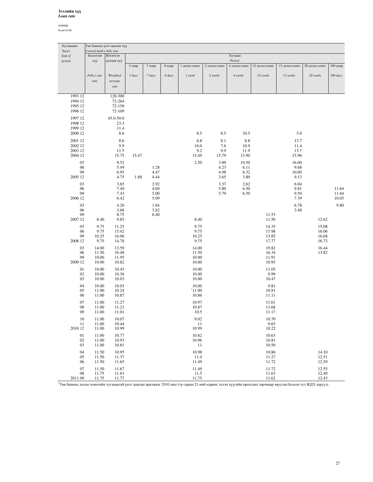### Зээлийн хүү *Loan rate*

хувиар *in percent*

| Хугацааны     |                           | Төв банкны үнэт цаасны хүү |        |        |        |                |               |               |                |                |                |          |
|---------------|---------------------------|----------------------------|--------|--------|--------|----------------|---------------|---------------|----------------|----------------|----------------|----------|
| Эцэст         | Central bank's bills rate |                            |        |        |        |                |               |               |                |                |                |          |
| End of        | Бодлогын                  | Жигнэсэн                   |        |        |        |                |               | Хугацаа       |                |                |                |          |
| period        | xyy                       | дундаж хүү                 |        |        |        |                |               | Period        |                |                |                |          |
|               |                           |                            | 3 өдөр | 7 өдөр | 8 өдөр | 1 долоо хоног  | 2 долоо хоног | 4 долоо хоног | 12 долоо хоног | 13 долоо хоног | 28 долоо хоног | 180 өдөр |
|               | Policy rate               | Weighted                   | 3 days | 7 days | 8 days | 1 week         | 2 weeks       | 4 weeks       | 12 weeks       | 13 weeks       | 28 weeks       | 180 days |
|               | rate                      | average                    |        |        |        |                |               |               |                |                |                |          |
|               |                           | $\emph{rate}$              |        |        |        |                |               |               |                |                |                |          |
|               |                           |                            |        |        |        |                |               |               |                |                |                |          |
| 1993 12       |                           | 120-300                    |        |        |        |                |               |               |                |                |                |          |
| 1994 12       |                           | 72-264                     |        |        |        |                |               |               |                |                |                |          |
| 1995 12       |                           | 72-150                     |        |        |        |                |               |               |                |                |                |          |
| 1996 12       |                           | 72-109                     |        |        |        |                |               |               |                |                |                |          |
| 1997 12       |                           | 45.0-50.0                  |        |        |        |                |               |               |                |                |                |          |
| 1998 12       |                           | 23.3                       |        |        |        |                |               |               |                |                |                |          |
| 1999 12       |                           | 11.4                       |        |        |        |                |               |               |                |                |                |          |
| 2000 12       |                           | 8.6                        |        |        |        | 8.5            | 8.5           | 10.5          |                | 5.0            |                |          |
| 2001 12       |                           | 8.6                        |        |        |        | 6.8            | 8.1           | $8.8\,$       |                | 13.7           |                |          |
| 2002 12       |                           | 9.9                        |        |        |        | 10.0           | 7.6           | 10.9          |                | 11.4           |                |          |
| 2003 12       |                           | 11.5                       |        |        |        | 9.2            | 9.9           | 11.9          |                | 13.7           |                |          |
| 2004 12       |                           | 15.75                      | 15.47  |        |        | 15.49          | 15.79         | 15.90         |                | 15.96          |                |          |
| 03            |                           | 9.52                       |        |        |        | 2.50           | 3.00          | 10.50         |                | 16.00          |                |          |
| 06            |                           | 5.49                       |        | 1.28   |        |                | 4.23          | 6.11          |                | 9.68           |                |          |
| 09            |                           | 6.95                       |        | 4.47   |        |                | 4.98          | 6.32          |                | 10.00          |                |          |
| 2005 12       |                           | 4.75                       | 1.88   | 4.44   |        |                | 3.65          | 3.80          |                | 9.13           |                |          |
| 03            |                           | 3.65                       |        | 2.92   |        |                | 3.37          | 2.62          |                | 6.04           |                |          |
| 06            |                           | 7.40                       |        | 4.69   |        |                | 5.80          | 6.50          |                | 9.81           |                | 11.64    |
| 09            |                           | 7.43                       |        | 5.00   |        |                | 5.79          | 6.50          |                | 9.50           |                | 11.64    |
| 2006 12       |                           | 6.42                       |        | 5.09   |        |                |               |               |                | 7.39           |                | 10.05    |
| 03            |                           | 4.26                       |        | 1.84   |        |                |               |               |                | 6.78           |                | 9.80     |
| 06            |                           | 3.68                       |        | 3.82   |        |                |               |               |                | 3.48           |                |          |
| 09            |                           | 8.75                       |        | 6.40   |        |                |               |               | 11.53          |                |                |          |
| 2007 12       | 8.40                      | 9.85                       |        |        |        | 8.40           |               |               | 11.50          |                | 12.62          |          |
| 03            | 9.75                      | 11.25                      |        |        |        | 9.75           |               |               | 14.35          |                | 15.08          |          |
| 06            | 9.75                      | 15.42                      |        |        |        | 9.75           |               |               | 17.98          |                | 16.06          |          |
| 09            | 10.25                     | 16.06                      |        |        |        | 10.25          |               |               | 13.85          |                | 16.68          |          |
| 2008 12       | 9.75                      | 14.78                      |        |        |        | 9.75           |               |               | 17.77          |                | 16.73          |          |
| 03            | 14.00                     | 13.59                      |        |        |        | 14.00          |               |               | 19.82          |                | 16.44          |          |
| 06            | 11.50                     | 16.48                      |        |        |        | 11.50          |               |               | 16.34          |                | 13.82          |          |
| 09<br>2009 12 | 10.00                     | 11.95                      |        |        |        | 10.00<br>10.00 |               |               | 11.91<br>10.95 |                |                |          |
|               | 10.00                     | 10.82                      |        |        |        |                |               |               |                |                |                |          |
| 01            | 10.00                     | 10.45                      |        |        |        | 10.00          |               |               | 11.05          |                |                |          |
| 02            | 10.00                     | 10.36                      |        |        |        | 10.00          |               |               | 9.99           |                |                |          |
| 03            | 10.00                     | 10.03                      |        |        |        | 10.00          |               |               | 10.47          |                |                |          |
| 04            | 10.00                     | 10.03                      |        |        |        | 10.00          |               |               | 9.81           |                |                |          |
| 05            | 11.00                     | 10.24                      |        |        |        | 11.00<br>10.86 |               |               | 10.91<br>11.11 |                |                |          |
| 06            | 11.00                     | 10.87                      |        |        |        |                |               |               |                |                |                |          |
| 07            | 11.00                     | 11.27                      |        |        |        | 10.97          |               |               | 11.61          |                |                |          |
| 08            | 11.00                     | 11.21                      |        |        |        | 10.87          |               |               | 11.68          |                |                |          |
| 09            | 11.00                     | 11.01                      |        |        |        | 10.5           |               |               | 11.17          |                |                |          |
| 10            | 11.00                     | 10.07                      |        |        |        | 9.02           |               |               | 10.70          |                |                |          |
| 11            | 11.00                     | 10.44                      |        |        |        | 11             |               |               | 9.65           |                |                |          |
| 2010 12       | 11.00                     | 10.99                      |        |        |        | 10.99          |               |               | 10.22          |                |                |          |
| 01            | 11.00                     | 10.77                      |        |        |        | 10.82          |               |               | 10.63          |                |                |          |
| 02            | 11.00                     | 10.93                      |        |        |        | 10.96          |               |               | 10.81          |                |                |          |
| 03            | 11.00                     | 10.81                      |        |        |        | 11             |               |               | 10.50          |                |                |          |
| 04            | 11.50                     | 10.95                      |        |        |        | 10.98          |               |               | 10.86          |                | 14.10          |          |
| 05            | 11.50                     | 11.37                      |        |        |        | 11.4           |               |               | 11.27          |                | 12.51          |          |
| 06            | 11.50                     | 11.65                      |        |        |        | 11.49          |               |               | 11.72          |                | 12.59          |          |
| 07            | 11.50                     | 11.67                      |        |        |        | 11.49          |               |               | 11.72          |                | 12.55          |          |
| 08<br>2011.00 | 11.75<br>11.75            | 11.63<br>11.77             |        |        |        | 11.5<br>11.75  |               |               | 11.63<br>11.72 |                | 12.40<br>12.42 |          |

2011 09 11.75 11.77 11.75 11.62 12.43 1 Төв банкны долоо хоногийн хугацаатай үнэт цаасны арилжааг 2010 оны 4-р сарын 21-ний өдрөөс эхлэн хүүгийн өрсөлдөх зарчмаар явуулах болсон тул ЖДХ харуулав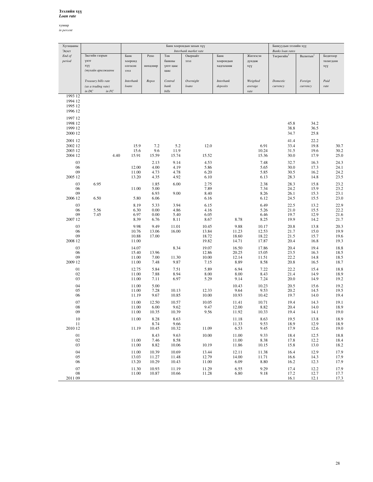## Зээлийн хүү *Loan rate*

хувиар

*in percent*

| Хугацааны<br>Эцэст                       |                                                                      |                                    |                                | Банкуудын зээлийн хүү<br><b>Banks</b> loan rates |                                           |                                  |                                  |                              |                              |                              |
|------------------------------------------|----------------------------------------------------------------------|------------------------------------|--------------------------------|--------------------------------------------------|-------------------------------------------|----------------------------------|----------------------------------|------------------------------|------------------------------|------------------------------|
| End of<br>period                         | Засгийн газрын<br>үнэт<br>xyy<br>(тухайн арилжааны                   | Банк<br>хооронд<br>олгосон<br>зээл | Репо<br>нөхцлөөр               | Төв<br>банкны<br>үнэт цаас<br>цаас               | Interbank market rate<br>Овернайт<br>зээл | Банк<br>хоорондын<br>хадгаламж   | Жигнэсэн<br>дундаж<br>xyy        | Төгрөгийн <sup>1</sup>       | <b>Валютын</b> <sup>1</sup>  | Бодитоор<br>төлөгдсөн<br>xyy |
|                                          | Treasury bills rate<br>(as a trading rate)<br>$in$ $DC$<br>$\inf FC$ | <b>Interbank</b><br>loans          | Repos                          | Central<br>bank<br>bills                         | Overnight<br>loans                        | Interbank<br>deposits            | Weigthed<br>average<br>rate      | Domestic<br>currency         | Foreign<br>currency          | Paid<br>rate                 |
| 1993 12<br>1994 12<br>1995 12<br>1996 12 |                                                                      |                                    |                                |                                                  |                                           |                                  |                                  |                              |                              |                              |
| 1997 12<br>1998 12<br>1999 12<br>2000 12 |                                                                      |                                    |                                |                                                  |                                           |                                  |                                  | 45.8<br>38.8<br>34.7         | 34.2<br>36.5<br>25.8         |                              |
| 2001 12<br>2002 12<br>2003 12<br>2004 12 | 4.40                                                                 | 15.9<br>15.6<br>15.91              | 7.2<br>9.6<br>15.59            | 5.2<br>11.9<br>15.74                             | 12.0<br>15.52                             |                                  | 6.91<br>10.24<br>15.36           | 41.4<br>33.4<br>31.5<br>30.0 | 22.2<br>19.8<br>19.6<br>17.9 | 30.7<br>30.2<br>25.0         |
| 03<br>06<br>09<br>2005 12                |                                                                      | 12.00<br>11.00<br>13.20            | 2.13<br>4.00<br>4.73<br>4.35   | 9.14<br>4.19<br>4.78<br>4.92                     | 4.53<br>5.86<br>6.20<br>6.10              |                                  | 7.48<br>5.65<br>5.85<br>6.13     | 32.7<br>30.0<br>30.5<br>28.3 | 16.3<br>17.3<br>16.2<br>14.8 | 24.3<br>24.1<br>24.2<br>23.5 |
| 03<br>06<br>09<br>2006 12                | 6.95<br>6.50                                                         | 11.00<br>5.80                      | 1.85<br>5.00<br>6.93<br>6.06   | 6.00<br>9.00                                     | 2.75<br>7.89<br>8.40<br>6.16              |                                  | 2.38<br>7.34<br>8.26<br>6.12     | 28.3<br>24.2<br>26.1<br>24.5 | 15.8<br>15.9<br>15.3<br>15.5 | 23.2<br>23.2<br>23.1<br>23.0 |
| 03<br>06<br>09<br>2007 12                | 5.56<br>7.45                                                         | 8.19<br>6.30<br>6.97<br>8.39       | 5.33<br>0.00<br>0.00<br>6.76   | 3.94<br>4.86<br>5.40<br>8.11                     | 6.15<br>4.16<br>6.05<br>8.67              | 8.78                             | 6.49<br>5.26<br>6.46<br>8.25     | 22.5<br>21.0<br>19.7<br>19.9 | 13.2<br>15.5<br>12.9<br>14.2 | 22.9<br>22.2<br>21.6<br>21.7 |
| 03<br>06<br>09<br>2008 12                |                                                                      | 9.98<br>10.76<br>10.88<br>11.00    | 9.49<br>13.06<br>17.00         | 11.01<br>16.00                                   | 10.45<br>13.84<br>18.72<br>19.82          | 9.88<br>11.23<br>18.60<br>14.71  | 10.17<br>12.53<br>18.22<br>17.87 | 20.8<br>21.7<br>21.5<br>20.4 | 13.8<br>15.0<br>15.7<br>16.8 | 20.3<br>19.9<br>19.6<br>19.3 |
| 03<br>06<br>09<br>2009 12                |                                                                      | 14.07<br>15.40<br>11.00<br>11.00   | 13.96<br>7.00<br>7.48          | 8.34<br>11.30<br>9.87                            | 19.07<br>12.86<br>10.00<br>7.15           | 16.50<br>20.25<br>12.14<br>8.89  | 17.86<br>15.05<br>11.51<br>8.58  | 20.4<br>23.5<br>22.2<br>20.8 | 19.4<br>16.3<br>14.8<br>16.5 | 18.8<br>18.5<br>18.5<br>18.7 |
| 01<br>02<br>03                           |                                                                      | 12.75<br>11.00<br>11.00            | 5.84<br>7.88<br>7.11           | 7.51<br>8.94<br>6.97                             | 5.89<br>8.00<br>5.29                      | 6.94<br>8.00<br>9.14             | 7.22<br>8.43<br>7.24             | 22.2<br>21.4<br>20.0         | 15.4<br>14.9<br>14.9         | 18.8<br>18.9<br>19.2         |
| 04<br>05<br>06                           |                                                                      | 11.00<br>11.00<br>11.19            | 5.00<br>7.28<br>9.67           | 10.13<br>10.85                                   | 12.33<br>10.00                            | 10.43<br>9.64<br>10.93           | 10.23<br>9.53<br>10.42           | 20.5<br>20.2<br>19.7         | 15.6<br>14.5<br>14.0         | 19.2<br>19.5<br>19.4         |
| 07<br>08<br>09<br>$10\,$                 |                                                                      | 11.00<br>11.00<br>11.00<br>11.00   | 12.50<br>6.00<br>10.35<br>8.28 | 10.57<br>9.62<br>10.39<br>8.63                   | 10.05<br>9.47<br>9.56                     | 11.41<br>12.00<br>11.92<br>11.18 | 10.71<br>8.82<br>10.33<br>8.63   | 19.4<br>20.4<br>19.4<br>19.5 | 14.3<br>14.0<br>14.1<br>13.8 | 19.1<br>18.9<br>19.0<br>18.9 |
| $11\,$<br>2010 12<br>01                  |                                                                      | 11.19                              | 8.74<br>10.45<br>8.43          | 9.66<br>10.32<br>9.63                            | 11.09<br>10.00                            | 11.33<br>6.53<br>11.00           | 9.53<br>9.45<br>9.33             | 18.9<br>17.9<br>18.4         | 12.9<br>12.6<br>12.5         | 18.9<br>19.0<br>18.8         |
| 02<br>03<br>04                           |                                                                      | 11.00<br>11.00<br>11.00            | 7.46<br>8.82<br>10.39          | 8.58<br>10.06<br>10.69                           | 10.19<br>13.44                            | 11.00<br>11.86<br>12.11          | 8.38<br>10.15<br>11.38           | 17.8<br>15.8<br>16.4         | 12.2<br>13.0<br>12.9         | 18.4<br>18.2<br>17.9         |
| 05<br>06<br>07                           |                                                                      | 13.03<br>13.20<br>11.30            | 11.27<br>10.29<br>10.93        | 11.48<br>10.43<br>11.19                          | 12.79<br>11.00<br>11.29                   | 14.00<br>6.09<br>6.55            | 11.71<br>8.80<br>9.29            | 16.6<br>16.2<br>17.4         | 14.3<br>12.3<br>12.2         | 17.9<br>17.9<br>17.9         |
| $08\,$<br>2011 09                        |                                                                      | 11.00                              | 10.87                          | 10.66                                            | 11.28                                     | 6.80                             | 9.18                             | 17.2<br>16.1                 | 12.7<br>12.1                 | 17.7<br>17.3                 |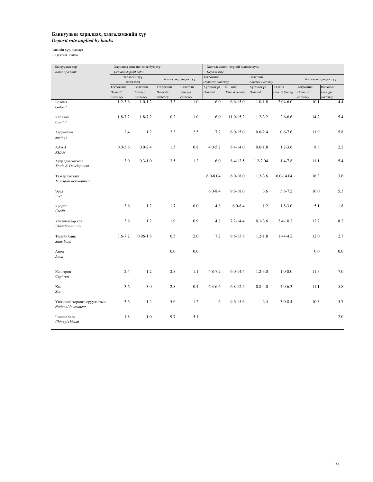# Банкуудын харилцах**,** хадгаламжийн хүү *Deposit rate applied by banks*

(жилийн хүү, хувиар)

 *(in percent, annual)*

| Банкуудын нэр<br>Name of a bank                    | Demand deposit rates              | Харилцах дансанд төлж буй хүү  |                                   |                                | Хадгаламжийн хүүний дундаж хувь<br>Deposit rate |                            |                             |                          |                                   |                                |  |
|----------------------------------------------------|-----------------------------------|--------------------------------|-----------------------------------|--------------------------------|-------------------------------------------------|----------------------------|-----------------------------|--------------------------|-----------------------------------|--------------------------------|--|
|                                                    |                                   | Зарласан хүү<br>доод дээд      |                                   | Жигнэсэн дундаж хүү            | Төгрөгийн<br>Domestic currency                  |                            | Валютын<br>Foreign currency |                          |                                   | Жигнэсэн дундаж хүү            |  |
|                                                    | Төгрөгийн<br>Domestic<br>Currency | Валютын<br>Foreign<br>Currency | Төгрөгийн<br>Domestic<br>currency | Валютын<br>Foreign<br>currency | Хугацаагүй<br>Demand                            | $0-1$ жил<br>Time & Saving | Хугацаагүй<br>Demand        | 0-1 жил<br>Time & Saving | Төгрөгийн<br>Domestic<br>currency | Валютын<br>Foreign<br>currency |  |
| Голомт<br>Golomt                                   | $1.2 - 3.6$                       | $1.0 - 1.2$                    | 3.3                               | 1.0                            | 6.0                                             | $6.6 - 15.0$               | $1.0 - 1.8$                 | $2.04 - 6.0$             | 10.1                              | 4.4                            |  |
| Капитал<br>Capital                                 | 1.8-7.2                           | 1.8-7.2                        | 0.2                               | 1.0                            | 6.0                                             | 11.0-15.2                  | $1.2 - 3.2$                 | $2.6 - 6.6$              | 14.2                              | 5.4                            |  |
| Хадгаламж<br>Savings                               | 2.4                               | 1.2                            | 2.3                               | 2.5                            | 7.2                                             | $6.0 - 15.0$               | $0.6 - 2.4$                 | $0.6 - 7.6$              | 11.9                              | 5.8                            |  |
| <b>XAAH</b><br><b>KHAN</b>                         | $0.0 - 3.6$                       | $0.0 - 2.4$                    | 1.5                               | 0.8                            | $4.0 - 5.2$                                     | 8.4-14.0                   | $0.6 - 1.8$                 | $1.2 - 3.6$              | 8.8                               | 2.2                            |  |
| Худалдаа хөгжил<br>Trade & Development             | 3.0                               | $0.3 - 1.0$                    | 3.5                               | 1.2                            | 6.0                                             | 8.4-13.5                   | $1.2 - 2.04$                | 1.4-7.8                  | 11.1                              | 5.4                            |  |
| Тээвэр хөгжил<br>Transport development             |                                   |                                |                                   |                                | $6.0 - 8.04$                                    | $6.0 - 18.0$               | $1.2 - 3.6$                 | $6.0 - 14.04$            | 16.3                              | 3.6                            |  |
| Эрэл<br>Erel                                       |                                   |                                |                                   |                                | $6.0 - 8.4$                                     | $9.6 - 18.0$               | 3.6                         | $3.6 - 7.2$              | 16.0                              | 5.3                            |  |
| Кредит<br>Credit                                   | 3.6                               | 1.2                            | 1.7                               | 0.0                            | 4.8                                             | $6.0 - 8.4$                | 1.2                         | $1.8 - 3.0$              | 5.1                               | 1.8                            |  |
| Улаанбаатар хот<br>Ulaanbaatar city                | 3.6                               | 1.2                            | 1.9                               | 0.9                            | 4.8                                             | $7.2 - 14.4$               | $0.1 - 3.6$                 | $2.4 - 10.2$             | 12.2                              | 8.2                            |  |
| Төрийн банк<br>State bank                          | $3.6 - 7.2$                       | $0.96 - 1.8$                   | 6.5                               | 2.0                            | 7.2                                             | 9.6-13.8                   | $1.2 - 1.8$                 | 1.44-4.2                 | 12.0                              | 2.7                            |  |
| Анод<br>Anod                                       |                                   |                                | 0.0                               | 0.0                            |                                                 |                            |                             |                          | 0.0                               | $0.0\,$                        |  |
| Капитрон<br>Capitron                               | 2.4                               | 1.2                            | 2.8                               | 1.1                            | $4.8 - 7.2$                                     | $6.0 - 14.4$               | $1.2 - 3.0$                 | $1.0 - 8.0$              | 11.3                              | 7.0                            |  |
| Xac<br>Xac                                         | 3.6                               | 3.0                            | 2.8                               | 0.4                            | $6.3 - 6.6$                                     | $6.8 - 12.5$               | $0.8 - 4.0$                 | $4.0 - 6.3$              | 11.1                              | 5.8                            |  |
| Үндэсний хөрөнгө оруулалтын<br>National Investment | 3.6                               | 1.2                            | 5.6                               | 1.2                            | 6                                               | $9.6 - 15.6$               | 2.4                         | $3.0 - 8.4$              | 10.3                              | 5.7                            |  |
| Чингис хаан<br>Chinggis khaan                      | 1.8                               | 1.0                            | 9.7                               | 5.1                            |                                                 |                            |                             |                          |                                   | 12.0                           |  |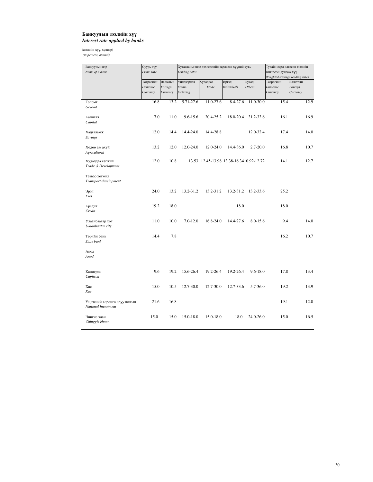### Банкуудын зээлийн хүү *Interest rate applied by banks*

(жилийн хүү, хувиар)

 *(in percent, annual)*

| Банкуудын нэр<br>Name of a bank                    | Суурь хүү<br>Prime rate           |                                | Lending rates                    | Хугацааны эцэс дэх зээлийн зарласан хүүний хувь | Тухайн сард олгосон зээлийн<br>жигнэсэн дундаж хүү<br>Weighted average lending rates |                 |                                   |                                |
|----------------------------------------------------|-----------------------------------|--------------------------------|----------------------------------|-------------------------------------------------|--------------------------------------------------------------------------------------|-----------------|-----------------------------------|--------------------------------|
|                                                    | Төгрөгийн<br>Domestic<br>Currency | Валютын<br>Foreign<br>Currency | Үйлдвэрлэл<br>Manu-<br>facturing | Худалдаа<br>Trade                               | Иргэд<br><b>Individuals</b>                                                          | Бусад<br>Others | Төгрөгийн<br>Domestic<br>Currency | Валютын<br>Foreign<br>Currency |
| Голомт<br>Golomt                                   | 16.8                              | 13.2                           | 5.71-27.6                        | 11.0-27.6                                       | 8.4-27.6                                                                             | 11.0-30.0       | 15.4                              | 12.9                           |
| Капитал<br>Capital                                 | 7.0                               | 11.0                           | $9.6 - 15.6$                     | 20.4-25.2                                       | 18.0-20.4                                                                            | 31.2-33.6       | 16.1                              | 16.9                           |
| Хадгаламж<br><b>Savings</b>                        | 12.0                              | 14.4                           | 14.4-24.0                        | 14.4-28.8                                       |                                                                                      | 12.0-32.4       | 17.4                              | 14.0                           |
| Хөдөө аж ахуй<br>Agricultural                      | 13.2                              | 12.0                           | 12.0-24.0                        | 12.0-24.0                                       | 14.4-36.0                                                                            | $2.7 - 20.0$    | 16.8                              | 10.7                           |
| Худалдаа хөгжил<br>Trade & Development             | 12.0                              | 10.8                           |                                  | 13.53 12.45-13.98 13.38-16.3410.92-12.72        |                                                                                      |                 | 14.1                              | 12.7                           |
| Тээвэр хөгжил<br>Transport development             |                                   |                                |                                  |                                                 |                                                                                      |                 |                                   |                                |
| Эрэл<br>Erel                                       | 24.0                              | 13.2                           | 13.2-31.2                        | 13.2-31.2                                       | 13.2-31.2                                                                            | 13.2-33.6       | 25.2                              |                                |
| Кредит<br>Credit                                   | 19.2                              | 18.0                           |                                  |                                                 | 18.0                                                                                 |                 | 18.0                              |                                |
| Улаанбаатар хот<br>Ulaanbaatar city                | 11.0                              | 10.0                           | $7.0 - 12.0$                     | 16.8-24.0                                       | 14.4-27.6                                                                            | 8.0-15.6        | 9.4                               | 14.0                           |
| Төрийн банк<br>State bank                          | 14.4                              | 7.8                            |                                  |                                                 |                                                                                      |                 | 16.2                              | 10.7                           |
| Анод<br>Anod                                       |                                   |                                |                                  |                                                 |                                                                                      |                 |                                   |                                |
| Капитрон<br>Capitron                               | 9.6                               | 19.2                           | 15.6-26.4                        | 19.2-26.4                                       | 19.2-26.4                                                                            | $9.6 - 18.0$    | 17.8                              | 13.4                           |
| Xac<br>Xac                                         | 15.0                              | 10.5                           | 12.7-30.0                        | 12.7-30.0                                       | 12.7-33.6                                                                            | 5.7-36.0        | 19.2                              | 13.9                           |
| Үндэсний хөрөнгө оруулалтын<br>National Investment | 21.6                              | 16.8                           |                                  |                                                 |                                                                                      |                 | 19.1                              | 12.0                           |
| Чингис хаан<br>Chinggis khaan                      | 15.0                              | 15.0                           | 15.0-18.0                        | 15.0-18.0                                       | 18.0                                                                                 | 24.0-26.0       | 15.0                              | 16.5                           |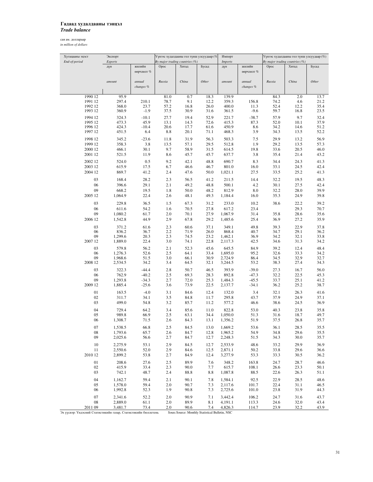## Гадаад худалдааны тэнцэл *Trade balance*

сая ам. доллараар *in million of dollars*

| Хугацааны эцэст | Экспорт            |              |              | Үүнээс худалдааны гол түнш улсуудаар (%) |                | Импорт             |              |              | Үүнээс худалдааны гол түнш улсуудаар (%) |              |
|-----------------|--------------------|--------------|--------------|------------------------------------------|----------------|--------------------|--------------|--------------|------------------------------------------|--------------|
| End-of-period   | Exports            |              |              | By major trading countries (%)           |                | <b>Imports</b>     |              |              | By major trading countries (%)           |              |
|                 | дүн                | жилийн       | Opoc         | Хятад                                    | Бусад          | дүн                | жилийн       | Opoc         | Хятад                                    | Бусад        |
|                 |                    | өөрчлөлт %   |              |                                          |                |                    | өөрчлөлт %   |              |                                          |              |
|                 |                    |              |              |                                          |                |                    |              |              |                                          |              |
|                 | amount             | annual       | Russia       | China                                    | Other          | amount             | annual       | Russia       | China                                    | Other        |
|                 |                    | changes %    |              |                                          |                |                    | changes %    |              |                                          |              |
|                 |                    |              |              |                                          |                |                    |              |              |                                          |              |
| 1990 12         | 95.9               |              | 81.0         | 0.7                                      | 18.3           | 139.9              |              | 84.3         | 2.0                                      | 13.7         |
| 1991 12         | 297.4              | 210.1        | 78.7         | 9.1                                      | 12.2           | 359.3              | 156.8        | 74.2         | 4.6                                      | 21.2         |
| 1992 12         | 368.0              | 23.7         | 57.2         | 16.8                                     | 26.0           | 400.0              | 11.3         | 52.4         | 12.2                                     | 35.4         |
| 1993 12         | 360.9              | $-1.9$       | 37.5         | 30.9                                     | 31.6           | 361.5              | $-9.6$       | 59.7         | 16.8                                     | 23.5         |
| 1994 12         | 324.3              | $-10.1$      | 27.7         | 19.4                                     | 52.9           | 221.7              | $-38.7$      | 57.9         | 9.7                                      | 32.4         |
| 1995 12         | 473.3              | 45.9         | 13.1         | 14.3                                     | 72.6           | 415.3              | 87.3         | 52.0         | 10.1                                     | 37.9         |
| 1996 12         | 424.3              | $-10.4$      | 20.6         | 17.7                                     | 61.6           | 450.9              | 8.6          | 34.2         | 14.6                                     | 51.2         |
| 1997 12         | 451.5              | 6.4          | 8.8          | 20.1                                     | 71.1           | 468.3              | 3.9          | 34.3         | 13.5                                     | 52.2         |
| 1998 12         | 345.2              | $-23.6$      |              | 31.9                                     | 56.3           | 503.3              | 7.5          | 29.9         | 13.2                                     | 56.9         |
| 1999 12         | 358.3              | 3.8          | 11.8<br>13.5 | 57.1                                     | 29.5           | 512.8              | 1.9          | 29.2         | 13.5                                     | 57.3         |
| 2000 12         | 466.1              | 30.1         | 9.7          | 58.9                                     | 31.5           |                    |              |              | 20.5                                     | 46.0         |
|                 |                    |              |              |                                          |                | 614.5              | 19.8         | 33.6         |                                          |              |
| 2001 12         | 521.5              | 11.9         | 8.6          | 45.7                                     | 45.7           | 637.7              | 3.8          | 35.4         | 21.4                                     | 43.2         |
| 2002 12         | 524.0              | 0.5          | 9.2          | 42.1                                     | 48.8           | 690.7              | 8.3          | 34.4         | 24.3                                     | 41.3         |
| 2003 12         | 615.9              | 17.5         | 6.7          | 46.6                                     | 46.7           | 801.0              | 16.0         | 33.1         | 24.5                                     | 42.4         |
| 2004 12         | 869.7              | 41.2         | 2.4          | 47.6                                     | 50.0           | 1,021.1            | 27.5         | 33.5         | 25.2                                     | 41.3         |
| 03              | 168.4              | 28.2         | 2.3          | 56.5                                     | 41.2           | 211.5              | 14.4         | 32.2         |                                          | 48.3         |
| 06              |                    | 29.1         |              | 49.2                                     | 48.8           |                    | 4.2          |              | 19.5<br>27.5                             | 42.4         |
|                 | 396.6              |              | 2.1          |                                          |                | 500.1              |              | 30.1         |                                          |              |
| 09              | 668.2              | 19.5         | 1.8          | 50.0                                     | 48.2           | 812.9              | 8.0          | 32.2         | 28.0                                     | 39.9         |
| 2005 12         | 1,064.9            | 22.4         | 2.6          | 48.1                                     | 49.3           | 1,184.4            | 16.0         | 35.3         | 24.9                                     | 39.8         |
| 03              | 229.8              | 36.5         | 1.5          | 67.3                                     | 31.2           | 233.0              | 10.2         | 38.6         | 22.2                                     | 39.2         |
| 06              | 611.6              | 54.2         | 1.6          | 70.5                                     | 27.8           | 617.2              | 23.4         |              | 29.3                                     | 70.7         |
| 09              | 1,080.2            | 61.7         | 2.0          | 70.1                                     | 27.9           | 1,067.9            | 31.4         | 35.8         | 28.6                                     | 35.6         |
| 2006 12         | 1,542.8            | 44.9         | 2.9          | 67.8                                     | 29.2           | 1,485.6            | 25.4         | 36.9         | 27.2                                     | 35.9         |
|                 |                    |              |              |                                          |                |                    |              |              |                                          |              |
| 03              | 371.2              | 61.6         | 2.3          | 60.6                                     | 37.1           | 349.1              | 49.8         | 39.3         | 22.9                                     | 37.8         |
| 06              | 836.2              | 36.7         | 2.2          | 71.9                                     | 26.0           | 868.4              | 40.7         | 34.7         | 29.1                                     | 36.2         |
| 09              | 1,299.6            | 20.3         | 2.3          | 74.5                                     | 23.2           | 1,462.1            | 36.9         | 34.2         | 32.1                                     | 33.8         |
| 2007 12         | 1,889.0            | 22.4         | 3.0          | 74.1                                     | 22.8           | 2,117.3            | 42.5         | 34.6         | 31.3                                     | 34.2         |
| 03              | 579.8              | 56.2         | 2.1          | 52.3                                     | 45.6           | 645.5              | 84.9         | 39.2         | 12.4                                     | 48.4         |
| 06              | 1,276.3            | 52.6         | 2.5          | 64.1                                     | 33.4           | 1,695.0            | 95.2         | 32.6         | 33.3                                     | 34.2         |
| 09              | 1,968.6            | 51.5         | 3.0          | 66.1                                     | 30.9           | 2,724.9            | 86.4         | 34.5         | 32.9                                     | 32.7         |
| 2008 12         | 2,534.5            | 34.2         | 3.4          | 64.5                                     | 32.1           | 3,244.5            | 53.2         | 38.3         | 27.4                                     | 34.3         |
| 03              | 322.3              | $-44.4$      | 2.8          | 50.7                                     | 46.5           | 393.9              | $-39.0$      | 27.3         | 16.7                                     | 56.0         |
| 06              | 762.9              | $-40.2$      | 2.5          | 69.3                                     | 28.3           | 892.8              | $-47.3$      | 32.2         | 22.5                                     | 45.3         |
| 09              | 1,293.8            | $-34.3$      | 2.7          | 72.0                                     | 25.3           | 1,484.3            | $-45.5$      | 33.7         | 25.1                                     | 41.2         |
| 2009 12         | 1,885.4            | $-25.6$      | 3.6          | 73.9                                     | 22.5           | 2,137.7            | $-34.1$      | 36.2         | 25.2                                     | 38.7         |
|                 |                    |              |              |                                          |                |                    |              |              |                                          |              |
| 01              | 163.5              | $-4.0$       | 3.1          | 84.6                                     | 12.4           | 132.0              | 3.4          | 32.1         | 26.3                                     | 41.6         |
| 02              | 311.7              | 34.1         | 3.5          | 84.8                                     | 11.7           | 295.8              | 43.7         | 37.9         | 24.9                                     | 37.1         |
| 03              | 499.0              | 54.8         | 3.2          | 85.7                                     | 11.2           | 577.2              | 46.6         | 38.6         | 24.5                                     | 36.9         |
| 04              | 729.4              | 64.2         | 3.4          | 85.6                                     | 11.0           | 822.8              | 53.0         | 40.3         | 23.8                                     | 35.8         |
| 05              | 989.8              | 66.9         | 2.5          | 63.1                                     | 34.4           | 1,050.0            | 51.3         | 31.6         | 18.7                                     | 49.7         |
| 06              | 1,308.7            | 71.5         | 2.6          | 84.3                                     | 13.1           | 1,356.2            | 51.9         | 37.5         | 26.8                                     | 35.7         |
|                 |                    |              |              |                                          |                |                    |              |              |                                          |              |
| 07<br>08        | 1,538.5<br>1,793.6 | 66.8<br>65.7 | 2.5<br>2.6   | 84.5<br>84.7                             | 13.0<br>12.8   | 1,669.2<br>1,965.2 | 53.6<br>54.9 | 36.1<br>34.8 | 28.5<br>29.6                             | 35.5<br>35.5 |
| 09              | 2,025.6            | 56.6         | 2.7          | 84.7                                     | 12.7           | 2,248.3            | 51.5         | 34.3         | 30.0                                     | 35.7         |
|                 |                    |              |              |                                          |                |                    |              |              |                                          |              |
| 10              | 2,275.9            | 53.1         | 2.9          | 84.5                                     | 12.7           | 2,533.9            | 48.6         | 33.2         | 29.9                                     | 36.9         |
| 11              | 2,550.6            | 52.0         | 2.9          | 84.6                                     | 12.5           | 2,871.1            | 50.2         | 33.8         | 29.6                                     | 36.6         |
| 2010 12         | 2,899.2            | 53.8         | 2.7          | 84.9                                     | 12.4           | 3,277.9            | 53.3         | 33.3         | 30.5                                     | 36.2         |
| 01              | 208.6              | 27.6         | 2.5          | 89.9                                     | 7.6            | 348.2              | 163.8        | 24.7         | 28.7                                     | 46.6         |
| 02              | 415.9              | 33.4         | 2.3          | 90.0                                     | 7.7            | 615.7              | 108.1        | 26.6         | 23.3                                     | 50.1         |
| 03              | 742.1              | 48.7         | 2.4          | 88.8                                     | 8.8            | 1,087.8            | 88.5         | 22.6         | 26.3                                     | 51.1         |
|                 |                    |              |              |                                          |                |                    |              |              |                                          |              |
| 04              | 1,162.7            | 59.4         | 2.1          | 90.1                                     | 7.8            | 1,584.1            | 92.5         | 22.9         | 28.5                                     | 48.6         |
| 05              | 1,578.0            | 59.4         | 2.0          | 90.7                                     | 7.3            | 2,117.6            | 101.7        | 22.4         | 31.1                                     | 46.5         |
| 06              | 1,992.8            | 52.3         | 1.9          | 90.8                                     | 7.3            | 2,725.6            | 101.0        | 23.8         | 31.9                                     | 44.3         |
| 07              | 2,341.6            | 52.2         | 2.0          | 90.9                                     | 7.1            | 3,442.4            | 106.2        | 24.7         | 31.6                                     | 43.7         |
| 08              | 2,889.0            | 61.1         | 2.0          | 89.9                                     | 8.1            | 4,191.1            | 113.3        | 24.6         | 32.0                                     | 43.4         |
| 2011.00         | 2.4917             | 72A          | 20           | 00 <sup>6</sup>                          | 7 <sub>A</sub> | 1.9262             | 1147         | 220          | 222                                      | 42.0         |

2011 09 3,481.7 73.4 2.0 90.6 7.4 4,826.3 114.7 23.9 32.2 43.9<br>Эх үүсвэр: Үндэсний Статистикийн газар, Статистикийн бюллетень Source: Monthly Statistical Bulletin, NSC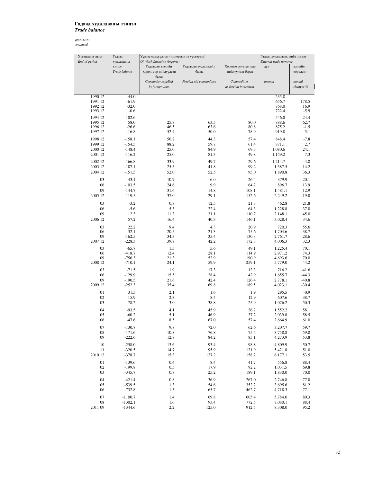## Гадаад худалдааны тэнцэл *Trade balance*

| Хугацааны эцэст<br>End-of-period | Гадаад<br>худалдааны         | Үүнээс санхүүжилт (импортын эх үүсвэрээр)<br>Of which financing (imports) | Гадаад худалдааны нийт эргэлт<br>External trade turnover |                                         |                         |                         |
|----------------------------------|------------------------------|---------------------------------------------------------------------------|----------------------------------------------------------|-----------------------------------------|-------------------------|-------------------------|
|                                  | теднет<br>Trade balance      | Гадаадын зээлийн<br>хөрөнгөөр нийлүүлсэн                                  | Гадаадын тусламжийн<br>бараа                             | Хөрөнгө оруулалтаар<br>нийлүүлсэн бараа | дүн                     | жилийн<br>өөрчлөлт      |
|                                  |                              | бараа<br>Commodity supplied<br>by foreign loan                            | Foreign aid commodities                                  | Commodities<br>as foreign investment    | amount                  | annual<br>changes %     |
| 1990 12                          | $-44.0$                      |                                                                           |                                                          |                                         | 235.8                   |                         |
| 1991 12<br>1992 12<br>1993 12    | $-61.9$<br>$-32.0$<br>$-0.6$ |                                                                           |                                                          |                                         | 656.7<br>768.0<br>722.4 | 178.5<br>16.9<br>$-5.9$ |
| 1994 12                          | 102.6                        |                                                                           |                                                          |                                         | 546.0                   | $-24.4$                 |
| 1995 12<br>1996 12               | 58.0<br>$-26.6$              | 25.8<br>46.5                                                              | 63.5<br>63.6                                             | 80.0<br>80.8                            | 888.6<br>875.2          | 62.7<br>$-1.5$          |
| 1997 12                          | $-16.8$                      | 52.4                                                                      | 50.0                                                     | 78.9                                    | 919.8                   | 5.1                     |
| 1998 12                          | $-158.1$                     | 56.2                                                                      | 44.3                                                     | 57.4                                    | 848.4                   | $-7.8$                  |
| 1999 12                          | $-154.5$                     | 88.2                                                                      | 59.7                                                     | 61.4                                    | 871.1                   | 2.7                     |
| 2000 12                          | $-148.4$                     | 25.0                                                                      | 84.9                                                     | 69.3                                    | 1,080.6                 | 24.1                    |
| 2001 12                          | $-116.2$                     | 25.0                                                                      | 81.3                                                     | 49.8                                    | 1,159.2                 | 7.3                     |
| 2002 12                          | $-166.8$                     | 33.9                                                                      | 49.7                                                     | 29.6                                    | 1,214.7                 | 4.8                     |
| 2003 12                          | $-187.1$                     | 25.5                                                                      | 41.8                                                     | 99.2                                    | 1,387.5                 | 14.2                    |
| 2004 12                          | $-151.5$                     | 52.0                                                                      | 52.5                                                     | 95.0                                    | 1,890.8                 | 36.3                    |
| 03                               | $-43.1$                      | 10.7                                                                      | 6.0                                                      | 26.4                                    | 379.9                   | 20.1                    |
| 06<br>09                         | $-103.5$<br>$-144.7$         | 24.6                                                                      | 9.9                                                      | 64.2<br>108.1                           | 896.7                   | 13.9                    |
| 2005 12                          | $-119.5$                     | 31.6<br>37.0                                                              | 14.8<br>29.1                                             | 152.6                                   | 1,481.1<br>2,249.2      | 12.9<br>19.0            |
|                                  |                              |                                                                           |                                                          |                                         |                         |                         |
| 03<br>06                         | $-3.2$<br>$-5.6$             | 0.8<br>5.3                                                                | 12.5<br>22.4                                             | 21.3<br>64.3                            | 462.8<br>1,228.8        | 21.8<br>37.0            |
| 09                               | 12.3                         | 11.3                                                                      | 31.1                                                     | 110.7                                   | 2,148.1                 | 45.0                    |
| 2006 12                          | 57.2                         | 16.4                                                                      | 40.3                                                     | 146.1                                   | 3,028.4                 | 34.6                    |
| 03                               | 22.2                         | 9.4                                                                       | 4.3                                                      | 20.9                                    | 720.3                   | 55.6                    |
| 06                               | $-32.1$                      | 20.5                                                                      | 21.3                                                     | 75.6                                    | 1,704.6                 | 38.7                    |
| 09                               | $-162.5$                     | 34.3                                                                      | 35.4                                                     | 130.3                                   | 2,761.7                 | 28.6                    |
| 2007 12                          | $-228.3$                     | 39.7                                                                      | 42.2                                                     | 172.8                                   | 4,006.3                 | 32.3                    |
| 03                               | $-65.7$                      | 1.5                                                                       | 5.6                                                      | 49.1                                    | 1,225.4                 | 70.1                    |
| 06<br>09                         | $-418.7$<br>$-756.3$         | 12.4<br>21.3                                                              | 28.1<br>52.9                                             | 114.9<br>190.9                          | 2,971.2<br>4,693.6      | 74.3<br>70.0            |
| 2008 12                          | $-710.1$                     | 24.1                                                                      | 59.9                                                     | 259.1                                   | 5,779.0                 | 44.2                    |
| 03                               | $-71.5$                      | 1.9                                                                       | 17.3                                                     | 12.3                                    | 716.2                   | $-41.6$                 |
| 06                               | $-129.9$                     | 15.5                                                                      | 28.4                                                     | 42.9                                    | 1,655.7                 | $-44.3$                 |
| 09                               | $-190.5$                     | 21.6                                                                      | 42.4                                                     | 126.4                                   | 2,778.1                 | $-40.8$                 |
| 2009 12                          | $-252.3$                     | 35.4                                                                      | 69.8                                                     | 189.5                                   | 4,023.1                 | $-30.4$                 |
| 01                               | 31.5                         | 2.1                                                                       | 1.6                                                      | 1.9                                     | 295.5                   | $-0.9$                  |
| 02<br>03                         | 15.9<br>$-78.2$              | 2.3<br>3.0                                                                | 8.4<br>38.8                                              | 12.9<br>25.9                            | 607.6<br>1,076.2        | 38.7<br>50.3            |
| 04                               | $-93.5$                      |                                                                           |                                                          |                                         |                         |                         |
| 05                               | $-60.2$                      | 4.1<br>5.1                                                                | 45.9<br>46.9                                             | 36.2<br>37.2                            | 1,552.2<br>2.039.8      | 58.1<br>58.5            |
| 06                               | $-47.6$                      | 8.5                                                                       | 67.0                                                     | 57.4                                    | 2,664.9                 | 61.0                    |
| 07                               | $-130.7$                     | 9.8                                                                       | 72.0                                                     | 62.6                                    | 3,207.7                 | 59.7                    |
| 08                               | $-171.6$                     | 10.8                                                                      | 76.8                                                     | 75.5                                    | 3,758.8                 | 59.8                    |
| 09                               | $-222.6$                     | 12.8                                                                      | 84.2                                                     | 85.1                                    | 4,273.9                 | 53.8                    |
| 10                               | $-258.0$                     | 13.6                                                                      | 93.4                                                     | 98.8                                    | 4,809.9                 | 50.7                    |
| 11                               | $-320.5$                     | 14.7                                                                      | 95.9                                                     | 121.9                                   | 5,421.8                 | 51.0                    |
| 2010 12                          | $-378.7$                     | 15.3                                                                      | 127.2                                                    | 158.2                                   | 6,177.1                 | 53.5                    |
| 01                               | $-139.6$                     | 0.4                                                                       | 8.4                                                      | 41.7                                    | 556.8                   | 88.4                    |
| 02<br>03                         | $-199.8$<br>$-345.7$         | 0.5<br>0.8                                                                | 17.9<br>25.2                                             | 92.2<br>189.1                           | 1,031.5<br>1,830.0      | 69.8<br>70.0            |
|                                  |                              |                                                                           |                                                          |                                         |                         |                         |
| 04<br>05                         | $-421.4$<br>$-539.5$         | 0.8<br>1.3                                                                | 36.9<br>54.6                                             | 267.0<br>352.2                          | 2,746.8<br>3,695.6      | 77.0<br>81.2            |
| 06                               | $-732.8$                     | 1.3                                                                       | 65.7                                                     | 462.7                                   | 4,718.3                 | 77.1                    |
| 07                               | $-1100.7$                    | 1.4                                                                       | 69.8                                                     | 605.4                                   | 5,784.0                 | 80.3                    |
| 08                               | $-1302.1$                    | 1.6                                                                       | 93.4                                                     | 772.5                                   | 7,080.1                 | 88.4                    |
| 2011 09                          | $-1344.6$                    | 2.2                                                                       | 125.0                                                    | 912.5                                   | 8,308.0                 | 95.2                    |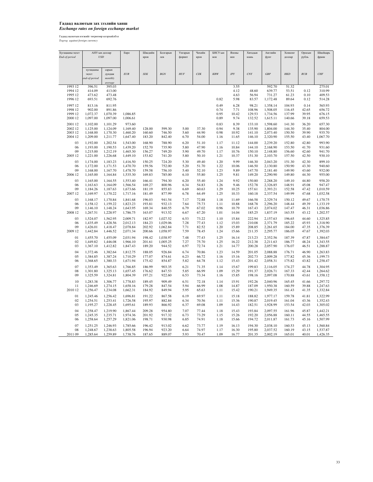## Гадаад валютын зах зээлийн ханш *Exchange rates on foreign exchange market*

Гадаад валютын нэгжийг төгрөгөөр илэрхийлбэл *Togrog against foreign currency* 

| Хугацааны эцэст |               | АНУ-ын доллар | Евро     | Шведийн    | Болгарын | Унгарын | Чехийн | БНСУ-ын    | Японы    | Хятадын   | Английн  | Хонконг | Оросын | Швейцарь |
|-----------------|---------------|---------------|----------|------------|----------|---------|--------|------------|----------|-----------|----------|---------|--------|----------|
| End-of-period   |               | <b>USD</b>    |          | крон       | лев      | форинт  | крон   | вон        | иен      | юань      | фунт     | доллар  | рубль  | франк    |
|                 |               |               |          |            |          |         |        |            |          |           |          |         |        |          |
|                 |               |               |          |            |          |         |        |            |          |           |          |         |        |          |
|                 | хугацааны     | сарын         |          |            |          |         |        |            |          |           |          |         |        |          |
|                 | эцэст         | дундаж        | EUR      | <b>SEK</b> | $BGN$    | HUF     | CZK    | <b>KRW</b> | $J\!P Y$ | $C\!N\!Y$ | GBP      | HKD     | RUB    | CHF      |
|                 | end-of-period | monthly       |          |            |          |         |        |            |          |           |          |         |        |          |
|                 |               | average       |          |            |          |         |        |            |          |           |          |         |        |          |
| 1993 12         | 396.51        | 395.03        |          |            |          |         |        |            | 3.55     |           | 592.70   | 51.32   |        | 275.01   |
| 1994 12         | 414.09        | 413.00        |          |            |          |         |        |            | 4.12     | 48.60     | 639.77   | 53.51   | 0.12   | 310.99   |
| 1995 12         | 473.62        | 473.48        |          |            |          |         |        |            | 4.63     | 56.94     | 731.27   | 61.23   | 0.10   | 409.53   |
| 1996 12         | 693.51        | 692.76        |          |            |          |         |        | 0.82       | 5.98     | 83.57     | 1,172.48 | 89.64   | 0.12   | 514.28   |
|                 |               |               |          |            |          |         |        |            |          |           |          |         |        |          |
| 1997 12         | 813.16        | 811.95        |          |            |          |         |        | 0.49       | 6.28     | 98.21     | 1,358.14 | 104.93  | 0.14   | 565.93   |
| 1998 12         | 902.00        | 891.86        |          |            |          |         |        | 0.74       | 7.71     | 108.96    | 1,508.05 | 116.45  | 42.65  | 656.72   |
| 1999 12         | 1,072.37      | 1,070.39      | 1,086.85 |            |          |         |        | 0.95       | 10.42    | 129.53    | 1,734.56 | 137.99  | 39.95  | 676.15   |
| 2000 12         | 1,097.00      | 1,097.00      | 1,006.61 |            |          |         |        | 0.89       | 9.74     | 132.52    | 1,615.11 | 140.66  | 39.18  | 659.53   |
| 2001 12         | 1,102.00      | 1,101.29      | 973.60   |            |          |         |        | 0.83       | 8.39     | 133.10    | 1,598.60 | 141.30  | 36.20  | 657.30   |
| 2002 12         | 1,125.00      | 1,124.09      | 1,169.40 | 128.00     | 599.30   | 5.00    | 37.30  | 0.94       | 9.38     | 135.90    | 1,804.00 | 144.30  | 35.40  | 804.00   |
| 2003 12         | 1,168.00      | 1,170.30      | 1,460.20 | 160.60     | 746.50   | 5.60    | 44.90  | 0.98       | 10.92    | 141.10    | 2,073.40 | 150.50  | 39.90  | 935.70   |
| 2004 12         | 1,209.00      | 1,211.77      | 1,647.40 | 183.20     | 842.40   | 6.70    | 54.00  | 1.16       | 11.65    | 146.10    | 2,320.90 | 155.50  | 43.40  | 1,067.70 |
|                 |               |               |          |            |          |         |        |            |          |           |          |         |        |          |
| 03              | 1,192.00      | 1,202.54      | 1,543.00 | 168.90     | 788.90   | 6.20    | 51.10  | 1.17       | 11.12    | 144.00    | 2,239.20 | 152.80  | 42.80  | 993.90   |
| 06              | 1,193.00      | 1,190.53      | 1,439.20 | 152.70     | 735.90   | 5.80    | 47.90  | 1.16       | 10.84    | 144.10    | 2,168.90 | 153.50  | 41.70  | 931.60   |
| 09              | 1,215.00      | 1,212.19      | 1,465.30 | 156.27     | 749.20   | 5.90    | 49.70  | 1.17       | 10.76    | 150.10    | 2,148.80 | 156.60  | 42.60  | 941.70   |
| 2005 12         | 1,221.00      | 1,226.68      | 1,449.10 | 153.82     | 741.20   | 5.80    | 50.10  | 1.21       | 10.37    | 151.30    | 2,103.70 | 157.50  | 42.50  | 930.10   |
| 03              | 1,174.00      | 1,183.23      | 1,416.50 | 150.25     | 724.20   | 5.30    | 49.40  | 1.20       | 9.99     | 146.30    | 2,043.20 | 151.30  | 42.30  | 899.10   |
| 06              | 1,172.00      | 1,171.53      | 1,470.70 | 159.56     | 752.00   | 5.20    | 51.70  | 1.22       | 10.06    | 146.50    | 2,130.80 | 150.90  | 43.30  | 940.60   |
| 09              |               |               |          |            |          |         |        | 1.23       |          |           |          |         |        | 932.00   |
|                 | 1,168.00      | 1,167.70      | 1,478.70 | 159.58     | 756.10   | 5.40    | 52.10  |            | 9.89     | 147.70    | 2,181.40 | 149.90  | 43.60  |          |
| 2006 12         | 1,165.00      | 1,164.84      | 1,535.30 | 169.83     | 785.00   | 6.10    | 55.80  | 1.25       | 9.81     | 149.20    | 2,290.90 | 149.80  | 44.30  | 955.00   |
| 03              | 1,165.00      | 1,164.55      | 1,553.40 | 166.41     | 794.30   | 6.20    | 55.40  | 1.24       | 9.92     | 150.80    | 2,288.20 | 149.10  | 44.80  | 958.20   |
| 06              | 1,163.63      | 1,164.09      | 1,566.54 | 169.27     | 800.96   | 6.34    | 54.83  | 1.26       | 9.46     | 152.78    | 2,326.85 | 148.91  | 45.08  | 947.47   |
| 09              | 1,184.26      | 1,187.63      | 1,673.66 | 181.19     | 855.83   | 6.69    | 60.63  | 1.29       | 10.25    | 157.61    | 2,393.21 | 152.58  | 47.42  | 1,010.59 |
| 2007 12         | 1,169.97      | 1,170.22      | 1,717.16 | 181.49     | 877.99   | 6.78    | 64.49  | 1.25       | 10.33    | 160.18    | 2,337.54 | 149.99  | 47.68  | 1,032.58 |
|                 |               |               |          |            |          |         |        |            |          |           |          |         |        |          |
| 03              | 1,168.17      | 1,170.84      | 1,841.68 | 196.03     | 941.54   | 7.17    | 72.88  | 1.18       | 11.69    | 166.58    | 2,329.74 | 150.12  | 49.67  | 1,170.75 |
| 06              | 1,158.12      | 1,159.22      | 1,823.23 | 193.81     | 932.13   | 7.64    | 75.73  | 1.11       | 10.88    | 168.78    | 2,296.20 | 148.44  | 49.39  | 1,133.19 |
| 09              | 1,146.10      | 1,148.24      | 1,643.95 | 169.34     | 840.55   | 6.79    | 67.02  | 0.96       | 10.79    | 167.43    | 2,074.02 | 147.47  | 46.31  | 1,036.86 |
| 2008 12         | 1,267.51      | 1,228.97      | 1,786.75 | 163.07     | 913.52   | 6.67    | 67.20  | 1.01       | 14.04    | 185.25    | 1,837.19 | 163.55  | 43.12  | 1,202.57 |
| 03              | 1,524.07      | 1,562.95      | 2,009.71 | 182.97     | 1,027.52 | 6.53    | 73.22  | 1.10       | 15.84    | 222.94    | 2,157.63 | 196.65  | 44.60  | 1,325.85 |
| 06              | 1,435.49      | 1,428.56      | 2,012.13 | 184.23     | 1,029.06 | 7.28    | 77.43  | 1.12       | 15.03    | 210.08    | 2,371.79 | 185.22  | 45.93  | 1,318.90 |
| 09              | 1,426.01      | 1,418.47      | 2,078.84 | 202.92     | 1,062.84 | 7.71    | 82.52  | 1.20       | 15.89    | 208.85    | 2,261.65 | 184.00  | 47.35  | 1,376.39 |
| 2009 12         | 1,442.84      | 1,446.52      | 2,071.34 | 200.66     | 1,058.97 | 7.59    | 78.45  | 1.24       | 15.66    | 211.35    | 2,295.77 | 186.05  | 47.67  | 1,392.03 |
|                 |               |               |          |            |          |         |        |            |          |           |          |         |        |          |
| 01              | 1,455.70      | 1,455.09      | 2,031.94 | 198.42     | 1,038.97 | 7.48    | 77.43  | 1.25       | 16.14    | 213.23    | 2,352.56 | 187.39  | 47.87  | 1,384.67 |
| 02              | 1,449.82      | 1,446.08      | 1,966.10 | 201.61     | 1,005.25 | 7.27    | 75.70  | 1.25       | 16.22    | 212.38    | 2,211.63 | 186.77  | 48.24  | 1,343.55 |
| 03              | 1,367.10      | 1,412.82      | 1,847.43 | 189.20     | 944.52   | 6.97    | 72.74  | 1.21       | 14.77    | 200.28    | 2,057.90 | 176.07  | 46.51  | 1,288.87 |
| 04              | 1,372.46      | 1,382.64      | 1,812.75 | 188.05     | 926.84   | 6.74    | 70.86  | 1.23       | 14.59    | 201.05    | 2,088.88 | 176.71  | 46.90  | 1,263.83 |
| 05              | 1,384.85      | 1,387.24      | 1,710.29 | 177.07     | 874.61   | 6.23    | 66.72  | 1.16       | 15.16    | 202.73    | 2,009.28 | 177.82  | 45.36  | 1,199.73 |
| 06              | 1,368.65      | 1,380.33      | 1,671.94 | 175.42     | 854.87   | 5.82    | 64.78  | 1.12       | 15.43    | 201.42    | 2,058.31 | 175.82  | 43.82  | 1,258.47 |
|                 |               |               |          |            |          |         |        |            |          |           |          |         |        |          |
| 07              | 1,353.49      | 1,365.63      | 1,766.85 | 186.99     | 903.35   | 6.21    | 71.35  | 1.14       | 15.67    | 199.83    | 2,116.05 | 174.27  | 44.78  | 1,304.95 |
| 08              | 1,301.80      | 1,325.13      | 1,657.45 | 176.62     | 847.53   | 5.85    | 66.99  | 1.09       | 15.29    | 191.37    | 2,026.71 | 167.33  | 42.44  | 1,264.62 |
| 09              | 1,325.59      | 1,324.81      | 1,804.39 | 197.21     | 922.60   | 6.53    | 73.34  | 1.16       | 15.85    | 198.16    | 2,097.08 | 170.88  | 43.61  | 1,358.12 |
| 10              | 1,283.38      | 1,306.77      | 1,778.83 | 189.45     | 909.49   | 6.51    | 72.18  | 1.14       | 15.91    | 192.26    | 2,040.96 | 165.45  | 41.66  | 1,297.72 |
| 11              | 1,246.69      | 1,274.15      | 1,658.16 | 179.28     | 847.54   | 5.94    | 66.99  | 1.08       | 14.87    | 187.09    | 1,950.38 | 160.59  | 39.88  | 1,247.63 |
| 2010 12         | 1,256.47      | 1,234.08      | 1,662.31 | 184.92     | 849.94   | 5.95    | 65.63  | 1.11       | 15.42    | 190.21    | 1,949.35 | 161.43  | 41.35  | 1,332.84 |
|                 |               |               |          |            |          |         |        |            |          |           |          |         |        |          |
| 01              | 1,245.46      | 1,256.42      | 1,696.81 | 191.22     | 867.58   | 6.19    | 69.97  | 1.11       | 15.18    | 188.82    | 1,977.17 | 159.78  | 41.81  | 1,322.99 |
| 02              | 1,254.51      | 1,253.41      | 1,726.58 | 195.97     | 882.84   | 6.34    | 70.56  | 1.11       | 15.36    | 190.87    | 2,019.45 | 161.04  | 43.36  | 1,352.43 |
| 03              | 1,195.27      | 1,228.45      | 1,695.61 | 189.93     | 866.92   | 6.37    | 69.08  | 1.09       | 14.43    | 182.51    | 1,928.99 | 153.54  | 42.03  | 1,305.02 |
| 04              | 1,258.47      | 1,219.90      | 1,867.44 | 209.28     | 954.80   | 7.07    | 77.44  | 1.18       | 15.43    | 193.84    | 2,097.55 | 161.96  | 45.87  | 1,442.21 |
| 05              | 1,245.35      | 1,235.71      | 1,974.36 | 201.92     | 917.32   | 6.73    | 73.29  | 1.15       | 15.26    | 192.20    | 2,056.88 | 160.11  | 44.55  | 1,465.55 |
| 06              | 1,258.64      | 1,257.29      | 1,821.06 | 198.71     | 930.98   | 6.85    | 74.91  | 1.18       | 15.66    | 194.72    | 2,011.87 | 161.73  | 45.16  | 1,507.99 |
|                 |               |               |          |            |          |         |        |            |          |           |          |         |        |          |
| 07              | 1,251.25      | 1,246.93      | 1,785.66 | 196.42     | 913.02   | 6.62    | 73.77  | 1.19       | 16.13    | 194.30    | 2,038.10 | 160.53  | 45.13  | 1,560.84 |
| 08              | 1,248.67      | 1,238.63      | 1,805.58 | 196.94     | 923.20   | 6.64    | 74.97  | 1.17       | 16.30    | 195.80    | 2,037.52 | 160.19  | 43.15  | 1,537.87 |
| 2011 09         | 1,285.64      | 1,259.89      | 1,738.76 | 187.65     | 889.07   | 5.93    | 70.47  | 1.09       | 16.77    | 201.35    | 2,002.19 | 165.01  | 40.01  | 1,426.35 |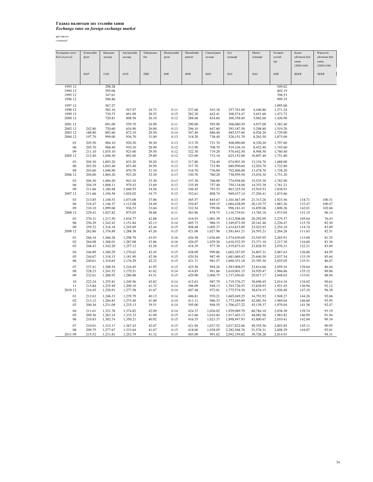## Гадаад валютын зах зээлийн ханш

## *Exchange rates on foreign exchange market*

| Хугацааны эцэст | Египетийн        | Канадын                 | Австралийн           | Тайланлын      | Индонезийн   | Малайзийн        | Сингапурын           | Алт                          | Мөнгө                  | Зээлжих              | Болит            | Нэрлэсэн       |
|-----------------|------------------|-------------------------|----------------------|----------------|--------------|------------------|----------------------|------------------------------|------------------------|----------------------|------------------|----------------|
| End-of-period   | фунт             | доллар                  | доллар               | бат            | рупи         | рингит           | доллар               | /унциар/                     | /унциар/               | тусгай               | үйлчилж буй      | үйлчилж буй    |
|                 |                  |                         |                      |                |              |                  |                      |                              |                        | эрх                  | ханш             | ханш           |
|                 |                  |                         |                      |                |              |                  |                      |                              |                        |                      | $(2005=100)$     | $(2005=100)$   |
|                 |                  |                         |                      |                |              |                  |                      |                              |                        |                      |                  |                |
|                 | $EGP$            | $\mathop{CAD}\nolimits$ | AUD                  | THB            | <b>IDR</b>   | <b>MYR</b>       | SGD                  | XAU                          | XAG                    | <b>SDR</b>           | <b>REER</b>      | <b>NEER</b>    |
|                 |                  |                         |                      |                |              |                  |                      |                              |                        |                      |                  |                |
|                 |                  |                         |                      |                |              |                  |                      |                              |                        |                      |                  |                |
| 1993 12         |                  | 298.28                  |                      |                |              |                  |                      |                              |                        | 549.62               |                  |                |
| 1994 12         |                  | 295.08                  |                      |                |              |                  |                      |                              |                        | 602.19               |                  |                |
| 1995 12         |                  | 347.61                  |                      |                |              |                  |                      |                              |                        | 708.53               |                  |                |
| 1996 12         |                  | 506.86                  |                      |                |              |                  |                      |                              |                        | 999.35               |                  |                |
|                 |                  |                         |                      |                |              |                  |                      |                              |                        |                      |                  |                |
| 1997 12         |                  | 567.27                  |                      |                |              |                  |                      |                              |                        | 1,095.06             |                  |                |
| 1998 12         |                  | 582.16                  | 547.97               | 24.73          | 0.11         | 237.68           | 543.18               | 257,761.60                   | 4,446.86               | 1,271.24             |                  |                |
| 1999 12         |                  | 730.75                  | 691.09               | 28.52          | 0.15         | 282.20           | 642.41               | 308,574.47                   | 5,651.60               | 1,473.72             |                  |                |
| 2000 12         |                  | 720.81                  | 608.56               | 26.10          | 0.12         | 288.68           | 634.84               | 300,358.60                   | 5,062.66               | 1,426.96             |                  |                |
| 2001 12         |                  | 691.00                  | 559.70               | 24.90          | 0.11         | 290.00           | 595.90               | 306,080.50                   | 4,937.00               | 1,382.40             |                  |                |
| 2002 12         | 242.80           | 720.60                  | 634.90               | 26.00          | 0.13         | 296.10           | 647.60               | 393,187.50                   | 5,298.80               | 1,519.20             |                  |                |
| 2003 12         | 188.80           | 892.60                  | 872.10               | 29.50          | 0.14         | 307.40           | 686.40               | 485,537.60                   | 6,926.20               | 1,729.00             |                  |                |
| 2004 12         | 197.70           | 999.00                  | 936.70               | 31.00          | 0.13         | 318.20           | 738.40               | 528,151.70                   | 8,263.50               | 1,875.00             |                  |                |
|                 |                  |                         |                      |                |              |                  |                      |                              |                        |                      |                  |                |
| 03              | 205.50           | 984.10                  | 920.30               | 30.30          | 0.13         | 313.70           | 721.70               | 508,090.00                   | 8,320.20               | 1,797.60             |                  |                |
| 06              | 205.70           | 968.40                  | 910.10               | 28.90          | 0.12         | 313.90           | 708.70               | 519,104.10                   | 8,452.40               | 1,745.60             |                  |                |
| 09              | 211.10           | 1,035.10                | 923.60               | 29.50          | 0.12         | 322.30           | 719.20               | 570,442.50                   | 8,948.50               | 1,760.40             |                  |                |
| 2005 12         | 212.40           | 1,048.30                | 892.60               | 29.80          | 0.12         | 323.00           | 733.10               | 625,152.00                   | 10,897.40              | 1,751.80             |                  |                |
| 03              | 204.30           | 1,003.20                | 833.20               | 30.20          | 0.13         | 317.80           | 724.40               | 674,903.30                   | 13,154.70              | 1,688.00             |                  |                |
| 06              | 203.50           | 1,043.40                | 853.40               | 30.50          | 0.13         | 317.70           | 733.90               | 680,990.60                   | 12,024.70              | 1,722.80             |                  |                |
| 09              | 203.60           | 1,046.90                | 870.70               | 31.10          | 0.13         | 316.70           | 736.00               | 702,406.00                   | 13,478.70              | 1,728.20             |                  |                |
| 2006 12         | 204.00           | 1,004.20                | 923.20               | 32.30          | 0.13         | 330.70           | 760.20               | 738,959.50                   | 15,034.30              | 1,751.20             |                  |                |
|                 |                  |                         |                      |                |              |                  |                      |                              |                        |                      |                  |                |
| 03              | 204.30           | 1,004.20                | 943.10               | 33.30          | 0.13         | 337.30           | 768.00               | 774,958.00                   | 15,535.30              | 1,762.90             |                  |                |
| 06              | 204.19           | 1,008.11                | 979.43               | 33.69          | 0.13         | 335.49           | 757.40               | 750,134.08                   | 14,353.38              | 1,761.21             |                  |                |
| 09              | 211.66           | 1,180.48                | 1,040.55             | 34.56          | 0.13         | 346.45           | 793.53               | 863,325.54                   | 15,910.53              | 1,838.93             |                  |                |
| 2007 12         | 211.66           | 1,194.58                | 1,024.02             | 34.75          | 0.12         | 352.61           | 808.74               | 969,437.14                   | 17,204.41              | 1,833.66             |                  |                |
| 03              | 213.85           | 1,148.53                | 1,073.08             | 37.06          | 0.13         | 365.57           | 845.67               | 1,101,467.49                 | 21,313.26              | 1,923.56             | 118.71           | 100.31         |
| 06              | 216.47           | 1,146.37                | 1,112.08             | 34.49          | 0.13         | 354.87           | 849.15               | 1,064,428.09                 | 20,110.75              | 1,883.26             | 133.47           | 100.47         |
| 09              | 210.10           | 1,099.68                | 936.53               | 33.64          | 0.12         | 332.54           | 799.06               | 996,181.43                   | 14,859.06              | 1,800.26             | 142.01           | 102.66         |
| 2008 12         | 229.41           | 1,027.82                | 875.03               | 38.68          | 0.11         | 363.86           | 878.75               | 1,110,719.01                 | 13,765.16              | 1,973.04             | 131.15           | 96.14          |
|                 |                  |                         |                      |                |              |                  |                      |                              |                        |                      |                  |                |
| 03              | 270.31           | 1,217.50                | 1,034.77             | 42.88          | 0.13         | 416.93           | 1,001.39             | 1,412,508.08                 | 20,292.99              | 2,279.37             | 105.64           | 76.43          |
| 06              | 256.29           | 1,242.42                | 1,151.84             | 42.13          | 0.14         | 405.73           | 986.15               | 1,349,073.50                 | 20,161.46              | 2,226.47             | 115.70           | 82.30          |
| 09              | 259.32           | 1,316.18                | 1,245.69             | 42.44          | 0.15         | 408.48           | 1,005.37             | 1,414,815.89                 | 23,022.93              | 2,254.10             | 114.74           | 83.89          |
| 2009 12         | 262.86           | 1,376.89                | 1,288.38             | 43.26          | 0.15         | 421.08           | 1,027.96             | 1,581,641.21                 | 24,593.21              | 2,264.28             | 111.63           | 82.51          |
| $_{01}$         | 266.34           | 1,366.28                | 1,298.70             | 43.93          | 0.16         | 426.58           | 1,036.60             | 1,574,630.69                 | 23,545.95              | 2,265.91             | 113.06           | 81.25          |
| 02              | 264.08           | 1,368.01                | 1,287.08             | 43.86          | 0.16         | 426.07           | 1,029.26             | 1,610,532.55                 | 23,371.10              | 2,217.30             | 116.60           | 81.36          |
| 03              | 248.43           | 1,342.20                | 1,257.12             | 42.28          | 0.15         | 418.39           | 977.30               | 1,519,873.43                 | 23,828.55              | 2,076.31             | 122.21           | 83.69          |
|                 |                  |                         |                      |                |              |                  |                      |                              |                        |                      |                  |                |
| 04              | 246.89           | 1,360.29                | 1,270.62             | 42.45          | 0.15         | 428.09           | 999.86               | 1,602,347.05                 | 24,807.21              | 2,067.63             | 126.86           | 84.95          |
| 05              | 244.67           | 1,318.15                | 1,181.90             | 42.56          | 0.15         | 420.54           | 987.49               | 1,681,069.42                 | 25,640.50              | 2,037.54             | 133.19           | 85.64          |
| 06              | 240.61           | 1,310.65                | 1,176.29             | 42.22          | 0.15         | 421.71           | 981.57               | 1,690,351.18                 | 25,395.30              | 2,025.05             | 135.51           | 86.67          |
| 07              | 237.41           | 1,308.54                | 1,216.45             | 41.95          | 0.15         | 425.56           | 994.26               | 1,583,008.07                 | 23,814.66              | 2,059.54             | 129.64           | 86.44          |
| 08              | 228.23           | 1,241.52                | 1,170.51             | 41.62          | 0.14         | 414.85           | 961.66               | 1,610,001.15                 | 24,929.47              | 1,966.86             | 135.12           | 89.06          |
| 09              | 232.61           | 1,288.92                | 1,286.88             | 43.51          | 0.15         | 429.90           | 1,006.75             | 1,737,450.81                 | 29,017.17              | 2,048.65             | 133.01           | 88.94          |
|                 |                  |                         |                      |                |              |                  |                      |                              |                        |                      |                  |                |
| 10              | 222.24           | 1,255.81                | 1,249.56             | 42.82          | 0.14         | 412.63           | 987.79               | 1,719,376.27                 | 30,698.45              | 2,014.34             | 134.02           | 90.61          |
| 11              | 215.84           | 1,225.49                | 1,209.10             | 41.33          | 0.14         | 396.09           | 948.13               | 1,703,726.55                 | 33,828.93              | 1,921.45             | 136.94           | 92.12          |
| 2010 12         | 216.45           | 1,256.91                | 1,277.58             | 41.67          | 0.14         | 407.48           | 972.01               | 1,775,574.30                 | 38,674.15              | 1,926.40             | 147.10           | 96.38          |
| 01              | 212.63           | 1,246.33                | 1,239.79             | 40.12          | 0.14         | 406.81           | 970.21               | 1,665,049.25                 | 34,791.93              | 1,948.27             | 144.26           | 92.66          |
| 02              | 213.12           | 1,284.83                | 1,275.40             | 41.00          | 0.14         | 411.11           | 986.33               | 1,773,249.89                 | 42,082.54              | 1,969.04             | 146.60           | 93.95          |
| 03              | 200.36           | 1,231.09                | 1,235.13             | 39.51          | 0.14         | 395.00           | 948.55               | 1,706,427.22                 | 45,139.37              | 1,970.04             | 141.56           | 92.47          |
| 04              |                  |                         |                      |                | 0.14         | 424.37           | 1,026.02             |                              |                        |                      | 139.74           | 93.19          |
|                 | 211.61           | 1,321.78                | 1,374.82             | 42.09          |              |                  |                      | 1,929,089.79                 | 60,784.10              | 2,038.30             |                  |                |
| 05<br>06        | 209.36<br>210.83 | 1,283.14<br>1,302.74    | 1,333.33<br>1,350.21 | 41.09<br>40.92 | 0.15<br>0.15 | 413.60<br>416.35 | 1,010.84<br>1,023.37 | 1,917,403.13<br>1,898,947.93 | 48,082.96<br>43,800.67 | 1,983.82<br>2,010.41 | 140.99<br>142.60 | 91.94<br>90.34 |
|                 |                  |                         |                      |                |              |                  |                      |                              |                        |                      |                  |                |
| 07              | 210.01           | 1,315.17                | 1,367.43             | 42.07          | 0.15         | 421.94           | 1,037.52             | 2,017,822.06                 | 49,355.56              | 2,003.85             | 145.11           | 90.95          |
| 08              | 209.75           | 1.277.67                | 1,333.64             | 41.67          | 0.15         | 418.60           | 1,038.05             | 2,282,568.76                 | 51,576.31              | 2,008.29             | 144.87           | 92.01          |
| 2011 09         | 215.52           | 1,231.81                | 1,252.79             | 41.32          | 0.15         | 403.09           | 991.62               | 2,092,359.82                 | 39,726.28              | 2,014.91             |                  | 94.31          |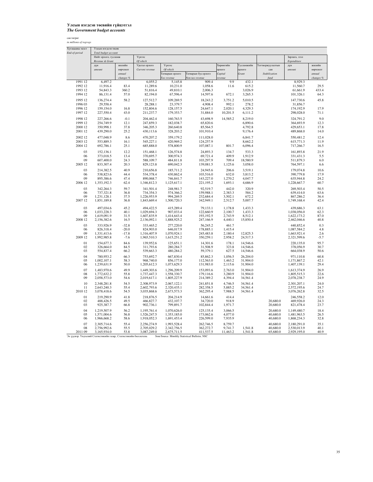сая төгрөг *in millions of togrogs*

| Хугацааны эцэст                                                | Улсын нэгдсэн төсөв                     |                      |                            |                            |                                                |                     |                      |                      |                            |                      |  |
|----------------------------------------------------------------|-----------------------------------------|----------------------|----------------------------|----------------------------|------------------------------------------------|---------------------|----------------------|----------------------|----------------------------|----------------------|--|
| End-of-period                                                  | Total budget account                    |                      |                            |                            |                                                |                     |                      |                      |                            |                      |  |
|                                                                | Нийт орлого, тусламж<br>Revenue & Grant |                      | Үүнээс<br>Of which         |                            |                                                |                     |                      |                      | Зарлага, зээл              |                      |  |
|                                                                | дүн                                     | жилийн               | Урсгал орлого              | Үүнээс                     |                                                | Хөрөнгийн           | Тусламжийн           | Тогтворжуулалтын     | Expenditure<br>дүн         | жилийн               |  |
|                                                                | amount                                  | өөрчлөлт             | Current revenue            | Of which                   |                                                | орлого              | орлого               | сан                  | amount                     | өөрчлөлт             |  |
|                                                                |                                         | annual               |                            | Татварын орлого            | Татварын бус орлого                            | Capital             | Grant                | Stabilization        |                            | annual               |  |
|                                                                |                                         | changes <sup>q</sup> |                            | ax revenue                 | Non-tax revenue                                | evenu               |                      | fund                 |                            | changes <sup>q</sup> |  |
| 1991 12                                                        | 6,497.2                                 |                      | 6,055.2                    | 5,145.8                    | 909.4                                          | 9.9                 | 432.1                |                      | 8,929.3                    |                      |  |
| 1992 12                                                        | 11,916.4                                | 83.4                 | 11,289.6                   | 10,231.0                   | 1,058.6                                        | 11.6                | 615.2                |                      | 11,560.7                   | 29.5                 |  |
| 1993 12                                                        | 54,843.3                                | 360.2                | 51,816.4                   | 49,810.1                   | 2,006.3                                        |                     | 3,026.9              |                      | 61,661.9                   | 433.4                |  |
| 1994 12                                                        | 86,131.4                                | 57.0                 | 82,194.0                   | 67,596.4                   | 14,597.6                                       | 672.1               | 3,265.3              |                      | 101,326.1                  | 64.3                 |  |
| 1995 12                                                        | 136,274.4                               | 58.2                 | 127,512.7                  | 109,269.5                  | 18,243.2                                       | 3,751.2             | 5,010.5              |                      | 147,730.6                  | 45.8                 |  |
| 1996 03                                                        | 29,558.4                                |                      | 28,288.1                   | 23,379.7                   | 4,908.4                                        | 992.1               | 278.2                |                      | 31,856.7                   |                      |  |
| 1996 12                                                        | 159,154.0                               | 16.8                 | 152,804.6                  | 128,157.5                  | 24,647.1                                       | 2,020.1             | 4,329.3              |                      | 174,192.9                  | 17.9                 |  |
| 1997 12                                                        | 227,550.4                               | 43.0                 | 211,237.7                  | 179,353.7                  | 31,884.0                                       | 10,201.5            | 6,111.2              |                      | 298,028.0                  | 71.1                 |  |
|                                                                |                                         |                      |                            |                            |                                                |                     |                      |                      |                            |                      |  |
| 1998 12                                                        | 227,266.6                               | $-0.1$               | 204,462.4                  | 160,763.5                  | 43,698.9                                       | 14,585.2            | 8,219.0              |                      | 324,791.2                  | 9.0                  |  |
| 1999 12<br>2000 12                                             | 254,749.9<br>350,998.1                  | 12.1<br>37.8         | 247,859.3<br>346,205.3     | 182,038.7<br>260,640.8     | 65,820.6<br>85,564.5                           |                     | 6,890.6<br>4,792.8   |                      | 364,693.9<br>429,653.1     | 12.3<br>17.8         |  |
| 2001 12                                                        | 439,290.0                               | 25.2                 | 430,113.6                  | 328,203.2                  | 101,910.4                                      |                     | 9,176.4              |                      | 489,868.0                  | 14.0                 |  |
|                                                                |                                         |                      |                            |                            |                                                |                     |                      |                      |                            |                      |  |
| 2002 12                                                        | 477,048.9                               | 8.6                  | 470,207.2                  | 359,179.2                  | 111,028.0                                      |                     | 6,841.7              |                      | 550,481.2                  | 12.4                 |  |
| 2003 12                                                        | 553,889.3                               | 16.1                 | 545,227.1                  | 420.969.2                  | 124,257.9                                      |                     | 8,662.2              |                      | 615,771.3                  | 11.9                 |  |
| 2004 12                                                        | 692,786.1                               | 25.1                 | 685,888.0                  | 578,800.9                  | 107,087.1                                      | 801.7               | 6,096.4              |                      | 717,266.7                  | 16.5                 |  |
| 03                                                             | 152,136.1                               | 12.2                 | 151,468.1                  | 126,574.8                  | 24,893.3                                       | 134.7               | 533.3                |                      | 161,893.8                  | 21.9                 |  |
| 06                                                             | 373,018.5                               | 13.4                 | 370,695.7                  | 300,974.3                  | 69,721.4                                       | 409.9               | 1,912.9              |                      | 331,431.3                  | 5.5                  |  |
| 09                                                             | 607,400.0                               | 24.3                 | 588,109.7                  | 484,811.8                  | 103,297.9                                      | 709.4               | 18,580.9             |                      | 511,879.3                  | 6.0                  |  |
| 2005 12                                                        | 833,307.4                               | 20.3                 | 829,123.8                  | 690,042.3                  | 139,081.5                                      | 1,125.6             | 3,058.0              |                      | 764,597.1                  | 6.6                  |  |
| 03                                                             | 214,382.5                               | 40.9                 | 210,656.8                  | 185,711.2                  | 24,945.6                                       | 206.6               | 3,519.1              |                      | 179,074.8                  | 10.6                 |  |
| 06                                                             | 538,823.6                               | 44.4                 | 534,378.4                  | 430,862.4                  | 103,516.0                                      | 632.0               | 3,813.2              |                      | 390,779.8                  | 17.9                 |  |
| 09                                                             | 895,386.6                               | 47.4                 | 890,068.7                  | 746,841.7                  | 143,227.0                                      | 1,270.2             | 4,047.7              |                      | 635,944.8                  | 24.2                 |  |
| 2006 12                                                        | 1,353,192.3                             | 62.4                 | 1,346,812.3                | 1,125,617.1                | 221,195.2                                      | 1,693.1             | 4,686.9              |                      | 1,228,667.7                | 60.7                 |  |
| 03                                                             | 342,264.3                               | 59.7                 | 341,501.4                  | 248,981.7                  | 92,519.7                                       | 442.0               | 320.9                |                      | 269,503.4                  | 50.5                 |  |
| 06                                                             | 737,321.8                               | 36.8                 | 734,354.3                  | 574,366.2                  | 159,988.1                                      | 2,383.3             | 584.2                |                      | 639,414.0                  | 63.6                 |  |
| 09                                                             | 1,231,128.1                             | 37.5                 | 1,226,953.9                | 994,269.5                  | 232,684.4                                      | 3,502.1             | 672.2                |                      | 867,286.2                  | 36.4                 |  |
| 2007 12                                                        | 1,851,189.8                             | 36.8                 | 1,843,669.4                | 1,500,720.3                | 342,949.1                                      | 2,512.7             | 5,007.7              |                      | 1,749,168.4                | 42.4                 |  |
|                                                                |                                         |                      |                            |                            |                                                |                     |                      |                      |                            |                      |  |
| 03                                                             | 497,034.6                               | 45.2                 | 494,422.5                  | 415,289.4                  | 79,133.1                                       | 1,178.8             | 1,433.3              |                      | 439,686.3                  | 63.1                 |  |
| 06<br>09                                                       | 1,033,228.3<br>1,619,091.9              | 40.1<br>31.5         | 1.029.694.3<br>1,607,835.9 | 907,033.4<br>1,414,643.4   | 122,660.9<br>193,192.5                         | 2,100.7<br>2,743.9  | 1,433.3<br>8,512.1   |                      | 1,038,056.0<br>1,622,173.2 | 62.3<br>87.0         |  |
| 2008 12                                                        | 2,156,382.6                             | 16.5                 | 2,136,092.1                | 1,888,925.2                | 247,166.9                                      | 4,440.1             | 15,850.4             |                      | 2,462,046.6                | 40.8                 |  |
|                                                                |                                         |                      |                            |                            |                                                |                     |                      |                      |                            |                      |  |
| 03<br>06                                                       | 333,926.9<br>826,318.4                  | $-32.8$<br>$-20.0$   | 333.465.2<br>824,903.0     | 277,220.0<br>646,017.9     | 56,245.2<br>178,885.1                          | 461.7<br>1.415.4    |                      |                      | 440,852.4<br>1,087,584.2   | 0.3<br>4.8           |  |
| 09                                                             | 1,331,413.6                             | $-17.8$              | 1,316,407.9                | 1,070,924.1                | 245,483.8                                      | 2.180.4             | 12,825.3             |                      | 1,663,921.4                | 2.6                  |  |
| 2009 12                                                        | 1,992,985.8                             | $-7.6$               | 1,965,510.3                | 1,615,251.2                | 350,259.1                                      | 2,958.2             | 24,517.3             |                      | 2,321,599.6                | $-5.7$               |  |
| 01                                                             | 154,677.3                               | 84.6                 | 139,952.6                  | 125,651.1                  | 14,301.6                                       | 178.1               | 14,546.6             |                      | 220,135.0                  | 95.7                 |  |
| 02                                                             | 326,664.0                               | 84.5                 | 311,793.6                  | 280,284.7                  | 31,508.9                                       | 323.8               | 14,546.6             |                      | 378,056.9                  | 30.7                 |  |
| 03                                                             | 554,837.4                               | 66.2                 | 539,663.3                  | 480,284.2                  | 59,379.1                                       | 627.5               | 14,546.6             |                      | 664,038.9                  | 50.6                 |  |
| 04                                                             | 780,953.2                               | 66.3                 |                            | 667,830.4                  | 85,862.3                                       | 1,056.5             | 26,204.0             |                      | 971,110.8                  | 60.8                 |  |
| 05                                                             | 1,002,107.1                             | 58.3                 | 753,692.7<br>968,740.0     | 856,177.0                  | 112,563.0                                      | 1,463.2             | 31,904.0             |                      | 1,171,867.2                | 42.1                 |  |
| 06                                                             | 1,239,631.9                             | 50.0                 | 1,205,612.3                | 1,073,629.3                | 131,983.0                                      | 2,115.6             | 31,904.0             |                      | 1,407,139.1                | 29.4                 |  |
| 07                                                             | 1,483,970.6                             | 49.9                 |                            |                            | 153,093.6                                      | 2,763.0             | 31,904.0             |                      |                            | 26.9                 |  |
| 08                                                             | 1,772,632.2                             | 55.8                 | 1,449,303.6<br>1,737,447.3 | 1,296,209.9<br>1,558,330.7 | 179,116.6                                      | 3,280.9             | 31,904.0             |                      | 1,613,374.9<br>1,805,515.3 | 22.6                 |  |
| 09                                                             | 2,058,573.0                             | 54.6                 | 2,019,617.1                | 1,805,227.9                | 214,389.2                                      | 4,394.4             | 34,561.4             |                      | 2,078,238.7                | 24.9                 |  |
|                                                                |                                         |                      |                            |                            |                                                |                     |                      |                      |                            |                      |  |
| 10<br>11                                                       | 2,348,281.8                             | 54.5                 | 2,308,973.9                | 2,067,122.1                | 241,851.8<br>282,358.5                         | 4,746.5<br>5,885.2  | 34,561.4             |                      | 2,301,207.1<br>2,572,195.6 | 24.0<br>24.7         |  |
| 2010 12                                                        | 2,643,240.3<br>3,078,418.6              | 55.4<br>54.5         | 2,602,793.6<br>3,035,868.6 | 2,320,435.1<br>2,673,573.3 | 362,295.4                                      | 7,988.5             | 34,561.4<br>34,561.4 |                      | 3,076,262.8                | 32.5                 |  |
|                                                                |                                         |                      |                            |                            |                                                |                     |                      |                      |                            |                      |  |
| 01<br>02                                                       | 219.290.9<br>488,426.5                  | 41.8<br>49.5         | 218,876.5<br>466,827.7     | 204,214.9<br>432.107.7     | 14,661.6<br>34,720.0                           | 414.4<br>918.9      |                      | 20,680.0             | 246,558.2                  | 12.0<br>24.3         |  |
| 03                                                             | 925,387.7                               | 66.8                 | 902,736.1                  | 799,891.7                  | 102,844.4                                      | 1,971.7             |                      | 20,680.0             | 469,926.0<br>821,478.4     | 23.7                 |  |
|                                                                |                                         |                      |                            |                            |                                                |                     |                      |                      |                            |                      |  |
| 04<br>05                                                       | 1,219,507.9                             | 56.2                 | 1,195,761.4                | 1,070,626.0                | 125,135.4                                      | 3.066.5             |                      | 20,680.0             | 1,149,480.7                | 18.4                 |  |
| 06                                                             | 1,571,004.6<br>1,966,668.2              | 56.8<br>58.6         | 1,526,247.5<br>1,918,052.3 | 1,353,185.0<br>1,691,453.4 | 173,062.6<br>226,599.0                         | 4.077.0<br>7,935.9  |                      | 40,680.0<br>40,680.0 | 1,481,963.5<br>1,868,234.3 | 26.5<br>32.8         |  |
|                                                                |                                         |                      |                            |                            |                                                |                     |                      |                      |                            |                      |  |
| 07                                                             | 2,305,714.6                             | 55.4                 | 2,256,274.9                | 1,993,528.4                | 262,746.5                                      | 8,759.7             |                      | 40,680.0             | 2,180,291.0                | 35.1                 |  |
| 08<br>2011 09                                                  | 2,756,992.6<br>3,165,934.0              | 55.5<br>53.8         | 2,705,029.2<br>3,087,249.0 | 2,342,756.5<br>2,675,711.5 | 362,272.7<br>411,537.5                         | 9,741.7<br>11,463.2 | 1,541.8<br>1,541.8   | 40,680.0<br>65,680.0 | 2,530,013.9<br>2,929,195.0 | 40.1<br>40.9         |  |
| Эх үүсвэр: Үндэсний Статистикийн газар, Статистикийн бюллетень |                                         |                      |                            |                            | Sour Source: Monthly Statistical Bulletin, NSC |                     |                      |                      |                            |                      |  |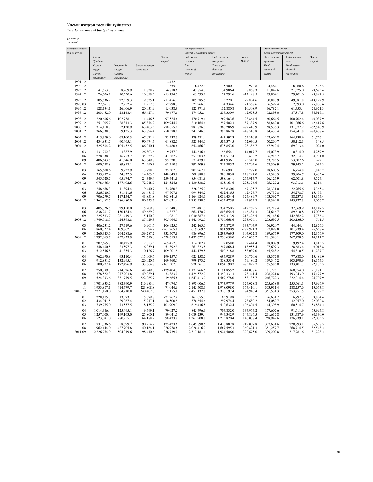| Хугацааны эцэст |             |                        |                |               | Төвлөрсөн төсөв            |               |                                | Орон нутгийн төсөв     |               |             |  |
|-----------------|-------------|------------------------|----------------|---------------|----------------------------|---------------|--------------------------------|------------------------|---------------|-------------|--|
| End-of-period   |             |                        |                |               | Central Government budget  |               | <b>Local Government budget</b> |                        |               |             |  |
|                 | Үүнээс      |                        |                | Зөрүү         | Нийт орлого,               | Нийт зарлага, | Зөрүү                          | Нийт орлого,           | Нийт зарлага, | Зөрүү       |  |
|                 | Of which    |                        |                | Deficit       | тусламж                    | цэвэр зээл    | Deficit                        | тусламж                | зээл          | Deficit     |  |
|                 | Урсгал      | Хөрөнгийн              | Эргэж төлөгдөх |               | Total                      | Total expen-  |                                | Total                  | Total expen-  |             |  |
|                 | зардал      | зардал                 | цэвэр зээл     |               | revenue &                  | diture &      |                                | revenue &              | diture &      |             |  |
|                 | Current     | Capital                |                |               | grants                     | net lending   |                                | erants                 | net lending   |             |  |
|                 | expenditure | expenditure            |                |               |                            |               |                                |                        |               |             |  |
| 1991 12         |             |                        |                | $-2,432.1$    |                            |               |                                |                        |               |             |  |
| 1992 12         |             |                        |                | 355.7         | 6,472.9                    | 5,500.1       | 972.8                          | 4,464.1                | 6,060.6       | $-1,596.5$  |  |
| 1993 12         | 41,553.3    | 8,269.9                | 11,838.7       | $-6,818.6$    | 43,854.7                   | 34,986.4      | 8,868.3                        | 11,849.6               | 21,525.0      | $-9,675.4$  |  |
|                 |             |                        |                |               |                            |               |                                |                        |               |             |  |
| 1994 12         | 74,676.2    | 10,550.6               | 16,099.3       | $-15,194.7$   | 65,593.1                   | 77,791.6      | $-12,198.5$                    | 19,804.1               | 29,701.6      | $-9,897.5$  |  |
| 1995 12         | 105,536.2   | 22,559.3               | 19,635.1       | $-11,456.2$   | 105,385.5                  | 115,220.1     | $-9,834.6$                     | 30,888.9               | 49,081.8      | $-18,192.9$ |  |
| 1996 03         | 27,651.7    | 2,252.4                | 1,952.6        | $-2,298.3$    | 22,966.0                   | 24,334.6      | $-1,368.6$                     | 6,592.4                | 12,393.0      | $-5,800.6$  |  |
| 1996 12         | 128,154.1   | 26,006.9               | 20,031.9       | $-15,038.9$   | 122,371.9                  | 132,880.8     | $-10,508.9$                    | 36,782.1               | 61,753.4      | $-24,971.3$ |  |
| 1997 12         | 203,452.0   | 28,148.4               | 66,427.6       | $-70,477.6$   | 174,652.4                  | 237,330.9     | $-62,678.5$                    | 52,898.0               | 87,817.8      | $-34,919.8$ |  |
|                 |             |                        |                |               |                            |               |                                |                        |               |             |  |
| 1998 12         | 220,606.6   | 102,738.1              | 1,446.5        | $-97,524.6$   | 170,719.1                  | 269,583.6     | $-98,864.5$                    | 60,664.5               | 100,702.4     | $-40,037.9$ |  |
| 1999 12         | 251,005.7   | 28,313.3               | 85,374.9       | $-109,944.0$  | 210,164.4                  | 297,502.3     | $-87,337.9$                    | 58,849.0               | 101,266.6     | $-42,417.6$ |  |
| 2000 12         | 314,118.7   | 52,130.9               | 63,403.5       | $-78,655.0$   | 287,876.0                  | 360,286.9     | $-72,410.9$                    | 68,536.3               | 131,077.2     | $-62,540.9$ |  |
| 2001 12         | 366,838.3   | 59,135.3               | 63,894.4       | $-50,578.0$   | 347,346.0                  | 395,862.8     | $-48,516.8$                    | 84,433.4               | 154,841.8     | $-70,408.4$ |  |
|                 |             |                        |                |               |                            |               |                                |                        |               |             |  |
| 2002 12         | 415,309.0   | 68,100.3               | 67,071.9       | $-73,432.3$   | 379,281.4                  | 443,592.3     | $-64,310.9$                    | 102,604.8              | 164,330.9     | $-61,726.1$ |  |
| 2003 12         | 434,831.7   | 90,465.1               | 90,474.5       | $-61,882.0$   | 523,344.0                  | 585,374.5     | $-62,030.5$                    | 50,260.7               | 50,112.1      | 148.5       |  |
| 2004 12         | 525,804.2   | 105,452.5              | 86,010.1       | $-24,480.6$   | 652,466.3                  | 675,853.0     | $-23,386.7$                    | 67,919.4               | 69,013.4      | $-1,094.0$  |  |
| 03              | 131,702.3   | 3,387.9                | 26,803.6       | $-9,757.7$    | 142,636.4                  | 156,654.1     | $-14,017.7$                    | 15,073.9               | 10,814.0      | 4,259.9     |  |
| 06              | 278,838.3   | 16,753.7               | 35,839.9       | 41,587.2      | 351,203.6                  | 314,517.4     | 36,686.2                       | 36,915.7               | 32,014.7      | 4,901.0     |  |
| 09              | 406,683.5   | 41,546.0               | 63,649.8       | 95,520.7      | 577,479.1                  | 481,936.1     | 95,543.0                       | 53,285.5               | 53,307.6      | $-22.1$     |  |
| 2005 12         | 600,288.8   | 89,818.1               | 74,490.3       | 68,710.3      | 792,509.8                  | 717,805.2     | 74,704.6                       | 78,308.9               | 79,343.2      | $-1,034.3$  |  |
|                 |             |                        |                |               |                            |               |                                |                        |               |             |  |
| 03              | 165,608.6   | 9,737.9                | 3,728.3        | 35,307.7      | 202,967.1                  | 169,690.1     | 33,277.0                       | 18,600.5               | 16,754.8      | 1,845.7     |  |
| 06              | 355,957.4   | 34,822.3               | 14,263.3       | 148,043.8     | 508,880.8                  | 380,583.8     | 128,297.0                      | 45,390.3               | 39,906.7      | 5,483.6     |  |
| 09              | 545,620.7   | 65,974.7               | 24,349.4       | 259,441.8     | 854,081.8                  | 598,164.1     | 255,917.7                      | 66,125.9               | 62,601.8      | 3,524.1     |  |
| 2006 12         | 978,456.4   | 177,492.6              | 72,718.7       | 124,524.6     | 1,130,538.2                | 835,161.6     | 295,376.6                      | 95,327.2               | 93,013.1      | 2,314.1     |  |
|                 |             |                        |                |               |                            |               |                                |                        |               |             |  |
| 03              | 248,668.3   | 11,394.4               | 9,440.7        | 72,760.9      | 326,225.7                  | 258,830.0     | 67,395.7                       | 28,331.0               | 22,965.6      | 5,365.4     |  |
| 06              | 526,520.5   | 81,411.6               | 31,481.9       | 97,907.8      | 694,844.2                  | 632,416.5     | 62,427.7                       | 69,737.8               | 54,278.7      | 15,459.1    |  |
| 09              | 706,279.7   | 117,154.7              | 43,851.8       | 363,841.9     | 1,164,924.1                | 1,039,434.4   | 125,489.7                      | 103,592.7              | 88,237.3      | 15,355.4    |  |
| 2007 12         | 1,361,462.7 | 286,980.0              | 100,725.7      | 102,021.4     | 1,753,430.7                | 1,655,475.9   | 97,954.8                       | 149,394.0              | 145,327.3     | 4,066.7     |  |
| 03              | 405,326.5   | 29,150.0               | 5,209.8        | 57,348.3      |                            | 334,250.5     | $-12,769.5$                    |                        | 37,069.9      | 10,147.5    |  |
| 06              | 838,201.7   | 150,184.4              | 49,669.9       | $-4,827.7$    | 321,481.0<br>662,170.2     | 808,654.5     | $-146,484.3$                   | 47,217.4<br>104,616.7  | 89,610.8      | 15,005.9    |  |
| 09              | 1,225,583.7 |                        | 115,170.2      | $-3,081.3$    |                            | 1,249,313.9   |                                |                        | 142,362.2     | 6,786.4     |  |
| 2008 12         | 1,749,518.5 | 281,419.3<br>624,898.8 | 87,629.3       | $-305,664.0$  | 1,030,887.4<br>1,442,692.5 | 1,736,668.6   | $-218,426.5$<br>$-293,976.1$   | 149,148.6<br>203,697.5 | 203,136.0     | 561.5       |  |
|                 |             |                        |                |               |                            |               |                                |                        |               |             |  |
| 03              | 406,231.2   | 27,719.6               | 6,901.6        | $-106,925.5$  | 242,165.0                  | 375,872.9     | $-133,707.9$                   | 56,920.7               | 44,044.4      | 12,876.3    |  |
| 06              | 860,327.4   | 109,862.1              | 117,394.7      | $-261, 265.8$ | 619,069.6                  | 891,990.9     | $-272,921.3$                   | 127,897.8              | 101,239.4     | 26,658.4    |  |
| 09              | 1,260,345.6 | 264,288.6              | 139,287.2      | $-332,507.8$  | 986,896.5                  | 1,293,969.3   | $-307,072.8$                   | 189,675.9              | 177,309.0     | 12,366.9    |  |
| 2009 12         | 1,792,065.7 | 457,923.9              | 71,610.0       | $-328,613.8$  | 1,437,622.8                | 1,730,659.0   | $-293,036.2$                   | 281,590.1              | 267,478.5     | 14,111.7    |  |
| 01              | 207,655.7   | 10,425.9               | 2,053.5        | $-65,457.7$   | 114,502.4                  | 112,058.0     | 2,444.4                        | 18,007.9               | 9,192.4       | 8,815.5     |  |
| 02              | 348,400.5   | 23,597.3               | 6,059.1        | $-51,392.9$   | 261,823.8                  | 247,868.4     | 13,955.4                       | 37,697.3               | 28,683.4      | 9,013.8     |  |
| 03              | 512,556.8   | 41,355.3               | 110,126.7      | $-109,201.5$  | 442,179.8                  | 500,218.8     | $-58,039.0$                    | 65,548.2               | 54,310.5      | 11,237.7    |  |
|                 |             |                        |                |               |                            |               |                                |                        |               |             |  |
| 04              | 762,990.8   | 93,110.4               | 115,009.6      | $-190, 157.7$ | 625,158.2                  | 695,928.9     | $-70,770.6$                    | 93,377.0               | 77,888.0      | 15,489.0    |  |
| 05              | 912,851.7   | 132,995.1              | 126,020.5      | $-169,760.1$  | 799,173.2                  | 858,353.4     | $-59,180.2$                    | 119,346.2              | 103,190.9     | 16,155.3    |  |
| 06              | 1,100,977.4 | 172,496.9              | 133,664.8      | $-167,507.1$  | 978,361.0                  | 1,054,190.7   | $-75,829.7$                    | 155,585.0              | 133,401.7     | 22,183.3    |  |
| 07              | 1,250,799.3 | 214,326.6              | 148,249.0      | $-129,404.3$  | 1,177,766.6                | 1,191,855.2   | $-14,088.6$                    | 181,725.1              | 160,554.0     | 21,171.1    |  |
| 08              | 1,378,522.3 | 277,903.8              | 149,089.1      | $-32,883.0$   | 1,425,572.7                | 1,352,331.3   | 73,241.4                       | 208,221.8              | 193,043.9     | 15,177.9    |  |
| 09              | 1,524,393.6 | 331,779.5              | 222,065.7      | $-19,665.8$   | 1,647,413.7                | 1,589,278.0   | 58,135.7                       | 246,722.3              | 222,014.4     | 24,707.9    |  |
|                 |             |                        |                |               |                            |               |                                |                        |               |             |  |
| 10              | 1,701,833.2 | 382,390.9              | 216,983.0      | 47,074.7      | 1,898,006.7                | 1,773,977.9   | 124,028.8                      | 275,658.0              | 255,661.1     | 19,996.9    |  |
| 11              | 1,933,807.1 | 414,579.7              | 223,808.8      | 71,044.6      | 2,145,508.1                | 1,978,098.0   | 167,410.1                      | 303,911.4              | 288,257.6     | 15,653.8    |  |
| 2010 12         | 2,271,150.0 | 564,710.8              | 240,402.0      | 2,155.8       | 2,451,137.8                | 2,376,197.4   | 74,940.4                       | 361,531.3              | 353,251.5     | 8,279.7     |  |
| 01              | 228,105.3   | 13,373.1               | 5,079.8        | $-27,267.4$   | 167,655.0                  | 163,919.8     | 3,735.2                        | 26,631.7               | 16,797.3      | 9,834.4     |  |
| 02              | 434,941.5   | 29,067.4               | 5,917.1        | 18,500.5      | 378,654.6                  | 299,974.4     | 78,680.2                       | 54,089.7               | 32,057.0      | 22,032.8    |  |
| 03              | 739,765.0   | 73,557.5               | 8,155.9        | 103,909.3     | 619,436.8                  | 512,632.4     | 106,804.5                      | 114,398.9              | 60,514.7      | 53,884.2    |  |
|                 |             |                        |                |               |                            |               |                                |                        |               |             |  |
| 04              | 1,014,386.4 | 125,495.1              | 9,599.1        | 70,027.2      | 845,796.3                  | 707,832.0     | 137,964.2                      | 157,607.6              | 91,611.9      | 65,995.8    |  |
| 05              | 1,257,000.4 | 199,163.0              | 25,800.1       | 89,041.0      | 1,089,239.4                | 944,342.9     | 144,896.5                      | 211,617.8              | 131,487.9     | 80,130.0    |  |
| 06              | 1,523,091.0 | 280,955.1              | 64,188.2       | 98,433.9      | 1,361,908.8                | 1,215,820.4   | 146,088.4                      | 268,942.6              | 176,939.1     | 92,003.5    |  |
| 07              | 1,731,336.6 | 358,699.7              | 90,254.7       | 125,423.6     | 1,645,890.6                | 1,426,882.8   | 219,007.8                      | 307,631.6              | 220,993.1     | 86,638.5    |  |
| 08              | 1,962,144.0 | 427,705.8              | 140,164.1      | 226,978.8     | 2,028,416.7                | 1,667,595.3   | 360,821.3                      | 351,257.7              | 268,714.5     | 82,543.2    |  |
| 2011 09         | 2,226,764.9 | 504,019.6              | 198,410.6      | 236,739.0     | 2,317,181.1                | 1,924,506.0   | 392,675.0                      | 399,209.8              | 317,981.6     | 81,228.2    |  |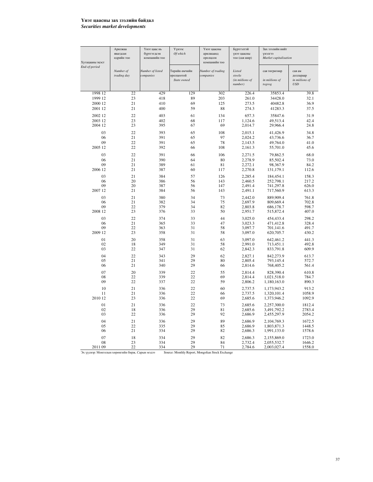## Үнэт цаасны зах зээлийн байдал *Securities market developments*

| Хугацааны эцэст | Арилжаа<br>явагдсан<br>өдрийн тоо | Үнэт цаас нь<br>бүртгэгдсэн<br>компанийн тоо | Үүнээс<br>Of which                         | Үнэт цаасны<br>арилжаанд<br>оролцсон<br>компанийн тоо | Бүртгэлтэй<br>үнэт цаасны<br>тоо (сая шир)     | Зах зээлийн нийт<br>унэлгээ<br>Market capitalisation |                                                     |  |
|-----------------|-----------------------------------|----------------------------------------------|--------------------------------------------|-------------------------------------------------------|------------------------------------------------|------------------------------------------------------|-----------------------------------------------------|--|
| End-of-period   | Number of<br>trading day          | Number of listed<br>companies                | Гөрийн өмчийн<br>эролцоотой<br>State owned | Number of trading<br>companies                        | Listed<br>stocks<br>(in miilions of<br>number) | сая төгрөгөөр<br>in miilions of<br>togrog            | сая ам<br>доллараар<br>in miilions of<br><b>USD</b> |  |
| 1998 12         | 22                                | 429                                          | 129                                        | 302                                                   | 226.4                                          | 35853.4                                              | 39.8                                                |  |
| 1999 12         | 23                                | 418                                          | 89                                         | 203                                                   | 261.0                                          | 34428.0                                              | 32.1                                                |  |
| 2000 12         | 21                                | 410                                          | 69                                         | 125                                                   | 273.5                                          | 40482.8                                              | 36.9                                                |  |
| 2001 12         | 21                                | 400                                          | 59                                         | 88                                                    | 274.3                                          | 41283.3                                              | 37.5                                                |  |
| 2002 12         | 22                                | 403                                          | 61                                         | 134                                                   | 657.3                                          | 35847.6                                              | 31.9                                                |  |
| 2003 12         | 23                                | 402                                          | 68                                         | 117                                                   | 1,124.6                                        | 49,513.4                                             | 42.4                                                |  |
| 2004 12         | 23                                | 395                                          | 67                                         | 69                                                    | 2,014.7                                        | 29,966.4                                             | 24.8                                                |  |
| 03              | 22                                | 393                                          | 65                                         | 108                                                   | 2,015.1                                        | 41,426.9                                             | 34.8                                                |  |
| 06              | 21                                | 391                                          | 65                                         | 97                                                    | 2,024.2                                        | 43,736.6                                             | 36.7                                                |  |
| 09              | 22                                | 391                                          | 65                                         | 78                                                    | 2,143.5                                        | 49,764.0                                             | 41.0                                                |  |
| 2005 12         | 22                                | 392                                          | 66                                         | 108                                                   | 2,161.3                                        | 55,701.0                                             | 45.6                                                |  |
|                 | 22                                |                                              |                                            |                                                       |                                                |                                                      |                                                     |  |
| 03              |                                   | 391                                          | 66                                         | 106                                                   | 2,271.5                                        | 79,862.5                                             | 68.0                                                |  |
| 06<br>09        | 21<br>21                          | 390<br>389                                   | 64<br>61                                   | 80<br>81                                              | 2,278.9                                        | 85,502.4                                             | 73.0<br>84.2                                        |  |
| 2006 12         | 21                                | 387                                          | 60                                         | 117                                                   | 2,272.1<br>2,270.8                             | 98,367.9<br>131,179.1                                | 112.6                                               |  |
|                 |                                   |                                              |                                            |                                                       |                                                |                                                      |                                                     |  |
| 03              | 21                                | 384                                          | 57                                         | 126                                                   | 2,285.4                                        | 184,454.1                                            | 158.3                                               |  |
| 06<br>09        | 20<br>20                          | 386<br>387                                   | 56<br>56                                   | 143<br>147                                            | 2,460.5<br>2.491.4                             | 252,798.1<br>741,297.8                               | 217.2<br>626.0                                      |  |
| 2007 12         | 21                                | 384                                          | 56                                         | 143                                                   | 2,491.1                                        | 717,560.9                                            | 613.3                                               |  |
|                 |                                   |                                              |                                            |                                                       |                                                |                                                      |                                                     |  |
| 03              | 21<br>21                          | 380<br>382                                   | 34<br>34                                   | 73<br>75                                              | 2.442.0                                        | 889,909.4                                            | 761.8                                               |  |
| 06<br>09        | 22                                | 379                                          | 34                                         | 82                                                    | 2,697.9<br>2.803.8                             | 809,669.4<br>686,178.7                               | 702.8<br>598.7                                      |  |
| 2008 12         | 23                                | 376                                          | 33                                         | 50                                                    | 2,951.7                                        | 515,872.4                                            | 407.0                                               |  |
|                 | 22                                |                                              |                                            | 44                                                    |                                                |                                                      |                                                     |  |
| 03<br>06        | 21                                | 374<br>365                                   | 33<br>33                                   | 47                                                    | 3,025.0<br>3.023.3                             | 454,433.4<br>471.412.8                               | 298.2<br>328.4                                      |  |
| 09              | 22                                | 363                                          | 31                                         | 58                                                    | 3,097.7                                        | 701,141.6                                            | 491.7                                               |  |
| 2009 12         | 23                                | 358                                          | 31                                         | 58                                                    | 3,097.0                                        | 620,705.7                                            | 430.2                                               |  |
| 01              | 20                                | 358                                          | 31                                         | 63                                                    | 3,097.0                                        | 642,461.2                                            | 441.3                                               |  |
| 02              | 18                                | 349                                          | 31                                         | 58                                                    | 2.991.0                                        | 713.451.1                                            | 492.8                                               |  |
| 03              | 22                                | 347                                          | 31                                         | 62                                                    | 2,842.3                                        | 833,791.8                                            | 609.9                                               |  |
| 04              | 22                                | 343                                          | 29                                         | 62                                                    | 2,827.1                                        | 842,273.9                                            | 613.7                                               |  |
| 05              | 21                                | 341                                          | 29                                         | 80                                                    | 2,805.4                                        | 793,145.4                                            | 572.7                                               |  |
| 06              | 21                                | 340                                          | 29                                         | 66                                                    | 2,814.6                                        | 768,405.2                                            | 561.4                                               |  |
| 07              | 20                                | 339                                          | 22                                         | 55                                                    | 2.814.4                                        | 828,390.4                                            | 610.8                                               |  |
| 08              | 22                                | 339                                          | 22                                         | 69                                                    | 2,814.4                                        | 1,021,518.0                                          | 784.7                                               |  |
| 09              | 22                                | 337                                          | 22                                         | 59                                                    | 2,806.2                                        | 1,180,163.0                                          | 890.3                                               |  |
| 10              | 21                                | 336                                          | 22                                         | 60                                                    | 2,737.5                                        | 1,173,943.2                                          | 913.2                                               |  |
| 11              | 21                                | 336                                          | 22                                         | 66                                                    | 2,737.5                                        | 1,320,101.4                                          | 1058.9                                              |  |
| 2010 12         | 23                                | 336                                          | 22                                         | 69                                                    | 2,685.6                                        | 1,373,946.2                                          | 1092.9                                              |  |
|                 |                                   |                                              |                                            |                                                       |                                                |                                                      |                                                     |  |
| 01<br>02        | 21<br>18                          | 336<br>336                                   | 22<br>29                                   | 73<br>81                                              | 2,685.6<br>2,685.6                             | 2,257,300.0<br>3,491,792.2                           | 1812.4<br>2783.4                                    |  |
| 03              | 22                                | 336                                          | 29                                         | 92                                                    | 2,686.9                                        | 2,455,297.9                                          | 2054.2                                              |  |
|                 |                                   |                                              |                                            |                                                       |                                                |                                                      |                                                     |  |
| 04<br>05        | 21<br>22                          | 336<br>335                                   | 29<br>29                                   | 89<br>85                                              | 2,686.9<br>2,686.9                             | 2,104,769.3<br>1,803,871.3                           | 1672.5<br>1448.5                                    |  |
| 06              | 21                                | 334                                          | 29                                         | 82                                                    | 2,686.3                                        | 1,991,133.0                                          | 1578.6                                              |  |
|                 |                                   |                                              |                                            |                                                       |                                                |                                                      |                                                     |  |
| 07<br>08        | 18<br>23                          | 334<br>334                                   | 29<br>29                                   | 82<br>84                                              | 2.686.3<br>2,732.4                             | 2,155,869.0<br>2,055,532.7                           | 1723.0<br>1646.2                                    |  |
|                 |                                   |                                              |                                            |                                                       |                                                |                                                      |                                                     |  |